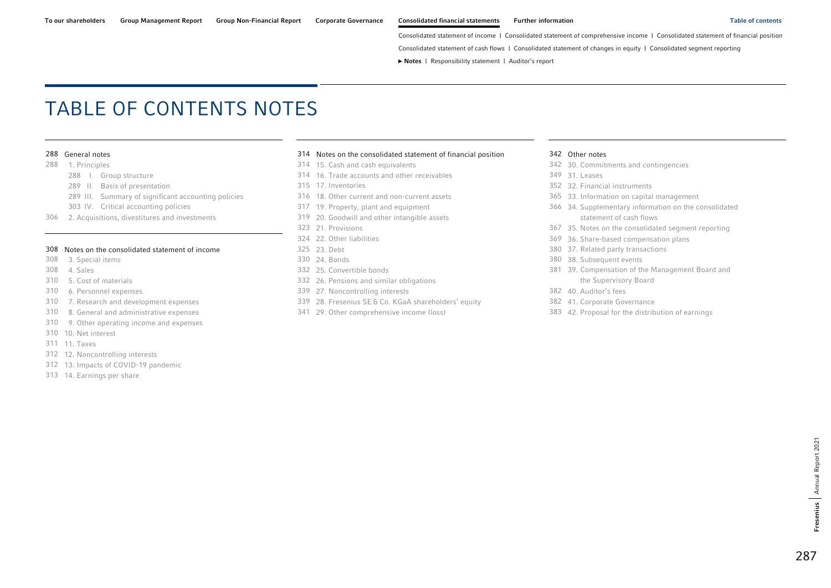Consolidated statement of cash flows | Consolidated statement of changes in equity | Consolidated segment reporting

**►** Notes | [Responsibility statement](#page-97-0) | [Auditor's report](#page-98-0) 

# <span id="page-0-0"></span>TABLE OF CONTENTS NOTES

- -
	- [289 II. Basis of presentation](#page-2-0) [315 17. Inventories](#page-28-0) [352 32. Financial instruments](#page-65-0)
	- [289 III. Summary of significant accounting policies](#page-2-0) [316 18. Other current and non-current assets](#page-29-0) [365 33. Information on capital management](#page-78-0)
	-
- [306 2. Acquisitions, divestitures and investments](#page-19-0) [319 20. Goodwill and other intangible assets](#page-32-0) statement of cash flows

#### [308 Notes on the consolidated statement of income](#page-21-0) [325 23. Debt](#page-38-0) 380 37. Related party transactions

- 
- 
- 
- 
- 
- 
- [310 9. Other operating income and expenses](#page-23-0)
- [310 10. Net interest](#page-23-0)
- [311 11. Taxes](#page-24-0)
- [312 12. Noncontrolling interests](#page-25-0)
- [312 13. Impacts of COVID-19 pandemic](#page-25-0)
- [313 14. Earnings per share](#page-26-0)

#### [288 General notes](#page-1-0) [314 Notes on the consolidated statement of financial position](#page-27-0) [342 Other notes](#page-55-0)

- 
- [288 I. Group structure](#page-1-0) [314 16. Trade accounts and other receivables](#page-27-0) [349 31. Leases](#page-62-0) 
	-
	-
	-
	-
	-
	-
	-
	-
	-
- [310 5. Cost of materials](#page-23-0) [332 26. Pensions and similar obligations](#page-45-0) the Supervisory Board
- [310 6. Personnel expenses](#page-23-0) [339 27. Noncontrolling interests](#page-52-0) [382 40. Auditor's fees](#page-95-0)
- [310 7. Research and development expenses](#page-23-0) 339 28. Fresenius SE & [Co. KGaA shareholders' equity](#page-52-0) [382 41. Corporate Governance](#page-95-0) 
	-

- [288 1. Principles](#page-1-0) [314 15. Cash and cash equivalents](#page-27-0) [342 30. Commitments and contingencies](#page-55-0) 
	-
	-
	-
	- [303 IV. Critical accounting policies](#page-16-0) [317 19. Property, plant and equipment](#page-30-0) [366 34. Supplementary information on the consolidated](#page-79-0) 
		- [323 21. Provisions](#page-36-0) [367 35. Notes on the consolidated segment reporting](#page-80-0)
		- [324 22. Other liabilities](#page-37-0) [369 36. Share-based compensation plans](#page-82-0) 
			-
- [308 3. Special items](#page-21-0) [330 24. Bonds](#page-43-0) [380 38. Subsequent events](#page-93-0)
- [308 4. Sales](#page-21-0) [332 25. Convertible bonds](#page-45-0) [381 39. Compensation of the Management Board and](#page-94-0) 
	-
	-
- [310 8. General and administrative expenses](#page-23-0) [341 29. Other comprehensive income \(loss\)](#page-54-0) [383 42. Proposal for the distribution of earnings](#page-96-0)

Annual Report 2021

Fresenius | Annual Report 2021

Fresenius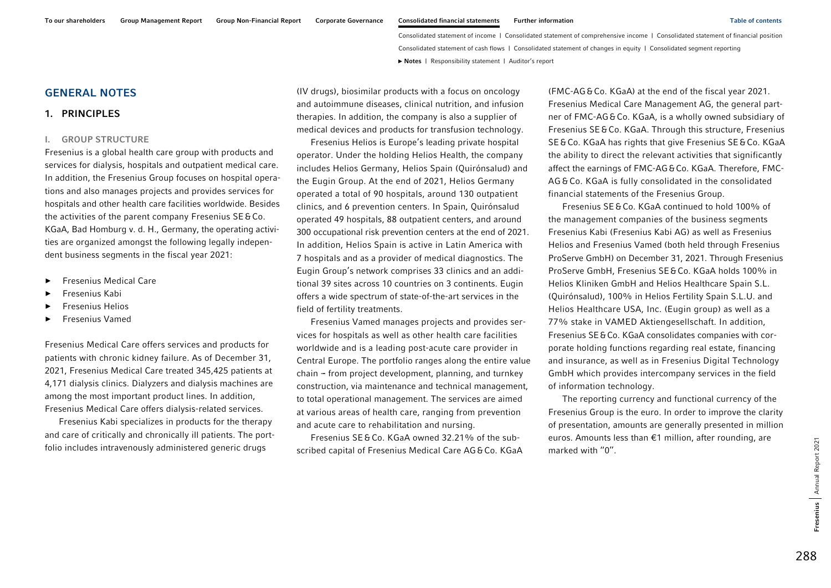### <span id="page-1-0"></span>GENERAL NOTES

### 1. PRINCIPLES

#### I.GROUP STRUCTURE

Fresenius is a global health care group with products and services for dialysis, hospitals and outpatient medical care. In addition, the Fresenius Group focuses on hospital operations and also manages projects and provides services for hospitals and other health care facilities worldwide. Besides the activities of the parent company Fresenius SE&Co. KGaA, Bad Homburg v. d. H., Germany, the operating activities are organized amongst the following legally independent business segments in the fiscal year 2021:

- ►Fresenius Medical Care
- ►Fresenius Kabi
- ►Fresenius Helios
- ►Fresenius Vamed

Fresenius Medical Care offers services and products for patients with chronic kidney failure. As of December 31, 2021, Fresenius Medical Care treated 345,425 patients at 4,171 dialysis clinics. Dialyzers and dialysis machines are among the most important product lines. In addition, Fresenius Medical Care offers dialysis-related services.

Fresenius Kabi specializes in products for the therapy and care of critically and chronically ill patients. The portfolio includes intravenously administered generic drugs

(IV drugs), biosimilar products with a focus on oncology and autoimmune diseases, clinical nutrition, and infusion therapies. In addition, the company is also a supplier of medical devices and products for transfusion technology.

Fresenius Helios is Europe's leading private hospital operator. Under the holding Helios Health, the company includes Helios Germany, Helios Spain (Quirónsalud) and the Eugin Group. At the end of 2021, Helios Germany operated a total of 90 hospitals, around 130 outpatient clinics, and 6 prevention centers. In Spain, Quirónsalud operated 49 hospitals, 88 outpatient centers, and around 300 occupational risk prevention centers at the end of 2021. In addition, Helios Spain is active in Latin America with 7 hospitals and as a provider of medical diagnostics. The Eugin Group's network comprises 33 clinics and an additional 39 sites across 10 countries on 3 continents. Eugin offers a wide spectrum of state-of-the-art services in the field of fertility treatments.

Fresenius Vamed manages projects and provides services for hospitals as well as other health care facilities worldwide and is a leading post-acute care provider in Central Europe. The portfolio ranges along the entire value  $chain - from project development, planning, and turnkey$ construction, via maintenance and technical management, to total operational management. The services are aimed at various areas of health care, ranging from prevention and acute care to rehabilitation and nursing.

Fresenius SE&Co. KGaA owned 32.21% of the subscribed capital of Fresenius Medical Care AG&Co. KGaA

(FMC-AG&Co. KGaA) at the end of the fiscal year 2021. Fresenius Medical Care Management AG, the general partner of FMC-AG&Co. KGaA, is a wholly owned subsidiary of Fresenius SE&Co. KGaA. Through this structure, Fresenius SE&Co. KGaA has rights that give Fresenius SE&Co. KGaA the ability to direct the relevant activities that significantly affect the earnings of FMC-AG&Co. KGaA. Therefore, FMC-AG &Co. KGaA is fully consolidated in the consolidated financial statements of the Fresenius Group.

Fresenius SE&Co. KGaA continued to hold 100% of the management companies of the business segments Fresenius Kabi (Fresenius Kabi AG) as well as Fresenius Helios and Fresenius Vamed (both held through Fresenius ProServe GmbH) on December 31, 2021. Through Fresenius ProServe GmbH, Fresenius SE&Co. KGaA holds 100% in Helios Kliniken GmbH and Helios Healthcare Spain S.L. (Quirónsalud), 100% in Helios Fertility Spain S.L.U. and Helios Healthcare USA, Inc. (Eugin group) as well as a 77% stake in VAMED Aktiengesellschaft. In addition, Fresenius SE&Co. KGaA consolidates companies with corporate holding functions regarding real estate, financing and insurance, as well as in Fresenius Digital Technology GmbH which provides intercompany services in the field of information technology.

The reporting currency and functional currency of the Fresenius Group is the euro. In order to improve the clarity of presentation, amounts are generally presented in million euros. Amounts less than €1 million, after rounding, are marked with "0".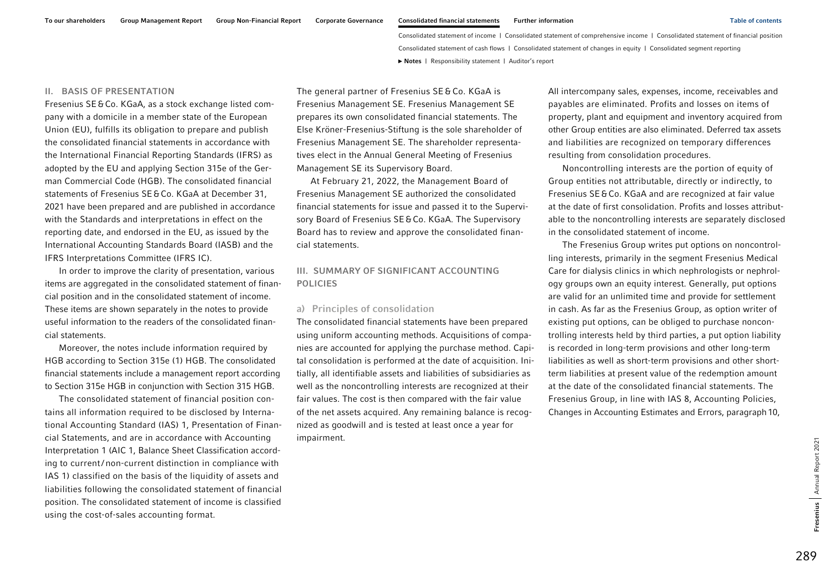#### <span id="page-2-0"></span>II. BASIS OF PRESENTATION

Fresenius SE&Co. KGaA, as a stock exchange listed company with a domicile in a member state of the European Union (EU), fulfills its obligation to prepare and publish the consolidated financial statements in accordance with the International Financial Reporting Standards (IFRS) as adopted by the EU and applying Section 315e of the German Commercial Code (HGB). The consolidated financial statements of Fresenius SE&Co. KGaA at December 31, 2021 have been prepared and are published in accordance with the Standards and interpretations in effect on the reporting date, and endorsed in the EU, as issued by the International Accounting Standards Board (IASB) and the IFRS Interpretations Committee (IFRS IC).

In order to improve the clarity of presentation, various items are aggregated in the consolidated statement of financial position and in the consolidated statement of income. These items are shown separately in the notes to provide useful information to the readers of the consolidated financial statements.

Moreover, the notes include information required by HGB according to Section 315e (1) HGB. The consolidated financial statements include a management report according to Section 315e HGB in conjunction with Section 315 HGB.

The consolidated statement of financial position contains all information required to be disclosed by International Accounting Standard (IAS) 1, Presentation of Financial Statements, and are in accordance with Accounting Interpretation 1 (AIC 1, Balance Sheet Classification according to current/ non-current distinction in compliance with IAS 1) classified on the basis of the liquidity of assets and liabilities following the consolidated statement of financial position. The consolidated statement of income is classified using the cost-of-sales accounting format.

The general partner of Fresenius SE&Co. KGaA is Fresenius Management SE. Fresenius Management SE prepares its own consolidated financial statements. The Else Kröner-Fresenius-Stiftung is the sole shareholder of Fresenius Management SE. The shareholder representatives elect in the Annual General Meeting of Fresenius Management SE its Supervisory Board.

At February 21, 2022, the Management Board of Fresenius Management SE authorized the consolidated financial statements for issue and passed it to the Supervisory Board of Fresenius SE&Co. KGaA. The Supervisory Board has to review and approve the consolidated financial statements.

### III. SUMMARY OF SIGNIFICANT ACCOUNTING POLICIES

### a) Principles of consolidation

The consolidated financial statements have been prepared using uniform accounting methods. Acquisitions of companies are accounted for applying the purchase method. Capital consolidation is performed at the date of acquisition. Initially, all identifiable assets and liabilities of subsidiaries as well as the noncontrolling interests are recognized at their fair values. The cost is then compared with the fair value of the net assets acquired. Any remaining balance is recognized as goodwill and is tested at least once a year for impairment.

All intercompany sales, expenses, income, receivables and payables are eliminated. Profits and losses on items of property, plant and equipment and inventory acquired from other Group entities are also eliminated. Deferred tax assets and liabilities are recognized on temporary differences resulting from consolidation procedures.

Noncontrolling interests are the portion of equity of Group entities not attributable, directly or indirectly, to Fresenius SE&Co. KGaA and are recognized at fair value at the date of first consolidation. Profits and losses attributable to the noncontrolling interests are separately disclosed in the consolidated statement of income.

The Fresenius Group writes put options on noncontrolling interests, primarily in the segment Fresenius Medical Care for dialysis clinics in which nephrologists or nephrology groups own an equity interest. Generally, put options are valid for an unlimited time and provide for settlement in cash. As far as the Fresenius Group, as option writer of existing put options, can be obliged to purchase noncontrolling interests held by third parties, a put option liability is recorded in long-term provisions and other long-term liabilities as well as short-term provisions and other shortterm liabilities at present value of the redemption amount at the date of the consolidated financial statements. The Fresenius Group, in line with IAS 8, Accounting Policies, Changes in Accounting Estimates and Errors, paragraph10,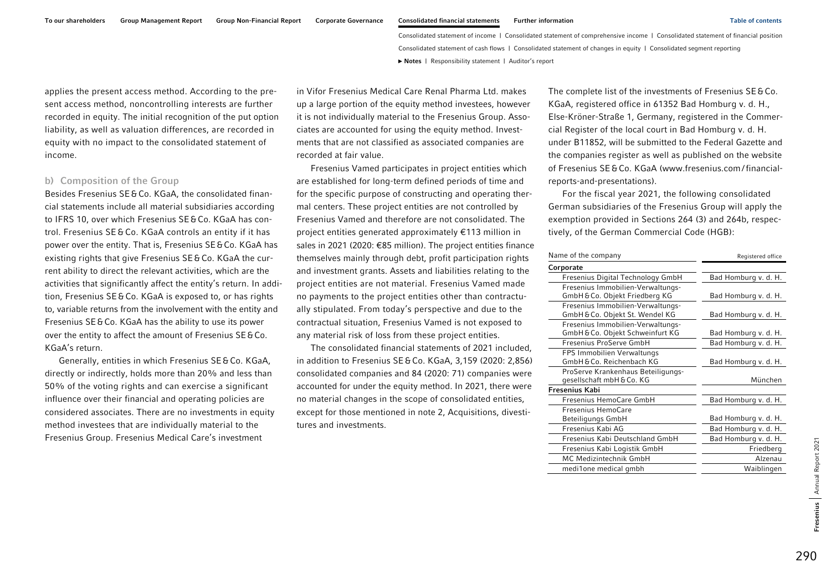applies the present access method. According to the present access method, noncontrolling interests are further recorded in equity. The initial recognition of the put option liability, as well as valuation differences, are recorded in equity with no impact to the consolidated statement of income.

### b) Composition of the Group

Besides Fresenius SE&Co. KGaA, the consolidated financial statements include all material subsidiaries according to IFRS 10, over which Fresenius SE&Co. KGaA has control. Fresenius SE &Co. KGaA controls an entity if it has power over the entity. That is, Fresenius SE&Co. KGaA has existing rights that give Fresenius SE&Co. KGaA the current ability to direct the relevant activities, which are the activities that significantly affect the entity's return. In addition, Fresenius SE&Co. KGaA is exposed to, or has rights to, variable returns from the involvement with the entity and Fresenius SE&Co. KGaA has the ability to use its power over the entity to affect the amount of Fresenius SE&Co. KGaA's return.

Generally, entities in which Fresenius SE&Co. KGaA, directly or indirectly, holds more than 20% and less than 50% of the voting rights and can exercise a significant influence over their financial and operating policies are considered associates. There are no investments in equity method investees that are individually material to the Fresenius Group. Fresenius Medical Care's investment

in Vifor Fresenius Medical Care Renal Pharma Ltd. makes up a large portion of the equity method investees, however it is not individually material to the Fresenius Group. Associates are accounted for using the equity method. Investments that are not classified as associated companies are recorded at fair value.

Fresenius Vamed participates in project entities which are established for long-term defined periods of time and for the specific purpose of constructing and operating thermal centers. These project entities are not controlled by Fresenius Vamed and therefore are not consolidated. The project entities generated approximately €113 million in sales in 2021 (2020: €85 million). The project entities finance themselves mainly through debt, profit participation rights and investment grants. Assets and liabilities relating to the project entities are not material. Fresenius Vamed made no payments to the project entities other than contractually stipulated. From today's perspective and due to the contractual situation, Fresenius Vamed is not exposed to any material risk of loss from these project entities.

The consolidated financial statements of 2021 included, in addition to Fresenius SE&Co. KGaA, 3,159 (2020: 2,856) consolidated companies and 84 (2020: 71) companies were accounted for under the equity method. In 2021, there were no material changes in the scope of consolidated entities, except for those mentioned in note 2, Acquisitions, divestitures and investments.

The complete list of the investments of Fresenius SE&Co. KGaA, registered office in 61352 Bad Homburg v. d. H., Else-Kröner-Straße 1, Germany, registered in the Commercial Register of the local court in Bad Homburg v. d. H. under B11852, will be submitted to the Federal Gazette and the companies register as well as published on the website of Fresenius SE&Co. KGaA [\(www.fresenius.com/financial](www.fresenius.com/financial-reports-and-presentations)[reports-and-presentations\).](www.fresenius.com/financial-reports-and-presentations) 

For the fiscal year 2021, the following consolidated German subsidiaries of the Fresenius Group will apply the exemption provided in Sections 264 (3) and 264b, respectively, of the German Commercial Code (HGB):

| Registered office    |  |  |
|----------------------|--|--|
|                      |  |  |
| Bad Homburg v. d. H. |  |  |
| Bad Homburg v. d. H. |  |  |
| Bad Homburg v. d. H. |  |  |
| Bad Homburg v. d. H. |  |  |
| Bad Homburg v. d. H. |  |  |
| Bad Homburg v. d. H. |  |  |
| München              |  |  |
|                      |  |  |
| Bad Homburg v. d. H. |  |  |
| Bad Homburg v. d. H. |  |  |
| Bad Homburg v. d. H. |  |  |
| Bad Homburg v. d. H. |  |  |
| Friedberg            |  |  |
| Alzenau              |  |  |
| Waiblingen           |  |  |
|                      |  |  |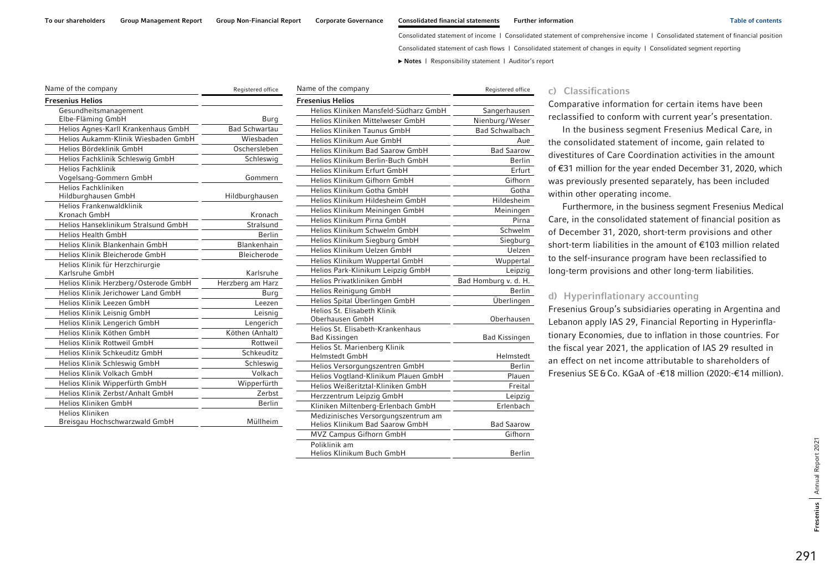Consolidated statement of cash flows | Consolidated statement of changes in equity | Consolidated segment reporting

**►** [Notes](#page-0-0) | [Responsibility statement](#page-97-0) | [Auditor's report](#page-98-0) 

| Name of the company                  | Registered office    |
|--------------------------------------|----------------------|
| <b>Fresenius Helios</b>              |                      |
| Gesundheitsmanagement                |                      |
| Elbe-Fläming GmbH                    | Burg                 |
| Helios Agnes-Karll Krankenhaus GmbH  | <b>Bad Schwartau</b> |
| Helios Aukamm-Klinik Wiesbaden GmbH  | Wiesbaden            |
| Helios Bördeklinik GmbH              | Oschersleben         |
| Helios Fachklinik Schleswig GmbH     | Schleswig            |
| <b>Helios Fachklinik</b>             |                      |
| Vogelsang-Gommern GmbH               | Gommern              |
| Helios Fachkliniken                  |                      |
| Hildburghausen GmbH                  | Hildburghausen       |
| Helios Frankenwaldklinik             |                      |
| Kronach GmbH                         | Kronach              |
| Helios Hanseklinikum Stralsund GmbH  | Stralsund            |
| <b>Helios Health GmbH</b>            | <b>Berlin</b>        |
| Helios Klinik Blankenhain GmbH       | Blankenhain          |
| Helios Klinik Bleicherode GmbH       | Bleicherode          |
| Helios Klinik für Herzchirurgie      |                      |
| Karlsruhe GmbH                       | Karlsruhe            |
| Helios Klinik Herzberg/Osterode GmbH | Herzberg am Harz     |
| Helios Klinik Jerichower Land GmbH   | Burg                 |
| Helios Klinik Leezen GmbH            | Leezen               |
| Helios Klinik Leisnig GmbH           | Leisnig              |
| Helios Klinik Lengerich GmbH         | Lengerich            |
| Helios Klinik Köthen GmbH            | Köthen (Anhalt)      |
| Helios Klinik Rottweil GmbH          | Rottweil             |
| Helios Klinik Schkeuditz GmbH        | Schkeuditz           |
| Helios Klinik Schleswig GmbH         | Schleswig            |
| Helios Klinik Volkach GmbH           | Volkach              |
| Helios Klinik Wipperfürth GmbH       | Wipperfürth          |
| Helios Klinik Zerbst/Anhalt GmbH     | Zerbst               |
| Helios Kliniken GmbH                 | <b>Berlin</b>        |
| Helios Kliniken                      |                      |
| Breisgau Hochschwarzwald GmbH        | Müllheim             |
|                                      |                      |

| Name of the company                                                    | Registered office     |
|------------------------------------------------------------------------|-----------------------|
| <b>Fresenius Helios</b>                                                |                       |
| Helios Kliniken Mansfeld-Südharz GmbH                                  | Sangerhausen          |
| Helios Kliniken Mittelweser GmbH                                       | Nienburg/Weser        |
| Helios Kliniken Taunus GmbH                                            | <b>Bad Schwalbach</b> |
| Helios Klinikum Aue GmbH                                               | Aue                   |
| Helios Klinikum Bad Saarow GmbH                                        | <b>Bad Saarow</b>     |
| Helios Klinikum Berlin-Buch GmbH                                       | <b>Berlin</b>         |
| Helios Klinikum Erfurt GmbH                                            | Erfurt                |
| Helios Klinikum Gifhorn GmbH                                           | Gifhorn               |
| Helios Klinikum Gotha GmbH                                             | Gotha                 |
| Helios Klinikum Hildesheim GmbH                                        | Hildesheim            |
| Helios Klinikum Meiningen GmbH                                         | Meiningen             |
| Helios Klinikum Pirna GmbH                                             | Pirna                 |
| Helios Klinikum Schwelm GmbH                                           | Schwelm               |
| Helios Klinikum Siegburg GmbH                                          | Siegburg              |
| Helios Klinikum Uelzen GmbH                                            | Uelzen                |
| Helios Klinikum Wuppertal GmbH                                         | Wuppertal             |
| Helios Park-Klinikum Leipzig GmbH                                      | Leipzig               |
| Helios Privatkliniken GmbH                                             | Bad Homburg v. d. H.  |
| Helios Reinigung GmbH                                                  | Berlin                |
| Helios Spital Überlingen GmbH                                          | Überlingen            |
| Helios St. Elisabeth Klinik                                            |                       |
| Oberhausen GmbH                                                        | Oberhausen            |
| Helios St. Elisabeth-Krankenhaus                                       |                       |
| <b>Bad Kissingen</b>                                                   | <b>Bad Kissingen</b>  |
| Helios St. Marienberg Klinik<br><b>Helmstedt GmbH</b>                  | Helmstedt             |
|                                                                        | <b>Berlin</b>         |
| Helios Versorgungszentren GmbH<br>Helios Vogtland-Klinikum Plauen GmbH | Plauen                |
| Helios Weißeritztal-Kliniken GmbH                                      | Freital               |
| Herzzentrum Leipzig GmbH                                               |                       |
|                                                                        | Leipzig<br>Erlenbach  |
| Kliniken Miltenberg-Erlenbach GmbH                                     |                       |
| Medizinisches Versorgungszentrum am<br>Helios Klinikum Bad Saarow GmbH | <b>Bad Saarow</b>     |
| MVZ Campus Gifhorn GmbH                                                | Gifhorn               |
| Poliklinik am                                                          |                       |
| Helios Klinikum Buch GmbH                                              | <b>Berlin</b>         |

### c) Classifications

Comparative information for certain items have been reclassified to conform with current year's presentation.

In the business segment Fresenius Medical Care, in the consolidated statement of income, gain related to divestitures of Care Coordination activities in the amount of €31 million for the year ended December 31, 2020, which was previously presented separately, has been included within other operating income.

Furthermore, in the business segment Fresenius Medical Care, in the consolidated statement of financial position as of December 31, 2020, short-term provisions and other short-term liabilities in the amount of €103 million related to the self-insurance program have been reclassified to long-term provisions and other long-term liabilities.

### d) Hyperinflationary accounting

Fresenius Group's subsidiaries operating in Argentina and Lebanon apply IAS 29, Financial Reporting in Hyperinflationary Economies, due to inflation in those countries. For the fiscal year 2021, the application of IAS 29 resulted in an effect on net income attributable to shareholders of Fresenius SE&Co. KGaA of -€18 million (2020:-€14 million).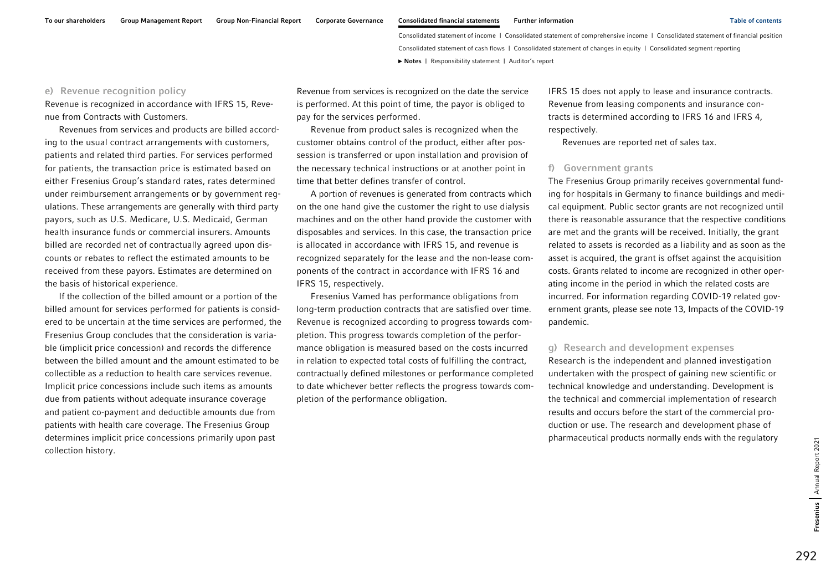### e) Revenue recognition policy

Revenue is recognized in accordance with IFRS 15, Revenue from Contracts with Customers.

Revenues from services and products are billed according to the usual contract arrangements with customers, patients and related third parties. For services performed for patients, the transaction price is estimated based on either Fresenius Group's standard rates, rates determined under reimbursement arrangements or by government regulations. These arrangements are generally with third party payors, such as U.S. Medicare, U.S. Medicaid, German health insurance funds or commercial insurers. Amounts billed are recorded net of contractually agreed upon discounts or rebates to reflect the estimated amounts to be received from these payors. Estimates are determined on the basis of historical experience.

If the collection of the billed amount or a portion of the billed amount for services performed for patients is considered to be uncertain at the time services are performed, the Fresenius Group concludes that the consideration is variable (implicit price concession) and records the difference between the billed amount and the amount estimated to be collectible as a reduction to health care services revenue. Implicit price concessions include such items as amounts due from patients without adequate insurance coverage and patient co-payment and deductible amounts due from patients with health care coverage. The Fresenius Group determines implicit price concessions primarily upon past collection history.

Revenue from services is recognized on the date the service is performed. At this point of time, the payor is obliged to pay for the services performed.

Revenue from product sales is recognized when the customer obtains control of the product, either after possession is transferred or upon installation and provision of the necessary technical instructions or at another point in time that better defines transfer of control.

A portion of revenues is generated from contracts which on the one hand give the customer the right to use dialysis machines and on the other hand provide the customer with disposables and services. In this case, the transaction price is allocated in accordance with IFRS 15, and revenue is recognized separately for the lease and the non-lease components of the contract in accordance with IFRS 16 and IFRS 15, respectively.

Fresenius Vamed has performance obligations from long-term production contracts that are satisfied over time. Revenue is recognized according to progress towards completion. This progress towards completion of the performance obligation is measured based on the costs incurred in relation to expected total costs of fulfilling the contract, contractually defined milestones or performance completed to date whichever better reflects the progress towards completion of the performance obligation.

IFRS 15 does not apply to lease and insurance contracts. Revenue from leasing components and insurance contracts is determined according to IFRS 16 and IFRS 4, respectively.

Revenues are reported net of sales tax.

### f) Government grants

The Fresenius Group primarily receives governmental funding for hospitals in Germany to finance buildings and medical equipment. Public sector grants are not recognized until there is reasonable assurance that the respective conditions are met and the grants will be received. Initially, the grant related to assets is recorded as a liability and as soon as the asset is acquired, the grant is offset against the acquisition costs. Grants related to income are recognized in other operating income in the period in which the related costs are incurred. For information regarding COVID-19 related government grants, please see note 13, Impacts of the COVID-19 pandemic.

### g) Research and development expenses

Research is the independent and planned investigation undertaken with the prospect of gaining new scientific or technical knowledge and understanding. Development is the technical and commercial implementation of research results and occurs before the start of the commercial production or use. The research and development phase of pharmaceutical products normally ends with the regulatory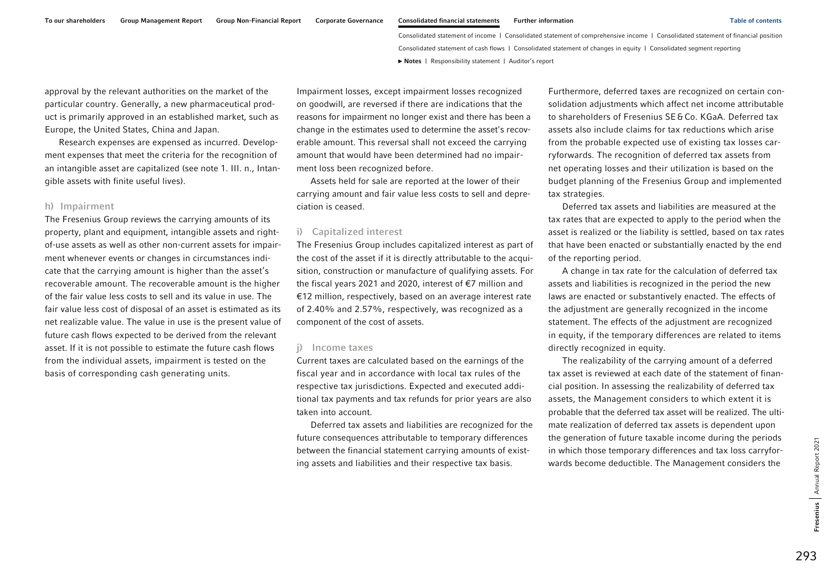approval by the relevant authorities on the market of the particular country. Generally, a new pharmaceutical product is primarily approved in an established market, such as Europe, the United States, China and Japan.

Research expenses are expensed as incurred. Development expenses that meet the criteria for the recognition of an intangible asset are capitalized (see note 1. III. n., Intangible assets with finite useful lives).

### h) Impairment

The Fresenius Group reviews the carrying amounts of its property, plant and equipment, intangible assets and rightof-use assets as well as other non-current assets for impairment whenever events or changes in circumstances indicate that the carrying amount is higher than the asset's recoverable amount. The recoverable amount is the higher of the fair value less costs to sell and its value in use. The fair value less cost of disposal of an asset is estimated as its net realizable value. The value in use is the present value of future cash flows expected to be derived from the relevant asset. If it is not possible to estimate the future cash flows from the individual assets, impairment is tested on the basis of corresponding cash generating units.

Impairment losses, except impairment losses recognized on goodwill, are reversed if there are indications that the reasons for impairment no longer exist and there has been a change in the estimates used to determine the asset's recoverable amount. This reversal shall not exceed the carrying amount that would have been determined had no impairment loss been recognized before.

Assets held for sale are reported at the lower of their carrying amount and fair value less costs to sell and depreciation is ceased.

#### i) Capitalized interest

The Fresenius Group includes capitalized interest as part of the cost of the asset if it is directly attributable to the acquisition, construction or manufacture of qualifying assets. For the fiscal years 2021 and 2020, interest of €7 million and €12 million, respectively, based on an average interest rate of 2.40% and 2.57%, respectively, was recognized as a component of the cost of assets.

#### j) Income taxes

Current taxes are calculated based on the earnings of the fiscal year and in accordance with local tax rules of the respective tax jurisdictions. Expected and executed additional tax payments and tax refunds for prior years are also taken into account.

Deferred tax assets and liabilities are recognized for the future consequences attributable to temporary differences between the financial statement carrying amounts of existing assets and liabilities and their respective tax basis.

Furthermore, deferred taxes are recognized on certain consolidation adjustments which affect net income attributable to shareholders of Fresenius SE&Co. KGaA. Deferred tax assets also include claims for tax reductions which arise from the probable expected use of existing tax losses carryforwards. The recognition of deferred tax assets from net operating losses and their utilization is based on the budget planning of the Fresenius Group and implemented tax strategies.

Deferred tax assets and liabilities are measured at the tax rates that are expected to apply to the period when the asset is realized or the liability is settled, based on tax rates that have been enacted or substantially enacted by the end of the reporting period.

A change in tax rate for the calculation of deferred tax assets and liabilities is recognized in the period the new laws are enacted or substantively enacted. The effects of the adjustment are generally recognized in the income statement. The effects of the adjustment are recognized in equity, if the temporary differences are related to items directly recognized in equity.

The realizability of the carrying amount of a deferred tax asset is reviewed at each date of the statement of financial position. In assessing the realizability of deferred tax assets, the Management considers to which extent it is probable that the deferred tax asset will be realized. The ultimate realization of deferred tax assets is dependent upon the generation of future taxable income during the periods in which those temporary differences and tax loss carryforwards become deductible. The Management considers the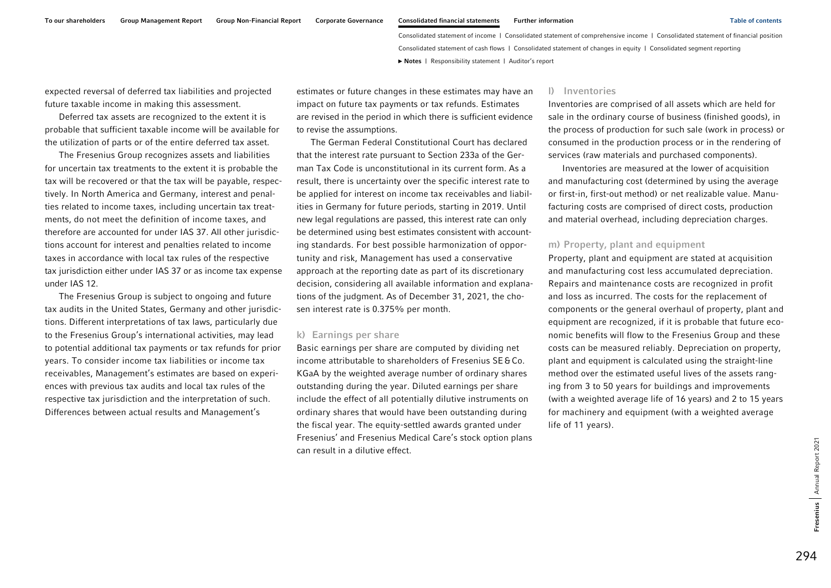expected reversal of deferred tax liabilities and projected future taxable income in making this assessment.

Deferred tax assets are recognized to the extent it is probable that sufficient taxable income will be available for the utilization of parts or of the entire deferred tax asset.

The Fresenius Group recognizes assets and liabilities for uncertain tax treatments to the extent it is probable the tax will be recovered or that the tax will be payable, respectively. In North America and Germany, interest and penalties related to income taxes, including uncertain tax treatments, do not meet the definition of income taxes, and therefore are accounted for under IAS 37. All other jurisdictions account for interest and penalties related to income taxes in accordance with local tax rules of the respective tax jurisdiction either under IAS 37 or as income tax expense under IAS 12.

The Fresenius Group is subject to ongoing and future tax audits in the United States, Germany and other jurisdictions. Different interpretations of tax laws, particularly due to the Fresenius Group's international activities, may lead to potential additional tax payments or tax refunds for prior years. To consider income tax liabilities or income tax receivables, Management's estimates are based on experiences with previous tax audits and local tax rules of the respective tax jurisdiction and the interpretation of such. Differences between actual results and Management's

estimates or future changes in these estimates may have an impact on future tax payments or tax refunds. Estimates are revised in the period in which there is sufficient evidence to revise the assumptions.

The German Federal Constitutional Court has declared that the interest rate pursuant to Section 233a of the German Tax Code is unconstitutional in its current form. As a result, there is uncertainty over the specific interest rate to be applied for interest on income tax receivables and liabilities in Germany for future periods, starting in 2019. Until new legal regulations are passed, this interest rate can only be determined using best estimates consistent with accounting standards. For best possible harmonization of opportunity and risk, Management has used a conservative approach at the reporting date as part of its discretionary decision, considering all available information and explanations of the judgment. As of December 31, 2021, the chosen interest rate is 0.375% per month.

### k) Earnings per share

Basic earnings per share are computed by dividing net income attributable to shareholders of Fresenius SE&Co. KGaA by the weighted average number of ordinary shares outstanding during the year. Diluted earnings per share include the effect of all potentially dilutive instruments on ordinary shares that would have been outstanding during the fiscal year. The equity-settled awards granted under Fresenius' and Fresenius Medical Care's stock option plans can result in a dilutive effect.

#### l) Inventories

Inventories are comprised of all assets which are held for sale in the ordinary course of business (finished goods), in the process of production for such sale (work in process) or consumed in the production process or in the rendering of services (raw materials and purchased components).

Inventories are measured at the lower of acquisition and manufacturing cost (determined by using the average or first-in, first-out method) or net realizable value. Manufacturing costs are comprised of direct costs, production and material overhead, including depreciation charges.

#### m) Property, plant and equipment

Property, plant and equipment are stated at acquisition and manufacturing cost less accumulated depreciation. Repairs and maintenance costs are recognized in profit and loss as incurred. The costs for the replacement of components or the general overhaul of property, plant and equipment are recognized, if it is probable that future economic benefits will flow to the Fresenius Group and these costs can be measured reliably. Depreciation on property, plant and equipment is calculated using the straight-line method over the estimated useful lives of the assets ranging from 3 to 50 years for buildings and improvements (with a weighted average life of 16 years) and 2 to 15 years for machinery and equipment (with a weighted average life of 11 years).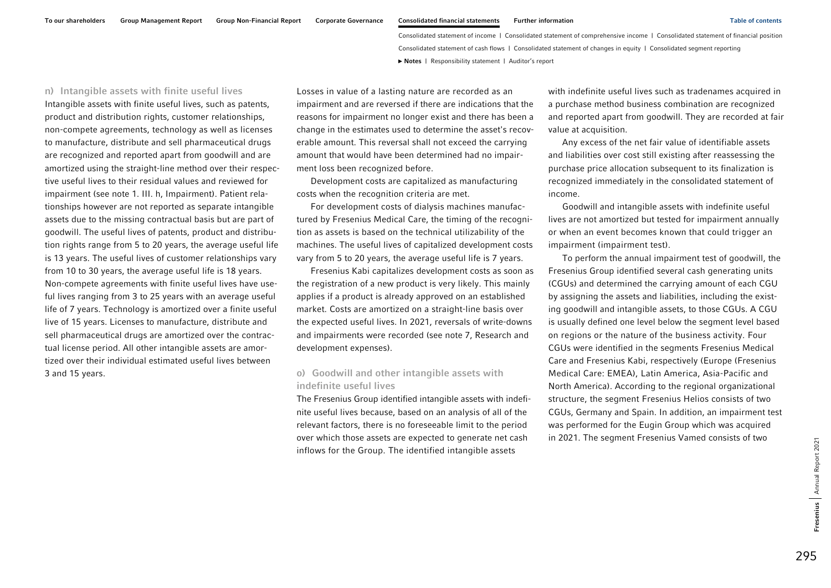n) Intangible assets with finite useful lives Intangible assets with finite useful lives, such as patents, product and distribution rights, customer relationships, non-compete agreements, technology as well as licenses to manufacture, distribute and sell pharmaceutical drugs are recognized and reported apart from goodwill and are amortized using the straight-line method over their respective useful lives to their residual values and reviewed for impairment (see note 1. III. h, Impairment). Patient relationships however are not reported as separate intangible assets due to the missing contractual basis but are part of goodwill. The useful lives of patents, product and distribution rights range from 5 to 20 years, the average useful life is 13 years. The useful lives of customer relationships vary from 10 to 30 years, the average useful life is 18 years. Non-compete agreements with finite useful lives have useful lives ranging from 3 to 25 years with an average useful life of 7 years. Technology is amortized over a finite useful live of 15 years. Licenses to manufacture, distribute and sell pharmaceutical drugs are amortized over the contractual license period. All other intangible assets are amortized over their individual estimated useful lives between 3 and 15 years.

Losses in value of a lasting nature are recorded as an impairment and are reversed if there are indications that the reasons for impairment no longer exist and there has been a change in the estimates used to determine the asset's recoverable amount. This reversal shall not exceed the carrying amount that would have been determined had no impairment loss been recognized before.

Development costs are capitalized as manufacturing costs when the recognition criteria are met.

For development costs of dialysis machines manufactured by Fresenius Medical Care, the timing of the recognition as assets is based on the technical utilizability of the machines. The useful lives of capitalized development costs vary from 5 to 20 years, the average useful life is 7 years.

Fresenius Kabi capitalizes development costs as soon as the registration of a new product is very likely. This mainly applies if a product is already approved on an established market. Costs are amortized on a straight-line basis over the expected useful lives. In 2021, reversals of write-downs and impairments were recorded (see note 7, Research and development expenses).

### o) Goodwill and other intangible assets with indefinite useful lives

The Fresenius Group identified intangible assets with indefinite useful lives because, based on an analysis of all of the relevant factors, there is no foreseeable limit to the period over which those assets are expected to generate net cash inflows for the Group. The identified intangible assets

with indefinite useful lives such as tradenames acquired in a purchase method business combination are recognized and reported apart from goodwill. They are recorded at fair value at acquisition.

Any excess of the net fair value of identifiable assets and liabilities over cost still existing after reassessing the purchase price allocation subsequent to its finalization is recognized immediately in the consolidated statement of income.

Goodwill and intangible assets with indefinite useful lives are not amortized but tested for impairment annually or when an event becomes known that could trigger an impairment (impairment test).

To perform the annual impairment test of goodwill, the Fresenius Group identified several cash generating units (CGUs) and determined the carrying amount of each CGU by assigning the assets and liabilities, including the existing goodwill and intangible assets, to those CGUs. A CGU is usually defined one level below the segment level based on regions or the nature of the business activity. Four CGUs were identified in the segments Fresenius Medical Care and Fresenius Kabi, respectively (Europe (Fresenius Medical Care: EMEA), Latin America, Asia-Pacific and North America). According to the regional organizational structure, the segment Fresenius Helios consists of two CGUs, Germany and Spain. In addition, an impairment test was performed for the Eugin Group which was acquired in 2021. The segment Fresenius Vamed consists of two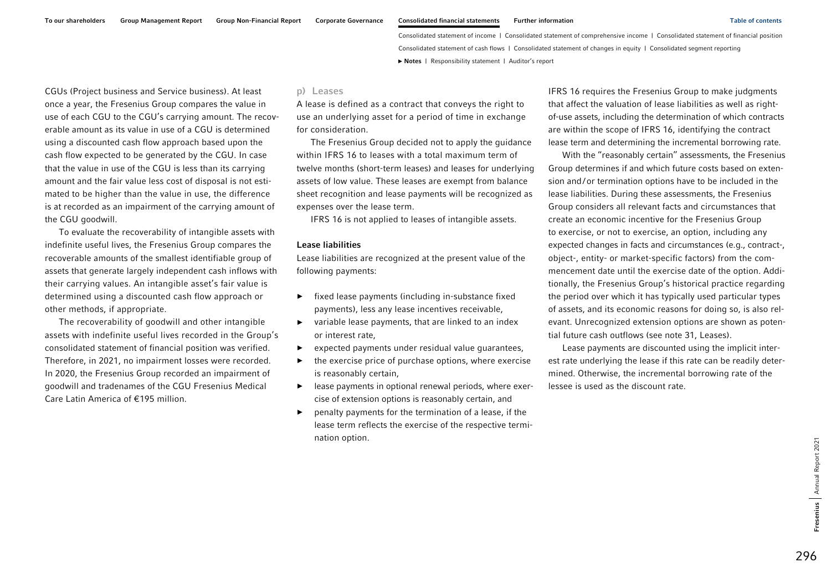CGUs (Project business and Service business). At least once a year, the Fresenius Group compares the value in use of each CGU to the CGU's carrying amount. The recoverable amount as its value in use of a CGU is determined using a discounted cash flow approach based upon the cash flow expected to be generated by the CGU. In case that the value in use of the CGU is less than its carrying amount and the fair value less cost of disposal is not estimated to be higher than the value in use, the difference is at recorded as an impairment of the carrying amount of the CGU goodwill.

To evaluate the recoverability of intangible assets with indefinite useful lives, the Fresenius Group compares the recoverable amounts of the smallest identifiable group of assets that generate largely independent cash inflows with their carrying values. An intangible asset's fair value is determined using a discounted cash flow approach or other methods, if appropriate.

The recoverability of goodwill and other intangible assets with indefinite useful lives recorded in the Group's consolidated statement of financial position was verified. Therefore, in 2021, no impairment losses were recorded. In 2020, the Fresenius Group recorded an impairment of goodwill and tradenames of the CGU Fresenius Medical Care Latin America of €195 million.

### p) Leases

A lease is defined as a contract that conveys the right to use an underlying asset for a period of time in exchange for consideration.

The Fresenius Group decided not to apply the guidance within IFRS 16 to leases with a total maximum term of twelve months (short-term leases) and leases for underlying assets of low value. These leases are exempt from balance sheet recognition and lease payments will be recognized as expenses over the lease term.

IFRS 16 is not applied to leases of intangible assets.

#### Lease liabilities

Lease liabilities are recognized at the present value of the following payments:

- ► fixed lease payments (including in-substance fixed payments), less any lease incentives receivable,
- ► variable lease payments, that are linked to an index or interest rate,
- ►expected payments under residual value guarantees,
- ► the exercise price of purchase options, where exercise is reasonably certain,
- ► lease payments in optional renewal periods, where exercise of extension options is reasonably certain, and
- ► penalty payments for the termination of a lease, if the lease term reflects the exercise of the respective termination option.

IFRS 16 requires the Fresenius Group to make judgments that affect the valuation of lease liabilities as well as rightof-use assets, including the determination of which contracts are within the scope of IFRS 16, identifying the contract lease term and determining the incremental borrowing rate.

With the "reasonably certain" assessments, the Fresenius Group determines if and which future costs based on extension and/or termination options have to be included in the lease liabilities. During these assessments, the Fresenius Group considers all relevant facts and circumstances that create an economic incentive for the Fresenius Group to exercise, or not to exercise, an option, including any expected changes in facts and circumstances (e.g., contract-, object-, entity- or market-specific factors) from the commencement date until the exercise date of the option. Additionally, the Fresenius Group's historical practice regarding the period over which it has typically used particular types of assets, and its economic reasons for doing so, is also relevant. Unrecognized extension options are shown as potential future cash outflows (see note 31, Leases).

Lease payments are discounted using the implicit interest rate underlying the lease if this rate can be readily determined. Otherwise, the incremental borrowing rate of the lessee is used as the discount rate.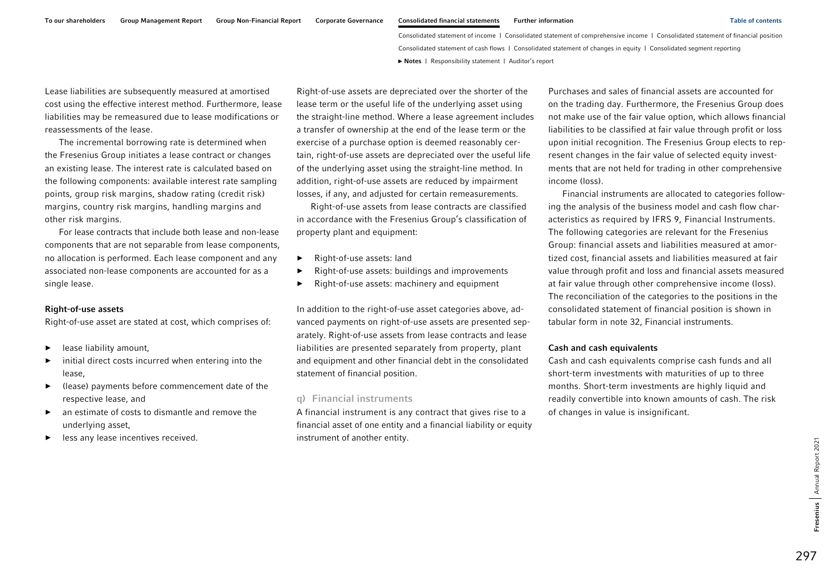Lease liabilities are subsequently measured at amortised cost using the effective interest method. Furthermore, lease liabilities may be remeasured due to lease modifications or reassessments of the lease.

The incremental borrowing rate is determined when the Fresenius Group initiates a lease contract or changes an existing lease. The interest rate is calculated based on the following components: available interest rate sampling points, group risk margins, shadow rating (credit risk) margins, country risk margins, handling margins and other risk margins.

For lease contracts that include both lease and non-lease components that are not separable from lease components, no allocation is performed. Each lease component and any associated non-lease components are accounted for as a single lease.

### Right-of-use assets

Right-of-use asset are stated at cost, which comprises of:

- ►lease liability amount,
- ► initial direct costs incurred when entering into the lease,
- ► (lease) payments before commencement date of the respective lease, and
- ► an estimate of costs to dismantle and remove the underlying asset,
- ►less any lease incentives received.

Right-of-use assets are depreciated over the shorter of the lease term or the useful life of the underlying asset using the straight-line method. Where a lease agreement includes a transfer of ownership at the end of the lease term or the exercise of a purchase option is deemed reasonably certain, right-of-use assets are depreciated over the useful life of the underlying asset using the straight-line method. In addition, right-of-use assets are reduced by impairment losses, if any, and adjusted for certain remeasurements.

Right-of-use assets from lease contracts are classified in accordance with the Fresenius Group's classification of property plant and equipment:

- ►Right-of-use assets: land
- ►Right-of-use assets: buildings and improvements
- ►Right-of-use assets: machinery and equipment

In addition to the right-of-use asset categories above, advanced payments on right-of-use assets are presented separately. Right-of-use assets from lease contracts and lease liabilities are presented separately from property, plant and equipment and other financial debt in the consolidated statement of financial position.

### q) Financial instruments

A financial instrument is any contract that gives rise to a financial asset of one entity and a financial liability or equity instrument of another entity.

Purchases and sales of financial assets are accounted for on the trading day. Furthermore, the Fresenius Group does not make use of the fair value option, which allows financial liabilities to be classified at fair value through profit or loss upon initial recognition. The Fresenius Group elects to represent changes in the fair value of selected equity investments that are not held for trading in other comprehensive income (loss).

Financial instruments are allocated to categories following the analysis of the business model and cash flow characteristics as required by IFRS 9, Financial Instruments. The following categories are relevant for the Fresenius Group: financial assets and liabilities measured at amortized cost, financial assets and liabilities measured at fair value through profit and loss and financial assets measured at fair value through other comprehensive income (loss). The reconciliation of the categories to the positions in the consolidated statement of financial position is shown in tabular form in note 32, Financial instruments.

#### Cash and cash equivalents

Cash and cash equivalents comprise cash funds and all short-term investments with maturities of up to three months. Short-term investments are highly liquid and readily convertible into known amounts of cash. The risk of changes in value is insignificant.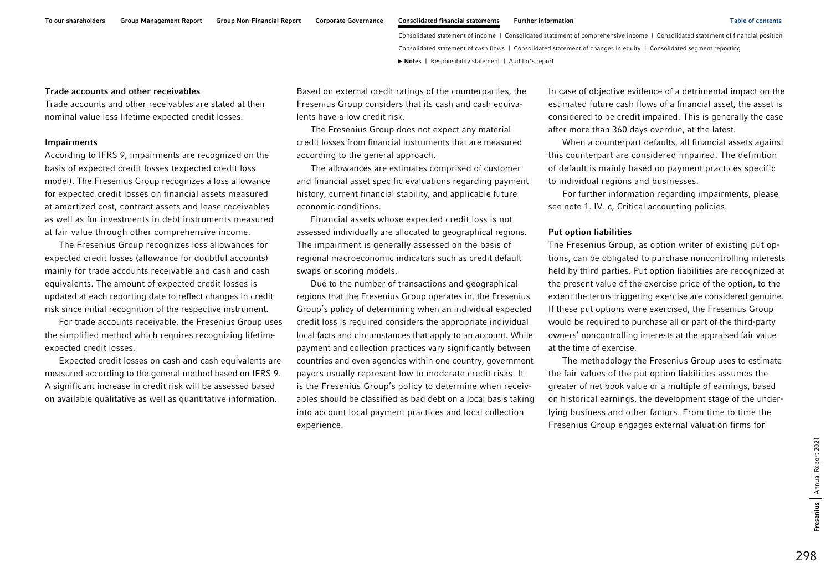### Trade accounts and other receivables

Trade accounts and other receivables are stated at their nominal value less lifetime expected credit losses.

#### Impairments

According to IFRS 9, impairments are recognized on the basis of expected credit losses (expected credit loss model). The Fresenius Group recognizes a loss allowance for expected credit losses on financial assets measured at amortized cost, contract assets and lease receivables as well as for investments in debt instruments measured at fair value through other comprehensive income.

The Fresenius Group recognizes loss allowances for expected credit losses (allowance for doubtful accounts) mainly for trade accounts receivable and cash and cash equivalents. The amount of expected credit losses is updated at each reporting date to reflect changes in credit risk since initial recognition of the respective instrument.

For trade accounts receivable, the Fresenius Group uses the simplified method which requires recognizing lifetime expected credit losses.

Expected credit losses on cash and cash equivalents are measured according to the general method based on IFRS 9. A significant increase in credit risk will be assessed based on available qualitative as well as quantitative information.

Based on external credit ratings of the counterparties, the Fresenius Group considers that its cash and cash equivalents have a low credit risk.

The Fresenius Group does not expect any material credit losses from financial instruments that are measured according to the general approach.

The allowances are estimates comprised of customer and financial asset specific evaluations regarding payment history, current financial stability, and applicable future economic conditions.

Financial assets whose expected credit loss is not assessed individually are allocated to geographical regions. The impairment is generally assessed on the basis of regional macroeconomic indicators such as credit default swaps or scoring models.

Due to the number of transactions and geographical regions that the Fresenius Group operates in, the Fresenius Group's policy of determining when an individual expected credit loss is required considers the appropriate individual local facts and circumstances that apply to an account. While payment and collection practices vary significantly between countries and even agencies within one country, government payors usually represent low to moderate credit risks. It is the Fresenius Group's policy to determine when receivables should be classified as bad debt on a local basis taking into account local payment practices and local collection experience.

In case of objective evidence of a detrimental impact on the estimated future cash flows of a financial asset, the asset is considered to be credit impaired. This is generally the case after more than 360 days overdue, at the latest.

When a counterpart defaults, all financial assets against this counterpart are considered impaired. The definition of default is mainly based on payment practices specific to individual regions and businesses.

For further information regarding impairments, please see note 1. IV. c, Critical accounting policies.

### Put option liabilities

The Fresenius Group, as option writer of existing put options, can be obligated to purchase noncontrolling interests held by third parties. Put option liabilities are recognized at the present value of the exercise price of the option, to the extent the terms triggering exercise are considered genuine. If these put options were exercised, the Fresenius Group would be required to purchase all or part of the third-party owners' noncontrolling interests at the appraised fair value at the time of exercise.

The methodology the Fresenius Group uses to estimate the fair values of the put option liabilities assumes the greater of net book value or a multiple of earnings, based on historical earnings, the development stage of the underlying business and other factors. From time to time the Fresenius Group engages external valuation firms for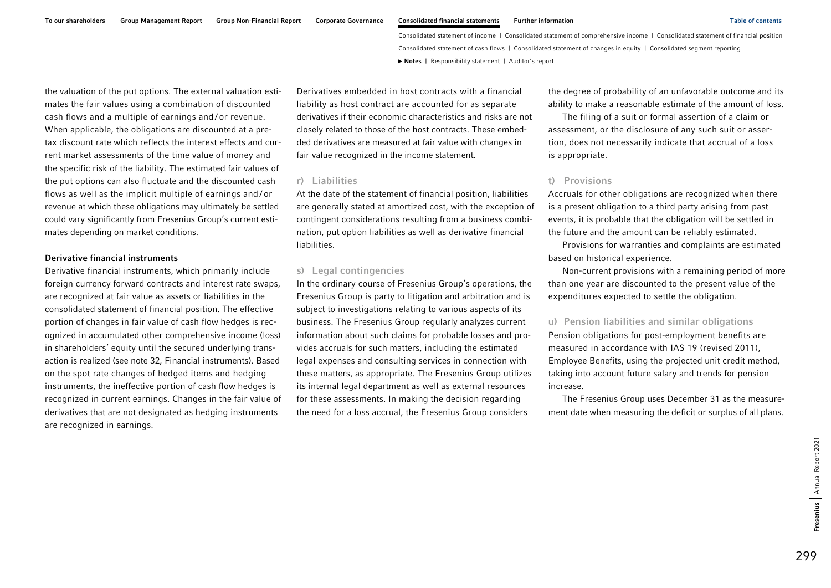the valuation of the put options. The external valuation estimates the fair values using a combination of discounted cash flows and a multiple of earnings and / or revenue. When applicable, the obligations are discounted at a pretax discount rate which reflects the interest effects and current market assessments of the time value of money and the specific risk of the liability. The estimated fair values of the put options can also fluctuate and the discounted cash flows as well as the implicit multiple of earnings and / or revenue at which these obligations may ultimately be settled could vary significantly from Fresenius Group's current estimates depending on market conditions.

#### Derivative financial instruments

Derivative financial instruments, which primarily include foreign currency forward contracts and interest rate swaps, are recognized at fair value as assets or liabilities in the consolidated statement of financial position. The effective portion of changes in fair value of cash flow hedges is recognized in accumulated other comprehensive income (loss) in shareholders' equity until the secured underlying transaction is realized (see note 32, Financial instruments). Based on the spot rate changes of hedged items and hedging instruments, the ineffective portion of cash flow hedges is recognized in current earnings. Changes in the fair value of derivatives that are not designated as hedging instruments are recognized in earnings.

Derivatives embedded in host contracts with a financial liability as host contract are accounted for as separate derivatives if their economic characteristics and risks are not closely related to those of the host contracts. These embedded derivatives are measured at fair value with changes in fair value recognized in the income statement.

### r) Liabilities

At the date of the statement of financial position, liabilities are generally stated at amortized cost, with the exception of contingent considerations resulting from a business combination, put option liabilities as well as derivative financial liabilities.

### s) Legal contingencies

In the ordinary course of Fresenius Group's operations, the Fresenius Group is party to litigation and arbitration and is subject to investigations relating to various aspects of its business. The Fresenius Group regularly analyzes current information about such claims for probable losses and provides accruals for such matters, including the estimated legal expenses and consulting services in connection with these matters, as appropriate. The Fresenius Group utilizes its internal legal department as well as external resources for these assessments. In making the decision regarding the need for a loss accrual, the Fresenius Group considers

the degree of probability of an unfavorable outcome and its ability to make a reasonable estimate of the amount of loss.

The filing of a suit or formal assertion of a claim or assessment, or the disclosure of any such suit or assertion, does not necessarily indicate that accrual of a loss is appropriate.

### t) Provisions

Accruals for other obligations are recognized when there is a present obligation to a third party arising from past events, it is probable that the obligation will be settled in the future and the amount can be reliably estimated.

Provisions for warranties and complaints are estimated based on historical experience.

Non-current provisions with a remaining period of more than one year are discounted to the present value of the expenditures expected to settle the obligation.

#### u) Pension liabilities and similar obligations

Pension obligations for post-employment benefits are measured in accordance with IAS 19 (revised 2011), Employee Benefits, using the projected unit credit method, taking into account future salary and trends for pension increase.

The Fresenius Group uses December 31 as the measurement date when measuring the deficit or surplus of all plans.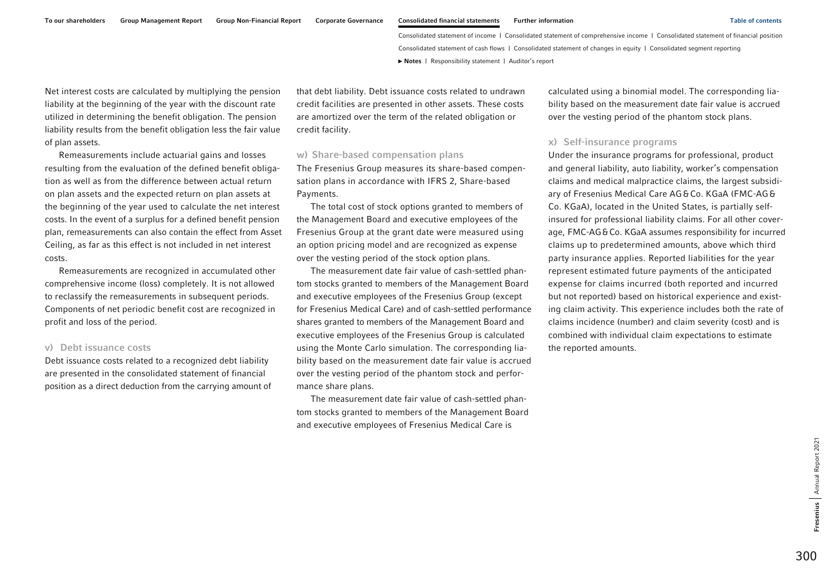To our shareholders Group Management Report Group Non-Financial Report Corporate Governance Consolidated financial statements Further information Table of contents Table of contents

Consolidated statement of income | Consolidated statement of comprehensive income | Consolidated statement of financial position Consolidated statement of cash flows | Consolidated statement of changes in equity | Consolidated segment reporting **►** [Notes](#page-0-0) | [Responsibility statement](#page-97-0) | [Auditor's report](#page-98-0) 

Net interest costs are calculated by multiplying the pension liability at the beginning of the year with the discount rate utilized in determining the benefit obligation. The pension liability results from the benefit obligation less the fair value of plan assets.

Remeasurements include actuarial gains and losses resulting from the evaluation of the defined benefit obligation as well as from the difference between actual return on plan assets and the expected return on plan assets at the beginning of the year used to calculate the net interest costs. In the event of a surplus for a defined benefit pension plan, remeasurements can also contain the effect from Asset Ceiling, as far as this effect is not included in net interest costs.

Remeasurements are recognized in accumulated other comprehensive income (loss) completely. It is not allowed to reclassify the remeasurements in subsequent periods. Components of net periodic benefit cost are recognized in profit and loss of the period.

### v) Debt issuance costs

Debt issuance costs related to a recognized debt liability are presented in the consolidated statement of financial position as a direct deduction from the carrying amount of

that debt liability. Debt issuance costs related to undrawn credit facilities are presented in other assets. These costs are amortized over the term of the related obligation or credit facility.

#### w) Share-based compensation plans

The Fresenius Group measures its share-based compensation plans in accordance with IFRS 2, Share-based Payments.

The total cost of stock options granted to members of the Management Board and executive employees of the Fresenius Group at the grant date were measured using an option pricing model and are recognized as expense over the vesting period of the stock option plans.

The measurement date fair value of cash-settled phantom stocks granted to members of the Management Board and executive employees of the Fresenius Group (except for Fresenius Medical Care) and of cash-settled performance shares granted to members of the Management Board and executive employees of the Fresenius Group is calculated using the Monte Carlo simulation. The corresponding liability based on the measurement date fair value is accrued over the vesting period of the phantom stock and performance share plans.

The measurement date fair value of cash-settled phantom stocks granted to members of the Management Board and executive employees of Fresenius Medical Care is

calculated using a binomial model. The corresponding liability based on the measurement date fair value is accrued over the vesting period of the phantom stock plans.

### x) Self-insurance programs

Under the insurance programs for professional, product and general liability, auto liability, worker's compensation claims and medical malpractice claims, the largest subsidiary of Fresenius Medical Care AG&Co. KGaA (FMC-AG& Co. KGaA), located in the United States, is partially selfinsured for professional liability claims. For all other coverage, FMC-AG&Co. KGaA assumes responsibility for incurred claims up to predetermined amounts, above which third party insurance applies. Reported liabilities for the year represent estimated future payments of the anticipated expense for claims incurred (both reported and incurred but not reported) based on historical experience and existing claim activity. This experience includes both the rate of claims incidence (number) and claim severity (cost) and is combined with individual claim expectations to estimate the reported amounts.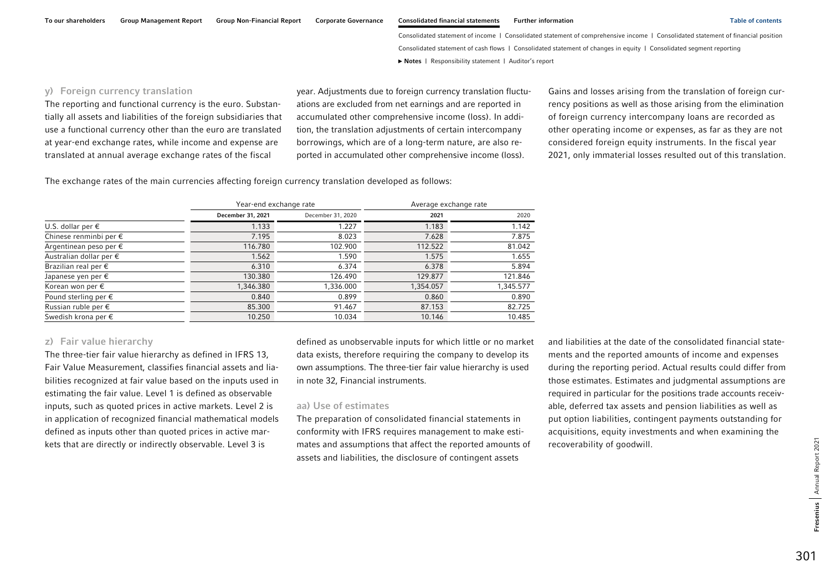### y) Foreign currency translation

The reporting and functional currency is the euro. Substantially all assets and liabilities of the foreign subsidiaries that use a functional currency other than the euro are translated at year-end exchange rates, while income and expense are translated at annual average exchange rates of the fiscal

year. Adjustments due to foreign currency translation fluctuations are excluded from net earnings and are reported in accumulated other comprehensive income (loss). In addition, the translation adjustments of certain intercompany borrowings, which are of a long-term nature, are also reported in accumulated other comprehensive income (loss).

Gains and losses arising from the translation of foreign currency positions as well as those arising from the elimination of foreign currency intercompany loans are recorded as other operating income or expenses, as far as they are not considered foreign equity instruments. In the fiscal year 2021, only immaterial losses resulted out of this translation.

The exchange rates of the main currencies affecting foreign currency translation developed as follows:

|                                  |                   | Year-end exchange rate |           | Average exchange rate |
|----------------------------------|-------------------|------------------------|-----------|-----------------------|
|                                  | December 31, 2021 | December 31, 2020      | 2021      | 2020                  |
| U.S. dollar per $\epsilon$       | 1.133             | 1.227                  | 1.183     | 1.142                 |
| Chinese renminbi per €           | 7.195             | 8.023                  | 7.628     | 7.875                 |
| Argentinean peso per $\epsilon$  | 116.780           | 102.900                | 112.522   | 81.042                |
| Australian dollar per $\epsilon$ | 1.562             | 1.590                  | 1.575     | 1.655                 |
| Brazilian real per $\epsilon$    | 6.310             | 6.374                  | 6.378     | 5.894                 |
| Japanese yen per $\epsilon$      | 130.380           | 126.490                | 129.877   | 121.846               |
| Korean won per $\epsilon$        | 1,346.380         | 1,336.000              | 1,354.057 | 1,345.577             |
| Pound sterling per $\epsilon$    | 0.840             | 0.899                  | 0.860     | 0.890                 |
| Russian ruble per $\epsilon$     | 85.300            | 91.467                 | 87.153    | 82.725                |
| Swedish krona per $\epsilon$     | 10.250            | 10.034                 | 10.146    | 10.485                |

### z) Fair value hierarchy

The three-tier fair value hierarchy as defined in IFRS 13, Fair Value Measurement, classifies financial assets and liabilities recognized at fair value based on the inputs used in estimating the fair value. Level 1 is defined as observable inputs, such as quoted prices in active markets. Level 2 is in application of recognized financial mathematical models defined as inputs other than quoted prices in active markets that are directly or indirectly observable. Level 3 is

defined as unobservable inputs for which little or no market data exists, therefore requiring the company to develop its own assumptions. The three-tier fair value hierarchy is used in note 32, Financial instruments.

### aa) Use of estimates

The preparation of consolidated financial statements in conformity with IFRS requires management to make estimates and assumptions that affect the reported amounts of assets and liabilities, the disclosure of contingent assets

and liabilities at the date of the consolidated financial statements and the reported amounts of income and expenses during the reporting period. Actual results could differ from those estimates. Estimates and judgmental assumptions are required in particular for the positions trade accounts receivable, deferred tax assets and pension liabilities as well as put option liabilities, contingent payments outstanding for acquisitions, equity investments and when examining the recoverability of goodwill.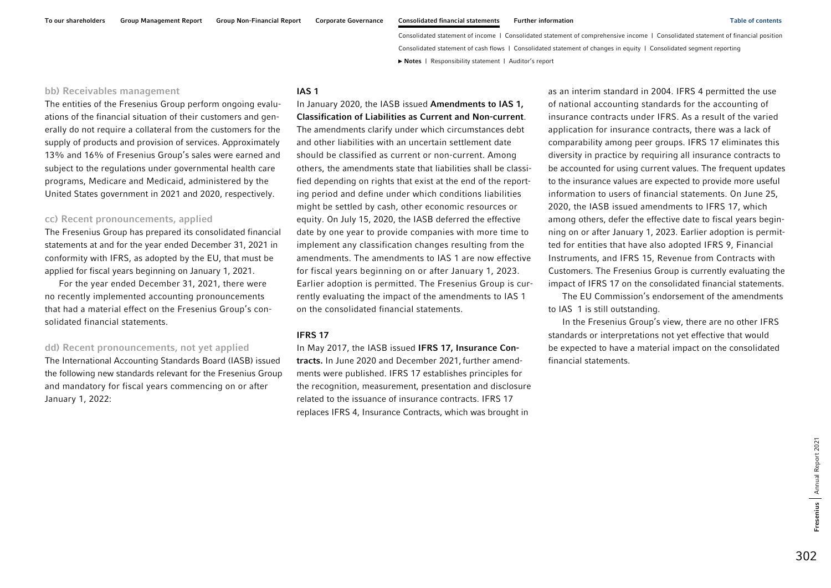### bb) Receivables management

The entities of the Fresenius Group perform ongoing evaluations of the financial situation of their customers and generally do not require a collateral from the customers for the supply of products and provision of services. Approximately 13% and 16% of Fresenius Group's sales were earned and subject to the regulations under governmental health care programs, Medicare and Medicaid, administered by the United States government in 2021 and 2020, respectively.

#### cc) Recent pronouncements, applied

The Fresenius Group has prepared its consolidated financial statements at and for the year ended December 31, 2021 in conformity with IFRS, as adopted by the EU, that must be applied for fiscal years beginning on January 1, 2021.

For the year ended December 31, 2021, there were no recently implemented accounting pronouncements that had a material effect on the Fresenius Group's consolidated financial statements.

### dd) Recent pronouncements, not yet applied

The International Accounting Standards Board (IASB) issued the following new standards relevant for the Fresenius Group and mandatory for fiscal years commencing on or after January 1, 2022:

### IAS 1

In January 2020, the IASB issued Amendments to IAS 1, Classification of Liabilities as Current and Non-current. The amendments clarify under which circumstances debt and other liabilities with an uncertain settlement date should be classified as current or non-current. Among others, the amendments state that liabilities shall be classified depending on rights that exist at the end of the reporting period and define under which conditions liabilities might be settled by cash, other economic resources or equity. On July 15, 2020, the IASB deferred the effective date by one year to provide companies with more time to implement any classification changes resulting from the amendments. The amendments to IAS 1 are now effective for fiscal years beginning on or after January 1, 2023. Earlier adoption is permitted. The Fresenius Group is currently evaluating the impact of the amendments to IAS 1 on the consolidated financial statements.

#### IFRS 17

In May 2017, the IASB issued IFRS 17, Insurance Contracts. In June 2020 and December 2021,further amendments were published. IFRS 17 establishes principles for the recognition, measurement, presentation and disclosure related to the issuance of insurance contracts. IFRS 17 replaces IFRS 4, Insurance Contracts, which was brought in

as an interim standard in 2004. IFRS 4 permitted the use of national accounting standards for the accounting of insurance contracts under IFRS. As a result of the varied application for insurance contracts, there was a lack of comparability among peer groups. IFRS 17 eliminates this diversity in practice by requiring all insurance contracts to be accounted for using current values. The frequent updates to the insurance values are expected to provide more useful information to users of financial statements. On June 25, 2020, the IASB issued amendments to IFRS 17, which among others, defer the effective date to fiscal years beginning on or after January 1, 2023. Earlier adoption is permitted for entities that have also adopted IFRS 9, Financial Instruments, and IFRS 15, Revenue from Contracts with Customers. The Fresenius Group is currently evaluating the impact of IFRS 17 on the consolidated financial statements.

The EU Commission's endorsement of the amendments to IAS 1 is still outstanding.

In the Fresenius Group's view, there are no other IFRS standards or interpretations not yet effective that would be expected to have a material impact on the consolidated financial statements.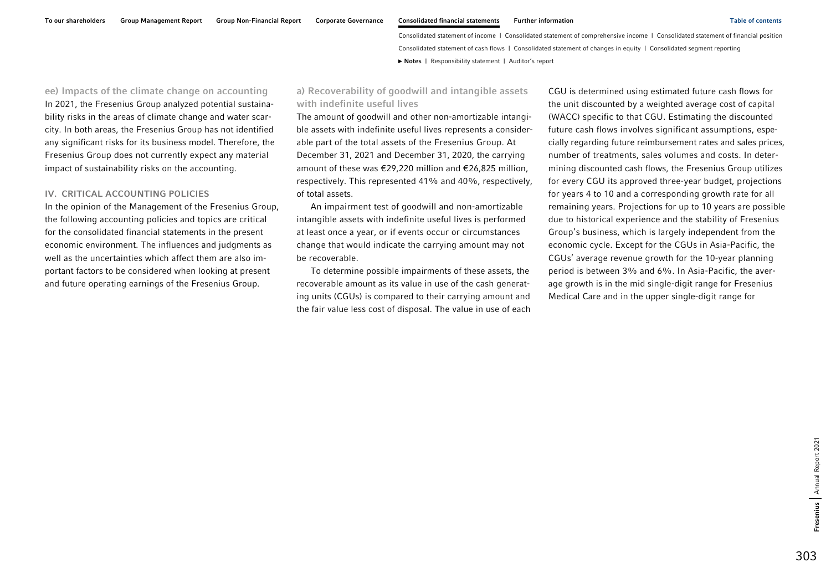<span id="page-16-0"></span>ee) Impacts of the climate change on accounting In 2021, the Fresenius Group analyzed potential sustainability risks in the areas of climate change and water scarcity. In both areas, the Fresenius Group has not identified any significant risks for its business model. Therefore, the Fresenius Group does not currently expect any material impact of sustainability risks on the accounting.

#### IV. CRITICAL ACCOUNTING POLICIES

In the opinion of the Management of the Fresenius Group, the following accounting policies and topics are critical for the consolidated financial statements in the present economic environment. The influences and judgments as well as the uncertainties which affect them are also important factors to be considered when looking at present and future operating earnings of the Fresenius Group.

### a) Recoverability of goodwill and intangible assets with indefinite useful lives

The amount of goodwill and other non-amortizable intangible assets with indefinite useful lives represents a considerable part of the total assets of the Fresenius Group. At December 31, 2021 and December 31, 2020, the carrying amount of these was €29,220 million and €26,825 million, respectively. This represented 41% and 40%, respectively, of total assets.

An impairment test of goodwill and non-amortizable intangible assets with indefinite useful lives is performed at least once a year, or if events occur or circumstances change that would indicate the carrying amount may not be recoverable.

To determine possible impairments of these assets, the recoverable amount as its value in use of the cash generating units (CGUs) is compared to their carrying amount and the fair value less cost of disposal. The value in use of each

CGU is determined using estimated future cash flows for the unit discounted by a weighted average cost of capital (WACC) specific to that CGU. Estimating the discounted future cash flows involves significant assumptions, especially regarding future reimbursement rates and sales prices, number of treatments, sales volumes and costs. In determining discounted cash flows, the Fresenius Group utilizes for every CGU its approved three-year budget, projections for years 4 to 10 and a corresponding growth rate for all remaining years. Projections for up to 10 years are possible due to historical experience and the stability of Fresenius Group's business, which is largely independent from the economic cycle. Except for the CGUs in Asia-Pacific, the CGUs' average revenue growth for the 10-year planning period is between 3% and 6%. In Asia-Pacific, the average growth is in the mid single-digit range for Fresenius Medical Care and in the upper single-digit range for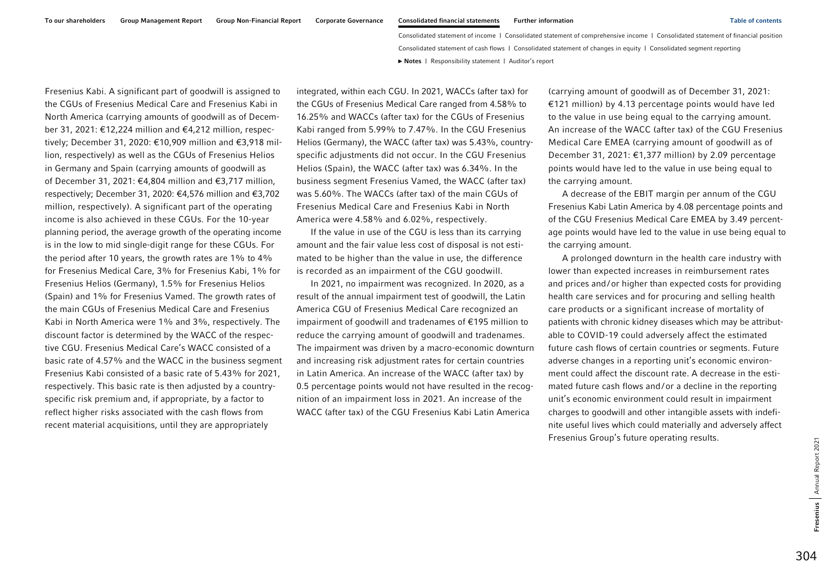Fresenius Kabi. A significant part of goodwill is assigned to the CGUs of Fresenius Medical Care and Fresenius Kabi in North America (carrying amounts of goodwill as of December 31, 2021: €12,224 million and €4,212 million, respectively; December 31, 2020: €10,909 million and €3,918 million, respectively) as well as the CGUs of Fresenius Helios in Germany and Spain (carrying amounts of goodwill as of December 31, 2021: €4,804 million and €3,717 million, respectively; December 31, 2020: €4,576 million and €3,702 million, respectively). A significant part of the operating income is also achieved in these CGUs. For the 10-year planning period, the average growth of the operating income is in the low to mid single-digit range for these CGUs. For the period after 10 years, the growth rates are 1% to 4% for Fresenius Medical Care, 3% for Fresenius Kabi, 1% for Fresenius Helios (Germany), 1.5% for Fresenius Helios (Spain) and 1% for Fresenius Vamed. The growth rates of the main CGUs of Fresenius Medical Care and Fresenius Kabi in North America were 1% and 3%, respectively. The discount factor is determined by the WACC of the respective CGU. Fresenius Medical Care's WACC consisted of a basic rate of 4.57% and the WACC in the business segment Fresenius Kabi consisted of a basic rate of 5.43% for 2021, respectively. This basic rate is then adjusted by a countryspecific risk premium and, if appropriate, by a factor to reflect higher risks associated with the cash flows from recent material acquisitions, until they are appropriately

integrated, within each CGU. In 2021, WACCs (after tax) for the CGUs of Fresenius Medical Care ranged from 4.58% to 16.25% and WACCs (after tax) for the CGUs of Fresenius Kabi ranged from 5.99% to 7.47%. In the CGU Fresenius Helios (Germany), the WACC (after tax) was 5.43%, countryspecific adjustments did not occur. In the CGU Fresenius Helios (Spain), the WACC (after tax) was 6.34%. In the business segment Fresenius Vamed, the WACC (after tax) was 5.60%. The WACCs (after tax) of the main CGUs of Fresenius Medical Care and Fresenius Kabi in North America were 4.58% and 6.02%, respectively.

If the value in use of the CGU is less than its carrying amount and the fair value less cost of disposal is not estimated to be higher than the value in use, the difference is recorded as an impairment of the CGU goodwill.

In 2021, no impairment was recognized. In 2020, as a result of the annual impairment test of goodwill, the Latin America CGU of Fresenius Medical Care recognized an impairment of goodwill and tradenames of €195 million to reduce the carrying amount of goodwill and tradenames. The impairment was driven by a macro-economic downturn and increasing risk adjustment rates for certain countries in Latin America. An increase of the WACC (after tax) by 0.5 percentage points would not have resulted in the recognition of an impairment loss in 2021. An increase of the WACC (after tax) of the CGU Fresenius Kabi Latin America

(carrying amount of goodwill as of December 31, 2021: €121 million) by 4.13 percentage points would have led to the value in use being equal to the carrying amount. An increase of the WACC (after tax) of the CGU Fresenius Medical Care EMEA (carrying amount of goodwill as of December 31, 2021: €1,377 million) by 2.09 percentage points would have led to the value in use being equal to the carrying amount.

A decrease of the EBIT margin per annum of the CGU Fresenius Kabi Latin America by 4.08 percentage points and of the CGU Fresenius Medical Care EMEA by 3.49 percentage points would have led to the value in use being equal to the carrying amount.

A prolonged downturn in the health care industry with lower than expected increases in reimbursement rates and prices and/or higher than expected costs for providing health care services and for procuring and selling health care products or a significant increase of mortality of patients with chronic kidney diseases which may be attributable to COVID-19 could adversely affect the estimated future cash flows of certain countries or segments. Future adverse changes in a reporting unit's economic environment could affect the discount rate. A decrease in the estimated future cash flows and/or a decline in the reporting unit's economic environment could result in impairment charges to goodwill and other intangible assets with indefinite useful lives which could materially and adversely affect Fresenius Group's future operating results.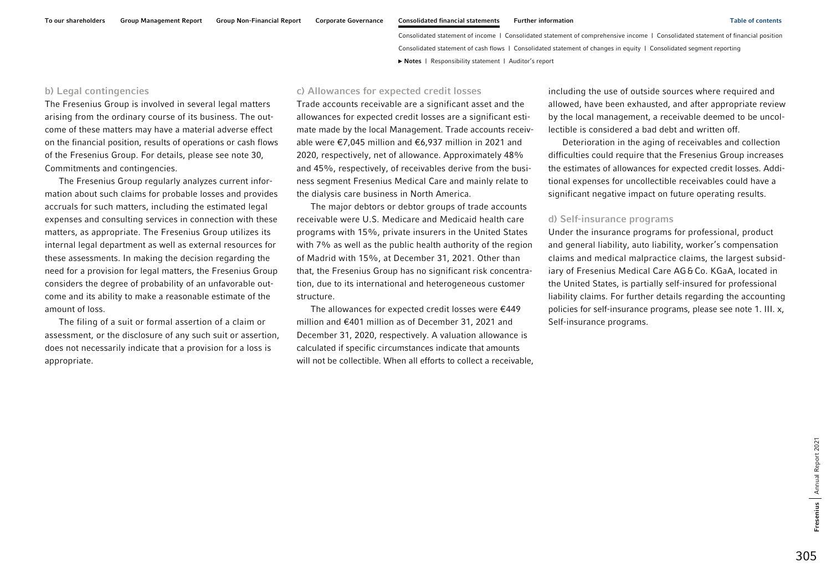### b) Legal contingencies

The Fresenius Group is involved in several legal matters arising from the ordinary course of its business. The outcome of these matters may have a material adverse effect on the financial position, results of operations or cash flows of the Fresenius Group. For details, please see note 30, Commitments and contingencies.

The Fresenius Group regularly analyzes current information about such claims for probable losses and provides accruals for such matters, including the estimated legal expenses and consulting services in connection with these matters, as appropriate. The Fresenius Group utilizes its internal legal department as well as external resources for these assessments. In making the decision regarding the need for a provision for legal matters, the Fresenius Group considers the degree of probability of an unfavorable outcome and its ability to make a reasonable estimate of the amount of loss.

The filing of a suit or formal assertion of a claim or assessment, or the disclosure of any such suit or assertion, does not necessarily indicate that a provision for a loss is appropriate.

### c) Allowances for expected credit losses

Trade accounts receivable are a significant asset and the allowances for expected credit losses are a significant estimate made by the local Management. Trade accounts receivable were €7,045 million and €6,937 million in 2021 and 2020, respectively, net of allowance. Approximately 48% and 45%, respectively, of receivables derive from the business segment Fresenius Medical Care and mainly relate to the dialysis care business in North America.

The major debtors or debtor groups of trade accounts receivable were U.S. Medicare and Medicaid health care programs with 15%, private insurers in the United States with 7% as well as the public health authority of the region of Madrid with 15%, at December 31, 2021. Other than that, the Fresenius Group has no significant risk concentration, due to its international and heterogeneous customer structure.

The allowances for expected credit losses were €449 million and €401 million as of December 31, 2021 and December 31, 2020, respectively. A valuation allowance is calculated if specific circumstances indicate that amounts will not be collectible. When all efforts to collect a receivable,

including the use of outside sources where required and allowed, have been exhausted, and after appropriate review by the local management, a receivable deemed to be uncollectible is considered a bad debt and written off.

Deterioration in the aging of receivables and collection difficulties could require that the Fresenius Group increases the estimates of allowances for expected credit losses. Additional expenses for uncollectible receivables could have a significant negative impact on future operating results.

### d) Self-insurance programs

Under the insurance programs for professional, product and general liability, auto liability, worker's compensation claims and medical malpractice claims, the largest subsidiary of Fresenius Medical Care AG & Co. KGaA, located in the United States, is partially self-insured for professional liability claims. For further details regarding the accounting policies for self-insurance programs, please see note 1. III. x, Self-insurance programs.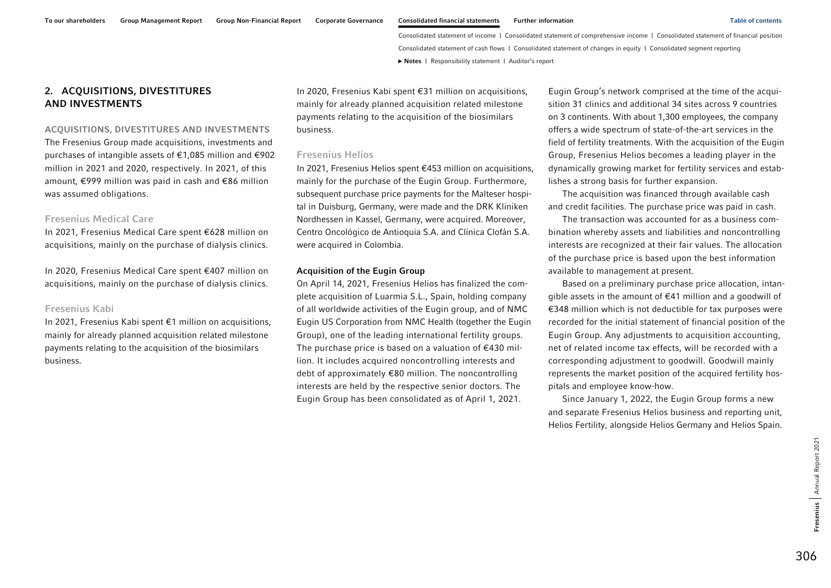## <span id="page-19-0"></span>2. ACQUISITIONS, DIVESTITURES AND INVESTMENTS

#### ACQUISITIONS, DIVESTITURES AND INVESTMENTS

The Fresenius Group made acquisitions, investments and purchases of intangible assets of €1,085 million and €902 million in 2021 and 2020, respectively. In 2021, of this amount, €999 million was paid in cash and €86 million was assumed obligations.

### Fresenius Medical Care

In 2021, Fresenius Medical Care spent €628 million on acquisitions, mainly on the purchase of dialysis clinics.

In 2020, Fresenius Medical Care spent €407 million on acquisitions, mainly on the purchase of dialysis clinics.

### Fresenius Kabi

In 2021, Fresenius Kabi spent €1 million on acquisitions, mainly for already planned acquisition related milestone payments relating to the acquisition of the biosimilars business.

In 2020, Fresenius Kabi spent €31 million on acquisitions, mainly for already planned acquisition related milestone payments relating to the acquisition of the biosimilars business.

### Fresenius Helios

In 2021, Fresenius Helios spent €453 million on acquisitions, mainly for the purchase of the Eugin Group. Furthermore, subsequent purchase price payments for the Malteser hospital in Duisburg, Germany, were made and the DRK Kliniken Nordhessen in Kassel, Germany, were acquired. Moreover, Centro Oncológico de Antioquia S.A. and Clínica Clofán S.A. were acquired in Colombia.

### Acquisition of the Eugin Group

On April 14, 2021, Fresenius Helios has finalized the complete acquisition of Luarmia S.L., Spain, holding company of all worldwide activities of the Eugin group, and of NMC Eugin US Corporation from NMC Health (together the Eugin Group), one of the leading international fertility groups. The purchase price is based on a valuation of  $€430$  million. It includes acquired noncontrolling interests and debt of approximately €80 million. The noncontrolling interests are held by the respective senior doctors. The Eugin Group has been consolidated as of April 1, 2021.

Eugin Group's network comprised at the time of the acquisition 31 clinics and additional 34 sites across 9 countries on 3 continents. With about 1,300 employees, the company offers a wide spectrum of state-of-the-art services in the field of fertility treatments. With the acquisition of the Eugin Group, Fresenius Helios becomes a leading player in the dynamically growing market for fertility services and establishes a strong basis for further expansion.

The acquisition was financed through available cash and credit facilities. The purchase price was paid in cash.

The transaction was accounted for as a business combination whereby assets and liabilities and noncontrolling interests are recognized at their fair values. The allocation of the purchase price is based upon the best information available to management at present.

Based on a preliminary purchase price allocation, intangible assets in the amount of €41 million and a goodwill of €348 million which is not deductible for tax purposes were recorded for the initial statement of financial position of the Eugin Group. Any adjustments to acquisition accounting, net of related income tax effects, will be recorded with a corresponding adjustment to goodwill. Goodwill mainly represents the market position of the acquired fertility hospitals and employee know-how.

Since January 1, 2022, the Eugin Group forms a new and separate Fresenius Helios business and reporting unit, Helios Fertility, alongside Helios Germany and Helios Spain.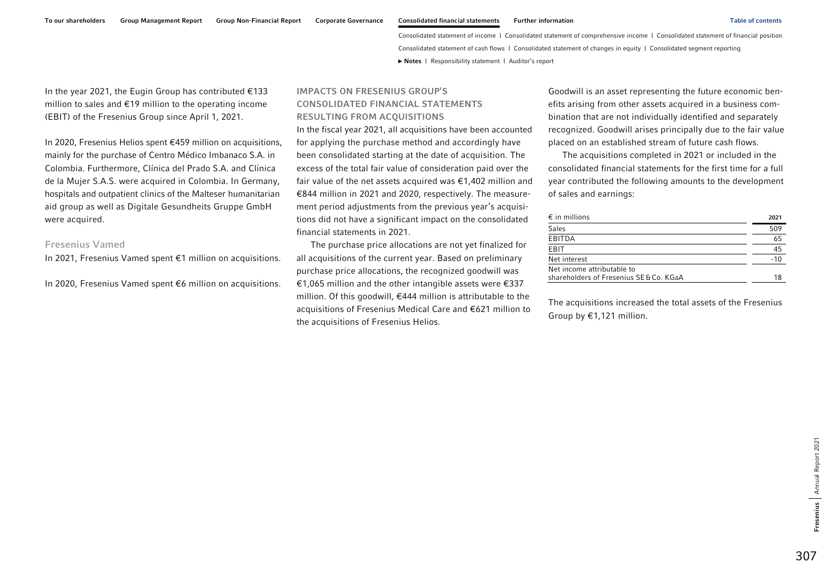In the year 2021, the Eugin Group has contributed €133 million to sales and €19 million to the operating income (EBIT) of the Fresenius Group since April 1, 2021.

In 2020, Fresenius Helios spent €459 million on acquisitions, mainly for the purchase of Centro Médico Imbanaco S.A. in Colombia. Furthermore, Clínica del Prado S.A. and Clínica de la Mujer S.A.S. were acquired in Colombia. In Germany, hospitals and outpatient clinics of the Malteser humanitarian aid group as well as Digitale Gesundheits Gruppe GmbH were acquired.

### Fresenius Vamed

In 2021, Fresenius Vamed spent €1 million on acquisitions.

In 2020, Fresenius Vamed spent €6 million on acquisitions.

## IMPACTS ON FRESENIUS GROUP'S CONSOLIDATED FINANCIAL STATEMENTS RESULTING FROM ACQUISITIONS

In the fiscal year 2021, all acquisitions have been accounted for applying the purchase method and accordingly have been consolidated starting at the date of acquisition. The excess of the total fair value of consideration paid over the fair value of the net assets acquired was €1,402 million and €844 million in 2021 and 2020, respectively. The measurement period adjustments from the previous year's acquisitions did not have a significant impact on the consolidated financial statements in 2021.

The purchase price allocations are not yet finalized for all acquisitions of the current year. Based on preliminary purchase price allocations, the recognized goodwill was €1,065 million and the other intangible assets were €337 million. Of this goodwill, €444 million is attributable to the acquisitions of Fresenius Medical Care and €621 million to the acquisitions of Fresenius Helios.

Goodwill is an asset representing the future economic benefits arising from other assets acquired in a business combination that are not individually identified and separately recognized. Goodwill arises principally due to the fair value placed on an established stream of future cash flows.

The acquisitions completed in 2021 or included in the consolidated financial statements for the first time for a full year contributed the following amounts to the development of sales and earnings:

| $\epsilon$ in millions                                                | 2021 |
|-----------------------------------------------------------------------|------|
| <b>Sales</b>                                                          | 509  |
| EBITDA                                                                | 65   |
| EBIT                                                                  | 45   |
| Net interest                                                          | -10  |
| Net income attributable to<br>shareholders of Fresenius SE & Co. KGaA |      |

The acquisitions increased the total assets of the Fresenius Group by €1,121 million.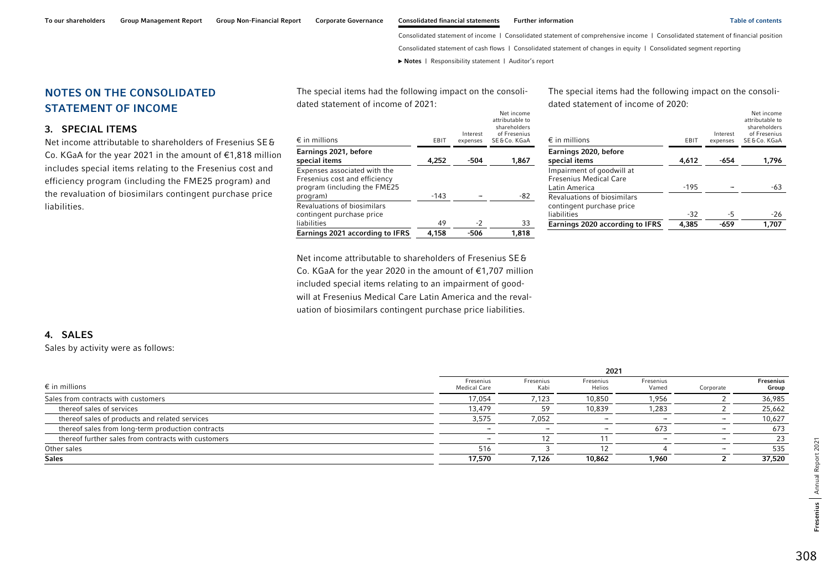Net income

Consolidated statement of income | Consolidated statement of comprehensive income | Consolidated statement of financial position

Consolidated statement of cash flows | Consolidated statement of changes in equity | Consolidated segment reporting

**►** [Notes](#page-0-0) | [Responsibility statement](#page-97-0) | [Auditor's report](#page-98-0) 

<span id="page-21-0"></span>NOTES ON THE CONSOLIDATED STATEMENT OF INCOME

### 3. SPECIAL ITEMS

Net income attributable to shareholders of Fresenius SE&Co. KGaA for the year 2021 in the amount of €1,818 million includes special items relating to the Fresenius cost and efficiency program (including the FME25 program) and the revaluation of biosimilars contingent purchase price liabilities.

| $\epsilon$ in millions                                                                                    | EBIT   | Interest<br>expenses | attributable to<br>shareholders<br>of Fresenius<br>SE & Co. KGaA |
|-----------------------------------------------------------------------------------------------------------|--------|----------------------|------------------------------------------------------------------|
| Earnings 2021, before<br>special items                                                                    | 4,252  | -504                 | 1,867                                                            |
| Expenses associated with the<br>Fresenius cost and efficiency<br>program (including the FME25<br>program) | $-143$ |                      | -82                                                              |
| Revaluations of biosimilars<br>contingent purchase price<br>liabilities                                   | 49     | $-2$                 | 33                                                               |
| <b>Earnings 2021 according to IFRS</b>                                                                    | 4,158  | -506                 | 1,818                                                            |

The special items had the following impact on the consoli-

dated statement of income of 2021:

The special items had the following impact on the consoli-

dated statement of income of 2020:

| $\epsilon$ in millions                                                      | <b>EBIT</b> | Interest<br>expenses | Net income<br>attributable to<br>shareholders<br>of Fresenius<br>SE&Co. KGaA |
|-----------------------------------------------------------------------------|-------------|----------------------|------------------------------------------------------------------------------|
| Earnings 2020, before                                                       |             |                      |                                                                              |
| special items                                                               | 4,612       | -654                 | 1,796                                                                        |
| Impairment of goodwill at<br><b>Fresenius Medical Care</b><br>Latin America | $-195$      |                      | -63                                                                          |
|                                                                             |             |                      |                                                                              |
| <b>Revaluations of biosimilars</b><br>contingent purchase price             |             |                      |                                                                              |
| liabilities                                                                 | $-32$       | -5                   | -26                                                                          |
| <b>Earnings 2020 according to IFRS</b>                                      | 4,385       | -659                 | 1,707                                                                        |

Net income attributable to shareholders of Fresenius SE&Co. KGaA for the year 2020 in the amount of €1,707 million included special items relating to an impairment of goodwill at Fresenius Medical Care Latin America and the revaluation of biosimilars contingent purchase price liabilities.

### 4. SALES

Sales by activity were as follows:

|                                                     |                                  |                   | 2021                     |                    |           |                    |
|-----------------------------------------------------|----------------------------------|-------------------|--------------------------|--------------------|-----------|--------------------|
| $\epsilon$ in millions                              | Fresenius<br><b>Medical Care</b> | Fresenius<br>Kabi | Fresenius<br>Helios      | Fresenius<br>Vamed | Corporate | Fresenius<br>Group |
| Sales from contracts with customers                 | 17,054                           | 7,123             | 10,850                   | 1,956              |           | 36,985             |
| thereof sales of services                           | 13,479                           | 59                | 10,839                   | 1,283              |           | 25,662             |
| thereof sales of products and related services      | 3,575                            | 7,052             |                          | -                  |           | 10,627             |
| thereof sales from long-term production contracts   | -                                | -                 | $\overline{\phantom{a}}$ | 673                |           | 673                |
| thereof further sales from contracts with customers | -                                |                   |                          |                    |           | 23                 |
| Other sales                                         | 516                              |                   |                          |                    |           | 535                |
| <b>Sales</b>                                        | 17,570                           | 7.126             | 10,862                   | 1,960              |           | 37,520             |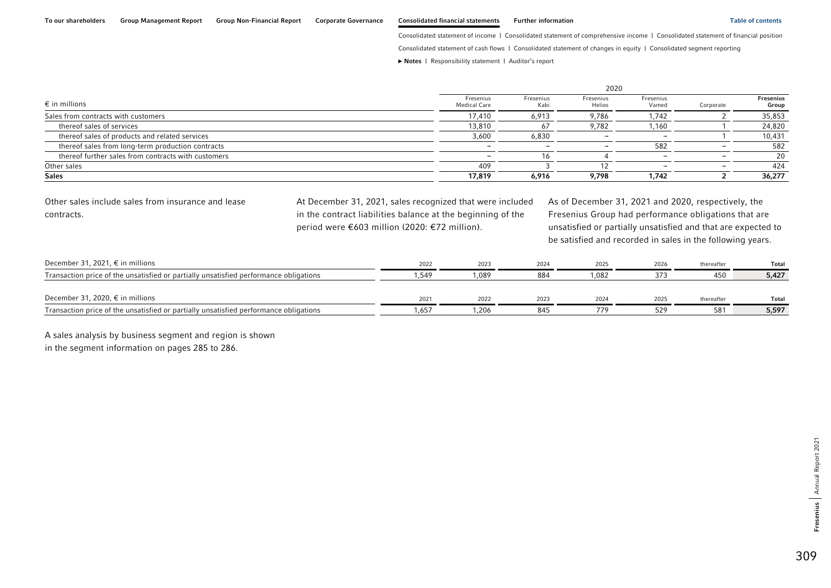Consolidated statement of cash flows | Consolidated statement of changes in equity | Consolidated segment reporting

**►** [Notes](#page-0-0) | [Responsibility statement](#page-97-0) | [Auditor's report](#page-98-0) 

|                                                     |                                  |                          | 2020                     |                          |           |                           |
|-----------------------------------------------------|----------------------------------|--------------------------|--------------------------|--------------------------|-----------|---------------------------|
| $\epsilon$ in millions                              | Fresenius<br><b>Medical Care</b> | Fresenius<br>Kabi        | Fresenius<br>Helios      | Fresenius<br>Vamed       | Corporate | <b>Fresenius</b><br>Group |
| Sales from contracts with customers                 | 17,410                           | 6,913                    | 9,786                    | 1.742                    |           | 35,853                    |
| thereof sales of services                           | 13,810                           | 67                       | 9,782                    | .160                     |           | 24,820                    |
| thereof sales of products and related services      | 3,600                            | 6,830                    | $\overline{\phantom{0}}$ | -                        |           | 10,431                    |
| thereof sales from long-term production contracts   | -                                | $\overline{\phantom{a}}$ | $\overline{\phantom{a}}$ | 582                      |           | 582                       |
| thereof further sales from contracts with customers |                                  | 16                       |                          | $\overline{\phantom{a}}$ |           | 20                        |
| Other sales                                         | 409                              |                          | 12                       |                          |           | 424                       |
| <b>Sales</b>                                        | 17,819                           | 6,916                    | 9,798                    | 1.742                    |           | 36,277                    |

Other sales include sales from insurance and lease contracts.

At December 31, 2021, sales recognized that were included in the contract liabilities balance at the beginning of the period were €603 million (2020: €72 million).

As of December 31, 2021 and 2020, respectively, the Fresenius Group had performance obligations that are unsatisfied or partially unsatisfied and that are expected to be satisfied and recorded in sales in the following years.

| December 31, 2021, € in millions                                                      | 2022  | 2023  | 2024 | 2025 | 2026 | thereafter | Total        |
|---------------------------------------------------------------------------------------|-------|-------|------|------|------|------------|--------------|
| Transaction price of the unsatisfied or partially unsatisfied performance obligations | 1.549 | 1.089 | 884  | .082 |      | 450        | 5,427        |
|                                                                                       |       |       |      |      |      |            |              |
| December 31, 2020, € in millions                                                      | 2021  | 2022  | 2023 | 2024 | 2025 | thereafter | <b>Total</b> |
| Transaction price of the unsatisfied or partially unsatisfied performance obligations | .657  | 1,206 | 845  | 779  | 529  | 581        | 5,597        |

A sales analysis by business segment and region is shown

in the segment information on pages 285 to 286.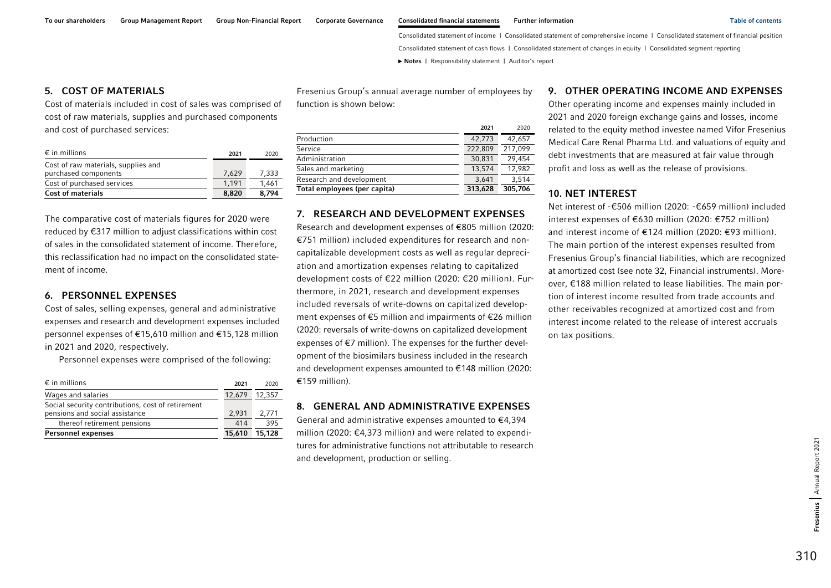### <span id="page-23-0"></span>5. COST OF MATERIALS

Cost of materials included in cost of sales was comprised of cost of raw materials, supplies and purchased components and cost of purchased services:

| $\epsilon$ in millions              | 2021  | 2020  |
|-------------------------------------|-------|-------|
| Cost of raw materials, supplies and |       |       |
| purchased components                | 7.629 | 7.333 |
| Cost of purchased services          | 1.191 | 1.461 |
| <b>Cost of materials</b>            | 8,820 | 8.794 |

The comparative cost of materials figures for 2020 were reduced by €317 million to adjust classifications within cost of sales in the consolidated statement of income. Therefore, this reclassification had no impact on the consolidated statement of income.

### 6. PERSONNEL EXPENSES

Cost of sales, selling expenses, general and administrative expenses and research and development expenses included personnel expenses of €15,610 million and €15,128 million in 2021 and 2020, respectively.

Personnel expenses were comprised of the following:

| $\epsilon$ in millions                            | 2021   | 2020   |
|---------------------------------------------------|--------|--------|
| Wages and salaries                                | 12.679 | 12,357 |
| Social security contributions, cost of retirement |        |        |
| pensions and social assistance                    | 2,931  | 2.771  |
| thereof retirement pensions                       | 414    | 395    |
| <b>Personnel expenses</b>                         | 15,610 | 15,128 |

Fresenius Group's annual average number of employees by function is shown below:

|                              | 2021    | 2020    |
|------------------------------|---------|---------|
| Production                   | 42,773  | 42,657  |
| Service                      | 222,809 | 217,099 |
| Administration               | 30,831  | 29.454  |
| Sales and marketing          | 13.574  | 12,982  |
| Research and development     | 3.641   | 3,514   |
| Total employees (per capita) | 313,628 | 305,706 |

### 7. RESEARCH AND DEVELOPMENT EXPENSES

Research and development expenses of €805 million (2020: €751 million) included expenditures for research and noncapitalizable development costs as well as regular depreciation and amortization expenses relating to capitalized development costs of €22 million (2020: €20 million). Furthermore, in 2021, research and development expenses included reversals of write-downs on capitalized development expenses of €5 million and impairments of €26 million (2020: reversals of write-downs on capitalized development expenses of €7 million). The expenses for the further development of the biosimilars business included in the research and development expenses amounted to €148 million (2020: €159 million).

### 8. GENERAL AND ADMINISTRATIVE EXPENSES

General and administrative expenses amounted to €4,394 million (2020: €4,373 million) and were related to expenditures for administrative functions not attributable to research and development, production or selling.

### 9. OTHER OPERATING INCOME AND EXPENSES

Other operating income and expenses mainly included in 2021 and 2020 foreign exchange gains and losses, income related to the equity method investee named Vifor Fresenius Medical Care Renal Pharma Ltd. and valuations of equity and debt investments that are measured at fair value through profit and loss as well as the release of provisions.

### 10. NET INTEREST

Net interest of -€506 million (2020: -€659 million) included interest expenses of €630 million (2020: €752 million) and interest income of €124 million (2020: €93 million). The main portion of the interest expenses resulted from Fresenius Group's financial liabilities, which are recognized at amortized cost (see note 32, Financial instruments). Moreover, €188 million related to lease liabilities. The main portion of interest income resulted from trade accounts and other receivables recognized at amortized cost and from interest income related to the release of interest accruals on tax positions.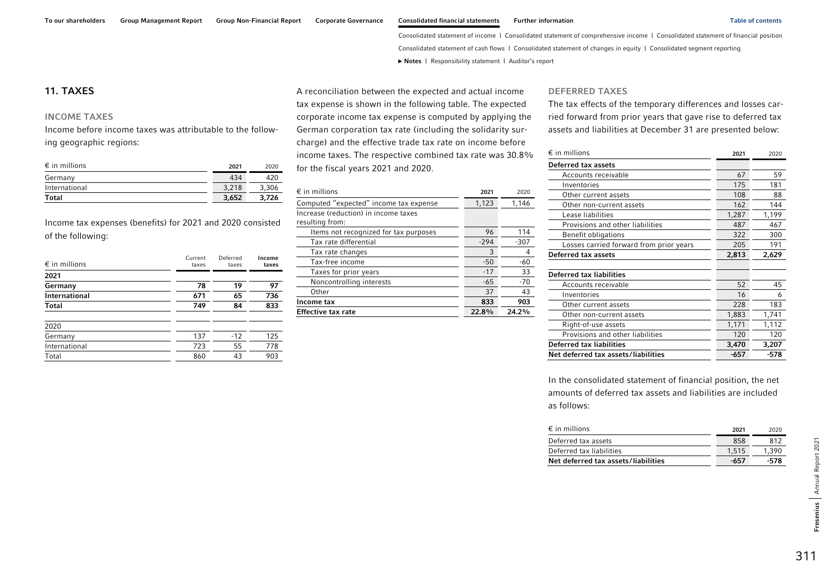### <span id="page-24-0"></span>11. TAXES

### INCOME TAXES

Income before income taxes was attributable to the following geographic regions:

| $\epsilon$ in millions | 2021  | 2020  |
|------------------------|-------|-------|
| Germany                | 434   | 420   |
| International          | 3.218 | 3,306 |
| <b>Total</b>           | 3.652 | 3.726 |

Income tax expenses (benefits) for 2021 and 2020 consisted of the following:

| $\epsilon$ in millions | Current<br>taxes | Deferred<br>taxes | Income<br>taxes |
|------------------------|------------------|-------------------|-----------------|
| 2021                   |                  |                   |                 |
| Germany                | 78               | 19                | 97              |
| International          | 671              | 65                | 736             |
| <b>Total</b>           | 749              | 84                | 833             |
| 2020                   |                  |                   |                 |
| Germany                | 137              | $-12$             | 125             |
| International          | 723              | 55                | 778             |
| Total                  | 860              | 43                | 903             |

A reconciliation between the expected and actual income tax expense is shown in the following table. The expected corporate income tax expense is computed by applying the German corporation tax rate (including the solidarity surcharge) and the effective trade tax rate on income before income taxes. The respective combined tax rate was 30.8% for the fiscal years 2021 and 2020.

| $\epsilon$ in millions                                  | 2021   | 2020   |
|---------------------------------------------------------|--------|--------|
| Computed "expected" income tax expense                  | 1,123  | 1,146  |
| Increase (reduction) in income taxes<br>resulting from: |        |        |
| Items not recognized for tax purposes                   | 96     | 114    |
| Tax rate differential                                   | $-294$ | $-307$ |
| Tax rate changes                                        | 3      | 4      |
| Tax-free income                                         | $-50$  | -60    |
| Taxes for prior years                                   | $-17$  | 33     |
| Noncontrolling interests                                | $-65$  | -70    |
| Other                                                   | 37     | 43     |
| Income tax                                              | 833    | 903    |
| <b>Effective tax rate</b>                               | 22.8%  | 24.2%  |

#### DEFERRED TAXES

The tax effects of the temporary differences and losses carried forward from prior years that gave rise to deferred tax assets and liabilities at December 31 are presented below:

| $\epsilon$ in millions                  | 2021  | 2020  |
|-----------------------------------------|-------|-------|
| Deferred tax assets                     |       |       |
| Accounts receivable                     | 67    | 59    |
| Inventories                             | 175   | 181   |
| Other current assets                    | 108   | 88    |
| Other non-current assets                | 162   | 144   |
| Lease liabilities                       | 1,287 | 1,199 |
| Provisions and other liabilities        | 487   | 467   |
| Benefit obligations                     | 322   | 300   |
| Losses carried forward from prior years | 205   | 191   |
| Deferred tax assets                     | 2,813 | 2,629 |
|                                         |       |       |
| <b>Deferred tax liabilities</b>         |       |       |
| Accounts receivable                     | 52    | 45    |
| Inventories                             | 16    | 6     |
| Other current assets                    | 228   | 183   |
| Other non-current assets                | 1,883 | 1,741 |
| Right-of-use assets                     | 1,171 | 1,112 |
| Provisions and other liabilities        | 120   | 120   |
| <b>Deferred tax liabilities</b>         | 3,470 | 3,207 |
| Net deferred tax assets/liabilities     | -657  | -578  |

In the consolidated statement of financial position, the net amounts of deferred tax assets and liabilities are included as follows:

| $\epsilon$ in millions              | 2021  | 2020  |
|-------------------------------------|-------|-------|
| Deferred tax assets                 | 858   | 812   |
| Deferred tax liabilities            | 1.515 | 1.390 |
| Net deferred tax assets/liabilities | -657  | -578  |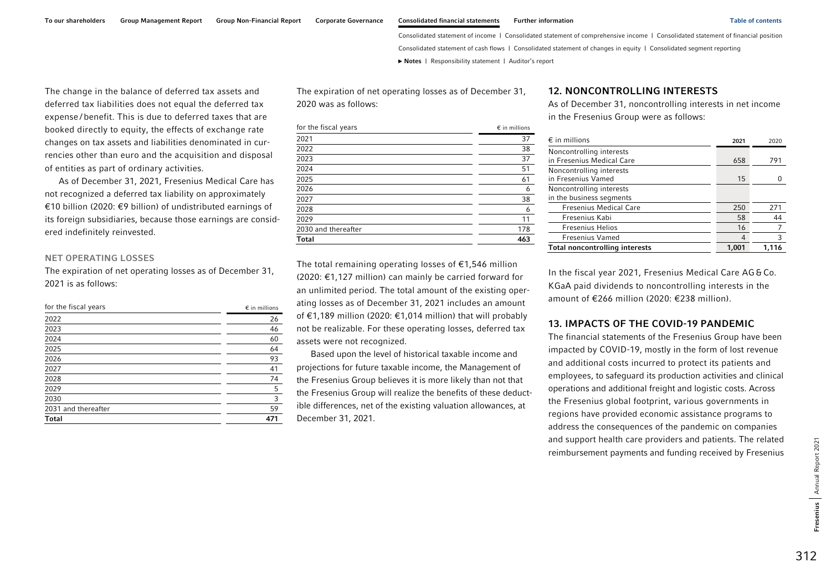<span id="page-25-0"></span>The change in the balance of deferred tax assets and deferred tax liabilities does not equal the deferred tax expense / benefit. This is due to deferred taxes that are booked directly to equity, the effects of exchange rate changes on tax assets and liabilities denominated in cur-

of entities as part of ordinary activities. As of December 31, 2021, Fresenius Medical Care has not recognized a deferred tax liability on approximately €10 billion (2020: €9 billion) of undistributed earnings of its foreign subsidiaries, because those earnings are consid-

rencies other than euro and the acquisition and disposal

#### NET OPERATING LOSSES

ered indefinitely reinvested.

The expiration of net operating losses as of December 31, 2021 is as follows:

| for the fiscal years | $\epsilon$ in millions |  |
|----------------------|------------------------|--|
| 2022                 | 26                     |  |
| 2023                 | 46                     |  |
| 2024                 | 60                     |  |
| 2025                 | 64                     |  |
| 2026                 | 93                     |  |
| 2027                 | 41                     |  |
| 2028                 | 74                     |  |
| 2029                 | 5                      |  |
| 2030                 | 3                      |  |
| 2031 and thereafter  | 59                     |  |
| Total                | 471                    |  |

The expiration of net operating losses as of December 31, 2020 was as follows:

| for the fiscal years | $\epsilon$ in millions |  |
|----------------------|------------------------|--|
| 2021                 | 37                     |  |
| 2022                 | 38                     |  |
| 2023                 | 37                     |  |
| 2024                 | 51                     |  |
| 2025                 | 61                     |  |
| 2026                 | 6                      |  |
| 2027                 | 38                     |  |
| 2028                 | 6                      |  |
| 2029                 | 11                     |  |
| 2030 and thereafter  | 178                    |  |
| <b>Total</b>         | 463                    |  |

The total remaining operating losses of  $\epsilon$ 1,546 million (2020: €1,127 million) can mainly be carried forward for an unlimited period. The total amount of the existing operating losses as of December 31, 2021 includes an amount of €1,189 million (2020: €1,014 million) that will probably not be realizable. For these operating losses, deferred tax assets were not recognized.

Based upon the level of historical taxable income and projections for future taxable income, the Management of the Fresenius Group believes it is more likely than not that the Fresenius Group will realize the benefits of these deductible differences, net of the existing valuation allowances, at December 31, 2021.

### 12. NONCONTROLLING INTERESTS

As of December 31, noncontrolling interests in net income in the Fresenius Group were as follows:

| $\epsilon$ in millions                                |       | 2021 | 2020  |
|-------------------------------------------------------|-------|------|-------|
| Noncontrolling interests<br>in Fresenius Medical Care |       | 658  | 791   |
| Noncontrolling interests<br>in Fresenius Vamed        |       | 15   |       |
| Noncontrolling interests<br>in the business segments  |       |      |       |
| <b>Fresenius Medical Care</b>                         |       | 250  | 271   |
| Fresenius Kabi                                        |       | 58   | 44    |
| <b>Fresenius Helios</b>                               |       | 16   |       |
| <b>Fresenius Vamed</b>                                |       |      | 3     |
| <b>Total noncontrolling interests</b>                 | 1,001 |      | 1.116 |

In the fiscal year 2021, Fresenius Medical Care AG&Co. KGaA paid dividends to noncontrolling interests in the amount of €266 million (2020: €238 million).

### 13. IMPACTS OF THE COVID-19 PANDEMIC

The financial statements of the Fresenius Group have been impacted by COVID-19, mostly in the form of lost revenue and additional costs incurred to protect its patients and employees, to safeguard its production activities and clinical operations and additional freight and logistic costs. Across the Fresenius global footprint, various governments in regions have provided economic assistance programs to address the consequences of the pandemic on companies and support health care providers and patients. The related reimbursement payments and funding received by Fresenius

312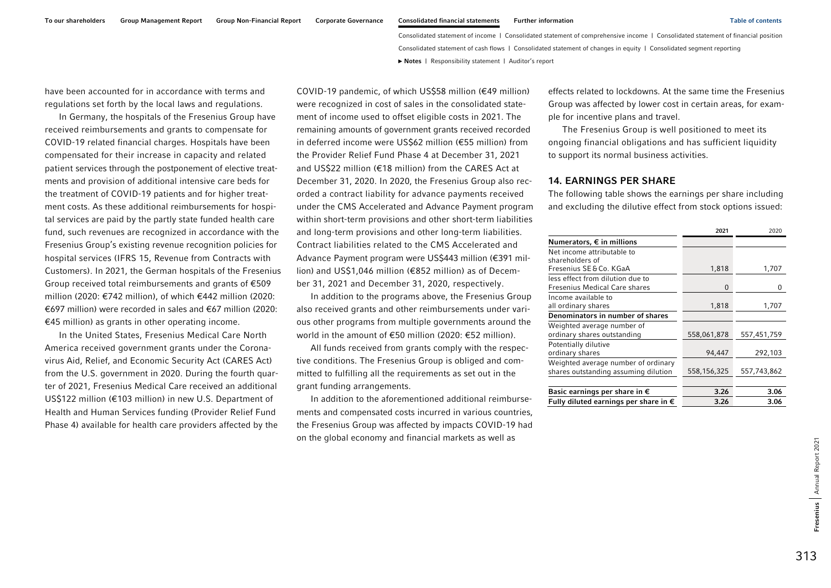<span id="page-26-0"></span>have been accounted for in accordance with terms and regulations set forth by the local laws and regulations.

In Germany, the hospitals of the Fresenius Group have received reimbursements and grants to compensate for COVID-19 related financial charges. Hospitals have been compensated for their increase in capacity and related patient services through the postponement of elective treatments and provision of additional intensive care beds for the treatment of COVID-19 patients and for higher treatment costs. As these additional reimbursements for hospital services are paid by the partly state funded health care fund, such revenues are recognized in accordance with the Fresenius Group's existing revenue recognition policies for hospital services (IFRS 15, Revenue from Contracts with Customers). In 2021, the German hospitals of the Fresenius Group received total reimbursements and grants of €509 million (2020: €742 million), of which €442 million (2020: €697 million) were recorded in sales and €67 million (2020: €45 million) as grants in other operating income.

In the United States, Fresenius Medical Care North America received government grants under the Coronavirus Aid, Relief, and Economic Security Act (CARES Act) from the U.S. government in 2020. During the fourth quarter of 2021, Fresenius Medical Care received an additional US\$122 million (€103 million) in new U.S. Department of Health and Human Services funding (Provider Relief Fund Phase 4) available for health care providers affected by the

COVID-19 pandemic, of which US\$58 million (€49 million) were recognized in cost of sales in the consolidated statement of income used to offset eligible costs in 2021. The remaining amounts of government grants received recorded in deferred income were US\$62 million (€55 million) from the Provider Relief Fund Phase 4 at December 31, 2021 and US\$22 million (€18 million) from the CARES Act at December 31, 2020. In 2020, the Fresenius Group also recorded a contract liability for advance payments received under the CMS Accelerated and Advance Payment program within short-term provisions and other short-term liabilities and long-term provisions and other long-term liabilities. Contract liabilities related to the CMS Accelerated and Advance Payment program were US\$443 million (€391 million) and US\$1,046 million (€852 million) as of December 31, 2021 and December 31, 2020, respectively.

In addition to the programs above, the Fresenius Group also received grants and other reimbursements under various other programs from multiple governments around the world in the amount of €50 million (2020: €52 million).

All funds received from grants comply with the respective conditions. The Fresenius Group is obliged and committed to fulfilling all the requirements as set out in the grant funding arrangements.

In addition to the aforementioned additional reimbursements and compensated costs incurred in various countries, the Fresenius Group was affected by impacts COVID-19 had on the global economy and financial markets as well as

effects related to lockdowns. At the same time the Fresenius Group was affected by lower cost in certain areas, for example for incentive plans and travel.

The Fresenius Group is well positioned to meet its ongoing financial obligations and has sufficient liquidity to support its normal business activities.

#### 14. EARNINGS PER SHARE

The following table shows the earnings per share including and excluding the dilutive effect from stock options issued:

|                                                | 2021        | 2020        |
|------------------------------------------------|-------------|-------------|
| Numerators, $\epsilon$ in millions             |             |             |
| Net income attributable to                     |             |             |
| shareholders of                                |             |             |
| Fresenius SE&Co. KGaA                          | 1,818       | 1,707       |
| less effect from dilution due to               |             |             |
| Fresenius Medical Care shares                  | $\Omega$    | ŋ           |
| Income available to                            |             |             |
| all ordinary shares                            | 1,818       | 1,707       |
| Denominators in number of shares               |             |             |
| Weighted average number of                     |             |             |
| ordinary shares outstanding                    | 558,061,878 | 557,451,759 |
| Potentially dilutive                           |             |             |
| ordinary shares                                | 94,447      | 292,103     |
| Weighted average number of ordinary            |             |             |
| shares outstanding assuming dilution           | 558,156,325 | 557,743,862 |
|                                                |             |             |
| Basic earnings per share in $\epsilon$         | 3.26        | 3.06        |
| Fully diluted earnings per share in $\epsilon$ | 3.26        | 3.06        |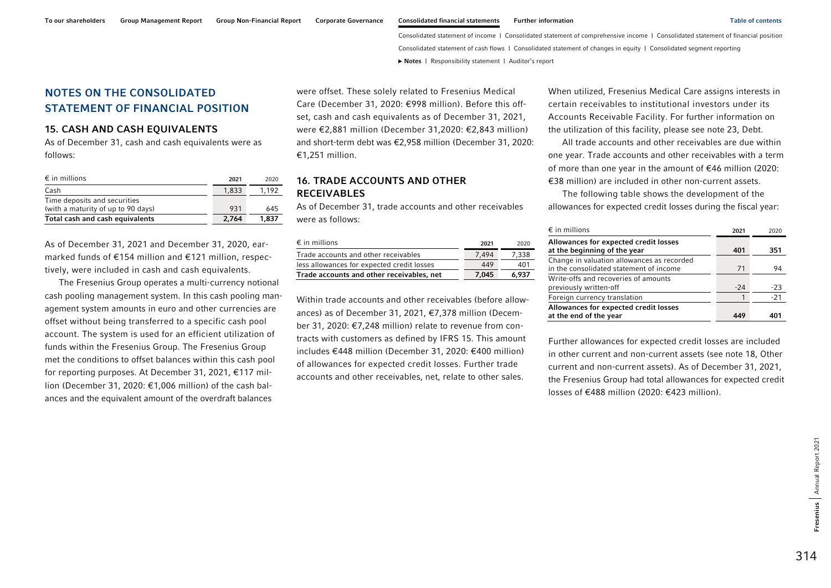## <span id="page-27-0"></span>NOTES ON THE CONSOLIDATED STATEMENT OF FINANCIAL POSITION

### 15. CASH AND CASH EQUIVALENTS

As of December 31, cash and cash equivalents were as follows:

| $\epsilon$ in millions             | 2021  | 2020  |
|------------------------------------|-------|-------|
| Cash                               | 1.833 | 1.192 |
| Time deposits and securities       |       |       |
| (with a maturity of up to 90 days) | 931   | 645   |
| Total cash and cash equivalents    | 2.764 | 1,837 |

As of December 31, 2021 and December 31, 2020, earmarked funds of €154 million and €121 million, respectively, were included in cash and cash equivalents.

The Fresenius Group operates a multi-currency notional cash pooling management system. In this cash pooling management system amounts in euro and other currencies are offset without being transferred to a specific cash pool account. The system is used for an efficient utilization of funds within the Fresenius Group. The Fresenius Group met the conditions to offset balances within this cash pool for reporting purposes. At December 31, 2021, €117 million (December 31, 2020: €1,006 million) of the cash balances and the equivalent amount of the overdraft balances

were offset. These solely related to Fresenius Medical Care (December 31, 2020: €998 million). Before this offset, cash and cash equivalents as of December 31, 2021, were €2,881 million (December 31,2020: €2,843 million) and short-term debt was €2,958 million (December 31, 2020: €1,251 million.

### 16. TRADE ACCOUNTS AND OTHER RECEIVABLES

As of December 31, trade accounts and other receivables were as follows:

| $\epsilon$ in millions                     | 2021  | 2020  |
|--------------------------------------------|-------|-------|
| Trade accounts and other receivables       | 7.494 | 7.338 |
| less allowances for expected credit losses | 449   | 401   |
| Trade accounts and other receivables, net  | 7.045 | 6.937 |

Within trade accounts and other receivables (before allowances) as of December 31, 2021, €7,378 million (December 31, 2020: €7,248 million) relate to revenue from contracts with customers as defined by IFRS 15. This amount includes €448 million (December 31, 2020: €400 million) of allowances for expected credit losses. Further trade accounts and other receivables, net, relate to other sales.

When utilized, Fresenius Medical Care assigns interests in certain receivables to institutional investors under its Accounts Receivable Facility. For further information on the utilization of this facility, please see note 23, Debt.

All trade accounts and other receivables are due within one year. Trade accounts and other receivables with a term of more than one year in the amount of €46 million (2020: €38 million) are included in other non-current assets.

The following table shows the development of the allowances for expected credit losses during the fiscal year:

| $\epsilon$ in millions                                                                | 2021  | 2020  |
|---------------------------------------------------------------------------------------|-------|-------|
| Allowances for expected credit losses<br>at the beginning of the year                 | 401   | 351   |
| Change in valuation allowances as recorded<br>in the consolidated statement of income | 71    | 94    |
| Write-offs and recoveries of amounts<br>previously written-off                        | $-24$ | $-23$ |
| Foreign currency translation                                                          |       | $-21$ |
| Allowances for expected credit losses<br>at the end of the year                       |       |       |

Further allowances for expected credit losses are included in other current and non-current assets (see note 18, Other current and non-current assets). As of December 31, 2021, the Fresenius Group had total allowances for expected credit losses of €488 million (2020: €423 million).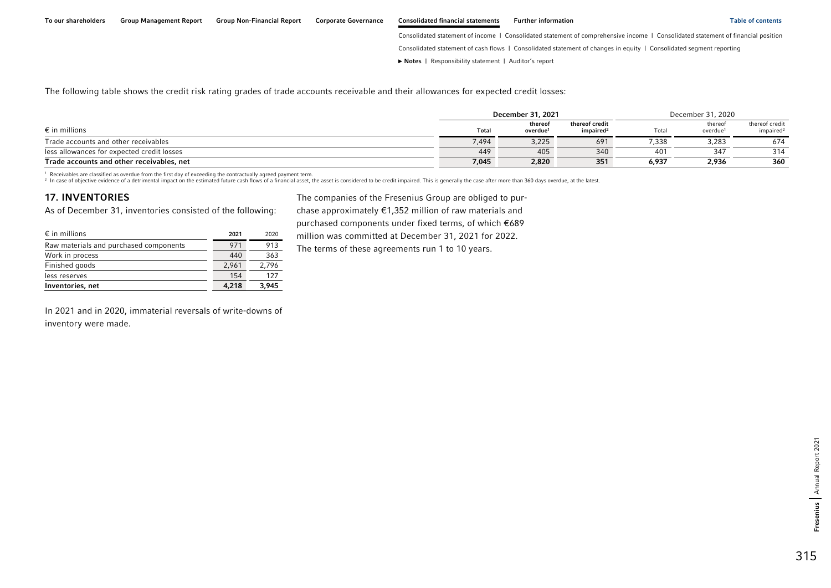Consolidated statement of cash flows | Consolidated statement of changes in equity | Consolidated segment reporting

**►** [Notes](#page-0-0) | [Responsibility statement](#page-97-0) | [Auditor's report](#page-98-0) 

<span id="page-28-0"></span>The following table shows the credit risk rating grades of trade accounts receivable and their allowances for expected credit losses:

|                                            |       | December 31, 2021               |                                         | December 31, 2020 |                                 |                                         |
|--------------------------------------------|-------|---------------------------------|-----------------------------------------|-------------------|---------------------------------|-----------------------------------------|
| $\epsilon$ in millions                     | Total | thereof<br>overdue <sup>1</sup> | thereof credit<br>impaired <sup>2</sup> | Total             | thereof<br>overdue <sup>1</sup> | thereof credit<br>impaired <sup>2</sup> |
| Trade accounts and other receivables       | 7,494 | 3,225                           | 691                                     | 7.338             | 3,283                           | 674                                     |
| less allowances for expected credit losses | 449   | 405                             | 340                                     | 401               | 347                             | 314                                     |
| Trade accounts and other receivables, net  | 7,045 | 2,820                           | 351                                     | 6,937             | 2,936                           | 360                                     |

1 Receivables are classified as overdue from the first day of exceeding the contractually agreed payment term.

<sup>2</sup> In case of objective evidence of a detrimental impact on the estimated future cash flows of a financial asset, the asset is considered to be credit impaired. This is generally the case after more than 360 days overdue,

2020

### 17. INVENTORIES

As of December 31, inventories consisted of the following:

 $\epsilon$  in millions 2021

The companies of the Fresenius Group are obliged to purchase approximately €1,352 million of raw materials and purchased components under fixed terms, of which €689 million was committed at December 31, 2021 for 2022.

Raw materials and purchased components 971 913 Work in process 440 363 Finished goods 2,961 2,796 less reserves 154  $\frac{1}{27}$ Inventories, net 4,218 3,945

The terms of these agreements run 1 to 10 years.

In 2021 and in 2020, immaterial reversals of write-downs of inventory were made.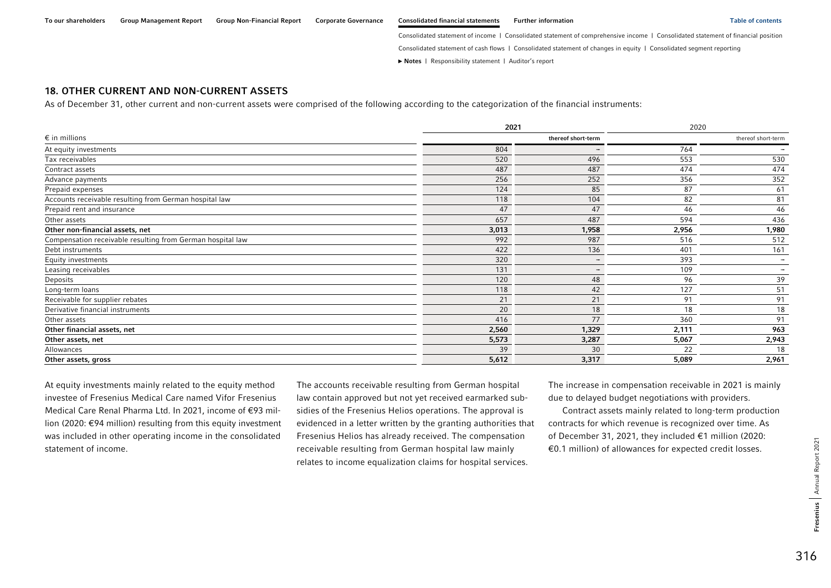### <span id="page-29-0"></span>18. OTHER CURRENT AND NON-CURRENT ASSETS

As of December 31, other current and non-current assets were comprised of the following according to the categorization of the financial instruments:

|                                                            | 2021               |                          | 2020  |                          |  |
|------------------------------------------------------------|--------------------|--------------------------|-------|--------------------------|--|
| $\epsilon$ in millions                                     | thereof short-term |                          |       | thereof short-term       |  |
| At equity investments                                      | 804                | $\overline{\phantom{a}}$ | 764   | $\overline{\phantom{a}}$ |  |
| Tax receivables                                            | 520                | 496                      | 553   | 530                      |  |
| Contract assets                                            | 487                | 487                      | 474   | 474                      |  |
| Advance payments                                           | 256                | 252                      | 356   | 352                      |  |
| Prepaid expenses                                           | 124                | 85                       | 87    | 61                       |  |
| Accounts receivable resulting from German hospital law     | 118                | 104                      | 82    | 81                       |  |
| Prepaid rent and insurance                                 | 47                 | 47                       | 46    | 46                       |  |
| Other assets                                               | 657                | 487                      | 594   | 436                      |  |
| Other non-financial assets, net                            | 3,013              | 1,958                    | 2,956 | 1,980                    |  |
| Compensation receivable resulting from German hospital law | 992                | 987                      | 516   | 512                      |  |
| Debt instruments                                           | 422                | 136                      | 401   | 161                      |  |
| Equity investments                                         | 320                | $\overline{\phantom{a}}$ | 393   | $\overline{\phantom{a}}$ |  |
| Leasing receivables                                        | 131                | $\overline{\phantom{a}}$ | 109   | $\overline{\phantom{a}}$ |  |
| Deposits                                                   | 120                | 48                       | 96    | 39                       |  |
| Long-term loans                                            | 118                | 42                       | 127   | 51                       |  |
| Receivable for supplier rebates                            | 21                 | 21                       | 91    | 91                       |  |
| Derivative financial instruments                           | 20                 | 18                       | 18    | 18                       |  |
| Other assets                                               | 416                | 77                       | 360   | 91                       |  |
| Other financial assets, net                                | 2,560              | 1,329                    | 2,111 | 963                      |  |
| Other assets, net                                          | 5,573              | 3,287                    | 5,067 | 2,943                    |  |
| Allowances                                                 | 39                 | 30                       | 22    | 18                       |  |
| Other assets, gross                                        | 5,612              | 3,317                    | 5,089 | 2,961                    |  |

At equity investments mainly related to the equity method investee of Fresenius Medical Care named Vifor Fresenius Medical Care Renal Pharma Ltd. In 2021, income of €93 million (2020: €94 million) resulting from this equity investment was included in other operating income in the consolidated statement of income.

The accounts receivable resulting from German hospital law contain approved but not yet received earmarked subsidies of the Fresenius Helios operations. The approval is evidenced in a letter written by the granting authorities that Fresenius Helios has already received. The compensation receivable resulting from German hospital law mainly relates to income equalization claims for hospital services.

The increase in compensation receivable in 2021 is mainly due to delayed budget negotiations with providers.

Contract assets mainly related to long-term production contracts for which revenue is recognized over time. As of December 31, 2021, they included €1 million (2020: €0.1 million) of allowances for expected credit losses.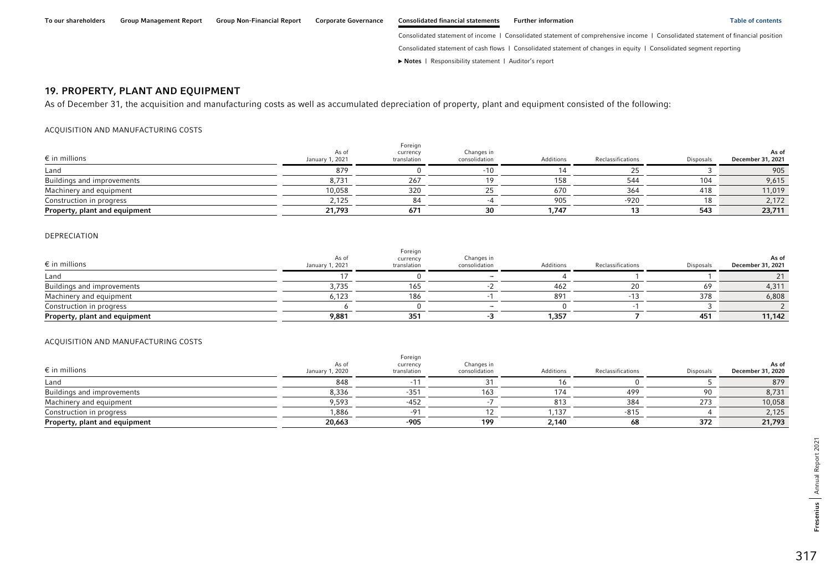#### **►** [Notes](#page-0-0) | [Responsibility statement](#page-97-0) | [Auditor's report](#page-98-0)

### <span id="page-30-0"></span>19. PROPERTY, PLANT AND EQUIPMENT

As of December 31, the acquisition and manufacturing costs as well as accumulated depreciation of property, plant and equipment consisted of the following:

#### ACQUISITION AND MANUFACTURING COSTS

| $\epsilon$ in millions        | As of<br>January 1, 2021 | Foreign<br>currency<br>translation | Changes in<br>consolidation | Additions | Reclassifications | Disposals | As of<br>December 31, 2021 |
|-------------------------------|--------------------------|------------------------------------|-----------------------------|-----------|-------------------|-----------|----------------------------|
| Land                          | 879                      |                                    | $-10$                       |           |                   |           | 905                        |
| Buildings and improvements    | 1.731                    | 267                                |                             | 158       |                   | 104       | 9,615                      |
| Machinery and equipment       | 10.058                   | 320                                |                             | 670       |                   | 418       | 11,019                     |
| Construction in progress      | 2,125                    |                                    |                             | 905       | -920              | 18        | 2,172                      |
| Property, plant and equipment | 21,793                   | 671                                | 30                          | 1.747     |                   | 543       | 23,711                     |

#### DEPRECIATION

| $\epsilon$ in millions        | As of<br>January 1, 2021 | Foreign<br>currency<br>translation | Changes in<br>consolidation | Additions | Reclassifications | <b>Disposals</b> | As of<br>December 31, 2021 |
|-------------------------------|--------------------------|------------------------------------|-----------------------------|-----------|-------------------|------------------|----------------------------|
| Land                          |                          |                                    |                             |           |                   |                  |                            |
| Buildings and improvements    | 3,735                    | 165                                |                             | 462       |                   | 69               | 4,311                      |
| Machinery and equipment       | 6.123                    | 186                                |                             | 891       |                   | 378              | 6,808                      |
| Construction in progress      |                          |                                    |                             |           |                   |                  |                            |
| Property, plant and equipment | 9,881                    | 351                                |                             | 1,357     |                   | 451              | 11,142                     |

#### ACQUISITION AND MANUFACTURING COSTS

| $\epsilon$ in millions        | As of<br>January 1, 2020 | Foreign<br>currency<br>translation | Changes in<br>consolidation | Additions | Reclassifications | Disposals | As of<br>December 31, 2020 |
|-------------------------------|--------------------------|------------------------------------|-----------------------------|-----------|-------------------|-----------|----------------------------|
| Land                          | 848                      |                                    |                             |           |                   |           | 879                        |
| Buildings and improvements    | 8,336                    | $-352$                             | 163                         | 174       | 499               |           | 8,731                      |
| Machinery and equipment       | 9.593                    | -452                               |                             | 813       | 384               | 273       | 10,058                     |
| Construction in progress      | ,886                     |                                    |                             | .137      | -815              |           | 2,125                      |
| Property, plant and equipment | 20,663                   | -905                               | 199                         | 2,140     |                   | 372       | 21,793                     |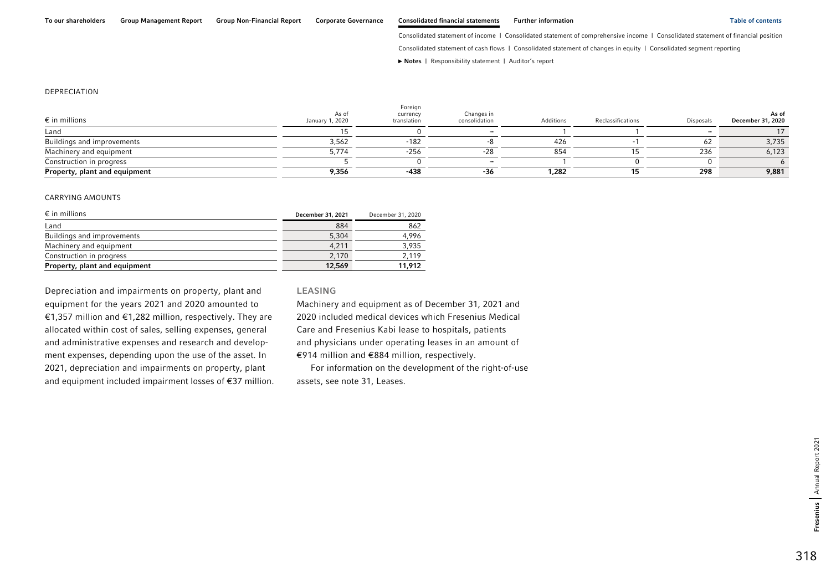Consolidated statement of cash flows | Consolidated statement of changes in equity | Consolidated segment reporting

**►** [Notes](#page-0-0) | [Responsibility statement](#page-97-0) | [Auditor's report](#page-98-0) 

#### DEPRECIATION

| $\epsilon$ in millions        | As of<br>January 1, 2020 | Foreign<br>currency<br>translation | Changes in<br>consolidation | Additions | Reclassifications | <b>Disposals</b> | As of<br>December 31, 2020 |
|-------------------------------|--------------------------|------------------------------------|-----------------------------|-----------|-------------------|------------------|----------------------------|
| Land                          |                          |                                    |                             |           |                   |                  |                            |
| Buildings and improvements    | 3,562                    | -182                               |                             | 426       |                   | 62               | 3,735                      |
| Machinery and equipment       | 5.774                    | $-256$                             |                             | 854       |                   | 236              | 6,123                      |
| Construction in progress      |                          |                                    |                             |           |                   |                  |                            |
| Property, plant and equipment | 9,356                    | $-438$                             | -36                         | 1,282     |                   | 298              | 9,881                      |

#### CARRYING AMOUNTS

| $\epsilon$ in millions        | December 31, 2021 | December 31, 2020 |
|-------------------------------|-------------------|-------------------|
| Land                          | 884               | 862               |
| Buildings and improvements    | 5,304             | 4.996             |
| Machinery and equipment       | 4.211             | 3.935             |
| Construction in progress      | 2,170             | 2.119             |
| Property, plant and equipment | 12,569            | 11,912            |

Depreciation and impairments on property, plant and equipment for the years 2021 and 2020 amounted to €1,357 million and €1,282 million, respectively. They are allocated within cost of sales, selling expenses, general and administrative expenses and research and development expenses, depending upon the use of the asset. In 2021, depreciation and impairments on property, plant and equipment included impairment losses of €37 million.

#### LEASING

Machinery and equipment as of December 31, 2021 and 2020 included medical devices which Fresenius Medical Care and Fresenius Kabi lease to hospitals, patients and physicians under operating leases in an amount of €914 million and €884 million, respectively.

For information on the development of the right-of-use assets, see note 31, Leases.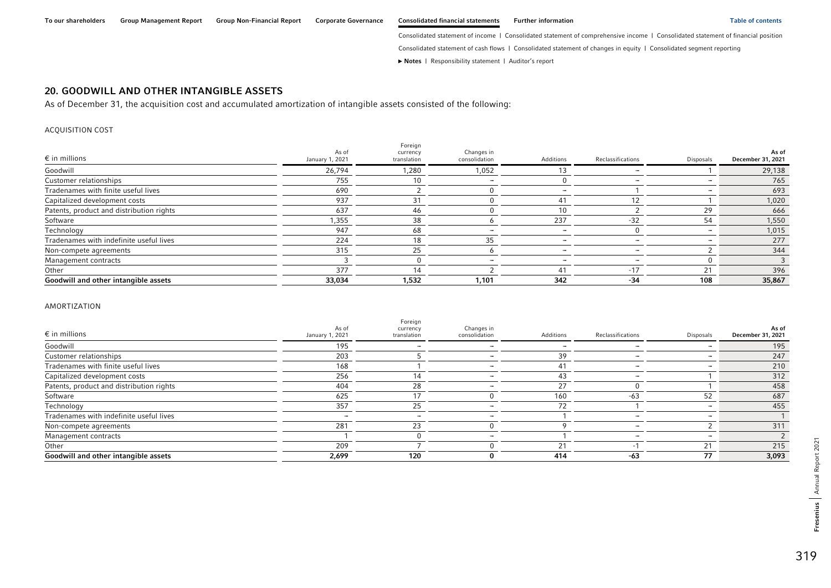Consolidated statement of cash flows | Consolidated statement of changes in equity | Consolidated segment reporting

**►** [Notes](#page-0-0) | [Responsibility statement](#page-97-0) | [Auditor's report](#page-98-0) 

## <span id="page-32-0"></span>20. GOODWILL AND OTHER INTANGIBLE ASSETS

As of December 31, the acquisition cost and accumulated amortization of intangible assets consisted of the following:

#### ACQUISITION COST

| $\epsilon$ in millions                   | As of<br>January 1, 2021 | Foreign<br>currency<br>translation | Changes in<br>consolidation | Additions                | Reclassifications | Disposals | As of<br>December 31, 2021 |
|------------------------------------------|--------------------------|------------------------------------|-----------------------------|--------------------------|-------------------|-----------|----------------------------|
| Goodwill                                 | 26,794                   | 1,280                              | 1,052                       |                          |                   |           | 29,138                     |
| Customer relationships                   | 755                      |                                    |                             |                          |                   |           | 765                        |
| Tradenames with finite useful lives      | 690                      |                                    |                             | -                        |                   | -         | 693                        |
| Capitalized development costs            | 937                      | 31                                 |                             | 41                       |                   |           | 1,020                      |
| Patents, product and distribution rights | 637                      | 46                                 |                             | 10                       |                   | 29        | 666                        |
| Software                                 | 1,355                    | 38                                 |                             | 237                      | $-32$             | 54        | 1,550                      |
| Technology                               | 947                      | 68                                 |                             |                          |                   | -         | 1,015                      |
| Tradenames with indefinite useful lives  | 224                      | 18                                 | 35                          |                          |                   |           | 277                        |
| Non-compete agreements                   | 315                      | 25                                 |                             | $\overline{\phantom{0}}$ |                   |           | 344                        |
| Management contracts                     |                          |                                    |                             |                          |                   |           |                            |
| Other                                    | 377                      | 14                                 |                             | 41                       | $-17$             | 21        | 396                        |
| Goodwill and other intangible assets     | 33,034                   | 1,532                              | 1,101                       | 342                      | $-34$             | 108       | 35,867                     |

#### AMORTIZATION

| $\epsilon$ in millions                   | As of<br>January 1, 2021 | Foreign<br>currency<br>translation | Changes in<br>consolidation | Additions | Reclassifications | Disposals | As of<br>December 31, 2021 |
|------------------------------------------|--------------------------|------------------------------------|-----------------------------|-----------|-------------------|-----------|----------------------------|
| Goodwill                                 | 195                      |                                    |                             |           |                   |           | 195                        |
| Customer relationships                   | 203                      |                                    |                             | 39        |                   |           | 247                        |
| Tradenames with finite useful lives      | 168                      |                                    |                             | 41        |                   | -         | 210                        |
| Capitalized development costs            | 256                      |                                    |                             | 43        |                   |           | 312                        |
| Patents, product and distribution rights | 404                      | 28                                 |                             | 27        |                   |           | 458                        |
| Software                                 | 625                      |                                    |                             | 160       | $-63$             | 52        | 687                        |
| Technology                               | 357                      | 25                                 |                             |           |                   |           | 455                        |
| Tradenames with indefinite useful lives  | -                        |                                    |                             |           |                   |           |                            |
| Non-compete agreements                   | 281                      | 23                                 |                             |           |                   |           | 311                        |
| Management contracts                     |                          |                                    |                             |           |                   |           |                            |
| Other                                    | 209                      |                                    |                             |           |                   |           | 215                        |
| Goodwill and other intangible assets     | 2,699                    | 120                                |                             | 414       | -63               | 77        | 3,093                      |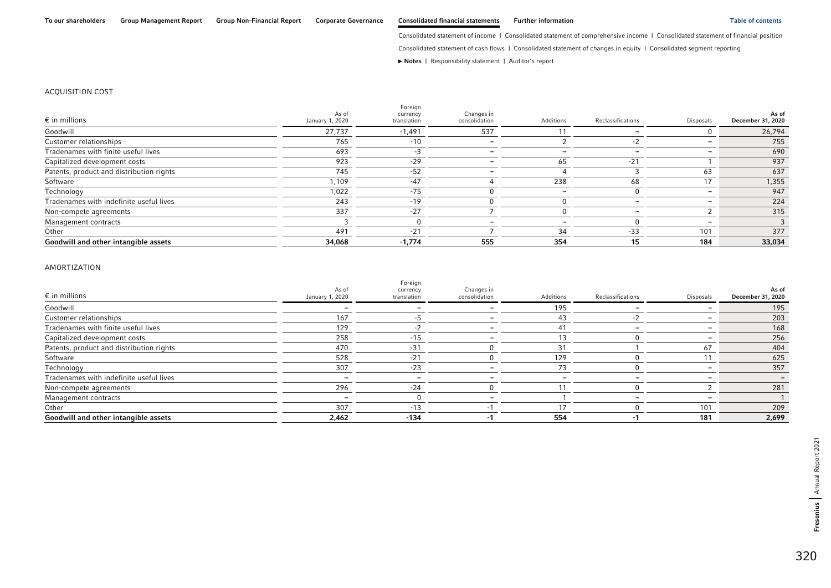Consolidated statement of cash flows | Consolidated statement of changes in equity | Consolidated segment reporting

**►** [Notes](#page-0-0) | [Responsibility statement](#page-97-0) | [Auditor's report](#page-98-0) 

#### ACQUISITION COST

| $\epsilon$ in millions                   | As of<br>January 1, 2020 | Foreign<br>currency<br>translation | Changes in<br>consolidation | Additions | Reclassifications | Disposals | As of<br>December 31, 2020 |
|------------------------------------------|--------------------------|------------------------------------|-----------------------------|-----------|-------------------|-----------|----------------------------|
| Goodwill                                 | 27,737                   | $-1,491$                           | 537                         |           |                   |           | 26,794                     |
| Customer relationships                   | 765                      | $-10$                              |                             |           |                   |           | 755                        |
| Tradenames with finite useful lives      | 693                      | -3                                 |                             |           |                   |           | 690                        |
| Capitalized development costs            | 923                      | $-29$                              |                             | 65        | $-21$             |           | 937                        |
| Patents, product and distribution rights | 745                      | $-52$                              |                             |           |                   | 63        | 637                        |
| Software                                 | 1,109                    | $-47$                              |                             | 238       | 68                |           | 1,355                      |
| Technology                               | 1,022                    | $-75$                              |                             |           |                   |           | 947                        |
| Tradenames with indefinite useful lives  | 243                      | $-19$                              |                             |           |                   |           | 224                        |
| Non-compete agreements                   | 337                      | $-27$                              |                             |           | -                 |           | 315                        |
| Management contracts                     |                          |                                    |                             |           |                   |           |                            |
| Other                                    | 491                      | $-21$                              |                             | 34        | $-33$             | 101       | 377                        |
| Goodwill and other intangible assets     | 34,068                   | $-1,774$                           | 555                         | 354       | 15                | 184       | 33,034                     |

#### AMORTIZATION

| $\epsilon$ in millions                   | As of<br>January 1, 2020 | Foreign<br>currency<br>translation | Changes in<br>consolidation | Additions | Reclassifications | Disposals | As of<br>December 31, 2020 |
|------------------------------------------|--------------------------|------------------------------------|-----------------------------|-----------|-------------------|-----------|----------------------------|
| Goodwill                                 |                          |                                    |                             | 195       |                   |           | 195                        |
| Customer relationships                   | 167                      |                                    |                             | 43        |                   |           | 203                        |
| Tradenames with finite useful lives      | 129                      |                                    |                             | 41        |                   |           | 168                        |
| Capitalized development costs            | 258                      | $-15$                              |                             | 13        |                   |           | 256                        |
| Patents, product and distribution rights | 470                      | $-31$                              |                             | 31        |                   | 67        | 404                        |
| Software                                 | 528                      | $-21$                              |                             | 129       |                   |           | 625                        |
| Technology                               | 307                      | $-23$                              |                             | 73        |                   |           | 357                        |
| Tradenames with indefinite useful lives  |                          |                                    |                             | -         |                   |           |                            |
| Non-compete agreements                   | 296                      | $-24$                              |                             |           |                   |           | 281                        |
| Management contracts                     |                          |                                    |                             |           |                   |           |                            |
| Other                                    | 307                      | $-13$                              |                             | 17        |                   | 101       | 209                        |
| Goodwill and other intangible assets     | 2,462                    | $-134$                             |                             | 554       |                   | 181       | 2,699                      |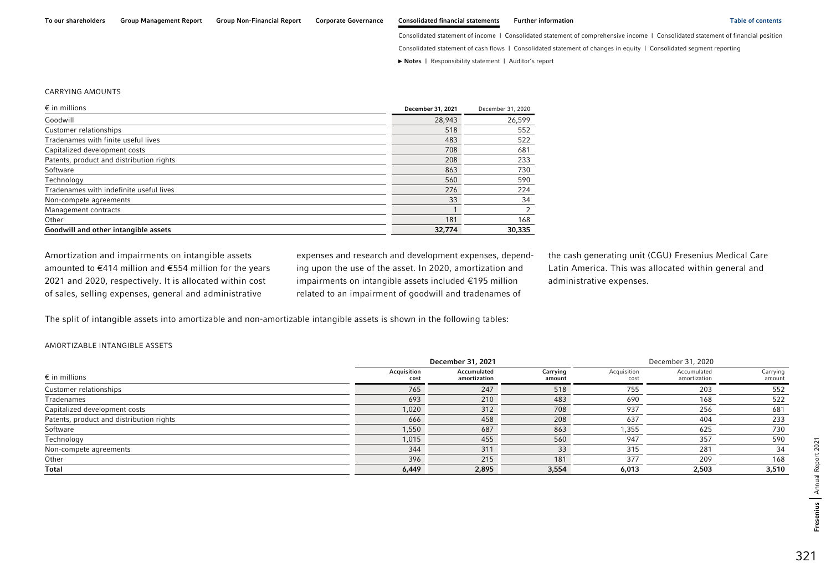Consolidated statement of cash flows | Consolidated statement of changes in equity | Consolidated segment reporting

**►** [Notes](#page-0-0) | [Responsibility statement](#page-97-0) | [Auditor's report](#page-98-0) 

#### CARRYING AMOUNTS

| $\epsilon$ in millions                   | December 31, 2021 | December 31, 2020 |
|------------------------------------------|-------------------|-------------------|
| Goodwill                                 | 28,943            | 26,599            |
| Customer relationships                   | 518               | 552               |
| Tradenames with finite useful lives      | 483               | 522               |
| Capitalized development costs            | 708               | 681               |
| Patents, product and distribution rights | 208               | 233               |
| Software                                 | 863               | 730               |
| Technology                               | 560               | 590               |
| Tradenames with indefinite useful lives  | 276               | 224               |
| Non-compete agreements                   | 33                | 34                |
| Management contracts                     |                   | 2                 |
| Other                                    | 181               | 168               |
| Goodwill and other intangible assets     | 32.774            | 30.335            |

Amortization and impairments on intangible assets amounted to €414 million and €554 million for the years 2021 and 2020, respectively. It is allocated within cost of sales, selling expenses, general and administrative

expenses and research and development expenses, depending upon the use of the asset. In 2020, amortization and impairments on intangible assets included €195 million related to an impairment of goodwill and tradenames of

the cash generating unit (CGU) Fresenius Medical Care Latin America. This was allocated within general and administrative expenses.

The split of intangible assets into amortizable and non-amortizable intangible assets is shown in the following tables:

#### AMORTIZABLE INTANGIBLE ASSETS

|                                          | December 31, 2021   |                             |                    | December 31, 2020   |                             |                    |
|------------------------------------------|---------------------|-----------------------------|--------------------|---------------------|-----------------------------|--------------------|
| $\epsilon$ in millions                   | Acquisition<br>cost | Accumulated<br>amortization | Carrying<br>amount | Acquisition<br>cost | Accumulated<br>amortization | Carrying<br>amount |
| Customer relationships                   | 765                 | 247                         | 518                | 755                 | 203                         | 552                |
| Tradenames                               | 693                 | 210                         | 483                | 690                 | 168                         | 522                |
| Capitalized development costs            | 1,020               | 312                         | 708                | 937                 | 256                         | 681                |
| Patents, product and distribution rights | 666                 | 458                         | 208                | 637                 | 404                         | 233                |
| Software                                 | 1,550               | 687                         | 863                | 1,355               | 625                         | 730                |
| Technology                               | 1,015               | 455                         | 560                | 947                 | 357                         | 590                |
| Non-compete agreements                   | 344                 | 311                         | 33                 | 315                 | 281                         | 34                 |
| Other                                    | 396                 | 215                         | 181                | 377                 | 209                         | 168                |
| <b>Total</b>                             | 6,449               | 2,895                       | 3,554              | 6,013               | 2,503                       | 3,510              |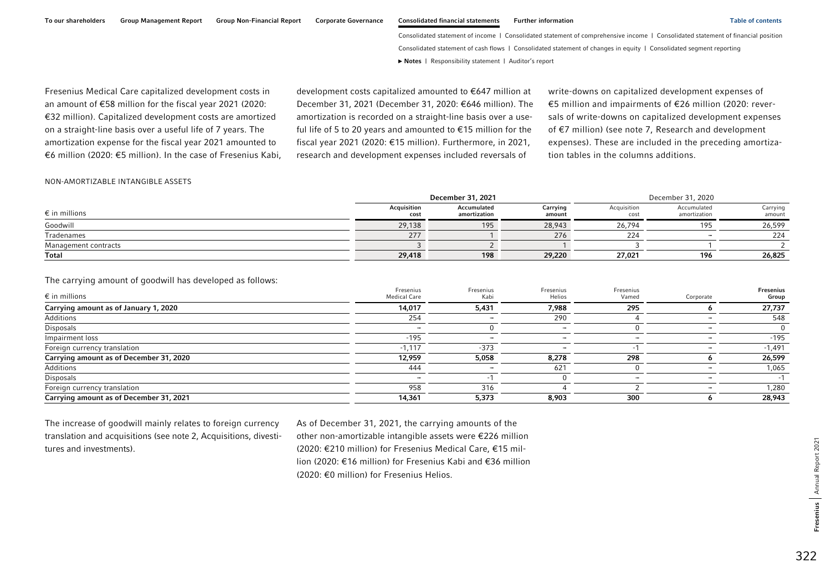Fresenius Medical Care capitalized development costs in an amount of €58 million for the fiscal year 2021 (2020: €32 million). Capitalized development costs are amortized on a straight-line basis over a useful life of 7 years. The amortization expense for the fiscal year 2021 amounted to €6 million (2020: €5 million). In the case of Fresenius Kabi, development costs capitalized amounted to €647 million at December 31, 2021 (December 31, 2020: €646 million). The amortization is recorded on a straight-line basis over a useful life of 5 to 20 years and amounted to €15 million for the fiscal year 2021 (2020: €15 million). Furthermore, in 2021, research and development expenses included reversals of

write-downs on capitalized development expenses of €5 million and impairments of €26 million (2020: reversals of write-downs on capitalized development expenses of €7 million) (see note 7, Research and development expenses). These are included in the preceding amortization tables in the columns additions.

#### NON-AMORTIZABLE INTANGIBLE ASSETS

|                        | December 31, 2021   |                             |                    | December 31, 2020   |                             |                    |
|------------------------|---------------------|-----------------------------|--------------------|---------------------|-----------------------------|--------------------|
| $\epsilon$ in millions | Acquisition<br>cost | Accumulated<br>amortization | Carrying<br>amount | Acquisition<br>cost | Accumulated<br>amortization | Carrying<br>amount |
| Goodwill               | 29,138              | 195                         | 28,943             | 26,794              | 195                         | 26,599             |
| Tradenames             | 277                 |                             | 276                | 2/4                 | -                           | 224                |
| Management contracts   |                     |                             |                    |                     |                             |                    |
| Total                  | 29,418              | 198                         | 29,220             | 27,021              | 196                         | 26,825             |

### The carrying amount of goodwill has developed as follows:

| $\epsilon$ in millions                  | Fresenius<br><b>Medical Care</b> | Fresenius<br>Kabi | Fresenius<br>Helios | Fresenius<br>Vamed | Corporate | <b>Fresenius</b><br>Group |
|-----------------------------------------|----------------------------------|-------------------|---------------------|--------------------|-----------|---------------------------|
| Carrying amount as of January 1, 2020   | 14,017                           | 5,431             | 7,988               | 295                |           | 27,737                    |
| Additions                               | 254                              |                   | 290                 |                    |           | 548                       |
| Disposals                               |                                  |                   |                     |                    |           |                           |
| Impairment loss                         | $-195$                           |                   |                     |                    |           | $-195$                    |
| Foreign currency translation            | $-1,117$                         | $-373$            |                     |                    |           | $-1,491$                  |
| Carrying amount as of December 31, 2020 | 12,959                           | 5,058             | 8,278               | 298                |           | 26,599                    |
| Additions                               | 444                              |                   | 62 <sup>1</sup>     |                    |           | 1,065                     |
| Disposals                               |                                  |                   |                     |                    |           |                           |
| Foreign currency translation            | 958                              | 316               |                     |                    |           | 1,280                     |
| Carrying amount as of December 31, 2021 | 14,361                           | 5,373             | 8,903               | 300                |           | 28,943                    |

The increase of goodwill mainly relates to foreign currency translation and acquisitions (see note 2, Acquisitions, divestitures and investments).

As of December 31, 2021, the carrying amounts of the other non-amortizable intangible assets were €226 million (2020: €210 million) for Fresenius Medical Care, €15 million (2020: €16 million) for Fresenius Kabi and €36 million (2020: €0 million) for Fresenius Helios.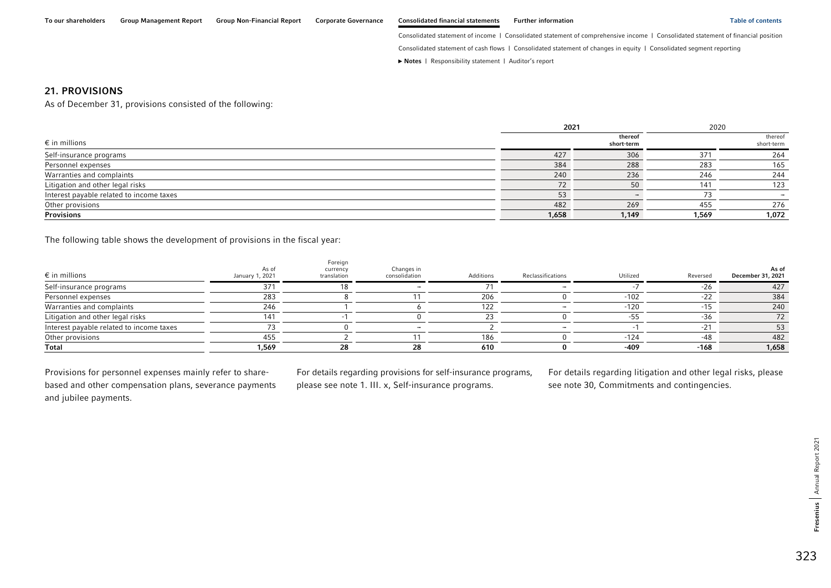Consolidated statement of cash flows | Consolidated statement of changes in equity | Consolidated segment reporting

**►** [Notes](#page-0-0) | [Responsibility statement](#page-97-0) | [Auditor's report](#page-98-0) 

### 21. PROVISIONS

As of December 31, provisions consisted of the following:

|                                          |       | 2021                  | 2020  |                       |
|------------------------------------------|-------|-----------------------|-------|-----------------------|
| $\epsilon$ in millions                   |       | thereof<br>short-term |       | thereof<br>short-term |
| Self-insurance programs                  | 427   | 306                   | 371   | 264                   |
| Personnel expenses                       | 384   | 288                   | 283   | 165                   |
| Warranties and complaints                | 240   | 236                   | 246   | 244                   |
| Litigation and other legal risks         | 72    | 50                    | 141   | 123                   |
| Interest payable related to income taxes | 53    |                       |       |                       |
| Other provisions                         | 482   | 269                   | 455   | 276                   |
| <b>Provisions</b>                        | 1,658 | 1,149                 | 1,569 | 1,072                 |

The following table shows the development of provisions in the fiscal year:

| $\epsilon$ in millions                   | As of<br>January 1, 2021 | Foreign<br>currency<br>translation | Changes in<br>consolidation | Additions | Reclassifications | Utilized | Reversed | As of<br>December 31, 2021 |
|------------------------------------------|--------------------------|------------------------------------|-----------------------------|-----------|-------------------|----------|----------|----------------------------|
| Self-insurance programs                  | 37'                      |                                    |                             |           |                   |          | -26      | 427                        |
| Personnel expenses                       | 283                      |                                    |                             | 206       |                   | $-102$   | -22      | 384                        |
| Warranties and complaints                | 246                      |                                    |                             | 122       |                   | $-120$   | $-1F$    | 240                        |
| Litigation and other legal risks         | 141                      |                                    |                             |           |                   | ートト      | $-36$    | 72.                        |
| Interest payable related to income taxes |                          |                                    |                             |           |                   |          | $-21$    |                            |
| Other provisions                         | 455                      |                                    |                             | 186       |                   | $-124$   | -48      | 482                        |
| Total                                    | 1,569                    | 28                                 | 28                          | 610       |                   | $-409$   | $-168$   | 1,658                      |

Provisions for personnel expenses mainly refer to sharebased and other compensation plans, severance payments and jubilee payments.

For details regarding provisions for self-insurance programs, please see note 1. III. x, Self-insurance programs.

For details regarding litigation and other legal risks, please see note 30, Commitments and contingencies.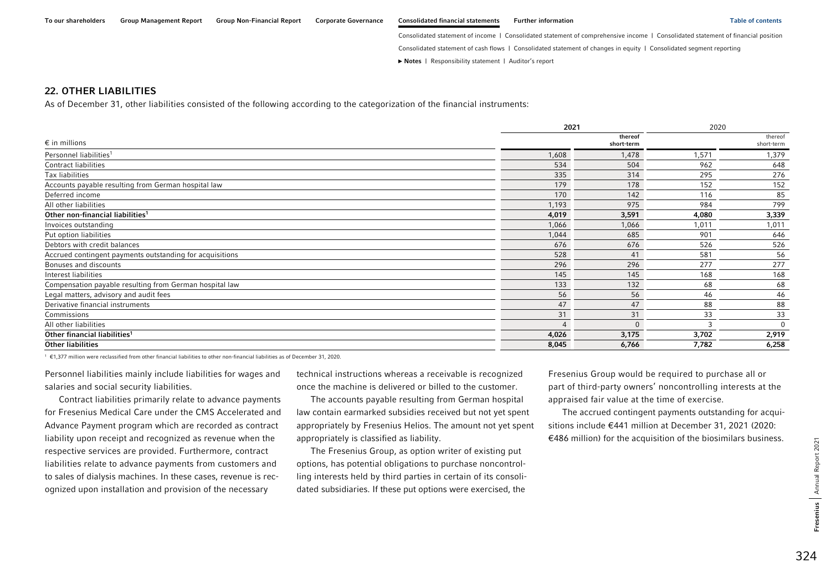Consolidated statement of cash flows | Consolidated statement of changes in equity | Consolidated segment reporting

**►** [Notes](#page-0-0) | [Responsibility statement](#page-97-0) | [Auditor's report](#page-98-0) 

## 22. OTHER LIABILITIES

As of December 31, other liabilities consisted of the following according to the categorization of the financial instruments:

|                                                          |       | 2021                  |       |                       |
|----------------------------------------------------------|-------|-----------------------|-------|-----------------------|
| $\epsilon$ in millions                                   |       | thereof<br>short-term |       | thereof<br>short-term |
| Personnel liabilities <sup>1</sup>                       | 1,608 | 1,478                 | 1,571 | 1,379                 |
| Contract liabilities                                     | 534   | 504                   | 962   | 648                   |
| Tax liabilities                                          | 335   | 314                   | 295   | 276                   |
| Accounts payable resulting from German hospital law      | 179   | 178                   | 152   | 152                   |
| Deferred income                                          | 170   | 142                   | 116   | 85                    |
| All other liabilities                                    | 1,193 | 975                   | 984   | 799                   |
| Other non-financial liabilities <sup>1</sup>             | 4,019 | 3,591                 | 4,080 | 3,339                 |
| Invoices outstanding                                     | 1,066 | 1,066                 | 1,011 | 1,011                 |
| Put option liabilities                                   | 1,044 | 685                   | 901   | 646                   |
| Debtors with credit balances                             | 676   | 676                   | 526   | 526                   |
| Accrued contingent payments outstanding for acquisitions | 528   | 41                    | 581   | 56                    |
| Bonuses and discounts                                    | 296   | 296                   | 277   | 277                   |
| Interest liabilities                                     | 145   | 145                   | 168   | 168                   |
| Compensation payable resulting from German hospital law  | 133   | 132                   | 68    | 68                    |
| Legal matters, advisory and audit fees                   | 56    | 56                    | 46    | 46                    |
| Derivative financial instruments                         | 47    | 47                    | 88    | 88                    |
| Commissions                                              | 31    | 31                    | 33    | 33                    |
| All other liabilities                                    | 4     | $\Omega$              |       | $\Omega$              |
| Other financial liabilities <sup>1</sup>                 | 4,026 | 3,175                 | 3,702 | 2,919                 |
| <b>Other liabilities</b>                                 | 8,045 | 6,766                 | 7,782 | 6,258                 |

1 €1,377 million were reclassified from other financial liabilities to other non-financial liabilities as of December 31, 2020.

Personnel liabilities mainly include liabilities for wages and salaries and social security liabilities.

Contract liabilities primarily relate to advance payments for Fresenius Medical Care under the CMS Accelerated and Advance Payment program which are recorded as contract liability upon receipt and recognized as revenue when the respective services are provided. Furthermore, contract liabilities relate to advance payments from customers and to sales of dialysis machines. In these cases, revenue is recognized upon installation and provision of the necessary

technical instructions whereas a receivable is recognized once the machine is delivered or billed to the customer.

The accounts payable resulting from German hospital law contain earmarked subsidies received but not yet spent appropriately by Fresenius Helios. The amount not yet spent appropriately is classified as liability.

The Fresenius Group, as option writer of existing put options, has potential obligations to purchase noncontrolling interests held by third parties in certain of its consolidated subsidiaries. If these put options were exercised, the

Fresenius Group would be required to purchase all or part of third-party owners' noncontrolling interests at the appraised fair value at the time of exercise.

The accrued contingent payments outstanding for acquisitions include €441 million at December 31, 2021 (2020: €486 million) for the acquisition of the biosimilars business.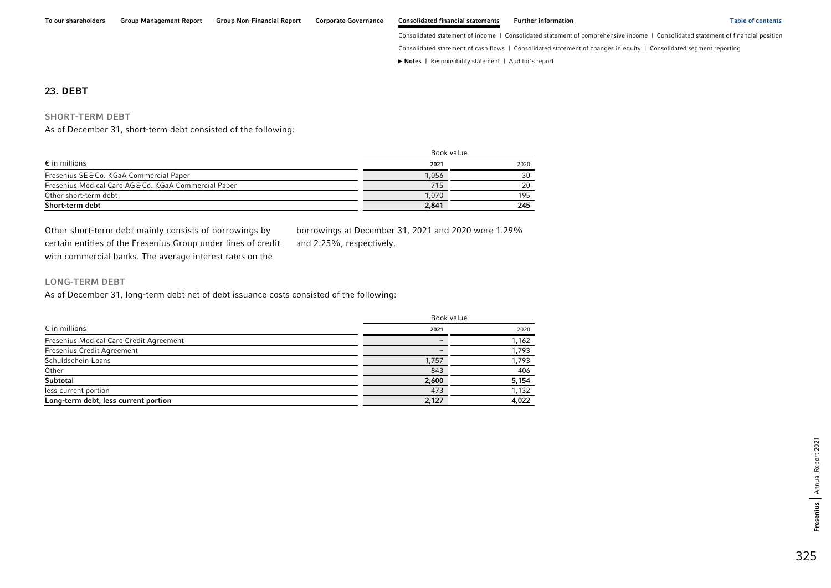Consolidated statement of cash flows | Consolidated statement of changes in equity | Consolidated segment reporting

**►** [Notes](#page-0-0) | [Responsibility statement](#page-97-0) | [Auditor's report](#page-98-0) 

#### 23. DEBT

#### SHORT-TERM DEBT

As of December 31, short-term debt consisted of the following:

|                                                     | Book value |      |  |
|-----------------------------------------------------|------------|------|--|
| $\epsilon$ in millions                              | 2021       | 2020 |  |
| Fresenius SE & Co. KGaA Commercial Paper            | 1,056      | 30   |  |
| Fresenius Medical Care AG&Co. KGaA Commercial Paper | 715        | 20   |  |
| Other short-term debt                               | 1.070      | 195  |  |
| Short-term debt                                     | 2,841      | 245  |  |

Other short-term debt mainly consists of borrowings by certain entities of the Fresenius Group under lines of credit with commercial banks. The average interest rates on the

borrowings at December 31, 2021 and 2020 were 1.29% and 2.25%, respectively.

### LONG-TERM DEBT

As of December 31, long-term debt net of debt issuance costs consisted of the following:

|                                         | Book value               |       |
|-----------------------------------------|--------------------------|-------|
| $\epsilon$ in millions                  | 2021                     | 2020  |
| Fresenius Medical Care Credit Agreement | $\overline{\phantom{0}}$ | 1,162 |
| Fresenius Credit Agreement              |                          | 1,793 |
| Schuldschein Loans                      | 1,757                    | 1,793 |
| Other                                   | 843                      | 406   |
| Subtotal                                | 2,600                    | 5,154 |
| less current portion                    | 473                      | 1,132 |
| Long-term debt, less current portion    | 2,127                    | 4,022 |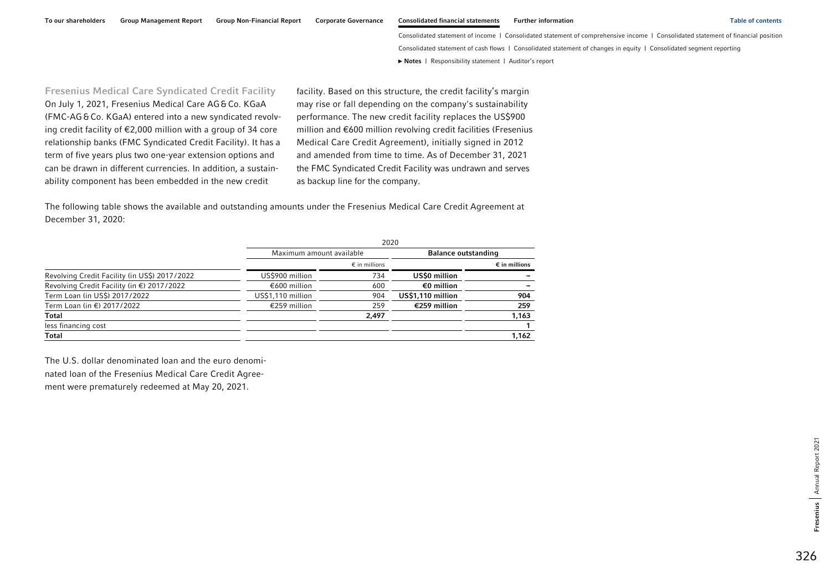To our shareholders Group Management Report Group Non-Financial Report Corporate Governance Consolidated financial statements Further information Table of contents Table of contents

Consolidated statement of income | Consolidated statement of comprehensive income | Consolidated statement of financial position Consolidated statement of cash flows | Consolidated statement of changes in equity | Consolidated segment reporting **►** [Notes](#page-0-0) | [Responsibility statement](#page-97-0) | [Auditor's report](#page-98-0) 

Fresenius Medical Care Syndicated Credit Facility On July 1, 2021, Fresenius Medical Care AG&Co. KGaA (FMC-AG&Co. KGaA) entered into a new syndicated revolving credit facility of €2,000 million with a group of 34 core relationship banks (FMC Syndicated Credit Facility). It has a term of five years plus two one-year extension options and can be drawn in different currencies. In addition, a sustainability component has been embedded in the new credit

facility. Based on this structure, the credit facility's margin may rise or fall depending on the company's sustainability performance. The new credit facility replaces the US\$900 million and €600 million revolving credit facilities (Fresenius Medical Care Credit Agreement), initially signed in 2012 and amended from time to time. As of December 31, 2021 the FMC Syndicated Credit Facility was undrawn and serves as backup line for the company.

The following table shows the available and outstanding amounts under the Fresenius Medical Care Credit Agreement at December 31, 2020:

|                                               | 2020                     |                        |                            |                        |  |
|-----------------------------------------------|--------------------------|------------------------|----------------------------|------------------------|--|
|                                               | Maximum amount available |                        | <b>Balance outstanding</b> |                        |  |
|                                               |                          | $\epsilon$ in millions |                            | $\epsilon$ in millions |  |
| Revolving Credit Facility (in US\$) 2017/2022 | US\$900 million          | 734                    | US\$0 million              |                        |  |
| Revolving Credit Facility (in €) 2017/2022    | €600 million             | 600                    | €0 million                 |                        |  |
| Term Loan (in US\$) 2017/2022                 | US\$1,110 million        | 904                    | US\$1,110 million          | 904                    |  |
| Term Loan (in €) 2017/2022                    | €259 million             | 259                    | €259 million               | 259                    |  |
| <b>Total</b>                                  |                          | 2,497                  |                            | 1,163                  |  |
| less financing cost                           |                          |                        |                            |                        |  |
| Total                                         |                          |                        |                            | 1,162                  |  |

The U.S. dollar denominated loan and the euro denominated loan of the Fresenius Medical Care Credit Agreement were prematurely redeemed at May 20, 2021.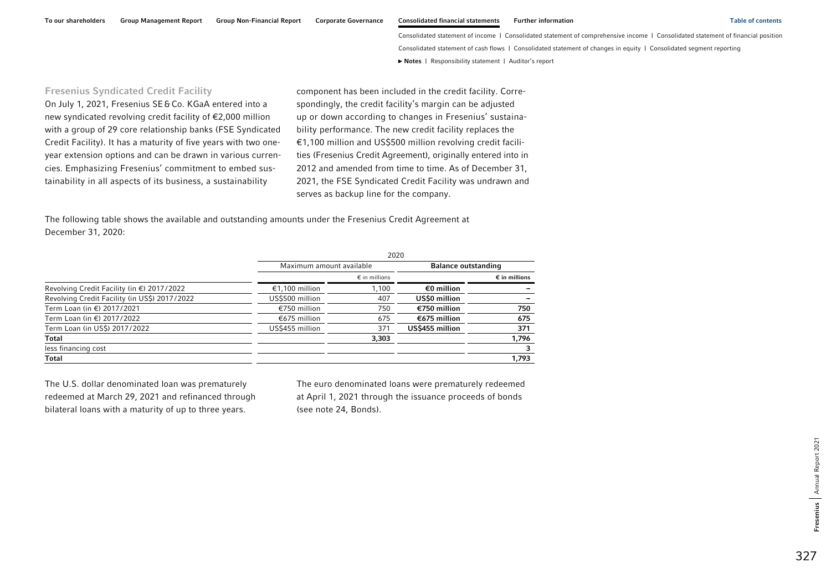## Fresenius Syndicated Credit Facility

On July 1, 2021, Fresenius SE&Co. KGaA entered into a new syndicated revolving credit facility of €2,000 million with a group of 29 core relationship banks (FSE Syndicated Credit Facility). It has a maturity of five years with two oneyear extension options and can be drawn in various currencies. Emphasizing Fresenius' commitment to embed sustainability in all aspects of its business, a sustainability

component has been included in the credit facility. Correspondingly, the credit facility's margin can be adjusted up or down according to changes in Fresenius' sustainability performance. The new credit facility replaces the €1,100 million and US\$500 million revolving credit facilities (Fresenius Credit Agreement), originally entered into in 2012 and amended from time to time. As of December 31, 2021, the FSE Syndicated Credit Facility was undrawn and serves as backup line for the company.

The following table shows the available and outstanding amounts under the Fresenius Credit Agreement at December 31, 2020:

|                                               | 2020                     |                        |                            |                        |  |  |
|-----------------------------------------------|--------------------------|------------------------|----------------------------|------------------------|--|--|
|                                               | Maximum amount available |                        | <b>Balance outstanding</b> |                        |  |  |
|                                               |                          | $\epsilon$ in millions |                            | $\epsilon$ in millions |  |  |
| Revolving Credit Facility (in €) 2017/2022    | €1,100 million           | 1,100                  | €0 million                 |                        |  |  |
| Revolving Credit Facility (in US\$) 2017/2022 | US\$500 million          | 407                    | US\$0 million              |                        |  |  |
| Term Loan (in €) 2017/2021                    | €750 million             | 750                    | €750 million               | 750                    |  |  |
| Term Loan (in €) 2017/2022                    | €675 million             | 675                    | €675 million               | 675                    |  |  |
| Term Loan (in US\$) 2017/2022                 | US\$455 million          | 371                    | US\$455 million            | 371                    |  |  |
| <b>Total</b>                                  |                          | 3,303                  |                            | 1,796                  |  |  |
| less financing cost                           |                          |                        |                            |                        |  |  |
| <b>Total</b>                                  |                          |                        |                            | 1,793                  |  |  |

The U.S. dollar denominated loan was prematurely redeemed at March 29, 2021 and refinanced through bilateral loans with a maturity of up to three years.

The euro denominated loans were prematurely redeemed at April 1, 2021 through the issuance proceeds of bonds (see note 24, Bonds).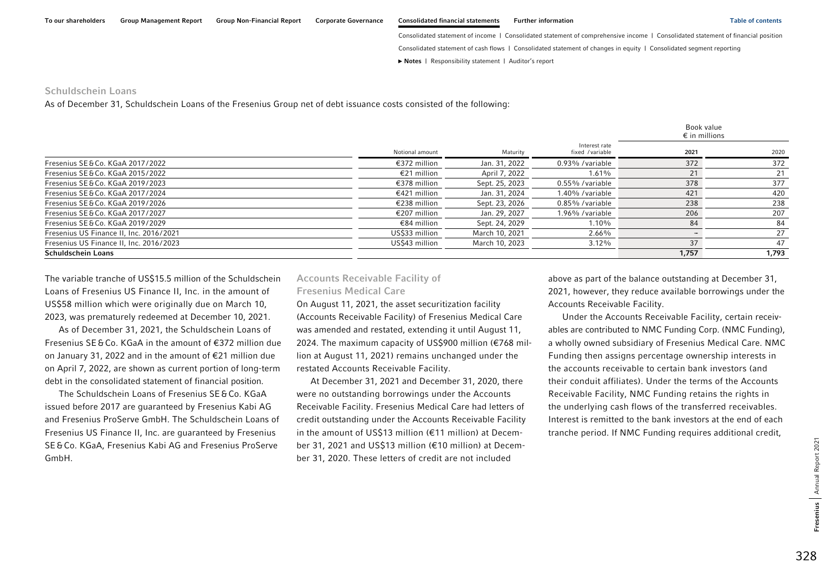Consolidated statement of cash flows | Consolidated statement of changes in equity | Consolidated segment reporting

**►** [Notes](#page-0-0) | [Responsibility statement](#page-97-0) | [Auditor's report](#page-98-0) 

#### Schuldschein Loans

As of December 31, Schuldschein Loans of the Fresenius Group net of debt issuance costs consisted of the following:

|                                         |                 |                |                                  |       | Book value<br>$\epsilon$ in millions |
|-----------------------------------------|-----------------|----------------|----------------------------------|-------|--------------------------------------|
|                                         | Notional amount | Maturity       | Interest rate<br>fixed /variable | 2021  | 2020                                 |
| Fresenius SE & Co. KGaA 2017/2022       | €372 million    | Jan. 31, 2022  | 0.93% / variable                 | 372   | 372                                  |
| Fresenius SE&Co. KGaA 2015/2022         | €21 million     | April 7, 2022  | 1.61%                            | 21    | 21                                   |
| Fresenius SE&Co. KGaA 2019/2023         | €378 million    | Sept. 25, 2023 | 0.55% / variable                 | 378   | 377                                  |
| Fresenius SE & Co. KGaA 2017/2024       | €421 million    | Jan. 31, 2024  | 1.40% / variable                 | 421   | 420                                  |
| Fresenius SE & Co. KGaA 2019/2026       | €238 million    | Sept. 23, 2026 | 0.85% / variable                 | 238   | 238                                  |
| Fresenius SE & Co. KGaA 2017/2027       | €207 million    | Jan. 29, 2027  | 1.96% / variable                 | 206   | 207                                  |
| Fresenius SE & Co. KGaA 2019/2029       | €84 million     | Sept. 24, 2029 | 1.10%                            | 84    | 84                                   |
| Fresenius US Finance II, Inc. 2016/2021 | US\$33 million  | March 10, 2021 | 2.66%                            |       | 27                                   |
| Fresenius US Finance II, Inc. 2016/2023 | US\$43 million  | March 10, 2023 | $3.12\%$                         | 37    | 47                                   |
| <b>Schuldschein Loans</b>               |                 |                |                                  | 1,757 | 1,793                                |

The variable tranche of US\$15.5 million of the Schuldschein Loans of Fresenius US Finance II, Inc. in the amount of US\$58 million which were originally due on March 10, 2023, was prematurely redeemed at December 10, 2021.

As of December 31, 2021, the Schuldschein Loans of Fresenius SE&Co. KGaA in the amount of €372 million due on January 31, 2022 and in the amount of €21 million due on April 7, 2022, are shown as current portion of long-term debt in the consolidated statement of financial position.

The Schuldschein Loans of Fresenius SE&Co. KGaA issued before 2017 are guaranteed by Fresenius Kabi AG and Fresenius ProServe GmbH. The Schuldschein Loans of Fresenius US Finance II, Inc. are guaranteed by Fresenius SE&Co. KGaA, Fresenius Kabi AG and Fresenius ProServe GmbH.

## Accounts Receivable Facility of Fresenius Medical Care

On August 11, 2021, the asset securitization facility (Accounts Receivable Facility) of Fresenius Medical Care was amended and restated, extending it until August 11, 2024. The maximum capacity of US\$900 million (€768 million at August 11, 2021) remains unchanged under the restated Accounts Receivable Facility.

At December 31, 2021 and December 31, 2020, there were no outstanding borrowings under the Accounts Receivable Facility. Fresenius Medical Care had letters of credit outstanding under the Accounts Receivable Facility in the amount of US\$13 million (€11 million) at December 31, 2021 and US\$13 million (€10 million) at December 31, 2020. These letters of credit are not included

above as part of the balance outstanding at December 31, 2021, however, they reduce available borrowings under the Accounts Receivable Facility.

Under the Accounts Receivable Facility, certain receivables are contributed to NMC Funding Corp. (NMC Funding), a wholly owned subsidiary of Fresenius Medical Care. NMC Funding then assigns percentage ownership interests in the accounts receivable to certain bank investors (and their conduit affiliates). Under the terms of the Accounts Receivable Facility, NMC Funding retains the rights in the underlying cash flows of the transferred receivables. Interest is remitted to the bank investors at the end of each tranche period. If NMC Funding requires additional credit,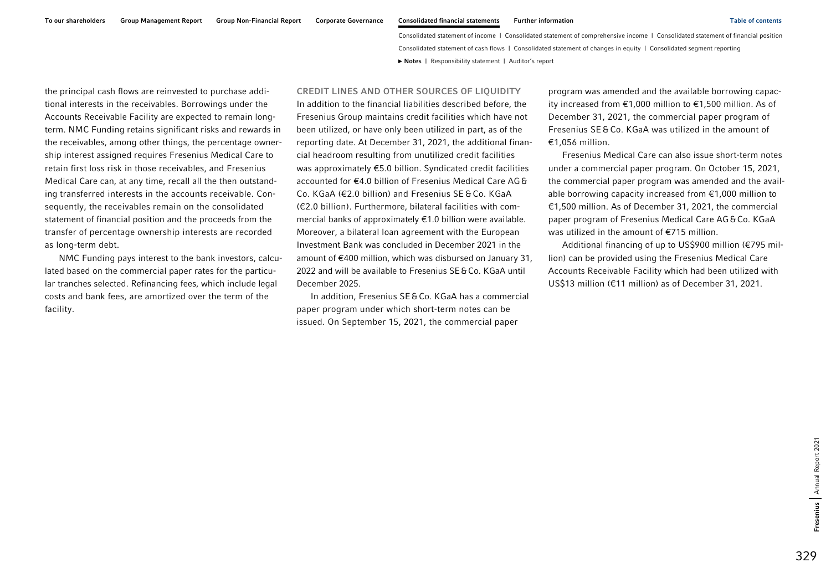the principal cash flows are reinvested to purchase additional interests in the receivables. Borrowings under the Accounts Receivable Facility are expected to remain longterm. NMC Funding retains significant risks and rewards in the receivables, among other things, the percentage ownership interest assigned requires Fresenius Medical Care to retain first loss risk in those receivables, and Fresenius Medical Care can, at any time, recall all the then outstanding transferred interests in the accounts receivable. Consequently, the receivables remain on the consolidated statement of financial position and the proceeds from the transfer of percentage ownership interests are recorded as long-term debt.

NMC Funding pays interest to the bank investors, calculated based on the commercial paper rates for the particular tranches selected. Refinancing fees, which include legal costs and bank fees, are amortized over the term of the facility.

## CREDIT LINES AND OTHER SOURCES OF LIQUIDITY

In addition to the financial liabilities described before, the Fresenius Group maintains credit facilities which have not been utilized, or have only been utilized in part, as of the reporting date. At December 31, 2021, the additional financial headroom resulting from unutilized credit facilities was approximately €5.0 billion. Syndicated credit facilities accounted for €4.0 billion of Fresenius Medical Care AG& Co. KGaA (€2.0 billion) and Fresenius SE &Co. KGaA (€2.0 billion). Furthermore, bilateral facilities with commercial banks of approximately €1.0 billion were available. Moreover, a bilateral loan agreement with the European Investment Bank was concluded in December 2021 in the amount of €400 million, which was disbursed on January 31, 2022 and will be available to Fresenius SE&Co. KGaA until December 2025.

In addition, Fresenius SE&Co. KGaA has a commercial paper program under which short-term notes can be issued. On September 15, 2021, the commercial paper

program was amended and the available borrowing capacity increased from €1,000 million to €1,500 million. As of December 31, 2021, the commercial paper program of Fresenius SE &Co. KGaA was utilized in the amount of €1,056 million.

Fresenius Medical Care can also issue short-term notes under a commercial paper program. On October 15, 2021, the commercial paper program was amended and the available borrowing capacity increased from €1,000 million to €1,500 million. As of December 31, 2021, the commercial paper program of Fresenius Medical Care AG&Co. KGaA was utilized in the amount of €715 million.

Additional financing of up to US\$900 million (€795 million) can be provided using the Fresenius Medical Care Accounts Receivable Facility which had been utilized with US\$13 million (€11 million) as of December 31, 2021.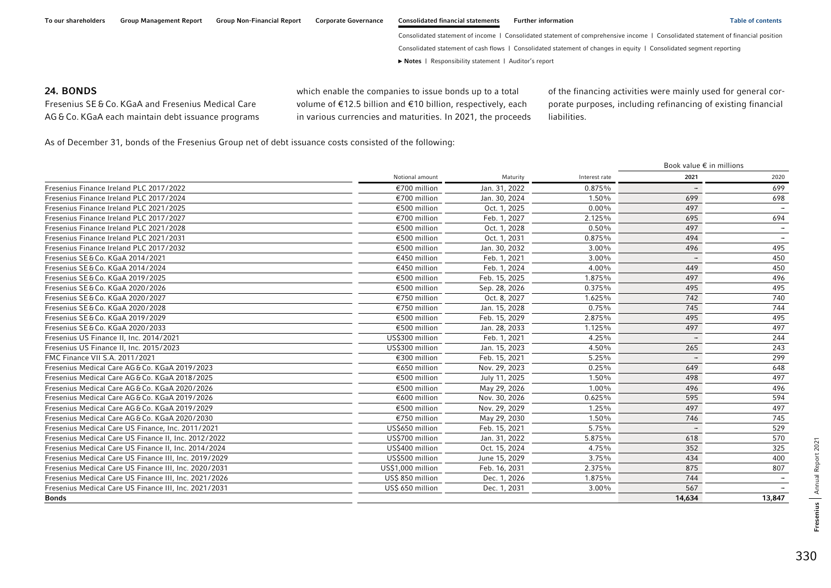### 24. BONDS

Fresenius SE &Co. KGaA and Fresenius Medical Care AG &Co. KGaA each maintain debt issuance programs which enable the companies to issue bonds up to a total volume of €12.5 billion and €10 billion, respectively, each in various currencies and maturities. In 2021, the proceeds of the financing activities were mainly used for general corporate purposes, including refinancing of existing financial liabilities.

As of December 31, bonds of the Fresenius Group net of debt issuance costs consisted of the following:

|                                                       |                   |               |               |                          | Book value $\epsilon$ in millions |  |  |
|-------------------------------------------------------|-------------------|---------------|---------------|--------------------------|-----------------------------------|--|--|
|                                                       | Notional amount   | Maturity      | Interest rate | 2021                     | 2020                              |  |  |
| Fresenius Finance Ireland PLC 2017/2022               | €700 million      | Jan. 31, 2022 | 0.875%        |                          | 699                               |  |  |
| Fresenius Finance Ireland PLC 2017/2024               | €700 million      | Jan. 30, 2024 | 1.50%         | 699                      | 698                               |  |  |
| Fresenius Finance Ireland PLC 2021/2025               | €500 million      | Oct. 1, 2025  | $0.00\%$      | 497                      |                                   |  |  |
| Fresenius Finance Ireland PLC 2017/2027               | €700 million      | Feb. 1, 2027  | 2.125%        | 695                      | 694                               |  |  |
| Fresenius Finance Ireland PLC 2021/2028               | €500 million      | Oct. 1, 2028  | 0.50%         | 497                      |                                   |  |  |
| Fresenius Finance Ireland PLC 2021/2031               | €500 million      | Oct. 1, 2031  | 0.875%        | 494                      |                                   |  |  |
| Fresenius Finance Ireland PLC 2017/2032               | €500 million      | Jan. 30, 2032 | 3.00%         | 496                      | 495                               |  |  |
| Fresenius SE & Co. KGaA 2014/2021                     | €450 million      | Feb. 1, 2021  | $3.00\%$      |                          | 450                               |  |  |
| Fresenius SE&Co. KGaA 2014/2024                       | €450 million      | Feb. 1, 2024  | 4.00%         | 449                      | 450                               |  |  |
| Fresenius SE & Co. KGaA 2019/2025                     | €500 million      | Feb. 15, 2025 | 1.875%        | 497                      | 496                               |  |  |
| Fresenius SE&Co. KGaA 2020/2026                       | €500 million      | Sep. 28, 2026 | 0.375%        | 495                      | 495                               |  |  |
| Fresenius SE & Co. KGaA 2020/2027                     | €750 million      | Oct. 8, 2027  | 1.625%        | 742                      | 740                               |  |  |
| Fresenius SE & Co. KGaA 2020/2028                     | €750 million      | Jan. 15, 2028 | 0.75%         | 745                      | 744                               |  |  |
| Fresenius SE&Co. KGaA 2019/2029                       | €500 million      | Feb. 15, 2029 | 2.875%        | 495                      | 495                               |  |  |
| Fresenius SE&Co. KGaA 2020/2033                       | €500 million      | Jan. 28, 2033 | 1.125%        | 497                      | 497                               |  |  |
| Fresenius US Finance II, Inc. 2014/2021               | US\$300 million   | Feb. 1, 2021  | 4.25%         |                          | 244                               |  |  |
| Fresenius US Finance II, Inc. 2015/2023               | US\$300 million   | Jan. 15, 2023 | 4.50%         | 265                      | 243                               |  |  |
| FMC Finance VII S.A. 2011/2021                        | €300 million      | Feb. 15, 2021 | 5.25%         |                          | 299                               |  |  |
| Fresenius Medical Care AG&Co, KGaA 2019/2023          | €650 million      | Nov. 29, 2023 | 0.25%         | 649                      | 648                               |  |  |
| Fresenius Medical Care AG&Co, KGaA 2018/2025          | €500 million      | July 11, 2025 | 1.50%         | 498                      | 497                               |  |  |
| Fresenius Medical Care AG&Co. KGaA 2020/2026          | €500 million      | May 29, 2026  | 1.00%         | 496                      | 496                               |  |  |
| Fresenius Medical Care AG&Co. KGaA 2019/2026          | €600 million      | Nov. 30, 2026 | 0.625%        | 595                      | 594                               |  |  |
| Fresenius Medical Care AG&Co. KGaA 2019/2029          | €500 million      | Nov. 29, 2029 | 1.25%         | 497                      | 497                               |  |  |
| Fresenius Medical Care AG&Co. KGaA 2020/2030          | €750 million      | May 29, 2030  | 1.50%         | 746                      | 745                               |  |  |
| Fresenius Medical Care US Finance, Inc. 2011/2021     | US\$650 million   | Feb. 15, 2021 | 5.75%         | $\overline{\phantom{a}}$ | 529                               |  |  |
| Fresenius Medical Care US Finance II, Inc. 2012/2022  | US\$700 million   | Jan. 31, 2022 | 5.875%        | 618                      | 570                               |  |  |
| Fresenius Medical Care US Finance II, Inc. 2014/2024  | US\$400 million   | Oct. 15, 2024 | 4.75%         | 352                      | 325                               |  |  |
| Fresenius Medical Care US Finance III, Inc. 2019/2029 | US\$500 million   | June 15, 2029 | 3.75%         | 434                      | 400                               |  |  |
| Fresenius Medical Care US Finance III, Inc. 2020/2031 | US\$1,000 million | Feb. 16, 2031 | 2.375%        | 875                      | 807                               |  |  |
| Fresenius Medical Care US Finance III, Inc. 2021/2026 | US\$ 850 million  | Dec. 1, 2026  | 1.875%        | 744                      |                                   |  |  |
| Fresenius Medical Care US Finance III, Inc. 2021/2031 | US\$ 650 million  | Dec. 1, 2031  | 3.00%         | 567                      |                                   |  |  |
| <b>Bonds</b>                                          |                   |               |               | 14,634                   | 13,847                            |  |  |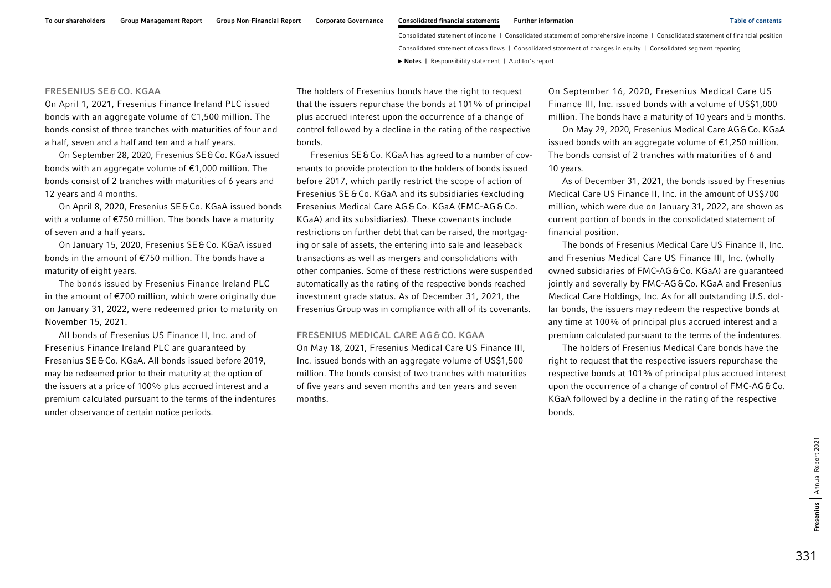#### FRESENIUS SE &CO. KGAA

On April 1, 2021, Fresenius Finance Ireland PLC issued bonds with an aggregate volume of €1,500 million. The bonds consist of three tranches with maturities of four and a half, seven and a half and ten and a half years.

On September 28, 2020, Fresenius SE&Co. KGaA issued bonds with an aggregate volume of €1,000 million. The bonds consist of 2 tranches with maturities of 6 years and 12 years and 4 months.

On April 8, 2020, Fresenius SE&Co. KGaA issued bonds with a volume of €750 million. The bonds have a maturity of seven and a half years.

On January 15, 2020, Fresenius SE&Co. KGaA issued bonds in the amount of €750 million. The bonds have a maturity of eight years.

The bonds issued by Fresenius Finance Ireland PLC in the amount of €700 million, which were originally due on January 31, 2022, were redeemed prior to maturity on November 15, 2021.

All bonds of Fresenius US Finance II, Inc. and of Fresenius Finance Ireland PLC are guaranteed by Fresenius SE&Co. KGaA. All bonds issued before 2019, may be redeemed prior to their maturity at the option of the issuers at a price of 100% plus accrued interest and a premium calculated pursuant to the terms of the indentures under observance of certain notice periods.

The holders of Fresenius bonds have the right to request that the issuers repurchase the bonds at 101% of principal plus accrued interest upon the occurrence of a change of control followed by a decline in the rating of the respective bonds.

Fresenius SE & Co. KGaA has agreed to a number of covenants to provide protection to the holders of bonds issued before 2017, which partly restrict the scope of action of Fresenius SE &Co. KGaA and its subsidiaries (excluding Fresenius Medical Care AG &Co. KGaA (FMC-AG &Co. KGaA) and its subsidiaries). These covenants include restrictions on further debt that can be raised, the mortgaging or sale of assets, the entering into sale and leaseback transactions as well as mergers and consolidations with other companies. Some of these restrictions were suspended automatically as the rating of the respective bonds reached investment grade status. As of December 31, 2021, the Fresenius Group was in compliance with all of its covenants.

#### FRESENIUS MEDICAL CARE AG&CO. KGAA

On May 18, 2021, Fresenius Medical Care US Finance III, Inc. issued bonds with an aggregate volume of US\$1,500 million. The bonds consist of two tranches with maturities of five years and seven months and ten years and seven months.

On September 16, 2020, Fresenius Medical Care US Finance III, Inc. issued bonds with a volume of US\$1,000 million. The bonds have a maturity of 10 years and 5 months.

On May 29, 2020, Fresenius Medical Care AG&Co. KGaA issued bonds with an aggregate volume of €1,250 million. The bonds consist of 2 tranches with maturities of 6 and 10 years.

As of December 31, 2021, the bonds issued by Fresenius Medical Care US Finance II, Inc. in the amount of US\$700 million, which were due on January 31, 2022, are shown as current portion of bonds in the consolidated statement of financial position.

The bonds of Fresenius Medical Care US Finance II, Inc. and Fresenius Medical Care US Finance III, Inc. (wholly owned subsidiaries of FMC-AG&Co. KGaA) are quaranteed jointly and severally by FMC-AG&Co. KGaA and Fresenius Medical Care Holdings, Inc. As for all outstanding U.S. dollar bonds, the issuers may redeem the respective bonds at any time at 100% of principal plus accrued interest and a premium calculated pursuant to the terms of the indentures.

The holders of Fresenius Medical Care bonds have the right to request that the respective issuers repurchase the respective bonds at 101% of principal plus accrued interest upon the occurrence of a change of control of FMC-AG&Co. KGaA followed by a decline in the rating of the respective bonds.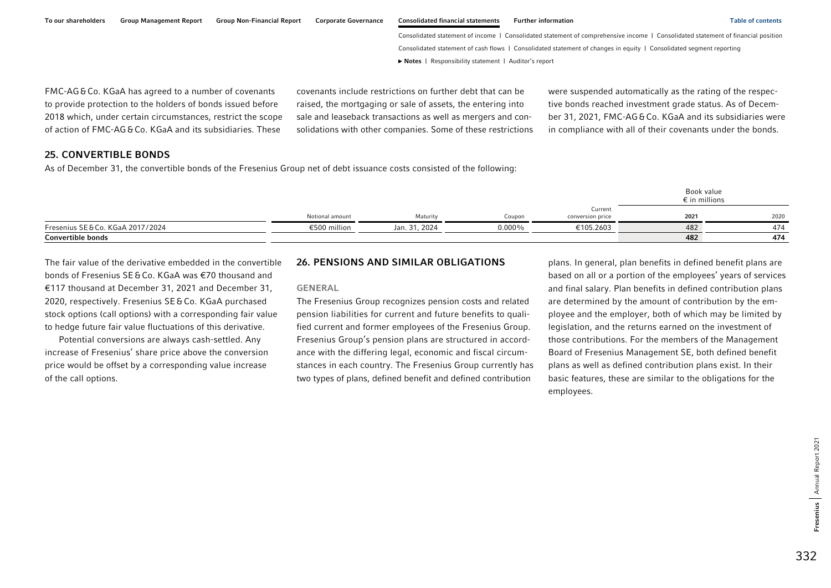|  |  | To our shareholders Group Management Report Group Non-Financial Report Corporate Governance Consolidated financial statements Further information | <b>Table of contents</b> |
|--|--|---------------------------------------------------------------------------------------------------------------------------------------------------|--------------------------|
|  |  |                                                                                                                                                   |                          |

FMC-AG&Co. KGaA has agreed to a number of covenants to provide protection to the holders of bonds issued before 2018 which, under certain circumstances, restrict the scope of action of FMCAG&Co. KGaA and its subsidiaries. These

covenants include restrictions on further debt that can be raised, the mortgaging or sale of assets, the entering into sale and leaseback transactions as well as mergers and consolidations with other companies. Some of these restrictions were suspended automatically as the rating of the respective bonds reached investment grade status. As of December 31, 2021, FMC-AG&Co. KGaA and its subsidiaries were in compliance with all of their covenants under the bonds.

# 25. CONVERTIBLE BONDS

As of December 31, the convertible bonds of the Fresenius Group net of debt issuance costs consisted of the following:

|                                 |                 |               |           |                             |      | Book value<br>$\epsilon$ in millions |
|---------------------------------|-----------------|---------------|-----------|-----------------------------|------|--------------------------------------|
|                                 | Notional amount | Maturity      | Coupon    | Current<br>conversion price | 2021 | 2020                                 |
| Fresenius SE&Co. KGaA 2017/2024 | €500 million    | Jan. 31, 2024 | $0.000\%$ | €105.2603                   | 482  | 474                                  |
| <b>Convertible bonds</b>        |                 |               |           |                             | 482  | 474                                  |

The fair value of the derivative embedded in the convertible bonds of Fresenius SE&Co. KGaA was €70 thousand and €117 thousand at December 31, 2021 and December 31, 2020, respectively. Fresenius SE&Co. KGaA purchased stock options (call options) with a corresponding fair value to hedge future fair value fluctuations of this derivative.

Potential conversions are always cash-settled. Any increase of Fresenius' share price above the conversion price would be offset by a corresponding value increase of the call options.

# 26. PENSIONS AND SIMILAR OBLIGATIONS

### GENERAL

The Fresenius Group recognizes pension costs and related pension liabilities for current and future benefits to qualified current and former employees of the Fresenius Group. Fresenius Group's pension plans are structured in accordance with the differing legal, economic and fiscal circumstances in each country. The Fresenius Group currently has two types of plans, defined benefit and defined contribution

plans. In general, plan benefits in defined benefit plans are based on all or a portion of the employees' years of services and final salary. Plan benefits in defined contribution plans are determined by the amount of contribution by the employee and the employer, both of which may be limited by legislation, and the returns earned on the investment of those contributions. For the members of the Management Board of Fresenius Management SE, both defined benefit plans as well as defined contribution plans exist. In their basic features, these are similar to the obligations for the employees.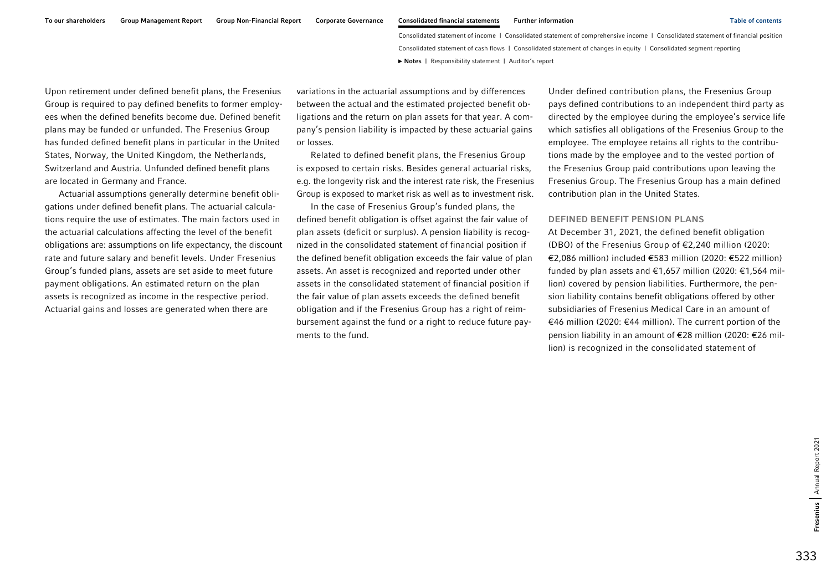Upon retirement under defined benefit plans, the Fresenius Group is required to pay defined benefits to former employees when the defined benefits become due. Defined benefit plans may be funded or unfunded. The Fresenius Group has funded defined benefit plans in particular in the United States, Norway, the United Kingdom, the Netherlands, Switzerland and Austria. Unfunded defined benefit plans are located in Germany and France.

Actuarial assumptions generally determine benefit obligations under defined benefit plans. The actuarial calculations require the use of estimates. The main factors used in the actuarial calculations affecting the level of the benefit obligations are: assumptions on life expectancy, the discount rate and future salary and benefit levels. Under Fresenius Group's funded plans, assets are set aside to meet future payment obligations. An estimated return on the plan assets is recognized as income in the respective period. Actuarial gains and losses are generated when there are

variations in the actuarial assumptions and by differences between the actual and the estimated projected benefit obligations and the return on plan assets for that year. A company's pension liability is impacted by these actuarial gains or losses.

Related to defined benefit plans, the Fresenius Group is exposed to certain risks. Besides general actuarial risks, e.g. the longevity risk and the interest rate risk, the Fresenius Group is exposed to market risk as well as to investment risk.

In the case of Fresenius Group's funded plans, the defined benefit obligation is offset against the fair value of plan assets (deficit or surplus). A pension liability is recognized in the consolidated statement of financial position if the defined benefit obligation exceeds the fair value of plan assets. An asset is recognized and reported under other assets in the consolidated statement of financial position if the fair value of plan assets exceeds the defined benefit obligation and if the Fresenius Group has a right of reimbursement against the fund or a right to reduce future payments to the fund.

Under defined contribution plans, the Fresenius Group pays defined contributions to an independent third party as directed by the employee during the employee's service life which satisfies all obligations of the Fresenius Group to the employee. The employee retains all rights to the contributions made by the employee and to the vested portion of the Fresenius Group paid contributions upon leaving the Fresenius Group. The Fresenius Group has a main defined contribution plan in the United States.

#### DEFINED BENEFIT PENSION PLANS

At December 31, 2021, the defined benefit obligation (DBO) of the Fresenius Group of €2,240 million (2020: €2,086 million) included €583 million (2020: €522 million) funded by plan assets and €1,657 million (2020: €1,564 million) covered by pension liabilities. Furthermore, the pension liability contains benefit obligations offered by other subsidiaries of Fresenius Medical Care in an amount of €46 million (2020: €44 million). The current portion of the pension liability in an amount of €28 million (2020: €26 million) is recognized in the consolidated statement of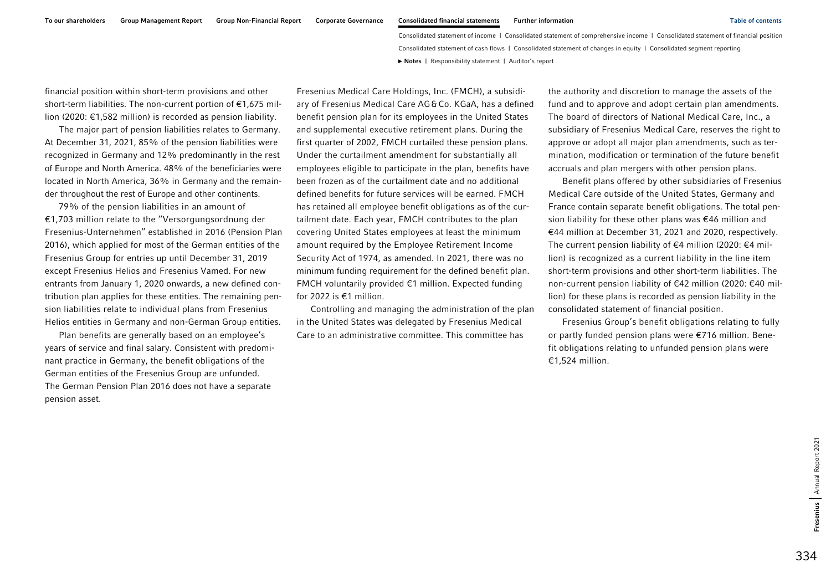financial position within short-term provisions and other short-term liabilities. The non-current portion of  $€1,675$  million (2020: €1,582 million) is recorded as pension liability.

The major part of pension liabilities relates to Germany. At December 31, 2021, 85% of the pension liabilities were recognized in Germany and 12% predominantly in the rest of Europe and North America. 48% of the beneficiaries were located in North America, 36% in Germany and the remainder throughout the rest of Europe and other continents.

79% of the pension liabilities in an amount of €1,703 million relate to the ''Versorgungsordnung der Fresenius-Unternehmen" established in 2016 (Pension Plan 2016), which applied for most of the German entities of the Fresenius Group for entries up until December 31, 2019 except Fresenius Helios and Fresenius Vamed. For new entrants from January 1, 2020 onwards, a new defined contribution plan applies for these entities. The remaining pension liabilities relate to individual plans from Fresenius Helios entities in Germany and non-German Group entities.

Plan benefits are generally based on an employee's years of service and final salary. Consistent with predominant practice in Germany, the benefit obligations of the German entities of the Fresenius Group are unfunded. The German Pension Plan 2016 does not have a separate pension asset.

Fresenius Medical Care Holdings, Inc. (FMCH), a subsidiary of Fresenius Medical Care AG&Co. KGaA, has a defined benefit pension plan for its employees in the United States and supplemental executive retirement plans. During the first quarter of 2002, FMCH curtailed these pension plans. Under the curtailment amendment for substantially all employees eligible to participate in the plan, benefits have been frozen as of the curtailment date and no additional defined benefits for future services will be earned. FMCH has retained all employee benefit obligations as of the curtailment date. Each year, FMCH contributes to the plan covering United States employees at least the minimum amount required by the Employee Retirement Income Security Act of 1974, as amended. In 2021, there was no minimum funding requirement for the defined benefit plan. FMCH voluntarily provided €1 million. Expected funding for 2022 is €1 million.

Controlling and managing the administration of the plan in the United States was delegated by Fresenius Medical Care to an administrative committee. This committee has

the authority and discretion to manage the assets of the fund and to approve and adopt certain plan amendments. The board of directors of National Medical Care, Inc., a subsidiary of Fresenius Medical Care, reserves the right to approve or adopt all major plan amendments, such as termination, modification or termination of the future benefit accruals and plan mergers with other pension plans.

Benefit plans offered by other subsidiaries of Fresenius Medical Care outside of the United States, Germany and France contain separate benefit obligations. The total pension liability for these other plans was €46 million and €44 million at December 31, 2021 and 2020, respectively. The current pension liability of €4 million (2020: €4 million) is recognized as a current liability in the line item short-term provisions and other short-term liabilities. The non-current pension liability of €42 million (2020: €40 million) for these plans is recorded as pension liability in the consolidated statement of financial position.

Fresenius Group's benefit obligations relating to fully or partly funded pension plans were €716 million. Benefit obligations relating to unfunded pension plans were €1,524 million.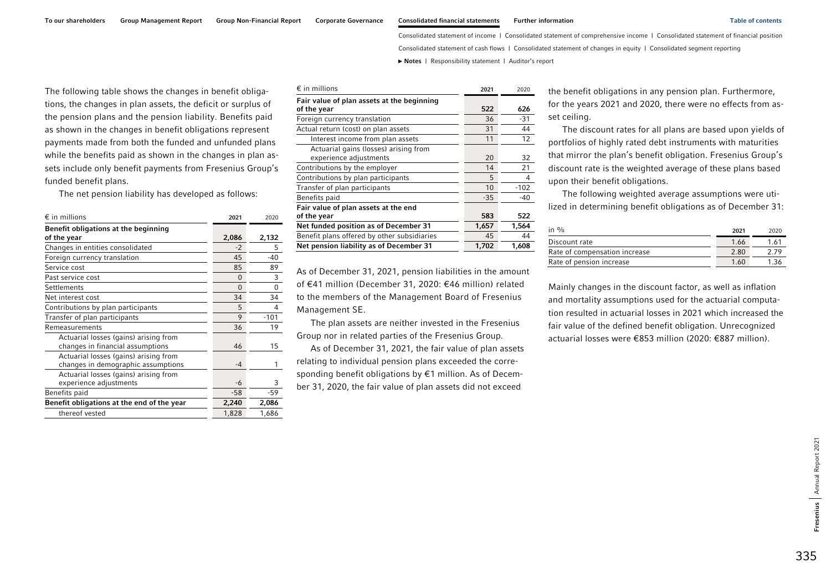Consolidated statement of cash flows | Consolidated statement of changes in equity | Consolidated segment reporting

**►** [Notes](#page-0-0) | [Responsibility statement](#page-97-0) | [Auditor's report](#page-98-0) 

The following table shows the changes in benefit obligations, the changes in plan assets, the deficit or surplus of the pension plans and the pension liability. Benefits paid as shown in the changes in benefit obligations represent payments made from both the funded and unfunded plans while the benefits paid as shown in the changes in plan assets include only benefit payments from Fresenius Group's funded benefit plans.

The net pension liability has developed as follows:

| $\epsilon$ in millions                                                      | 2021  | 2020     |
|-----------------------------------------------------------------------------|-------|----------|
| Benefit obligations at the beginning                                        |       |          |
| of the year                                                                 | 2,086 | 2,132    |
| Changes in entities consolidated                                            | $-2$  | 5        |
| Foreign currency translation                                                | 45    | $-40$    |
| Service cost                                                                | 85    | 89       |
| Past service cost                                                           | 0     | 3        |
| Settlements                                                                 | 0     | $\Omega$ |
| Net interest cost                                                           | 34    | 34       |
| Contributions by plan participants                                          | 5     | 4        |
| Transfer of plan participants                                               | 9     | $-101$   |
| Remeasurements                                                              | 36    | 19       |
| Actuarial losses (gains) arising from<br>changes in financial assumptions   | 46    | 15       |
| Actuarial losses (gains) arising from<br>changes in demographic assumptions | -4    | 1        |
| Actuarial losses (gains) arising from<br>experience adjustments             | -6    | 3        |
| Benefits paid                                                               | $-58$ | -59      |
| Benefit obligations at the end of the year                                  | 2,240 | 2,086    |
| thereof vested                                                              | 1,828 | 1,686    |

| $\epsilon$ in millions                                          | 2021  | 2020   |
|-----------------------------------------------------------------|-------|--------|
| Fair value of plan assets at the beginning<br>of the year       | 522   | 626    |
| Foreign currency translation                                    | 36    | $-31$  |
| Actual return (cost) on plan assets                             | 31    | 44     |
| Interest income from plan assets                                | 11    | 12     |
| Actuarial gains (losses) arising from<br>experience adjustments | 20    | 32     |
| Contributions by the employer                                   | 14    | 21     |
| Contributions by plan participants                              | 5     | 4      |
| Transfer of plan participants                                   | 10    | $-102$ |
| Benefits paid                                                   | $-35$ | $-40$  |
| Fair value of plan assets at the end<br>of the year             | 583   | 522    |
| Net funded position as of December 31                           | 1,657 | 1,564  |
| Benefit plans offered by other subsidiaries                     | 45    | 44     |
| Net pension liability as of December 31                         | 1,702 | 1,608  |

As of December 31, 2021, pension liabilities in the amount of €41 million (December 31, 2020: €46 million) related to the members of the Management Board of Fresenius Management SE.

The plan assets are neither invested in the Fresenius Group nor in related parties of the Fresenius Group.

As of December 31, 2021, the fair value of plan assets relating to individual pension plans exceeded the corresponding benefit obligations by €1 million. As of December 31, 2020, the fair value of plan assets did not exceed

the benefit obligations in any pension plan. Furthermore, for the years 2021 and 2020, there were no effects from asset ceiling.

The discount rates for all plans are based upon yields of portfolios of highly rated debt instruments with maturities that mirror the plan's benefit obligation. Fresenius Group's discount rate is the weighted average of these plans based upon their benefit obligations.

The following weighted average assumptions were utilized in determining benefit obligations as of December 31:

| in $\frac{0}{n}$              | 2021 | 2020 |
|-------------------------------|------|------|
| Discount rate                 | 1.66 | 1.61 |
| Rate of compensation increase | 2.80 | 2 79 |
| Rate of pension increase      | 1.60 | 1.36 |

Mainly changes in the discount factor, as well as inflation and mortality assumptions used for the actuarial computation resulted in actuarial losses in 2021 which increased the fair value of the defined benefit obligation. Unrecognized actuarial losses were €853 million (2020: €887 million).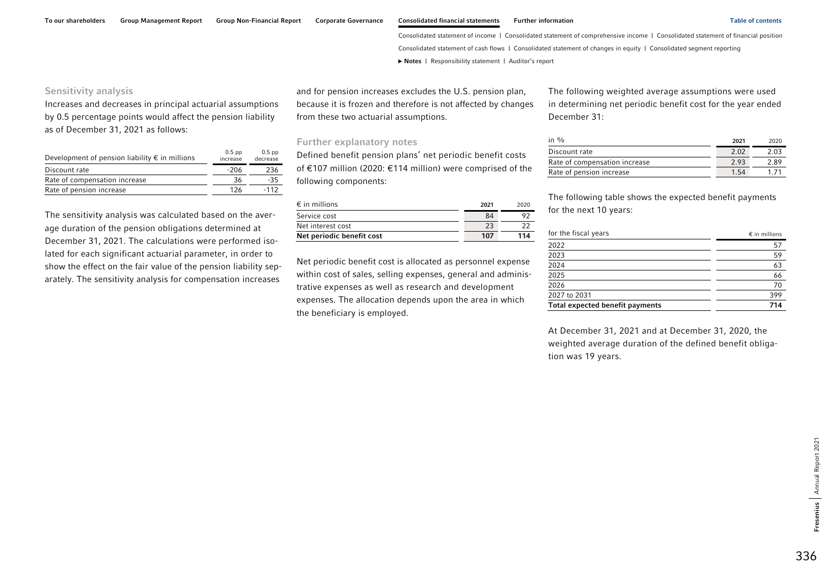### Sensitivity analysis

Increases and decreases in principal actuarial assumptions by 0.5 percentage points would affect the pension liability as of December 31, 2021 as follows:

| Development of pension liability $\epsilon$ in millions | $0.5$ pp<br>increase | $0.5$ pp<br>decrease |
|---------------------------------------------------------|----------------------|----------------------|
| Discount rate                                           | -206                 | 236                  |
| Rate of compensation increase                           | 36                   | $-35$                |
| Rate of pension increase                                | 126                  | $-112$               |

The sensitivity analysis was calculated based on the average duration of the pension obligations determined at December 31, 2021. The calculations were performed isolated for each significant actuarial parameter, in order to show the effect on the fair value of the pension liability separately. The sensitivity analysis for compensation increases

and for pension increases excludes the U.S. pension plan, because it is frozen and therefore is not affected by changes from these two actuarial assumptions.

### Further explanatory notes

Defined benefit pension plans' net periodic benefit costs of €107 million (2020: €114 million) were comprised of the following components:

| $\epsilon$ in millions    | 2021 | 2020 |
|---------------------------|------|------|
| Service cost              | 84   |      |
| Net interest cost         | 23   |      |
| Net periodic benefit cost | 107  | 114  |

Net periodic benefit cost is allocated as personnel expense within cost of sales, selling expenses, general and administrative expenses as well as research and development expenses. The allocation depends upon the area in which the beneficiary is employed.

The following weighted average assumptions were used in determining net periodic benefit cost for the year ended December 31:

| in $\%$                       | 2021 | 2020 |
|-------------------------------|------|------|
| Discount rate                 | 2.02 | 2.03 |
| Rate of compensation increase | 2.93 | 2 89 |
| Rate of pension increase      | 1.54 | 171  |

The following table shows the expected benefit payments for the next 10 years:

| for the fiscal years            | $\epsilon$ in millions |
|---------------------------------|------------------------|
| 2022                            | 57                     |
| 2023                            | 59                     |
| 2024                            | 63                     |
| 2025                            | 66                     |
| 2026                            | 70                     |
| 2027 to 2031                    | 399                    |
| Total expected benefit payments | 714                    |

At December 31, 2021 and at December 31, 2020, the weighted average duration of the defined benefit obligation was 19 years.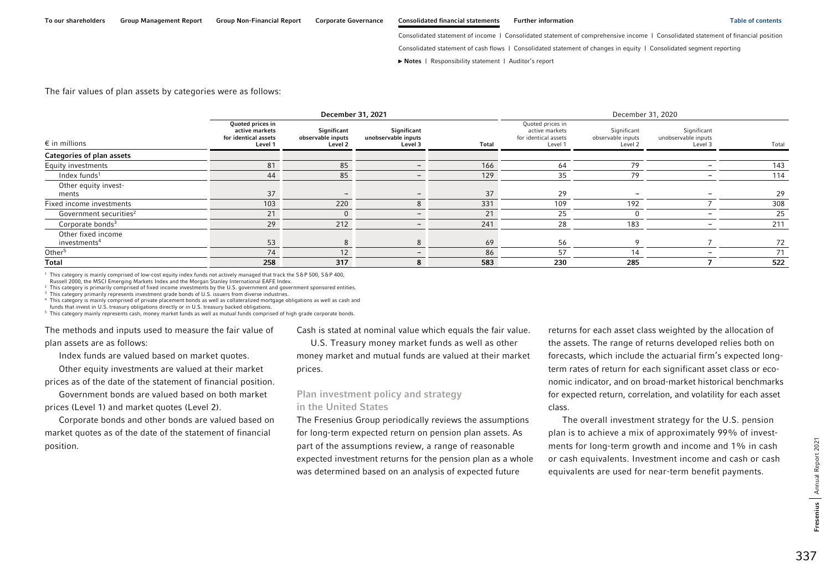Consolidated statement of cash flows | Consolidated statement of changes in equity | Consolidated segment reporting

**►** [Notes](#page-0-0) | [Responsibility statement](#page-97-0) | [Auditor's report](#page-98-0) 

### The fair values of plan assets by categories were as follows:

|                                                |                                                                       | December 31, 2021                           |                                               |              |                                                                       | December 31, 2020                           |                                               |       |
|------------------------------------------------|-----------------------------------------------------------------------|---------------------------------------------|-----------------------------------------------|--------------|-----------------------------------------------------------------------|---------------------------------------------|-----------------------------------------------|-------|
| $\epsilon$ in millions                         | Quoted prices in<br>active markets<br>for identical assets<br>Level 1 | Significant<br>observable inputs<br>Level 2 | Significant<br>unobservable inputs<br>Level 3 | <b>Total</b> | Quoted prices in<br>active markets<br>for identical assets<br>Level 1 | Significant<br>observable inputs<br>Level 2 | Significant<br>unobservable inputs<br>Level 3 | Total |
| Categories of plan assets                      |                                                                       |                                             |                                               |              |                                                                       |                                             |                                               |       |
| Equity investments                             | 81                                                                    | 85                                          |                                               | 166          | 64                                                                    | 79                                          |                                               | 143   |
| Index funds $1$                                | 44                                                                    | 85                                          |                                               | 129          | 35                                                                    | 79                                          |                                               | 114   |
| Other equity invest-<br>ments                  | 37                                                                    | $\overline{\phantom{a}}$                    |                                               | 37           | 29                                                                    | $\overline{\phantom{a}}$                    |                                               | 29    |
| Fixed income investments                       | 103                                                                   | 220                                         |                                               | 331          | 109                                                                   | 192                                         |                                               | 308   |
| Government securities <sup>2</sup>             | 21                                                                    | $\Omega$                                    |                                               | 21           | 25                                                                    |                                             |                                               | 25    |
| Corporate bonds <sup>3</sup>                   | 29                                                                    | 212                                         |                                               | 241          | 28                                                                    | 183                                         |                                               | 211   |
| Other fixed income<br>investments <sup>4</sup> | 53                                                                    | 8                                           | 8                                             | 69           | 56                                                                    | $\circ$                                     |                                               | 72    |
| Other <sup>5</sup>                             | 74                                                                    | 12 <sup>2</sup>                             |                                               | 86           | 57                                                                    | 14                                          |                                               | 71    |
| Total                                          | 258                                                                   | 317                                         | 8                                             | 583          | 230                                                                   | 285                                         |                                               | 522   |

<sup>1</sup> This category is mainly comprised of low-cost equity index funds not actively managed that track the S&P 500, S&P 400,

Russell 2000, the MSCI Emerging Markets Index and the Morgan Stanley International EAFE Index.

2 This category is primarily comprised of fixed income investments by the U.S. government and government sponsored entities.

<sup>3</sup> This category primarily represents investment grade bonds of U.S. issuers from diverse industries.

4 This category is mainly comprised of private placement bonds as well as collateralized mortgage obligations as well as cash and funds that invest in U.S. treasury obligations directly or in U.S. treasury backed obligations.

5 This category mainly represents cash, money market funds as well as mutual funds comprised of high grade corporate bonds.

The methods and inputs used to measure the fair value of plan assets are as follows:

Index funds are valued based on market quotes.

Other equity investments are valued at their market

prices as of the date of the statement of financial position.

Government bonds are valued based on both market prices (Level 1) and market quotes (Level 2).

Corporate bonds and other bonds are valued based on market quotes as of the date of the statement of financial position.

Cash is stated at nominal value which equals the fair value.

U.S. Treasury money market funds as well as other money market and mutual funds are valued at their market prices.

# Plan investment policy and strategy in the United States

The Fresenius Group periodically reviews the assumptions for long-term expected return on pension plan assets. As part of the assumptions review, a range of reasonable expected investment returns for the pension plan as a whole was determined based on an analysis of expected future

returns for each asset class weighted by the allocation of the assets. The range of returns developed relies both on forecasts, which include the actuarial firm's expected longterm rates of return for each significant asset class or economic indicator, and on broad-market historical benchmarks for expected return, correlation, and volatility for each asset class.

The overall investment strategy for the U.S. pension plan is to achieve a mix of approximately 99% of investments for long-term growth and income and 1% in cash or cash equivalents. Investment income and cash or cash equivalents are used for near-term benefit payments.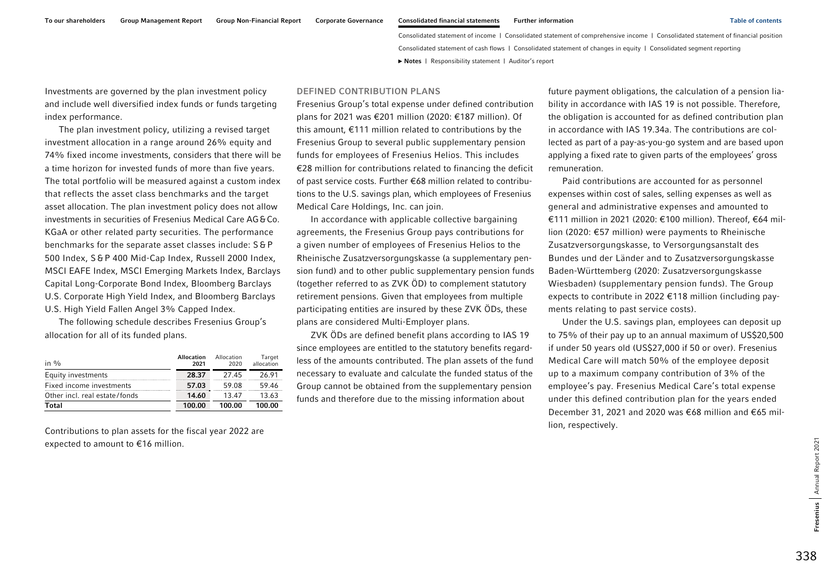Investments are governed by the plan investment policy and include well diversified index funds or funds targeting index performance.

The plan investment policy, utilizing a revised target investment allocation in a range around 26% equity and 74% fixed income investments, considers that there will be a time horizon for invested funds of more than five years. The total portfolio will be measured against a custom index that reflects the asset class benchmarks and the target asset allocation. The plan investment policy does not allow investments in securities of Fresenius Medical Care AG&Co. KGaA or other related party securities. The performance benchmarks for the separate asset classes include: S&P 500 Index, S&P 400 Mid-Cap Index, Russell 2000 Index, MSCI EAFE Index, MSCI Emerging Markets Index, Barclays Capital Long-Corporate Bond Index, Bloomberg Barclays U.S. Corporate High Yield Index, and Bloomberg Barclays U.S. High Yield Fallen Angel 3% Capped Index.

The following schedule describes Fresenius Group's allocation for all of its funded plans.

| in $\%$                       | Allocation<br>2021 | Allocation<br>2020 | Target<br>allocation |
|-------------------------------|--------------------|--------------------|----------------------|
| Equity investments            | 28.37              | 2745               | 26.91                |
| Fixed income investments      | 57.03              | 59.08              | 59.46                |
| Other incl. real estate/fonds | 14.60              | 1347               | 13.63                |
| Total                         | 100.00             | 100.00             | 100.00               |

Contributions to plan assets for the fiscal year 2022 are expected to amount to €16 million.

### DEFINED CONTRIBUTION PLANS

Fresenius Group's total expense under defined contribution plans for 2021 was €201 million (2020: €187 million). Of this amount, €111 million related to contributions by the Fresenius Group to several public supplementary pension funds for employees of Fresenius Helios. This includes €28 million for contributions related to financing the deficit of past service costs. Further €68 million related to contributions to the U.S. savings plan, which employees of Fresenius Medical Care Holdings, Inc. can join.

In accordance with applicable collective bargaining agreements, the Fresenius Group pays contributions for a given number of employees of Fresenius Helios to the Rheinische Zusatzversorgungskasse (a supplementary pension fund) and to other public supplementary pension funds (together referred to as ZVK ÖD) to complement statutory retirement pensions. Given that employees from multiple participating entities are insured by these ZVK ÖDs, these plans are considered Multi-Employer plans.

ZVK ÖDs are defined benefit plans according to IAS 19 since employees are entitled to the statutory benefits regardless of the amounts contributed. The plan assets of the fund necessary to evaluate and calculate the funded status of the Group cannot be obtained from the supplementary pension funds and therefore due to the missing information about

future payment obligations, the calculation of a pension liability in accordance with IAS 19 is not possible. Therefore, the obligation is accounted for as defined contribution plan in accordance with IAS 19.34a. The contributions are collected as part of a pay-as-you-go system and are based upon applying a fixed rate to given parts of the employees' gross remuneration.

Paid contributions are accounted for as personnel expenses within cost of sales, selling expenses as well as general and administrative expenses and amounted to €111 million in 2021 (2020: €100 million). Thereof, €64 million (2020: €57 million) were payments to Rheinische Zusatzversorgungskasse, to Versorgungsanstalt des Bundes und der Länder and to Zusatzversorgungskasse Baden-Württemberg (2020: Zusatzversorgungskasse Wiesbaden) (supplementary pension funds). The Group expects to contribute in 2022 €118 million (including payments relating to past service costs).

Under the U.S. savings plan, employees can deposit up to 75% of their pay up to an annual maximum of US\$20,500 if under 50 years old (US\$27,000 if 50 or over). Fresenius Medical Care will match 50% of the employee deposit up to a maximum company contribution of 3% of the employee's pay. Fresenius Medical Care's total expense under this defined contribution plan for the years ended December 31, 2021 and 2020 was €68 million and €65 million, respectively.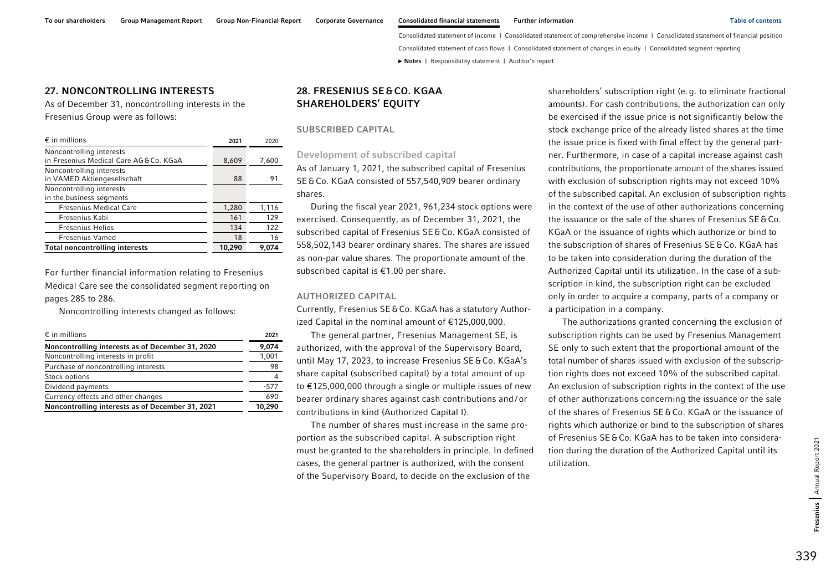## 27. NONCONTROLLING INTERESTS

As of December 31, noncontrolling interests in the Fresenius Group were as follows:

| $\epsilon$ in millions                                            | 2021   | 2020  |
|-------------------------------------------------------------------|--------|-------|
| Noncontrolling interests<br>in Fresenius Medical Care AG&Co. KGaA | 8,609  | 7,600 |
| Noncontrolling interests<br>in VAMED Aktiengesellschaft           | 88     | 91    |
| Noncontrolling interests<br>in the business segments              |        |       |
| <b>Fresenius Medical Care</b>                                     | 1,280  | 1,116 |
| Fresenius Kabi                                                    | 161    | 129   |
| <b>Fresenius Helios</b>                                           | 134    | 122   |
| <b>Fresenius Vamed</b>                                            | 18     | 16    |
| <b>Total noncontrolling interests</b>                             | 10,290 | 9.074 |

For further financial information relating to Fresenius Medical Care see the consolidated segment reporting on pages 285 to 286.

Noncontrolling interests changed as follows:

| $\epsilon$ in millions                           | 2021   |  |
|--------------------------------------------------|--------|--|
| Noncontrolling interests as of December 31, 2020 | 9,074  |  |
| Noncontrolling interests in profit               | 1,001  |  |
| Purchase of noncontrolling interests             |        |  |
| Stock options                                    |        |  |
| Dividend payments                                | $-577$ |  |
| Currency effects and other changes               | 690    |  |
| Noncontrolling interests as of December 31, 2021 | 10,290 |  |

# 28. FRESENIUS SE&CO. KGAA SHAREHOLDERS' EQUITY

SUBSCRIBED CAPITAL

Development of subscribed capital

As of January 1, 2021, the subscribed capital of Fresenius SE&Co. KGaA consisted of 557,540,909 bearer ordinary shares.

During the fiscal year 2021, 961,234 stock options were exercised. Consequently, as of December 31, 2021, the subscribed capital of Fresenius SE&Co. KGaA consisted of 558,502,143 bearer ordinary shares. The shares are issued as non-par value shares. The proportionate amount of the subscribed capital is €1.00 per share.

#### AUTHORIZED CAPITAL

Currently, Fresenius SE&Co. KGaA has a statutory Authorized Capital in the nominal amount of €125,000,000.

The general partner, Fresenius Management SE, is authorized, with the approval of the Supervisory Board, until May 17, 2023, to increase Fresenius SE&Co. KGaA's share capital (subscribed capital) by a total amount of up to €125,000,000 through a single or multiple issues of new bearer ordinary shares against cash contributions and / or contributions in kind (Authorized Capital I).

The number of shares must increase in the same proportion as the subscribed capital. A subscription right must be granted to the shareholders in principle. In defined cases, the general partner is authorized, with the consent of the Supervisory Board, to decide on the exclusion of the

shareholders' subscription right (e.g. to eliminate fractional amounts). For cash contributions, the authorization can only be exercised if the issue price is not significantly below the stock exchange price of the already listed shares at the time the issue price is fixed with final effect by the general partner. Furthermore, in case of a capital increase against cash contributions, the proportionate amount of the shares issued with exclusion of subscription rights may not exceed 10% of the subscribed capital. An exclusion of subscription rights in the context of the use of other authorizations concerning the issuance or the sale of the shares of Fresenius SE&Co. KGaA or the issuance of rights which authorize or bind to the subscription of shares of Fresenius SE&Co. KGaA has to be taken into consideration during the duration of the Authorized Capital until its utilization. In the case of a subscription in kind, the subscription right can be excluded only in order to acquire a company, parts of a company or a participation in a company.

The authorizations granted concerning the exclusion of subscription rights can be used by Fresenius Management SE only to such extent that the proportional amount of the total number of shares issued with exclusion of the subscription rights does not exceed 10% of the subscribed capital. An exclusion of subscription rights in the context of the use of other authorizations concerning the issuance or the sale of the shares of Fresenius SE&Co. KGaA or the issuance of rights which authorize or bind to the subscription of shares of Fresenius SE&Co. KGaA has to be taken into consideration during the duration of the Authorized Capital until its utilization.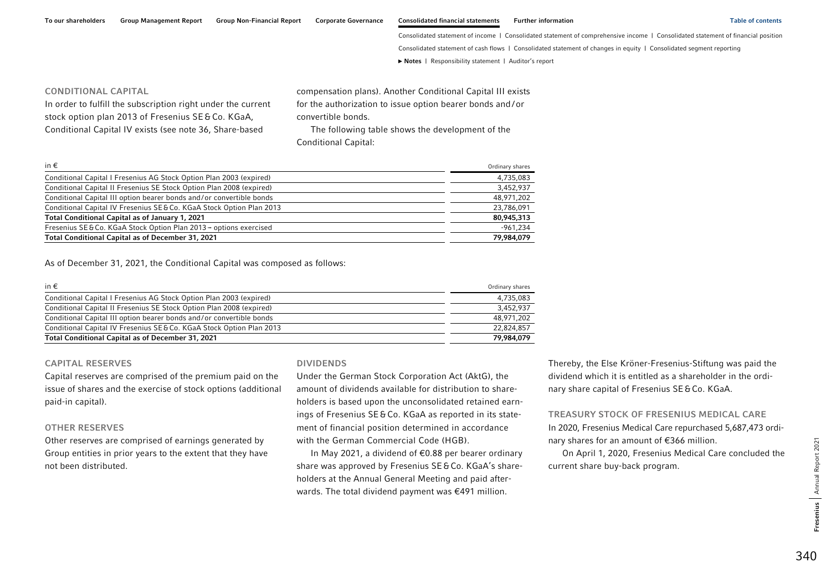To our shareholders Group Management Report Group Non-Financial Report Corporate Governance Consolidated financial statements Further information Table of contents Table of contents

Consolidated statement of income | Consolidated statement of comprehensive income | Consolidated statement of financial position

Consolidated statement of cash flows | Consolidated statement of changes in equity | Consolidated segment reporting

**►** [Notes](#page-0-0) | [Responsibility statement](#page-97-0) | [Auditor's report](#page-98-0) 

### CONDITIONAL CAPITAL

In order to fulfill the subscription right under the current stock option plan 2013 of Fresenius SE&Co. KGaA, Conditional Capital IV exists (see note 36, Share-based

compensation plans). Another Conditional Capital III exists for the authorization to issue option bearer bonds and /or convertible bonds.

The following table shows the development of the Conditional Capital:

| in $\epsilon$                                                        | Ordinary shares |
|----------------------------------------------------------------------|-----------------|
| Conditional Capital I Fresenius AG Stock Option Plan 2003 (expired)  | 4,735,083       |
| Conditional Capital II Fresenius SE Stock Option Plan 2008 (expired) | 3,452,937       |
| Conditional Capital III option bearer bonds and/or convertible bonds | 48,971,202      |
| Conditional Capital IV Fresenius SE&Co. KGaA Stock Option Plan 2013  | 23.786.091      |
| Total Conditional Capital as of January 1, 2021                      | 80.945.313      |
| Fresenius SE & Co. KGaA Stock Option Plan 2013 - options exercised   | $-961.234$      |
| <b>Total Conditional Capital as of December 31, 2021</b>             | 79,984,079      |

As of December 31, 2021, the Conditional Capital was composed as follows:

| in €                                                                 | Ordinary shares |
|----------------------------------------------------------------------|-----------------|
| Conditional Capital I Fresenius AG Stock Option Plan 2003 (expired)  | 4.735.083       |
| Conditional Capital II Fresenius SE Stock Option Plan 2008 (expired) | 3,452,937       |
| Conditional Capital III option bearer bonds and/or convertible bonds | 48.971.202      |
| Conditional Capital IV Fresenius SE&Co. KGaA Stock Option Plan 2013  | 22.824.857      |
| <b>Total Conditional Capital as of December 31, 2021</b>             | 79,984,079      |

### CAPITAL RESERVES

Capital reserves are comprised of the premium paid on the issue of shares and the exercise of stock options (additional paid-in capital).

#### OTHER RESERVES

Other reserves are comprised of earnings generated by Group entities in prior years to the extent that they have not been distributed.

### DIVIDENDS

Under the German Stock Corporation Act (AktG), the amount of dividends available for distribution to shareholders is based upon the unconsolidated retained earnings of Fresenius SE&Co. KGaA as reported in its statement of financial position determined in accordance with the German Commercial Code (HGB).

In May 2021, a dividend of €0.88 per bearer ordinary share was approved by Fresenius SE&Co. KGaA's shareholders at the Annual General Meeting and paid afterwards. The total dividend payment was €491 million.

Thereby, the Else Kröner-Fresenius-Stiftung was paid the dividend which it is entitled as a shareholder in the ordinary share capital of Fresenius SE&Co. KGaA.

TREASURY STOCK OF FRESENIUS MEDICAL CARE In 2020, Fresenius Medical Care repurchased 5,687,473 ordinary shares for an amount of €366 million.

On April 1, 2020, Fresenius Medical Care concluded the current share buy-back program.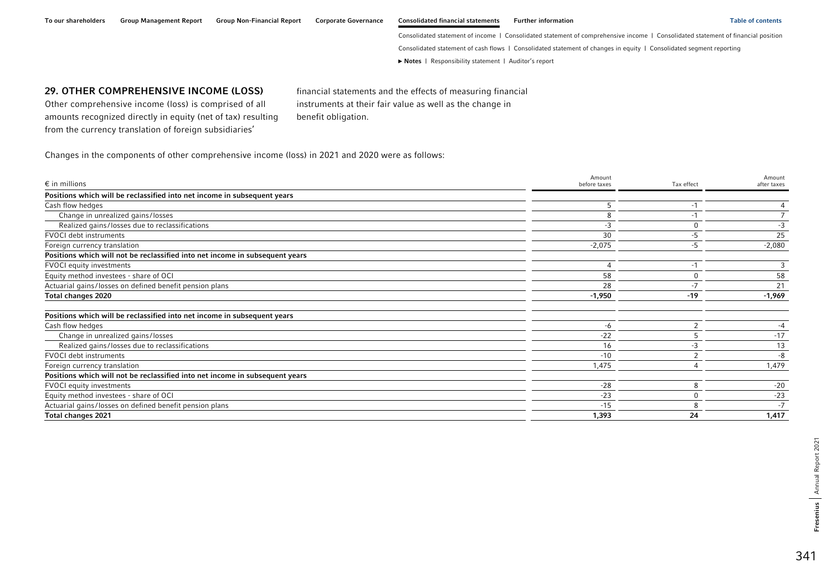#### To our shareholders Group Management Report Group Non-Financial Report Corporate Governance Consolidated financial statements Further information Table of contents Table of contents

Consolidated statement of income | Consolidated statement of comprehensive income | Consolidated statement of financial position Consolidated statement of cash flows | Consolidated statement of changes in equity | Consolidated segment reporting **►** [Notes](#page-0-0) | [Responsibility statement](#page-97-0) | [Auditor's report](#page-98-0) 

## 29. OTHER COMPREHENSIVE INCOME (LOSS)

Other comprehensive income (loss) is comprised of all amounts recognized directly in equity (net of tax) resulting from the currency translation of foreign subsidiaries'

financial statements and the effects of measuring financial instruments at their fair value as well as the change in benefit obligation.

Changes in the components of other comprehensive income (loss) in 2021 and 2020 were as follows:

| $\epsilon$ in millions                                                       | Amount<br>before taxes | Tax effect | Amount<br>after taxes |
|------------------------------------------------------------------------------|------------------------|------------|-----------------------|
| Positions which will be reclassified into net income in subsequent years     |                        |            |                       |
| Cash flow hedges                                                             |                        |            |                       |
| Change in unrealized gains/losses                                            |                        |            |                       |
| Realized gains/losses due to reclassifications                               | -3                     |            |                       |
| <b>FVOCI</b> debt instruments                                                | 30                     | -5         | 25                    |
| Foreign currency translation                                                 | $-2,075$               | -5         | $-2,080$              |
| Positions which will not be reclassified into net income in subsequent years |                        |            |                       |
| <b>FVOCI</b> equity investments                                              |                        | $-1$       | 3                     |
| Equity method investees - share of OCI                                       | 58                     |            | 58                    |
| Actuarial gains/losses on defined benefit pension plans                      | 28                     |            | 21                    |
| Total changes 2020                                                           | $-1,950$               | $-19$      | $-1,969$              |
| Positions which will be reclassified into net income in subsequent years     |                        |            |                       |
| Cash flow hedges                                                             | -6                     | ົ          | $-4$                  |
| Change in unrealized gains/losses                                            | $-22$                  |            | $-17$                 |
| Realized gains/losses due to reclassifications                               | 16                     | -3         | 13                    |
| FVOCI debt instruments                                                       | $-10$                  |            | -8                    |
| Foreign currency translation                                                 | 1,475                  |            | 1,479                 |
| Positions which will not be reclassified into net income in subsequent years |                        |            |                       |
| <b>FVOCI</b> equity investments                                              | $-28$                  | 8          | $-20$                 |
| Equity method investees - share of OCI                                       | $-23$                  |            | $-23$                 |
| Actuarial gains/losses on defined benefit pension plans                      | $-15$                  | 8          | $-7$                  |
| Total changes 2021                                                           | 1,393                  | 24         | 1,417                 |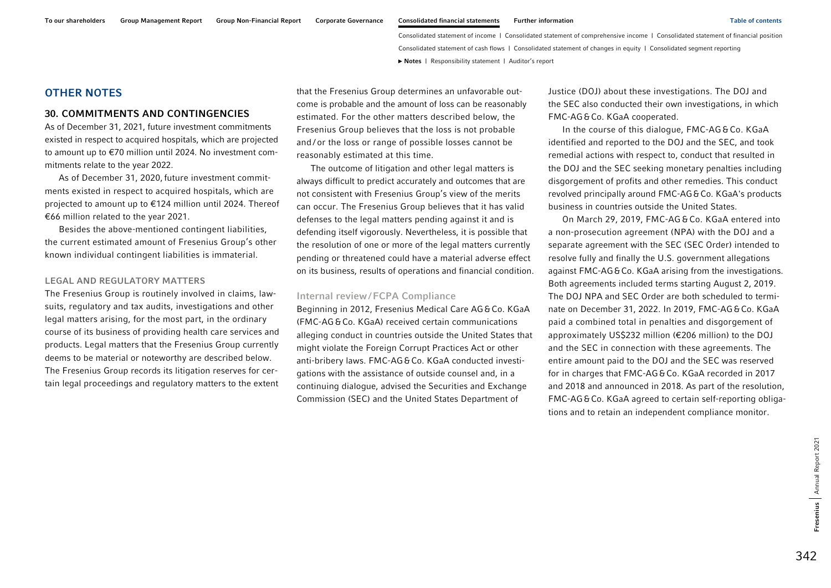## OTHER NOTES

### 30. COMMITMENTS AND CONTINGENCIES

As of December 31, 2021, future investment commitments existed in respect to acquired hospitals, which are projected to amount up to €70 million until 2024. No investment commitments relate to the year 2022.

As of December 31, 2020, future investment commitments existed in respect to acquired hospitals, which are projected to amount up to €124 million until 2024. Thereof €66 million related to the year 2021.

Besides the above-mentioned contingent liabilities, the current estimated amount of Fresenius Group's other known individual contingent liabilities is immaterial.

#### LEGAL AND REGULATORY MATTERS

The Fresenius Group is routinely involved in claims, lawsuits, regulatory and tax audits, investigations and other legal matters arising, for the most part, in the ordinary course of its business of providing health care services and products. Legal matters that the Fresenius Group currently deems to be material or noteworthy are described below. The Fresenius Group records its litigation reserves for certain legal proceedings and regulatory matters to the extent

that the Fresenius Group determines an unfavorable outcome is probable and the amount of loss can be reasonably estimated. For the other matters described below, the Fresenius Group believes that the loss is not probable and / or the loss or range of possible losses cannot be reasonably estimated at this time.

The outcome of litigation and other legal matters is always difficult to predict accurately and outcomes that are not consistent with Fresenius Group's view of the merits can occur. The Fresenius Group believes that it has valid defenses to the legal matters pending against it and is defending itself vigorously. Nevertheless, it is possible that the resolution of one or more of the legal matters currently pending or threatened could have a material adverse effect on its business, results of operations and financial condition.

#### Internal review /FCPA Compliance

Beginning in 2012, Fresenius Medical Care AG&Co. KGaA (FMC-AG&Co. KGaA) received certain communications alleging conduct in countries outside the United States that might violate the Foreign Corrupt Practices Act or other anti-bribery laws. FMC-AG&Co. KGaA conducted investigations with the assistance of outside counsel and, in a continuing dialogue, advised the Securities and Exchange Commission (SEC) and the United States Department of

Justice (DOJ) about these investigations. The DOJ and the SEC also conducted their own investigations, in which FMC-AG&Co. KGaA cooperated.

In the course of this dialogue, FMC-AG&Co. KGaA identified and reported to the DOJ and the SEC, and took remedial actions with respect to, conduct that resulted in the DOJ and the SEC seeking monetary penalties including disgorgement of profits and other remedies. This conduct revolved principally around FMC-AG&Co. KGaA's products business in countries outside the United States.

On March 29, 2019, FMC-AG&Co. KGaA entered into a non-prosecution agreement (NPA) with the DOJ and a separate agreement with the SEC (SEC Order) intended to resolve fully and finally the U.S. government allegations against FMC-AG&Co. KGaA arising from the investigations. Both agreements included terms starting August 2, 2019. The DOJ NPA and SEC Order are both scheduled to terminate on December 31, 2022. In 2019, FMC-AG&Co. KGaA paid a combined total in penalties and disgorgement of approximately US\$232 million (€206 million) to the DOJ and the SEC in connection with these agreements. The entire amount paid to the DOJ and the SEC was reserved for in charges that FMC-AG&Co. KGaA recorded in 2017 and 2018 and announced in 2018. As part of the resolution, FMC-AG&Co. KGaA agreed to certain self-reporting obligations and to retain an independent compliance monitor.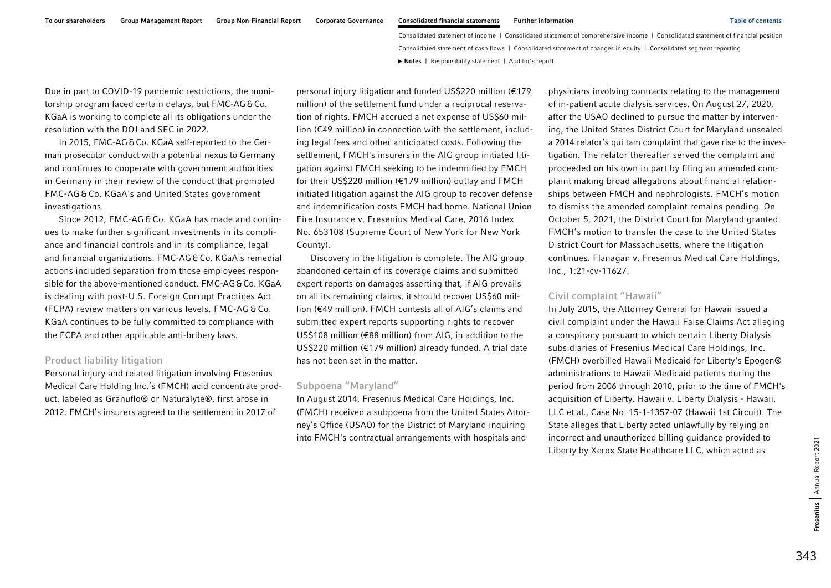Due in part to COVID-19 pandemic restrictions, the monitorship program faced certain delays, but FMC-AG&Co. KGaA is working to complete all its obligations under the resolution with the DOJ and SEC in 2022.

In 2015, FMC-AG&Co. KGaA self-reported to the German prosecutor conduct with a potential nexus to Germany and continues to cooperate with government authorities in Germany in their review of the conduct that prompted FMC-AG &Co. KGaA's and United States government investigations.

Since 2012, FMC-AG & Co. KGaA has made and continues to make further significant investments in its compliance and financial controls and in its compliance, legal and financial organizations. FMC-AG&Co. KGaA's remedial actions included separation from those employees responsible for the above-mentioned conduct. FMC-AG&Co. KGaA is dealing with post-U.S. Foreign Corrupt Practices Act (FCPA) review matters on various levels. FMC-AG & Co. KGaA continues to be fully committed to compliance with the FCPA and other applicable anti-bribery laws.

### Product liability litigation

Personal injury and related litigation involving Fresenius Medical Care Holding Inc.'s (FMCH) acid concentrate product, labeled as Granuflo® or Naturalyte®, first arose in 2012. FMCH's insurers agreed to the settlement in 2017 of

personal injury litigation and funded US\$220 million (€179 million) of the settlement fund under a reciprocal reservation of rights. FMCH accrued a net expense of US\$60 million (€49 million) in connection with the settlement, including legal fees and other anticipated costs. Following the settlement, FMCH's insurers in the AIG group initiated litigation against FMCH seeking to be indemnified by FMCH for their US\$220 million (€179 million) outlay and FMCH initiated litigation against the AIG group to recover defense and indemnification costs FMCH had borne. National Union Fire Insurance v. Fresenius Medical Care, 2016 Index No. 653108 (Supreme Court of New York for New York County).

Discovery in the litigation is complete. The AIG group abandoned certain of its coverage claims and submitted expert reports on damages asserting that, if AIG prevails on all its remaining claims, it should recover US\$60 million (€49 million). FMCH contests all of AIG's claims and submitted expert reports supporting rights to recover US\$108 million (€88 million) from AIG, in addition to the US\$220 million (€179 million) already funded. A trial date has not been set in the matter.

#### Subpoena ''Maryland''

In August 2014, Fresenius Medical Care Holdings, Inc. (FMCH) received a subpoena from the United States Attorney's Office (USAO) for the District of Maryland inquiring into FMCH's contractual arrangements with hospitals and

physicians involving contracts relating to the management of in-patient acute dialysis services. On August 27, 2020, after the USAO declined to pursue the matter by intervening, the United States District Court for Maryland unsealed a 2014 relator's qui tam complaint that gave rise to the investigation. The relator thereafter served the complaint and proceeded on his own in part by filing an amended complaint making broad allegations about financial relationships between FMCH and nephrologists. FMCH's motion to dismiss the amended complaint remains pending. On October 5, 2021, the District Court for Maryland granted FMCH's motion to transfer the case to the United States District Court for Massachusetts, where the litigation continues. Flanagan v. Fresenius Medical Care Holdings, Inc., 1:21-cv-11627.

#### Civil complaint ''Hawaii''

In July 2015, the Attorney General for Hawaii issued a civil complaint under the Hawaii False Claims Act alleging a conspiracy pursuant to which certain Liberty Dialysis subsidiaries of Fresenius Medical Care Holdings, Inc. (FMCH) overbilled Hawaii Medicaid for Liberty's Epogen® administrations to Hawaii Medicaid patients during the period from 2006 through 2010, prior to the time of FMCH's acquisition of Liberty. Hawaii v. Liberty Dialysis - Hawaii, LLC et al., Case No. 15-1-1357-07 (Hawaii 1st Circuit). The State alleges that Liberty acted unlawfully by relying on incorrect and unauthorized billing guidance provided to Liberty by Xerox State Healthcare LLC, which acted as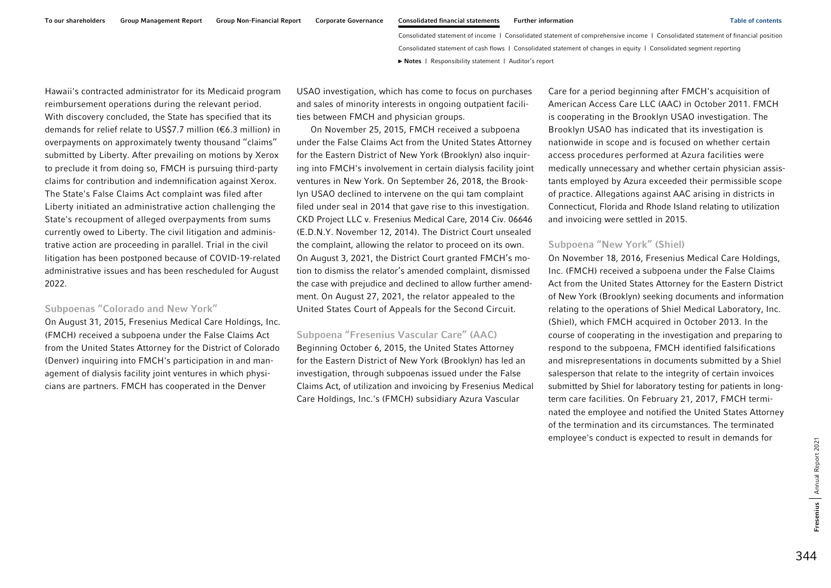Hawaii's contracted administrator for its Medicaid program reimbursement operations during the relevant period. With discovery concluded, the State has specified that its demands for relief relate to US\$7.7 million (€6.3 million) in overpayments on approximately twenty thousand ''claims'' submitted by Liberty. After prevailing on motions by Xerox to preclude it from doing so, FMCH is pursuing third-party claims for contribution and indemnification against Xerox. The State's False Claims Act complaint was filed after Liberty initiated an administrative action challenging the State's recoupment of alleged overpayments from sums currently owed to Liberty. The civil litigation and administrative action are proceeding in parallel. Trial in the civil litigation has been postponed because of COVID-19-related administrative issues and has been rescheduled for August 2022.

### Subpoenas ''Colorado and New York''

On August 31, 2015, Fresenius Medical Care Holdings, Inc. (FMCH) received a subpoena under the False Claims Act from the United States Attorney for the District of Colorado (Denver) inquiring into FMCH's participation in and management of dialysis facility joint ventures in which physicians are partners. FMCH has cooperated in the Denver

USAO investigation, which has come to focus on purchases and sales of minority interests in ongoing outpatient facilities between FMCH and physician groups.

On November 25, 2015, FMCH received a subpoena under the False Claims Act from the United States Attorney for the Eastern District of New York (Brooklyn) also inquiring into FMCH's involvement in certain dialysis facility joint ventures in New York. On September 26, 2018, the Brooklyn USAO declined to intervene on the qui tam complaint filed under seal in 2014 that gave rise to this investigation. CKD Project LLC v. Fresenius Medical Care, 2014 Civ. 06646 (E.D.N.Y. November 12, 2014). The District Court unsealed the complaint, allowing the relator to proceed on its own. On August 3, 2021, the District Court granted FMCH's motion to dismiss the relator's amended complaint, dismissed the case with prejudice and declined to allow further amendment. On August 27, 2021, the relator appealed to the United States Court of Appeals for the Second Circuit.

#### Subpoena ''Fresenius Vascular Care'' (AAC)

Beginning October 6, 2015, the United States Attorney for the Eastern District of New York (Brooklyn) has led an investigation, through subpoenas issued under the False Claims Act, of utilization and invoicing by Fresenius Medical Care Holdings, Inc.'s (FMCH) subsidiary Azura Vascular

Care for a period beginning after FMCH's acquisition of American Access Care LLC (AAC) in October 2011. FMCH is cooperating in the Brooklyn USAO investigation. The Brooklyn USAO has indicated that its investigation is nationwide in scope and is focused on whether certain access procedures performed at Azura facilities were medically unnecessary and whether certain physician assistants employed by Azura exceeded their permissible scope of practice. Allegations against AAC arising in districts in Connecticut, Florida and Rhode Island relating to utilization and invoicing were settled in 2015.

### Subpoena ''New York'' (Shiel)

On November 18, 2016, Fresenius Medical Care Holdings, Inc. (FMCH) received a subpoena under the False Claims Act from the United States Attorney for the Eastern District of New York (Brooklyn) seeking documents and information relating to the operations of Shiel Medical Laboratory, Inc. (Shiel), which FMCH acquired in October 2013. In the course of cooperating in the investigation and preparing to respond to the subpoena, FMCH identified falsifications and misrepresentations in documents submitted by a Shiel salesperson that relate to the integrity of certain invoices submitted by Shiel for laboratory testing for patients in longterm care facilities. On February 21, 2017, FMCH terminated the employee and notified the United States Attorney of the termination and its circumstances. The terminated employee's conduct is expected to result in demands for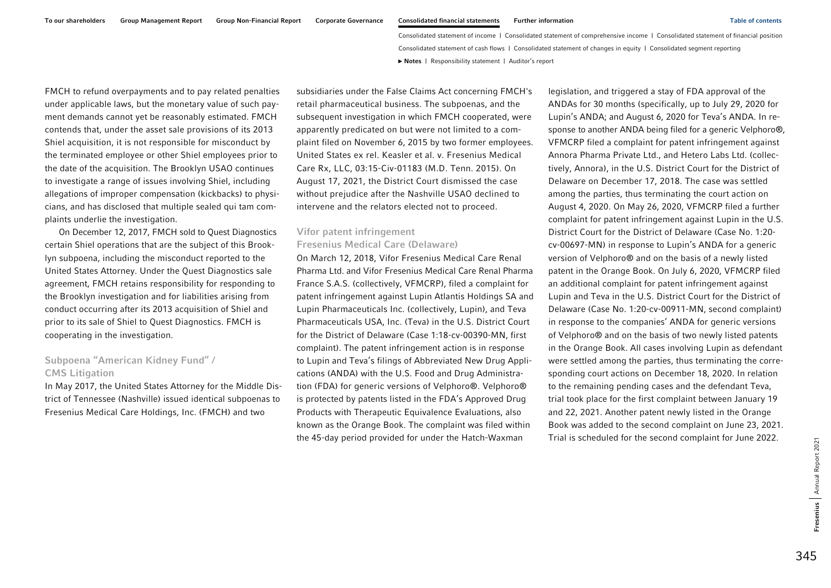FMCH to refund overpayments and to pay related penalties under applicable laws, but the monetary value of such payment demands cannot yet be reasonably estimated. FMCH contends that, under the asset sale provisions of its 2013 Shiel acquisition, it is not responsible for misconduct by the terminated employee or other Shiel employees prior to the date of the acquisition. The Brooklyn USAO continues to investigate a range of issues involving Shiel, including allegations of improper compensation (kickbacks) to physicians, and has disclosed that multiple sealed qui tam complaints underlie the investigation.

On December 12, 2017, FMCH sold to Quest Diagnostics certain Shiel operations that are the subject of this Brooklyn subpoena, including the misconduct reported to the United States Attorney. Under the Quest Diagnostics sale agreement, FMCH retains responsibility for responding to the Brooklyn investigation and for liabilities arising from conduct occurring after its 2013 acquisition of Shiel and prior to its sale of Shiel to Quest Diagnostics. FMCH is cooperating in the investigation.

# Subpoena ''American Kidney Fund'' / CMS Litigation

In May 2017, the United States Attorney for the Middle District of Tennessee (Nashville) issued identical subpoenas to Fresenius Medical Care Holdings, Inc. (FMCH) and two

subsidiaries under the False Claims Act concerning FMCH's retail pharmaceutical business. The subpoenas, and the subsequent investigation in which FMCH cooperated, were apparently predicated on but were not limited to a complaint filed on November 6, 2015 by two former employees. United States ex rel. Keasler et al. v. Fresenius Medical Care Rx, LLC, 03:15-Civ-01183 (M.D. Tenn. 2015). On August 17, 2021, the District Court dismissed the case without prejudice after the Nashville USAO declined to intervene and the relators elected not to proceed.

## Vifor patent infringement Fresenius Medical Care (Delaware)

On March 12, 2018, Vifor Fresenius Medical Care Renal Pharma Ltd. and Vifor Fresenius Medical Care Renal Pharma France S.A.S. (collectively, VFMCRP), filed a complaint for patent infringement against Lupin Atlantis Holdings SA and Lupin Pharmaceuticals Inc. (collectively, Lupin), and Teva Pharmaceuticals USA, Inc. (Teva) in the U.S. District Court for the District of Delaware (Case 1:18-cv-00390-MN, first complaint). The patent infringement action is in response to Lupin and Teva's filings of Abbreviated New Drug Applications (ANDA) with the U.S. Food and Drug Administration (FDA) for generic versions of Velphoro®. Velphoro® is protected by patents listed in the FDA's Approved Drug Products with Therapeutic Equivalence Evaluations, also known as the Orange Book. The complaint was filed within the 45-day period provided for under the Hatch-Waxman

legislation, and triggered a stay of FDA approval of the ANDAs for 30 months (specifically, up to July 29, 2020 for Lupin's ANDA; and August 6, 2020 for Teva's ANDA. In response to another ANDA being filed for a generic Velphoro®, VFMCRP filed a complaint for patent infringement against Annora Pharma Private Ltd., and Hetero Labs Ltd. (collectively, Annora), in the U.S. District Court for the District of Delaware on December 17, 2018. The case was settled among the parties, thus terminating the court action on August 4, 2020. On May 26, 2020, VFMCRP filed a further complaint for patent infringement against Lupin in the U.S. District Court for the District of Delaware (Case No. 1:20 cv-00697-MN) in response to Lupin's ANDA for a generic version of Velphoro® and on the basis of a newly listed patent in the Orange Book. On July 6, 2020, VFMCRP filed an additional complaint for patent infringement against Lupin and Teva in the U.S. District Court for the District of Delaware (Case No. 1:20-cv-00911-MN, second complaint) in response to the companies' ANDA for generic versions of Velphoro® and on the basis of two newly listed patents in the Orange Book. All cases involving Lupin as defendant were settled among the parties, thus terminating the corresponding court actions on December 18, 2020. In relation to the remaining pending cases and the defendant Teva, trial took place for the first complaint between January 19 and 22, 2021. Another patent newly listed in the Orange Book was added to the second complaint on June 23, 2021. Trial is scheduled for the second complaint for June 2022.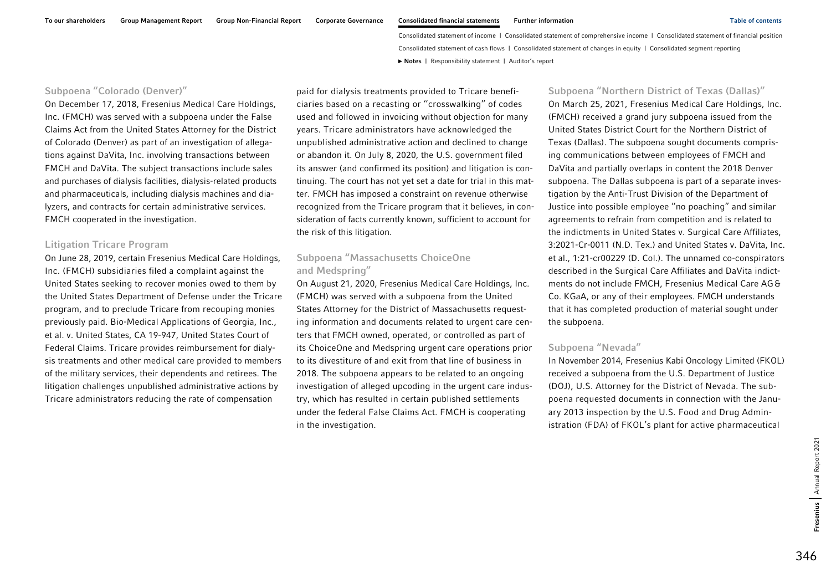### Subpoena ''Colorado (Denver)''

On December 17, 2018, Fresenius Medical Care Holdings, Inc. (FMCH) was served with a subpoena under the False Claims Act from the United States Attorney for the District of Colorado (Denver) as part of an investigation of allegations against DaVita, Inc. involving transactions between FMCH and DaVita. The subject transactions include sales and purchases of dialysis facilities, dialysis-related products and pharmaceuticals, including dialysis machines and dialyzers, and contracts for certain administrative services. FMCH cooperated in the investigation.

### Litigation Tricare Program

On June 28, 2019, certain Fresenius Medical Care Holdings, Inc. (FMCH) subsidiaries filed a complaint against the United States seeking to recover monies owed to them by the United States Department of Defense under the Tricare program, and to preclude Tricare from recouping monies previously paid. Bio-Medical Applications of Georgia, Inc., et al. v. United States, CA 19-947, United States Court of Federal Claims. Tricare provides reimbursement for dialysis treatments and other medical care provided to members of the military services, their dependents and retirees. The litigation challenges unpublished administrative actions by Tricare administrators reducing the rate of compensation

paid for dialysis treatments provided to Tricare beneficiaries based on a recasting or ''crosswalking'' of codes used and followed in invoicing without objection for many years. Tricare administrators have acknowledged the unpublished administrative action and declined to change or abandon it. On July 8, 2020, the U.S. government filed its answer (and confirmed its position) and litigation is continuing. The court has not yet set a date for trial in this matter. FMCH has imposed a constraint on revenue otherwise recognized from the Tricare program that it believes, in consideration of facts currently known, sufficient to account for the risk of this litigation.

# Subpoena ''Massachusetts ChoiceOne and Medspring''

On August 21, 2020, Fresenius Medical Care Holdings, Inc. (FMCH) was served with a subpoena from the United States Attorney for the District of Massachusetts requesting information and documents related to urgent care centers that FMCH owned, operated, or controlled as part of its ChoiceOne and Medspring urgent care operations prior to its divestiture of and exit from that line of business in 2018. The subpoena appears to be related to an ongoing investigation of alleged upcoding in the urgent care industry, which has resulted in certain published settlements under the federal False Claims Act. FMCH is cooperating in the investigation.

#### Subpoena ''Northern District of Texas (Dallas)''

On March 25, 2021, Fresenius Medical Care Holdings, Inc. (FMCH) received a grand jury subpoena issued from the United States District Court for the Northern District of Texas (Dallas). The subpoena sought documents comprising communications between employees of FMCH and DaVita and partially overlaps in content the 2018 Denver subpoena. The Dallas subpoena is part of a separate investigation by the Anti-Trust Division of the Department of Justice into possible employee ''no poaching'' and similar agreements to refrain from competition and is related to the indictments in United States v. Surgical Care Affiliates, 3:2021-Cr-0011 (N.D. Tex.) and United States v. DaVita, Inc. et al., 1:21-cr00229 (D. Col.). The unnamed co-conspirators described in the Surgical Care Affiliates and DaVita indictments do not include FMCH, Fresenius Medical Care AG& Co. KGaA, or any of their employees. FMCH understands that it has completed production of material sought under the subpoena.

#### Subpoena ''Nevada''

In November 2014, Fresenius Kabi Oncology Limited (FKOL) received a subpoena from the U.S. Department of Justice (DOJ), U.S. Attorney for the District of Nevada. The subpoena requested documents in connection with the January 2013 inspection by the U.S. Food and Drug Administration (FDA) of FKOL's plant for active pharmaceutical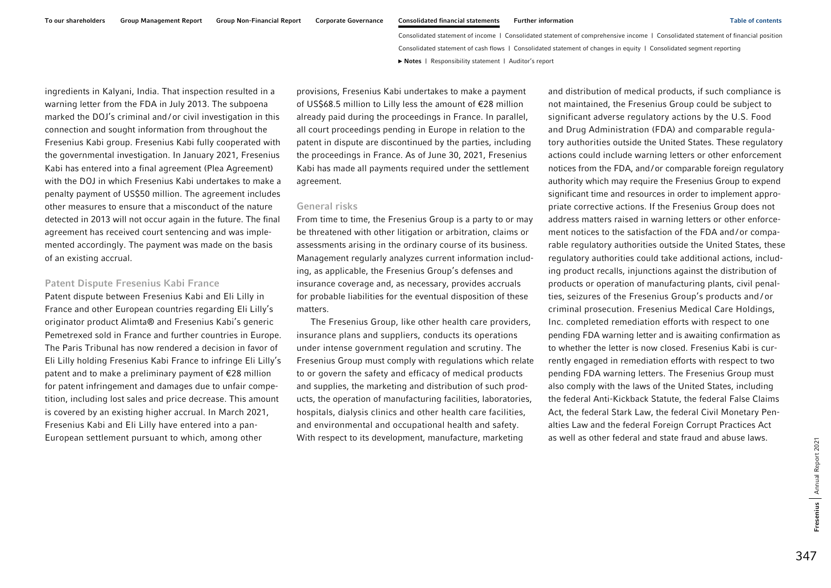ingredients in Kalyani, India. That inspection resulted in a warning letter from the FDA in July 2013. The subpoena marked the DOJ's criminal and/ or civil investigation in this connection and sought information from throughout the Fresenius Kabi group. Fresenius Kabi fully cooperated with the governmental investigation. In January 2021, Fresenius Kabi has entered into a final agreement (Plea Agreement) with the DOJ in which Fresenius Kabi undertakes to make a penalty payment of US\$50 million. The agreement includes other measures to ensure that a misconduct of the nature detected in 2013 will not occur again in the future. The final agreement has received court sentencing and was implemented accordingly. The payment was made on the basis of an existing accrual.

#### Patent Dispute Fresenius Kabi France

Patent dispute between Fresenius Kabi and Eli Lilly in France and other European countries regarding Eli Lilly's originator product Alimta® and Fresenius Kabi's generic Pemetrexed sold in France and further countries in Europe. The Paris Tribunal has now rendered a decision in favor of Eli Lilly holding Fresenius Kabi France to infringe Eli Lilly's patent and to make a preliminary payment of €28 million for patent infringement and damages due to unfair competition, including lost sales and price decrease. This amount is covered by an existing higher accrual. In March 2021, Fresenius Kabi and Eli Lilly have entered into a pan-European settlement pursuant to which, among other

provisions, Fresenius Kabi undertakes to make a payment of US\$68.5 million to Lilly less the amount of €28 million already paid during the proceedings in France. In parallel, all court proceedings pending in Europe in relation to the patent in dispute are discontinued by the parties, including the proceedings in France. As of June 30, 2021, Fresenius Kabi has made all payments required under the settlement agreement.

#### General risks

From time to time, the Fresenius Group is a party to or may be threatened with other litigation or arbitration, claims or assessments arising in the ordinary course of its business. Management regularly analyzes current information including, as applicable, the Fresenius Group's defenses and insurance coverage and, as necessary, provides accruals for probable liabilities for the eventual disposition of these matters.

The Fresenius Group, like other health care providers, insurance plans and suppliers, conducts its operations under intense government regulation and scrutiny. The Fresenius Group must comply with regulations which relate to or govern the safety and efficacy of medical products and supplies, the marketing and distribution of such products, the operation of manufacturing facilities, laboratories, hospitals, dialysis clinics and other health care facilities, and environmental and occupational health and safety. With respect to its development, manufacture, marketing

and distribution of medical products, if such compliance is not maintained, the Fresenius Group could be subject to significant adverse regulatory actions by the U.S. Food and Drug Administration (FDA) and comparable regulatory authorities outside the United States. These regulatory actions could include warning letters or other enforcement notices from the FDA, and/or comparable foreign regulatory authority which may require the Fresenius Group to expend significant time and resources in order to implement appropriate corrective actions. If the Fresenius Group does not address matters raised in warning letters or other enforcement notices to the satisfaction of the FDA and/ or comparable regulatory authorities outside the United States, these regulatory authorities could take additional actions, including product recalls, injunctions against the distribution of products or operation of manufacturing plants, civil penalties, seizures of the Fresenius Group's products and / or criminal prosecution. Fresenius Medical Care Holdings, Inc. completed remediation efforts with respect to one pending FDA warning letter and is awaiting confirmation as to whether the letter is now closed. Fresenius Kabi is currently engaged in remediation efforts with respect to two pending FDA warning letters. The Fresenius Group must also comply with the laws of the United States, including the federal Anti-Kickback Statute, the federal False Claims Act, the federal Stark Law, the federal Civil Monetary Penalties Law and the federal Foreign Corrupt Practices Act as well as other federal and state fraud and abuse laws.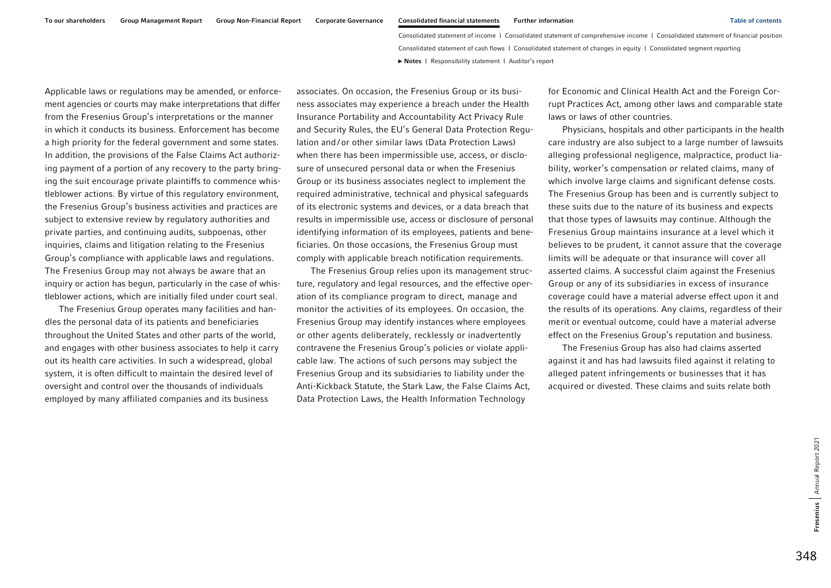Applicable laws or regulations may be amended, or enforcement agencies or courts may make interpretations that differ from the Fresenius Group's interpretations or the manner in which it conducts its business. Enforcement has become a high priority for the federal government and some states. In addition, the provisions of the False Claims Act authorizing payment of a portion of any recovery to the party bringing the suit encourage private plaintiffs to commence whistleblower actions. By virtue of this regulatory environment, the Fresenius Group's business activities and practices are subject to extensive review by regulatory authorities and private parties, and continuing audits, subpoenas, other inquiries, claims and litigation relating to the Fresenius Group's compliance with applicable laws and regulations. The Fresenius Group may not always be aware that an inquiry or action has begun, particularly in the case of whistleblower actions, which are initially filed under court seal.

The Fresenius Group operates many facilities and handles the personal data of its patients and beneficiaries throughout the United States and other parts of the world, and engages with other business associates to help it carry out its health care activities. In such a widespread, global system, it is often difficult to maintain the desired level of oversight and control over the thousands of individuals employed by many affiliated companies and its business

associates. On occasion, the Fresenius Group or its business associates may experience a breach under the Health Insurance Portability and Accountability Act Privacy Rule and Security Rules, the EU's General Data Protection Regulation and/or other similar laws (Data Protection Laws) when there has been impermissible use, access, or disclosure of unsecured personal data or when the Fresenius Group or its business associates neglect to implement the required administrative, technical and physical safeguards of its electronic systems and devices, or a data breach that results in impermissible use, access or disclosure of personal identifying information of its employees, patients and beneficiaries. On those occasions, the Fresenius Group must comply with applicable breach notification requirements.

The Fresenius Group relies upon its management structure, regulatory and legal resources, and the effective operation of its compliance program to direct, manage and monitor the activities of its employees. On occasion, the Fresenius Group may identify instances where employees or other agents deliberately, recklessly or inadvertently contravene the Fresenius Group's policies or violate applicable law. The actions of such persons may subject the Fresenius Group and its subsidiaries to liability under the Anti-Kickback Statute, the Stark Law, the False Claims Act, Data Protection Laws, the Health Information Technology

for Economic and Clinical Health Act and the Foreign Corrupt Practices Act, among other laws and comparable state laws or laws of other countries.

Physicians, hospitals and other participants in the health care industry are also subject to a large number of lawsuits alleging professional negligence, malpractice, product liability, worker's compensation or related claims, many of which involve large claims and significant defense costs. The Fresenius Group has been and is currently subject to these suits due to the nature of its business and expects that those types of lawsuits may continue. Although the Fresenius Group maintains insurance at a level which it believes to be prudent, it cannot assure that the coverage limits will be adequate or that insurance will cover all asserted claims. A successful claim against the Fresenius Group or any of its subsidiaries in excess of insurance coverage could have a material adverse effect upon it and the results of its operations. Any claims, regardless of their merit or eventual outcome, could have a material adverse effect on the Fresenius Group's reputation and business.

The Fresenius Group has also had claims asserted against it and has had lawsuits filed against it relating to alleged patent infringements or businesses that it has acquired or divested. These claims and suits relate both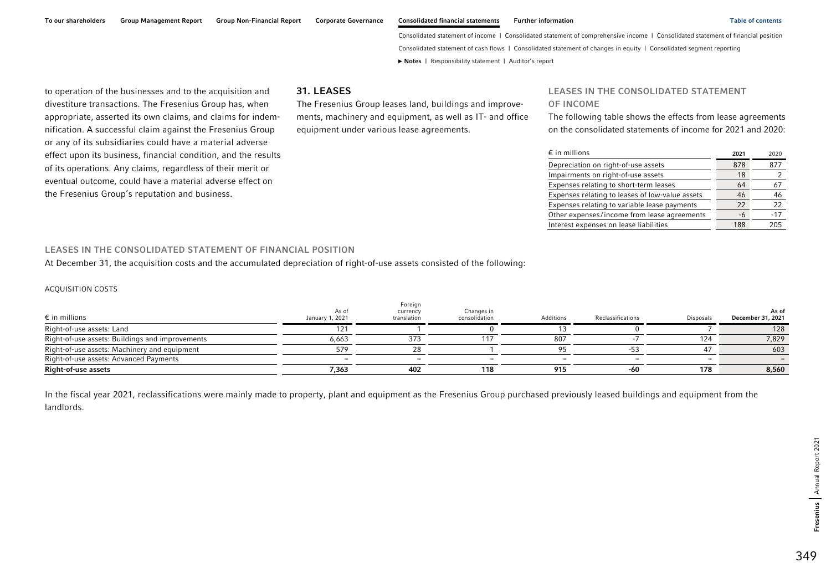to operation of the businesses and to the acquisition and divestiture transactions. The Fresenius Group has, when appropriate, asserted its own claims, and claims for indemnification. A successful claim against the Fresenius Group or any of its subsidiaries could have a material adverse effect upon its business, financial condition, and the results of its operations. Any claims, regardless of their merit or eventual outcome, could have a material adverse effect on the Fresenius Group's reputation and business.

### 31. LEASES

The Fresenius Group leases land, buildings and improvements, machinery and equipment, as well as IT- and office equipment under various lease agreements.

#### LEASES IN THE CONSOLIDATED STATEMENT

### OF INCOME

The following table shows the effects from lease agreements on the consolidated statements of income for 2021 and 2020:

| $\epsilon$ in millions                          | 2021 | 2020  |
|-------------------------------------------------|------|-------|
| Depreciation on right-of-use assets             | 878  | 877   |
| Impairments on right-of-use assets              | 18   |       |
| Expenses relating to short-term leases          | 64   | 67    |
| Expenses relating to leases of low-value assets | 46   | 46    |
| Expenses relating to variable lease payments    | 22   | 22    |
| Other expenses/income from lease agreements     | -6   | $-17$ |
| Interest expenses on lease liabilities          | 188  | 205   |

### LEASES IN THE CONSOLIDATED STATEMENT OF FINANCIAL POSITION

At December 31, the acquisition costs and the accumulated depreciation of right-of-use assets consisted of the following:

#### ACQUISITION COSTS

| $\epsilon$ in millions                          | As of<br>January 1, 2021 | Foreign<br>currency<br>translation | Changes in<br>consolidation | Additions | Reclassifications        | <b>Disposals</b> | As of<br>December 31, 2021 |
|-------------------------------------------------|--------------------------|------------------------------------|-----------------------------|-----------|--------------------------|------------------|----------------------------|
| Right-of-use assets: Land                       |                          |                                    |                             |           |                          |                  | 128                        |
| Right-of-use assets: Buildings and improvements | 6,663                    |                                    |                             | 807       |                          | 124              | 7,829                      |
| Right-of-use assets: Machinery and equipment    | 579                      |                                    |                             |           |                          |                  | 603                        |
| Right-of-use assets: Advanced Payments          |                          | -                                  |                             |           | $\overline{\phantom{0}}$ | -                |                            |
| Right-of-use assets                             | 7,363                    | 402                                | 118                         | 915       | -60                      | 178              | 8,560                      |

In the fiscal year 2021, reclassifications were mainly made to property, plant and equipment as the Fresenius Group purchased previously leased buildings and equipment from the landlords.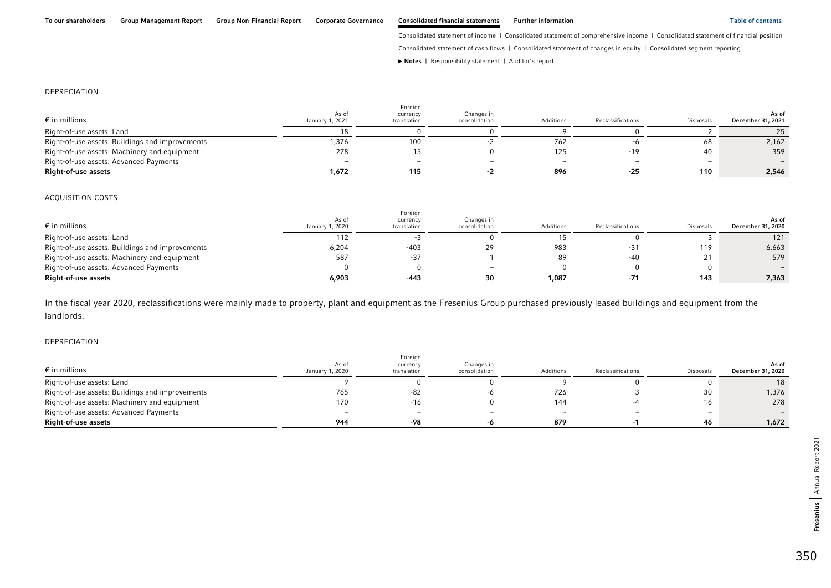Consolidated statement of cash flows | Consolidated statement of changes in equity | Consolidated segment reporting

**►** [Notes](#page-0-0) | [Responsibility statement](#page-97-0) | [Auditor's report](#page-98-0) 

#### DEPRECIATION

| $\epsilon$ in millions                          | As of<br>January 1, 2021 | Foreign<br>currency<br>translation | Changes in<br>consolidation | Additions | Reclassifications | <b>Disposals</b> | As of<br>December 31, 2021 |
|-------------------------------------------------|--------------------------|------------------------------------|-----------------------------|-----------|-------------------|------------------|----------------------------|
| Right-of-use assets: Land                       |                          |                                    |                             |           |                   |                  |                            |
| Right-of-use assets: Buildings and improvements | 1.376                    | 100                                |                             | 762       |                   |                  | 2,162                      |
| Right-of-use assets: Machinery and equipment    | 278                      |                                    |                             |           |                   |                  | 359                        |
| Right-of-use assets: Advanced Payments          |                          |                                    |                             |           |                   |                  |                            |
| Right-of-use assets                             | 1,672                    | 115                                |                             | 896       |                   | 110              | 2,546                      |

#### ACQUISITION COSTS

| $\epsilon$ in millions                          | As of<br>January 1, 2020 | Foreign<br>currency<br>translation | Changes in<br>consolidation | Additions | Reclassifications | <b>Disposals</b> | As of<br>December 31, 2020 |
|-------------------------------------------------|--------------------------|------------------------------------|-----------------------------|-----------|-------------------|------------------|----------------------------|
| Right-of-use assets: Land                       |                          |                                    |                             |           |                   |                  |                            |
| Right-of-use assets: Buildings and improvements | 6,204                    | -403                               |                             | 983       |                   | 119              | 6,663                      |
| Right-of-use assets: Machinery and equipment    |                          |                                    |                             |           |                   |                  | 579                        |
| Right-of-use assets: Advanced Payments          |                          |                                    |                             |           |                   |                  |                            |
| Right-of-use assets                             | 6,903                    | $-443$                             |                             | 1.087     |                   | 143              | 7,363                      |

In the fiscal year 2020, reclassifications were mainly made to property, plant and equipment as the Fresenius Group purchased previously leased buildings and equipment from the landlords.

#### DEPRECIATION

| $\epsilon$ in millions                          | As of<br>January 1, 2020 | Foreign<br>currency<br>translation | Changes in<br>consolidation | Additions | Reclassifications | <b>Disposals</b> | As of<br>December 31, 2020 |
|-------------------------------------------------|--------------------------|------------------------------------|-----------------------------|-----------|-------------------|------------------|----------------------------|
| Right-of-use assets: Land                       |                          |                                    |                             |           |                   |                  |                            |
| Right-of-use assets: Buildings and improvements | 765                      |                                    |                             | 726       |                   |                  | 1,376                      |
| Right-of-use assets: Machinery and equipment    | 170                      |                                    |                             | 144       |                   |                  | 278                        |
| Right-of-use assets: Advanced Payments          |                          |                                    |                             |           |                   |                  |                            |
| Right-of-use assets                             | 944                      | -98                                |                             | 879       |                   | 46               | 1,672                      |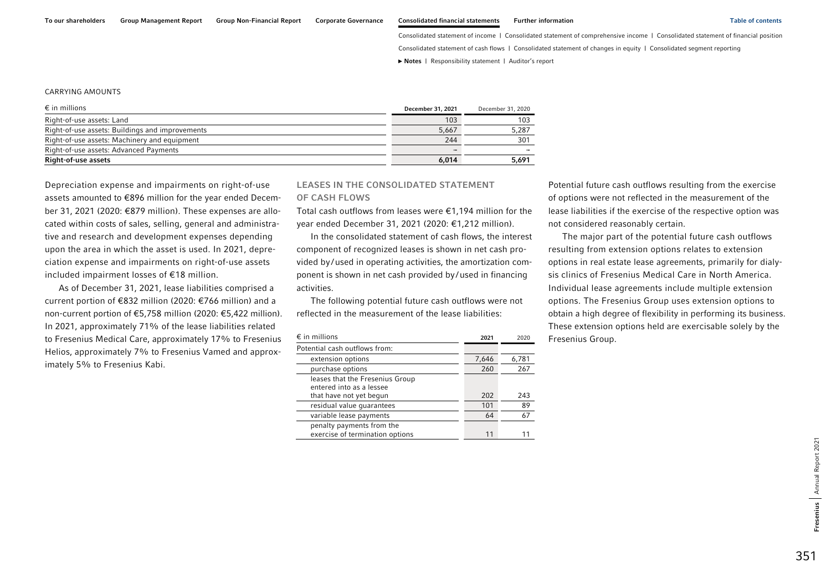Consolidated statement of cash flows | Consolidated statement of changes in equity | Consolidated segment reporting

**►** [Notes](#page-0-0) | [Responsibility statement](#page-97-0) | [Auditor's report](#page-98-0) 

#### CARRYING AMOUNTS

| $\epsilon$ in millions                          | December 31, 2021 | December 31, 2020 |
|-------------------------------------------------|-------------------|-------------------|
| Right-of-use assets: Land                       | 103               | 103               |
| Right-of-use assets: Buildings and improvements | 5.667             | 5.287             |
| Right-of-use assets: Machinery and equipment    | 244               | 301               |
| Right-of-use assets: Advanced Payments          |                   |                   |
| <b>Right-of-use assets</b>                      | 6.014             | 5,691             |

Depreciation expense and impairments on right-of-use assets amounted to €896 million for the year ended December 31, 2021 (2020: €879 million). These expenses are allocated within costs of sales, selling, general and administrative and research and development expenses depending upon the area in which the asset is used. In 2021, depreciation expense and impairments on right-of-use assets included impairment losses of €18 million.

As of December 31, 2021, lease liabilities comprised a current portion of €832 million (2020: €766 million) and a non-current portion of €5,758 million (2020: €5,422 million). In 2021, approximately 71% of the lease liabilities related to Fresenius Medical Care, approximately 17% to Fresenius Helios, approximately 7% to Fresenius Vamed and approximately 5% to Fresenius Kabi.

## LEASES IN THE CONSOLIDATED STATEMENT OF CASH FLOWS

Total cash outflows from leases were €1,194 million for the year ended December 31, 2021 (2020: €1,212 million).

In the consolidated statement of cash flows, the interest component of recognized leases is shown in net cash provided by /used in operating activities, the amortization component is shown in net cash provided by/used in financing activities.

The following potential future cash outflows were not reflected in the measurement of the lease liabilities:

| $\epsilon$ in millions                                       | 2021  | 2020  |
|--------------------------------------------------------------|-------|-------|
| Potential cash outflows from:                                |       |       |
| extension options                                            | 7,646 | 6,781 |
| purchase options                                             | 260   | 267   |
| leases that the Fresenius Group<br>entered into as a lessee  |       |       |
| that have not yet begun                                      | 202   | 243   |
| residual value quarantees                                    | 101   | 89    |
| variable lease payments                                      | 64    | 67    |
| penalty payments from the<br>exercise of termination options | 11    |       |

Potential future cash outflows resulting from the exercise of options were not reflected in the measurement of the lease liabilities if the exercise of the respective option was not considered reasonably certain.

The major part of the potential future cash outflows resulting from extension options relates to extension options in real estate lease agreements, primarily for dialysis clinics of Fresenius Medical Care in North America. Individual lease agreements include multiple extension options. The Fresenius Group uses extension options to obtain a high degree of flexibility in performing its business. These extension options held are exercisable solely by the Fresenius Group.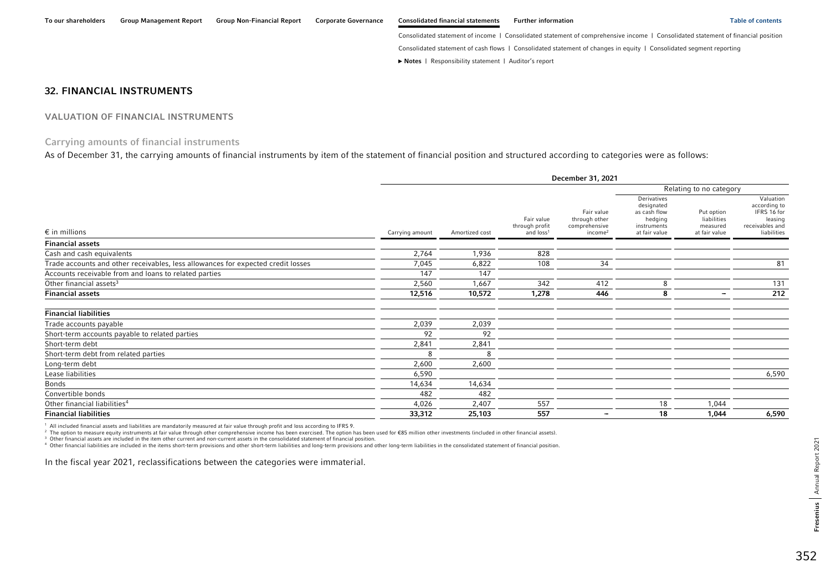Consolidated statement of cash flows | Consolidated statement of changes in equity | Consolidated segment reporting

**►** [Notes](#page-0-0) | [Responsibility statement](#page-97-0) | [Auditor's report](#page-98-0) 

## 32. FINANCIAL INSTRUMENTS

## VALUATION OF FINANCIAL INSTRUMENTS

# Carrying amounts of financial instruments

As of December 31, the carrying amounts of financial instruments by item of the statement of financial position and structured according to categories were as follows:

|                                                                                  |                       |                |                                                       | December 31, 2021                                                   |                                                                                      |                                                        |                                                                                       |  |  |
|----------------------------------------------------------------------------------|-----------------------|----------------|-------------------------------------------------------|---------------------------------------------------------------------|--------------------------------------------------------------------------------------|--------------------------------------------------------|---------------------------------------------------------------------------------------|--|--|
|                                                                                  |                       |                |                                                       |                                                                     |                                                                                      | Relating to no category                                |                                                                                       |  |  |
| $\epsilon$ in millions                                                           | Carrying amount       | Amortized cost | Fair value<br>through profit<br>and loss <sup>1</sup> | Fair value<br>through other<br>comprehensive<br>income <sup>2</sup> | Derivatives<br>designated<br>as cash flow<br>hedging<br>instruments<br>at fair value | Put option<br>liabilities<br>measured<br>at fair value | Valuation<br>according to<br>IFRS 16 for<br>leasing<br>receivables and<br>liabilities |  |  |
| <b>Financial assets</b>                                                          |                       |                |                                                       |                                                                     |                                                                                      |                                                        |                                                                                       |  |  |
| Cash and cash equivalents                                                        | 2,764                 | 1,936          | 828                                                   |                                                                     |                                                                                      |                                                        |                                                                                       |  |  |
| Trade accounts and other receivables, less allowances for expected credit losses | 7,045                 | 6,822          | 108                                                   | 34                                                                  |                                                                                      |                                                        | 81                                                                                    |  |  |
| Accounts receivable from and loans to related parties                            | 147                   | 147            |                                                       |                                                                     |                                                                                      |                                                        |                                                                                       |  |  |
| Other financial assets <sup>3</sup>                                              | 2,560                 | 1,667          | 342                                                   | 412                                                                 | 8                                                                                    |                                                        | 131                                                                                   |  |  |
| <b>Financial assets</b>                                                          | 12,516                | 10,572         | 1,278                                                 | 446                                                                 | 8                                                                                    | $\overline{\phantom{0}}$                               | 212                                                                                   |  |  |
| <b>Financial liabilities</b>                                                     |                       |                |                                                       |                                                                     |                                                                                      |                                                        |                                                                                       |  |  |
| Trade accounts payable                                                           | 2,039                 | 2,039          |                                                       |                                                                     |                                                                                      |                                                        |                                                                                       |  |  |
| Short-term accounts payable to related parties                                   | 92                    | 92             |                                                       |                                                                     |                                                                                      |                                                        |                                                                                       |  |  |
| Short-term debt                                                                  | 2,841                 | 2,841          |                                                       |                                                                     |                                                                                      |                                                        |                                                                                       |  |  |
| Short-term debt from related parties                                             | $\mathsf{\mathsf{R}}$ | $\mathbf{R}$   |                                                       |                                                                     |                                                                                      |                                                        |                                                                                       |  |  |
| Long-term debt                                                                   | 2,600                 | 2,600          |                                                       |                                                                     |                                                                                      |                                                        |                                                                                       |  |  |
| Lease liabilities                                                                | 6,590                 |                |                                                       |                                                                     |                                                                                      |                                                        | 6,590                                                                                 |  |  |
| <b>Bonds</b>                                                                     | 14,634                | 14,634         |                                                       |                                                                     |                                                                                      |                                                        |                                                                                       |  |  |
| Convertible bonds                                                                | 482                   | 482            |                                                       |                                                                     |                                                                                      |                                                        |                                                                                       |  |  |
| Other financial liabilities <sup>4</sup>                                         | 4,026                 | 2,407          | 557                                                   |                                                                     | 18                                                                                   | 1,044                                                  |                                                                                       |  |  |
| <b>Financial liabilities</b>                                                     | 33,312                | 25,103         | 557                                                   | -                                                                   | 18                                                                                   | 1,044                                                  | 6,590                                                                                 |  |  |

1 All included financial assets and liabilities are mandatorily measured at fair value through profit and loss according to IFRS 9.

2 The option to measure equity instruments at fair value through other comprehensive income has been exercised. The option has been used for €85 million other investments (included in other financial assets).

3 Other financial assets are included in the item other current and non-current assets in the consolidated statement of financial position.

4 Other financial liabilities are included in the items short-term provisions and other short-term liabilities and long-term provisions and other long-term liabilities in the consolidated statement of financial position.

In the fiscal year 2021, reclassifications between the categories were immaterial.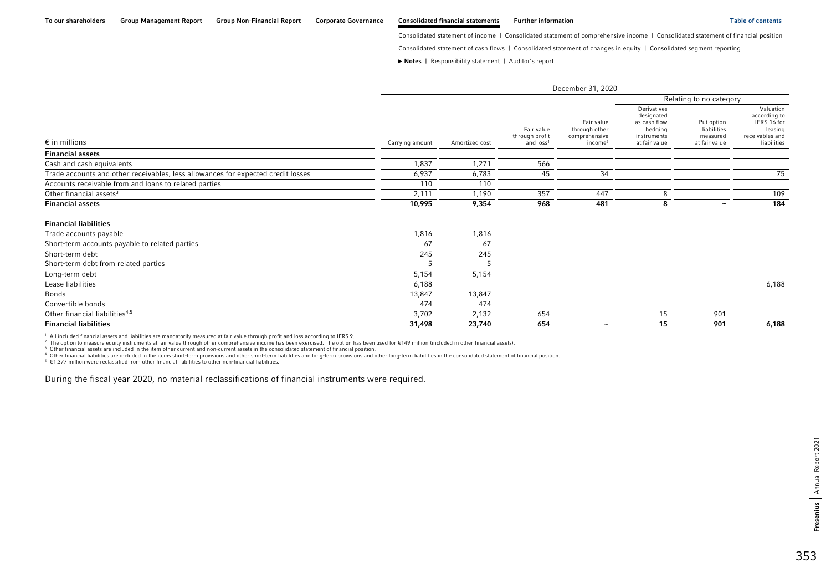Consolidated statement of cash flows | Consolidated statement of changes in equity | Consolidated segment reporting

**►** [Notes](#page-0-0) | [Responsibility statement](#page-97-0) | [Auditor's report](#page-98-0) 

| December 31, 2020                                                                |                 |                |                                                       |                                                                     |                                                                                      |                                                        |                                                                                       |
|----------------------------------------------------------------------------------|-----------------|----------------|-------------------------------------------------------|---------------------------------------------------------------------|--------------------------------------------------------------------------------------|--------------------------------------------------------|---------------------------------------------------------------------------------------|
|                                                                                  |                 |                |                                                       |                                                                     |                                                                                      | Relating to no category                                |                                                                                       |
| $\epsilon$ in millions                                                           | Carrying amount | Amortized cost | Fair value<br>through profit<br>and loss <sup>1</sup> | Fair value<br>through other<br>comprehensive<br>income <sup>2</sup> | Derivatives<br>designated<br>as cash flow<br>hedging<br>instruments<br>at fair value | Put option<br>liabilities<br>measured<br>at fair value | Valuation<br>according to<br>IFRS 16 for<br>leasing<br>receivables and<br>liabilities |
| <b>Financial assets</b>                                                          |                 |                |                                                       |                                                                     |                                                                                      |                                                        |                                                                                       |
| Cash and cash equivalents                                                        | 1,837           | 1,271          | 566                                                   |                                                                     |                                                                                      |                                                        |                                                                                       |
| Trade accounts and other receivables, less allowances for expected credit losses | 6,937           | 6,783          | 45                                                    | 34                                                                  |                                                                                      |                                                        | 75                                                                                    |
| Accounts receivable from and loans to related parties                            | 110             | 110            |                                                       |                                                                     |                                                                                      |                                                        |                                                                                       |
| Other financial assets <sup>3</sup>                                              | 2,111           | 1,190          | 357                                                   | 447                                                                 | 8                                                                                    |                                                        | 109                                                                                   |
| <b>Financial assets</b>                                                          | 10,995          | 9,354          | 968                                                   | 481                                                                 | 8                                                                                    | $\overline{\phantom{a}}$                               | 184                                                                                   |
| <b>Financial liabilities</b>                                                     |                 |                |                                                       |                                                                     |                                                                                      |                                                        |                                                                                       |
| Trade accounts payable                                                           | 1,816           | 1,816          |                                                       |                                                                     |                                                                                      |                                                        |                                                                                       |
| Short-term accounts payable to related parties                                   | 67              | 67             |                                                       |                                                                     |                                                                                      |                                                        |                                                                                       |
| Short-term debt                                                                  | 245             | 245            |                                                       |                                                                     |                                                                                      |                                                        |                                                                                       |
| Short-term debt from related parties                                             | 5               | 5              |                                                       |                                                                     |                                                                                      |                                                        |                                                                                       |
| Long-term debt                                                                   | 5,154           | 5,154          |                                                       |                                                                     |                                                                                      |                                                        |                                                                                       |
| Lease liabilities                                                                | 6,188           |                |                                                       |                                                                     |                                                                                      |                                                        | 6,188                                                                                 |
| <b>Bonds</b>                                                                     | 13,847          | 13,847         |                                                       |                                                                     |                                                                                      |                                                        |                                                                                       |
| Convertible bonds                                                                | 474             | 474            |                                                       |                                                                     |                                                                                      |                                                        |                                                                                       |
| Other financial liabilities <sup>4,5</sup>                                       | 3,702           | 2,132          | 654                                                   |                                                                     | 15                                                                                   | 901                                                    |                                                                                       |
| <b>Financial liabilities</b>                                                     | 31,498          | 23,740         | 654                                                   | $\overline{\phantom{a}}$                                            | 15                                                                                   | 901                                                    | 6,188                                                                                 |

1 All included financial assets and liabilities are mandatorily measured at fair value through profit and loss according to IFRS 9.

 $2$  The option to measure equity instruments at fair value through other comprehensive income has been exercised. The option has been used for  $E149$  million (included in other financial assets).

3 Other financial assets are included in the item other current and non-current assets in the consolidated statement of financial position.

4 Other financial liabilities are included in the items short-term provisions and other short-term liabilities and long-term provisions and other long-term liabilities in the consolidated statement of financial position.

 $5 \in 1,377$  million were reclassified from other financial liabilities to other non-financial liabilities.

During the fiscal year 2020, no material reclassifications of financial instruments were required.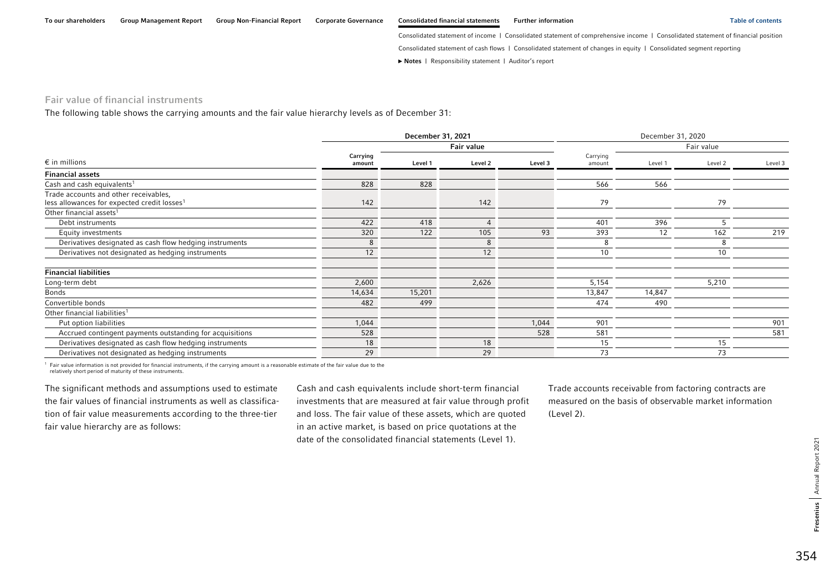**►** [Notes](#page-0-0) | [Responsibility statement](#page-97-0) | [Auditor's report](#page-98-0) 

### Fair value of financial instruments

The following table shows the carrying amounts and the fair value hierarchy levels as of December 31:

|                                                                                                  |                    | December 31, 2020 |            |         |                    |         |            |         |
|--------------------------------------------------------------------------------------------------|--------------------|-------------------|------------|---------|--------------------|---------|------------|---------|
|                                                                                                  |                    |                   | Fair value |         |                    |         | Fair value |         |
| $\epsilon$ in millions                                                                           | Carrying<br>amount | Level 1           | Level 2    | Level 3 | Carrying<br>amount | Level 1 | Level 2    | Level 3 |
| <b>Financial assets</b>                                                                          |                    |                   |            |         |                    |         |            |         |
| Cash and cash equivalents <sup>1</sup>                                                           | 828                | 828               |            |         | 566                | 566     |            |         |
| Trade accounts and other receivables,<br>less allowances for expected credit losses <sup>1</sup> | 142                |                   | 142        |         | 79                 |         | 79         |         |
| Other financial assets <sup>1</sup>                                                              |                    |                   |            |         |                    |         |            |         |
| Debt instruments                                                                                 | 422                | 418               | $\Lambda$  |         | 401                | 396     |            |         |
| Equity investments                                                                               | 320                | 122               | 105        | 93      | 393                | 12      | 162        | 219     |
| Derivatives designated as cash flow hedging instruments                                          | 8                  |                   | 8          |         |                    |         |            |         |
| Derivatives not designated as hedging instruments                                                | 12                 |                   | 12         |         | 10                 |         | 10         |         |
| <b>Financial liabilities</b>                                                                     |                    |                   |            |         |                    |         |            |         |
| Long-term debt                                                                                   | 2,600              |                   | 2,626      |         | 5,154              |         | 5,210      |         |
| Bonds                                                                                            | 14,634             | 15,201            |            |         | 13,847             | 14,847  |            |         |
| Convertible bonds                                                                                | 482                | 499               |            |         | 474                | 490     |            |         |
| Other financial liabilities <sup>1</sup>                                                         |                    |                   |            |         |                    |         |            |         |
| Put option liabilities                                                                           | 1,044              |                   |            | 1,044   | 901                |         |            | 901     |
| Accrued contingent payments outstanding for acquisitions                                         | 528                |                   |            | 528     | 581                |         |            | 581     |
| Derivatives designated as cash flow hedging instruments                                          | 18                 |                   | 18         |         | 15                 |         | 15         |         |
| Derivatives not designated as hedging instruments                                                | 29                 |                   | 29         |         | 73                 |         | 73         |         |

1 Fair value information is not provided for financial instruments, if the carrying amount is a reasonable estimate of the fair value due to the relatively short period of maturity of these instruments.

The significant methods and assumptions used to estimate the fair values of financial instruments as well as classification of fair value measurements according to the three-tier fair value hierarchy are as follows:

Cash and cash equivalents include short-term financial investments that are measured at fair value through profit and loss. The fair value of these assets, which are quoted in an active market, is based on price quotations at the date of the consolidated financial statements (Level 1).

Trade accounts receivable from factoring contracts are measured on the basis of observable market information (Level 2).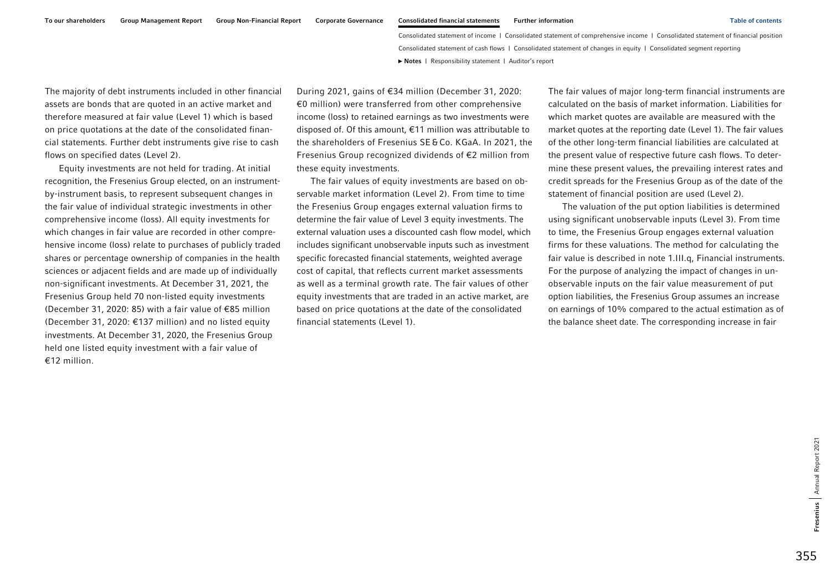The majority of debt instruments included in other financial assets are bonds that are quoted in an active market and therefore measured at fair value (Level 1) which is based on price quotations at the date of the consolidated financial statements. Further debt instruments give rise to cash flows on specified dates (Level 2).

Equity investments are not held for trading. At initial recognition, the Fresenius Group elected, on an instrumentby-instrument basis, to represent subsequent changes in the fair value of individual strategic investments in other comprehensive income (loss). All equity investments for which changes in fair value are recorded in other comprehensive income (loss) relate to purchases of publicly traded shares or percentage ownership of companies in the health sciences or adjacent fields and are made up of individually non-significant investments. At December 31, 2021, the Fresenius Group held 70 non-listed equity investments (December 31, 2020: 85) with a fair value of €85 million (December 31, 2020:  $\epsilon$ 137 million) and no listed equity investments. At December 31, 2020, the Fresenius Group held one listed equity investment with a fair value of €12 million.

During 2021, gains of €34 million (December 31, 2020: €0 million) were transferred from other comprehensive income (loss) to retained earnings as two investments were disposed of. Of this amount, €11 million was attributable to the shareholders of Fresenius SE&Co. KGaA. In 2021, the Fresenius Group recognized dividends of €2 million from these equity investments.

The fair values of equity investments are based on observable market information (Level 2). From time to time the Fresenius Group engages external valuation firms to determine the fair value of Level 3 equity investments. The external valuation uses a discounted cash flow model, which includes significant unobservable inputs such as investment specific forecasted financial statements, weighted average cost of capital, that reflects current market assessments as well as a terminal growth rate. The fair values of other equity investments that are traded in an active market, are based on price quotations at the date of the consolidated financial statements (Level 1).

The fair values of major long-term financial instruments are calculated on the basis of market information. Liabilities for which market quotes are available are measured with the market quotes at the reporting date (Level 1). The fair values of the other long-term financial liabilities are calculated at the present value of respective future cash flows. To determine these present values, the prevailing interest rates and credit spreads for the Fresenius Group as of the date of the statement of financial position are used (Level 2).

The valuation of the put option liabilities is determined using significant unobservable inputs (Level 3). From time to time, the Fresenius Group engages external valuation firms for these valuations. The method for calculating the fair value is described in note 1.III.q, Financial instruments. For the purpose of analyzing the impact of changes in unobservable inputs on the fair value measurement of put option liabilities, the Fresenius Group assumes an increase on earnings of 10% compared to the actual estimation as of the balance sheet date. The corresponding increase in fair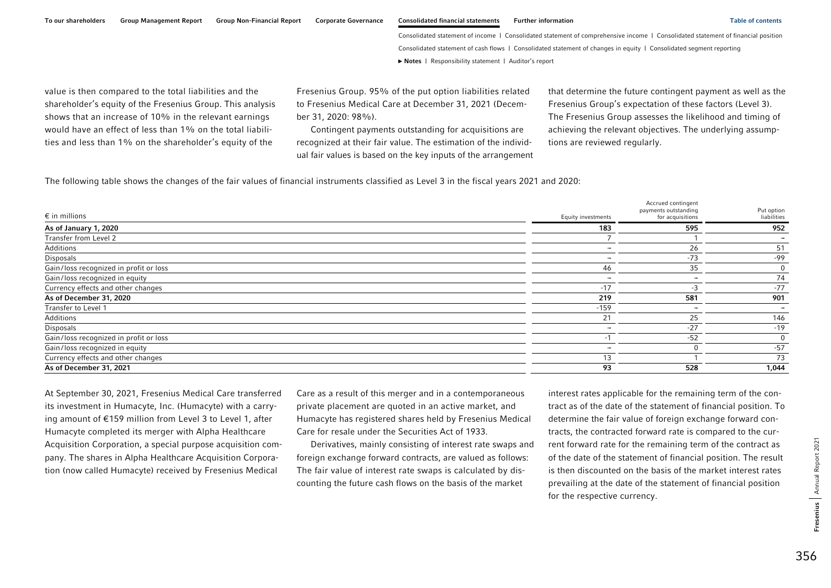To our shareholders Group Management Report Group Non-Financial Report Corporate Governance Consolidated financial statements Further information Table of contents Table of contents

Consolidated statement of income | Consolidated statement of comprehensive income | Consolidated statement of financial position Consolidated statement of cash flows | Consolidated statement of changes in equity | Consolidated segment reporting **►** [Notes](#page-0-0) | [Responsibility statement](#page-97-0) | [Auditor's report](#page-98-0) 

value is then compared to the total liabilities and the shareholder's equity of the Fresenius Group. This analysis shows that an increase of 10% in the relevant earnings would have an effect of less than 1% on the total liabilities and less than 1% on the shareholder's equity of the

Fresenius Group. 95% of the put option liabilities related to Fresenius Medical Care at December 31, 2021 (December 31, 2020: 98%).

Contingent payments outstanding for acquisitions are recognized at their fair value. The estimation of the individual fair values is based on the key inputs of the arrangement that determine the future contingent payment as well as the Fresenius Group's expectation of these factors (Level 3). The Fresenius Group assesses the likelihood and timing of achieving the relevant objectives. The underlying assumptions are reviewed regularly.

The following table shows the changes of the fair values of financial instruments classified as Level 3 in the fiscal years 2021 and 2020:

| $\epsilon$ in millions                 | Equity investments | Accrued contingent<br>payments outstanding<br>for acquisitions | Put option<br>liabilities |
|----------------------------------------|--------------------|----------------------------------------------------------------|---------------------------|
| As of January 1, 2020                  | 183                | 595                                                            | 952                       |
| Transfer from Level 2                  |                    |                                                                |                           |
| Additions                              |                    | 26                                                             | 51                        |
| Disposals                              |                    | $-73$                                                          | -99                       |
| Gain/loss recognized in profit or loss | 46                 | 35                                                             | 0                         |
| Gain/loss recognized in equity         | -                  |                                                                | 74                        |
| Currency effects and other changes     | $-17$              |                                                                | $-77$                     |
| As of December 31, 2020                | 219                | 581                                                            | 901                       |
| Transfer to Level 1                    | $-159$             | $\overline{\phantom{0}}$                                       | $\overline{\phantom{a}}$  |
| Additions                              | 21                 | 25                                                             | 146                       |
| Disposals                              | -                  | $-27$                                                          | $-19$                     |
| Gain/loss recognized in profit or loss |                    | $-52$                                                          | $\mathbf 0$               |
| Gain/loss recognized in equity         | -                  |                                                                | $-57$                     |
| Currency effects and other changes     | 13                 |                                                                | 73                        |
| As of December 31, 2021                | 93                 | 528                                                            | 1,044                     |

At September 30, 2021, Fresenius Medical Care transferred its investment in Humacyte, Inc. (Humacyte) with a carrying amount of €159 million from Level 3 to Level 1, after Humacyte completed its merger with Alpha Healthcare Acquisition Corporation, a special purpose acquisition company. The shares in Alpha Healthcare Acquisition Corporation (now called Humacyte) received by Fresenius Medical

Care as a result of this merger and in a contemporaneous private placement are quoted in an active market, and Humacyte has registered shares held by Fresenius Medical Care for resale under the Securities Act of 1933.

Derivatives, mainly consisting of interest rate swaps and foreign exchange forward contracts, are valued as follows: The fair value of interest rate swaps is calculated by discounting the future cash flows on the basis of the market

interest rates applicable for the remaining term of the contract as of the date of the statement of financial position. To determine the fair value of foreign exchange forward contracts, the contracted forward rate is compared to the current forward rate for the remaining term of the contract as of the date of the statement of financial position. The result is then discounted on the basis of the market interest rates prevailing at the date of the statement of financial position for the respective currency.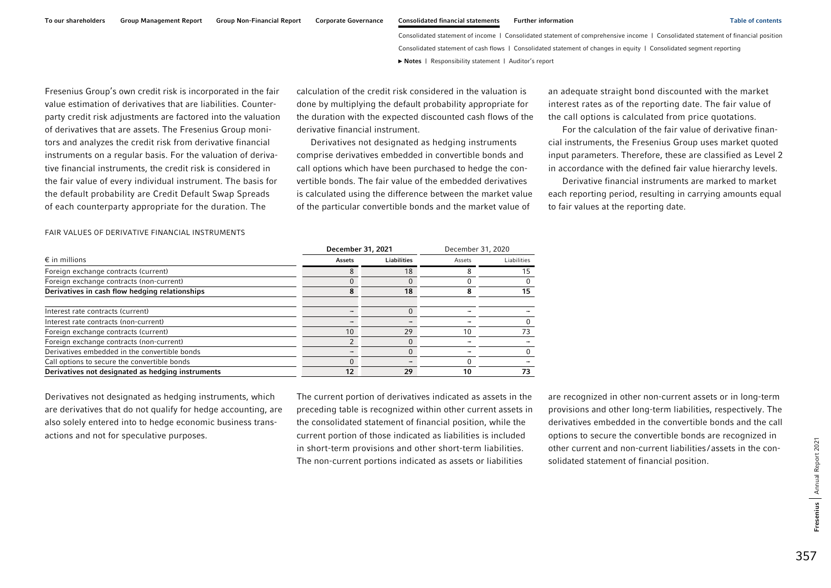Fresenius Group's own credit risk is incorporated in the fair value estimation of derivatives that are liabilities. Counterparty credit risk adjustments are factored into the valuation of derivatives that are assets. The Fresenius Group monitors and analyzes the credit risk from derivative financial instruments on a regular basis. For the valuation of derivative financial instruments, the credit risk is considered in the fair value of every individual instrument. The basis for the default probability are Credit Default Swap Spreads of each counterparty appropriate for the duration. The

calculation of the credit risk considered in the valuation is done by multiplying the default probability appropriate for the duration with the expected discounted cash flows of the derivative financial instrument.

Derivatives not designated as hedging instruments comprise derivatives embedded in convertible bonds and call options which have been purchased to hedge the convertible bonds. The fair value of the embedded derivatives is calculated using the difference between the market value of the particular convertible bonds and the market value of

an adequate straight bond discounted with the market interest rates as of the reporting date. The fair value of the call options is calculated from price quotations.

For the calculation of the fair value of derivative financial instruments, the Fresenius Group uses market quoted input parameters. Therefore, these are classified as Level 2 in accordance with the defined fair value hierarchy levels.

Derivative financial instruments are marked to market each reporting period, resulting in carrying amounts equal to fair values at the reporting date.

| FAIR VALUES OF DERIVATIVE FINANCIAL INSTRUMENTS |  |
|-------------------------------------------------|--|
|-------------------------------------------------|--|

| $\epsilon$ in millions                            | December 31, 2021 |                    | December 31, 2020 |             |
|---------------------------------------------------|-------------------|--------------------|-------------------|-------------|
|                                                   | Assets            | <b>Liabilities</b> | Assets            | Liabilities |
| Foreign exchange contracts (current)              |                   | 18                 |                   | 5           |
| Foreign exchange contracts (non-current)          |                   | $\Omega$           |                   |             |
| Derivatives in cash flow hedging relationships    |                   | 18                 |                   | 15          |
| Interest rate contracts (current)                 |                   |                    |                   |             |
| Interest rate contracts (non-current)             |                   |                    |                   |             |
| Foreign exchange contracts (current)              | 10                | 29                 |                   | 73          |
| Foreign exchange contracts (non-current)          |                   | $\Omega$           |                   |             |
| Derivatives embedded in the convertible bonds     |                   | $\Omega$           |                   |             |
| Call options to secure the convertible bonds      |                   |                    |                   |             |
| Derivatives not designated as hedging instruments | 12                | 29                 | 10                | 73          |

Derivatives not designated as hedging instruments, which are derivatives that do not qualify for hedge accounting, are also solely entered into to hedge economic business transactions and not for speculative purposes.

The current portion of derivatives indicated as assets in the preceding table is recognized within other current assets in the consolidated statement of financial position, while the current portion of those indicated as liabilities is included in short-term provisions and other short-term liabilities. The non-current portions indicated as assets or liabilities

are recognized in other non-current assets or in long-term provisions and other long-term liabilities, respectively. The derivatives embedded in the convertible bonds and the call options to secure the convertible bonds are recognized in other current and non-current liabilities / assets in the consolidated statement of financial position.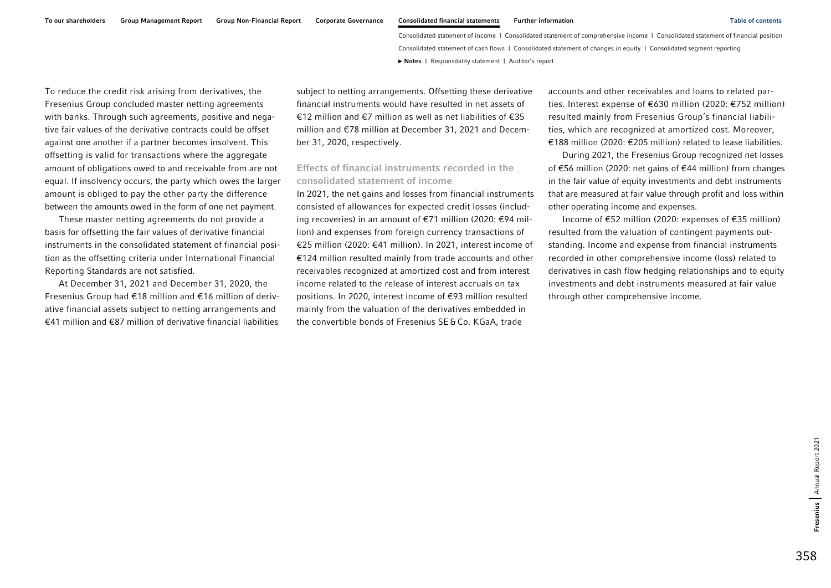To reduce the credit risk arising from derivatives, the Fresenius Group concluded master netting agreements with banks. Through such agreements, positive and negative fair values of the derivative contracts could be offset against one another if a partner becomes insolvent. This offsetting is valid for transactions where the aggregate amount of obligations owed to and receivable from are not equal. If insolvency occurs, the party which owes the larger amount is obliged to pay the other party the difference between the amounts owed in the form of one net payment.

These master netting agreements do not provide a basis for offsetting the fair values of derivative financial instruments in the consolidated statement of financial position as the offsetting criteria under International Financial Reporting Standards are not satisfied.

At December 31, 2021 and December 31, 2020, the Fresenius Group had €18 million and €16 million of derivative financial assets subject to netting arrangements and €41 million and €87 million of derivative financial liabilities subject to netting arrangements. Offsetting these derivative financial instruments would have resulted in net assets of €12 million and €7 million as well as net liabilities of €35 million and €78 million at December 31, 2021 and December 31, 2020, respectively.

# Effects of financial instruments recorded in the consolidated statement of income

In 2021, the net gains and losses from financial instruments consisted of allowances for expected credit losses (including recoveries) in an amount of €71 million (2020: €94 million) and expenses from foreign currency transactions of €25 million (2020: €41 million). In 2021, interest income of €124 million resulted mainly from trade accounts and other receivables recognized at amortized cost and from interest income related to the release of interest accruals on tax positions. In 2020, interest income of €93 million resulted mainly from the valuation of the derivatives embedded in the convertible bonds of Fresenius SE&Co. KGaA, trade

accounts and other receivables and loans to related parties. Interest expense of €630 million (2020: €752 million) resulted mainly from Fresenius Group's financial liabilities, which are recognized at amortized cost. Moreover, €188 million (2020: €205 million) related to lease liabilities.

During 2021, the Fresenius Group recognized net losses of €56 million (2020: net gains of €44 million) from changes in the fair value of equity investments and debt instruments that are measured at fair value through profit and loss within other operating income and expenses.

Income of €52 million (2020: expenses of €35 million) resulted from the valuation of contingent payments outstanding. Income and expense from financial instruments recorded in other comprehensive income (loss) related to derivatives in cash flow hedging relationships and to equity investments and debt instruments measured at fair value through other comprehensive income.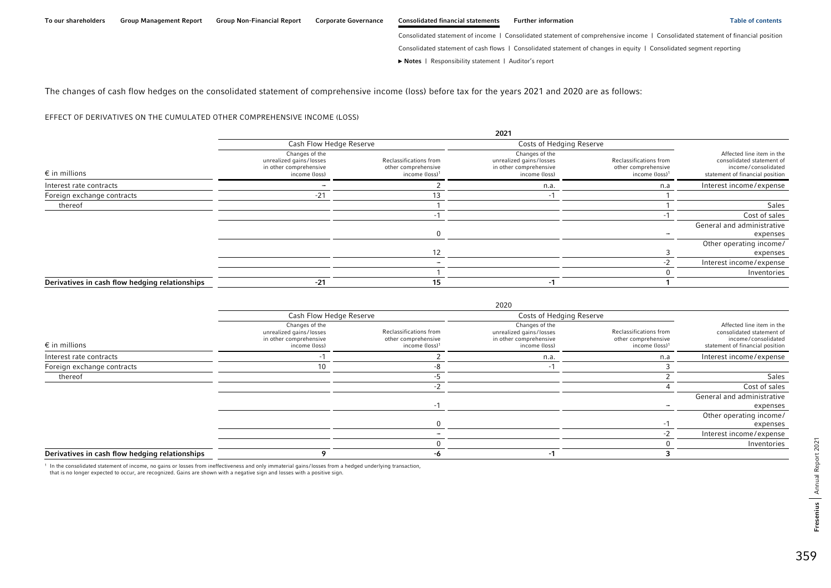2020

Consolidated statement of income | Consolidated statement of comprehensive income | Consolidated statement of financial position

Consolidated statement of cash flows | Consolidated statement of changes in equity | Consolidated segment reporting

**►** [Notes](#page-0-0) | [Responsibility statement](#page-97-0) | [Auditor's report](#page-98-0) 

The changes of cash flow hedges on the consolidated statement of comprehensive income (loss) before tax for the years 2021 and 2020 are as follows:

#### EFFECT OF DERIVATIVES ON THE CUMULATED OTHER COMPREHENSIVE INCOME (LOSS)

|                                                |                                                                                      |                                                                             | 2021                                                                                 |                                                                             |                                                                                                                  |  |
|------------------------------------------------|--------------------------------------------------------------------------------------|-----------------------------------------------------------------------------|--------------------------------------------------------------------------------------|-----------------------------------------------------------------------------|------------------------------------------------------------------------------------------------------------------|--|
|                                                | Cash Flow Hedge Reserve                                                              |                                                                             |                                                                                      | Costs of Hedging Reserve                                                    |                                                                                                                  |  |
| $\epsilon$ in millions                         | Changes of the<br>unrealized gains/losses<br>in other comprehensive<br>income (loss) | Reclassifications from<br>other comprehensive<br>income (loss) <sup>1</sup> | Changes of the<br>unrealized gains/losses<br>in other comprehensive<br>income (loss) | Reclassifications from<br>other comprehensive<br>income (loss) <sup>1</sup> | Affected line item in the<br>consolidated statement of<br>income/consolidated<br>statement of financial position |  |
| Interest rate contracts                        |                                                                                      |                                                                             | n.a                                                                                  | n.a                                                                         | Interest income/expense                                                                                          |  |
| Foreign exchange contracts                     | $-21$                                                                                |                                                                             |                                                                                      |                                                                             |                                                                                                                  |  |
| thereof                                        |                                                                                      |                                                                             |                                                                                      |                                                                             | Sales                                                                                                            |  |
|                                                |                                                                                      |                                                                             |                                                                                      |                                                                             | Cost of sales                                                                                                    |  |
|                                                |                                                                                      |                                                                             |                                                                                      |                                                                             | General and administrative<br>expenses                                                                           |  |
|                                                |                                                                                      | 12                                                                          |                                                                                      |                                                                             | Other operating income/<br>expenses                                                                              |  |
|                                                |                                                                                      |                                                                             |                                                                                      |                                                                             | Interest income/expense                                                                                          |  |
|                                                |                                                                                      |                                                                             |                                                                                      |                                                                             | Inventories                                                                                                      |  |
| Derivatives in cash flow hedging relationships | $-21$                                                                                | 15                                                                          |                                                                                      |                                                                             |                                                                                                                  |  |

|                                                |                                                                                      |                                                                             | ZUZU                                                                                 |                                                                             |                                                                                                                  |
|------------------------------------------------|--------------------------------------------------------------------------------------|-----------------------------------------------------------------------------|--------------------------------------------------------------------------------------|-----------------------------------------------------------------------------|------------------------------------------------------------------------------------------------------------------|
|                                                | Cash Flow Hedge Reserve                                                              |                                                                             | Costs of Hedging Reserve                                                             |                                                                             |                                                                                                                  |
| $\epsilon$ in millions                         | Changes of the<br>unrealized gains/losses<br>in other comprehensive<br>income (loss) | Reclassifications from<br>other comprehensive<br>income (loss) <sup>1</sup> | Changes of the<br>unrealized gains/losses<br>in other comprehensive<br>income (loss) | Reclassifications from<br>other comprehensive<br>income (loss) <sup>1</sup> | Affected line item in the<br>consolidated statement of<br>income/consolidated<br>statement of financial position |
| Interest rate contracts                        |                                                                                      |                                                                             | n.a.                                                                                 | n.a                                                                         | Interest income/expense                                                                                          |
| Foreign exchange contracts                     | 10                                                                                   |                                                                             |                                                                                      |                                                                             |                                                                                                                  |
| thereof                                        |                                                                                      |                                                                             |                                                                                      |                                                                             | Sales                                                                                                            |
|                                                |                                                                                      |                                                                             |                                                                                      |                                                                             | Cost of sales                                                                                                    |
|                                                |                                                                                      |                                                                             |                                                                                      |                                                                             | General and administrative<br>expenses                                                                           |
|                                                |                                                                                      |                                                                             |                                                                                      |                                                                             | Other operating income/<br>expenses                                                                              |
|                                                |                                                                                      |                                                                             |                                                                                      |                                                                             | Interest income/expense                                                                                          |
|                                                |                                                                                      |                                                                             |                                                                                      |                                                                             | Inventories                                                                                                      |
| Derivatives in cash flow hedging relationships |                                                                                      |                                                                             |                                                                                      |                                                                             |                                                                                                                  |

<sup>1</sup> In the consolidated statement of income, no gains or losses from ineffectiveness and only immaterial gains/losses from a hedged underlying transaction,<br>that is no longer expected to occur, are recognized. Gains are sho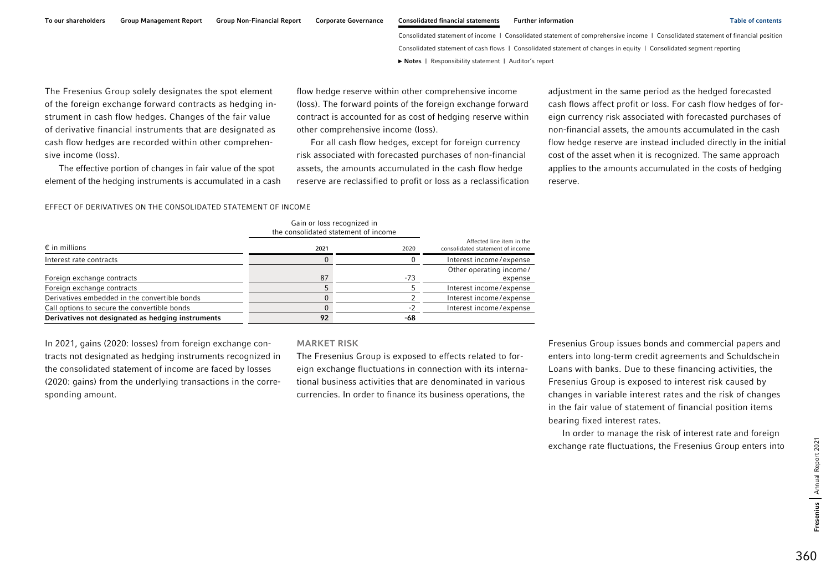To our shareholders Group Management Report Group Non-Financial Report Corporate Governance Consolidated financial statements Further information Table of contents Table of contents

Consolidated statement of income | Consolidated statement of comprehensive income | Consolidated statement of financial position Consolidated statement of cash flows | Consolidated statement of changes in equity | Consolidated segment reporting **►** [Notes](#page-0-0) | [Responsibility statement](#page-97-0) | [Auditor's report](#page-98-0) 

The Fresenius Group solely designates the spot element of the foreign exchange forward contracts as hedging instrument in cash flow hedges. Changes of the fair value of derivative financial instruments that are designated as cash flow hedges are recorded within other comprehensive income (loss).

The effective portion of changes in fair value of the spot element of the hedging instruments is accumulated in a cash flow hedge reserve within other comprehensive income (loss). The forward points of the foreign exchange forward contract is accounted for as cost of hedging reserve within other comprehensive income (loss).

For all cash flow hedges, except for foreign currency risk associated with forecasted purchases of non-financial assets, the amounts accumulated in the cash flow hedge reserve are reclassified to profit or loss as a reclassification

adjustment in the same period as the hedged forecasted cash flows affect profit or loss. For cash flow hedges of foreign currency risk associated with forecasted purchases of non-financial assets, the amounts accumulated in the cash flow hedge reserve are instead included directly in the initial cost of the asset when it is recognized. The same approach applies to the amounts accumulated in the costs of hedging reserve.

#### EFFECT OF DERIVATIVES ON THE CONSOLIDATED STATEMENT OF INCOME

|                                                   | <b>VAILL VE TOOS LCCOUTTLED ITT</b><br>the consolidated statement of income |     |                                                               |
|---------------------------------------------------|-----------------------------------------------------------------------------|-----|---------------------------------------------------------------|
| $\epsilon$ in millions                            | 2021                                                                        |     | Affected line item in the<br>consolidated statement of income |
| Interest rate contracts                           |                                                                             |     | Interest income/expense                                       |
|                                                   |                                                                             |     | Other operating income/                                       |
| Foreign exchange contracts                        | 87                                                                          | -73 | expense                                                       |
| Foreign exchange contracts                        |                                                                             |     | Interest income/expense                                       |
| Derivatives embedded in the convertible bonds     |                                                                             |     | Interest income/expense                                       |
| Call options to secure the convertible bonds      |                                                                             |     | Interest income/expense                                       |
| Derivatives not designated as hedging instruments | 92                                                                          | -68 |                                                               |

In 2021, gains (2020: losses) from foreign exchange contracts not designated as hedging instruments recognized in the consolidated statement of income are faced by losses (2020: gains) from the underlying transactions in the corresponding amount.

#### MARKET RISK

Gain or loss recognized in

The Fresenius Group is exposed to effects related to foreign exchange fluctuations in connection with its international business activities that are denominated in various currencies. In order to finance its business operations, the

Fresenius Group issues bonds and commercial papers and enters into long-term credit agreements and Schuldschein Loans with banks. Due to these financing activities, the Fresenius Group is exposed to interest risk caused by changes in variable interest rates and the risk of changes in the fair value of statement of financial position items bearing fixed interest rates.

In order to manage the risk of interest rate and foreign exchange rate fluctuations, the Fresenius Group enters into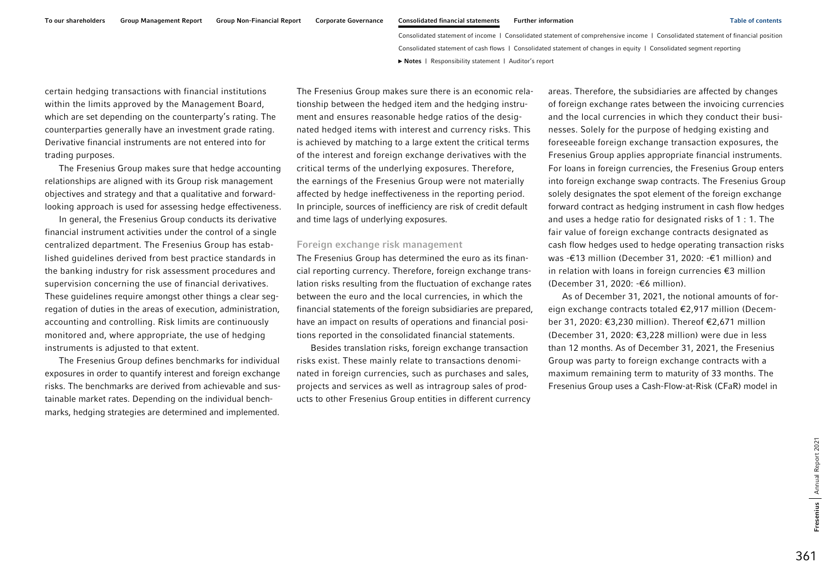certain hedging transactions with financial institutions within the limits approved by the Management Board, which are set depending on the counterparty's rating. The counterparties generally have an investment grade rating. Derivative financial instruments are not entered into for trading purposes.

The Fresenius Group makes sure that hedge accounting relationships are aligned with its Group risk management objectives and strategy and that a qualitative and forwardlooking approach is used for assessing hedge effectiveness.

In general, the Fresenius Group conducts its derivative financial instrument activities under the control of a single centralized department. The Fresenius Group has established guidelines derived from best practice standards in the banking industry for risk assessment procedures and supervision concerning the use of financial derivatives. These guidelines require amongst other things a clear segregation of duties in the areas of execution, administration, accounting and controlling. Risk limits are continuously monitored and, where appropriate, the use of hedging instruments is adjusted to that extent.

The Fresenius Group defines benchmarks for individual exposures in order to quantify interest and foreign exchange risks. The benchmarks are derived from achievable and sustainable market rates. Depending on the individual benchmarks, hedging strategies are determined and implemented. The Fresenius Group makes sure there is an economic relationship between the hedged item and the hedging instrument and ensures reasonable hedge ratios of the designated hedged items with interest and currency risks. This is achieved by matching to a large extent the critical terms of the interest and foreign exchange derivatives with the critical terms of the underlying exposures. Therefore, the earnings of the Fresenius Group were not materially affected by hedge ineffectiveness in the reporting period. In principle, sources of inefficiency are risk of credit default and time lags of underlying exposures.

#### Foreign exchange risk management

The Fresenius Group has determined the euro as its financial reporting currency. Therefore, foreign exchange translation risks resulting from the fluctuation of exchange rates between the euro and the local currencies, in which the financial statements of the foreign subsidiaries are prepared, have an impact on results of operations and financial positions reported in the consolidated financial statements.

Besides translation risks, foreign exchange transaction risks exist. These mainly relate to transactions denominated in foreign currencies, such as purchases and sales, projects and services as well as intragroup sales of products to other Fresenius Group entities in different currency areas. Therefore, the subsidiaries are affected by changes of foreign exchange rates between the invoicing currencies and the local currencies in which they conduct their businesses. Solely for the purpose of hedging existing and foreseeable foreign exchange transaction exposures, the Fresenius Group applies appropriate financial instruments. For loans in foreign currencies, the Fresenius Group enters into foreign exchange swap contracts. The Fresenius Group solely designates the spot element of the foreign exchange forward contract as hedging instrument in cash flow hedges and uses a hedge ratio for designated risks of 1 : 1. The fair value of foreign exchange contracts designated as cash flow hedges used to hedge operating transaction risks was -€13 million (December 31, 2020: -€1 million) and in relation with loans in foreign currencies €3 million (December 31, 2020: -€6 million).

As of December 31, 2021, the notional amounts of foreign exchange contracts totaled €2,917 million (December 31, 2020: €3,230 million). Thereof €2,671 million (December 31, 2020: €3,228 million) were due in less than 12 months. As of December 31, 2021, the Fresenius Group was party to foreign exchange contracts with a maximum remaining term to maturity of 33 months. The Fresenius Group uses a Cash-Flow-at-Risk (CFaR) model in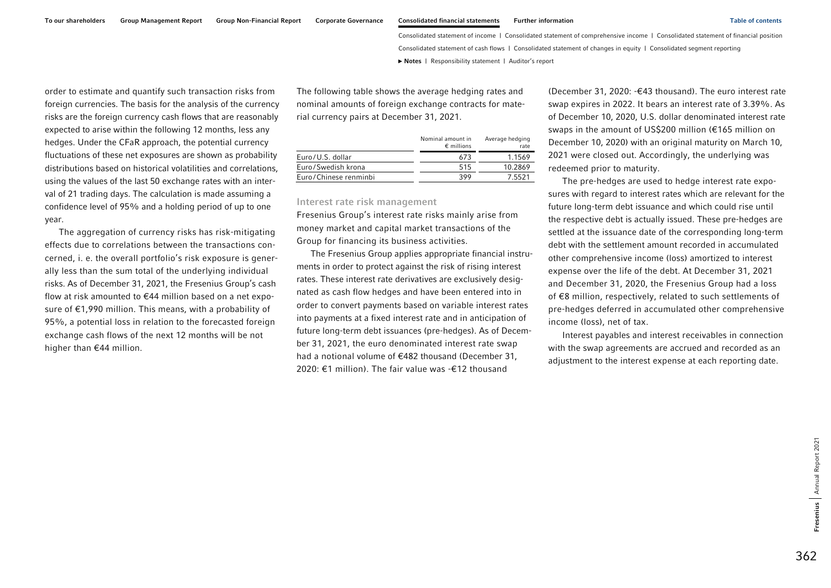order to estimate and quantify such transaction risks from foreign currencies. The basis for the analysis of the currency risks are the foreign currency cash flows that are reasonably expected to arise within the following 12 months, less any hedges. Under the CFaR approach, the potential currency fluctuations of these net exposures are shown as probability distributions based on historical volatilities and correlations, using the values of the last 50 exchange rates with an interval of 21 trading days. The calculation is made assuming a confidence level of 95% and a holding period of up to one year.

The aggregation of currency risks has risk-mitigating effects due to correlations between the transactions concerned, i. e. the overall portfolio's risk exposure is generally less than the sum total of the underlying individual risks. As of December 31, 2021, the Fresenius Group's cash flow at risk amounted to €44 million based on a net exposure of €1,990 million. This means, with a probability of 95%, a potential loss in relation to the forecasted foreign exchange cash flows of the next 12 months will be not higher than €44 million.

The following table shows the average hedging rates and nominal amounts of foreign exchange contracts for material currency pairs at December 31, 2021.

|                       | Nominal amount in<br>$\epsilon$ millions | Average hedging<br>rate |
|-----------------------|------------------------------------------|-------------------------|
| Euro/U.S. dollar      | 673                                      | 1.1569                  |
| Euro/Swedish krona    | 515                                      | 10.2869                 |
| Euro/Chinese renminbi | 399                                      | 75521                   |

#### Interest rate risk management

Fresenius Group's interest rate risks mainly arise from money market and capital market transactions of the Group for financing its business activities.

The Fresenius Group applies appropriate financial instruments in order to protect against the risk of rising interest rates. These interest rate derivatives are exclusively designated as cash flow hedges and have been entered into in order to convert payments based on variable interest rates into payments at a fixed interest rate and in anticipation of future long-term debt issuances (pre-hedges). As of December 31, 2021, the euro denominated interest rate swap had a notional volume of €482 thousand (December 31, 2020: €1 million). The fair value was -€12 thousand

(December 31, 2020: -€43 thousand). The euro interest rate swap expires in 2022. It bears an interest rate of 3.39%. As of December 10, 2020, U.S. dollar denominated interest rate swaps in the amount of US\$200 million (€165 million on December 10, 2020) with an original maturity on March 10, 2021 were closed out. Accordingly, the underlying was redeemed prior to maturity.

The pre-hedges are used to hedge interest rate exposures with regard to interest rates which are relevant for the future long-term debt issuance and which could rise until the respective debt is actually issued. These pre-hedges are settled at the issuance date of the corresponding long-term debt with the settlement amount recorded in accumulated other comprehensive income (loss) amortized to interest expense over the life of the debt. At December 31, 2021 and December 31, 2020, the Fresenius Group had a loss of €8 million, respectively, related to such settlements of pre-hedges deferred in accumulated other comprehensive income (loss), net of tax.

Interest payables and interest receivables in connection with the swap agreements are accrued and recorded as an adjustment to the interest expense at each reporting date.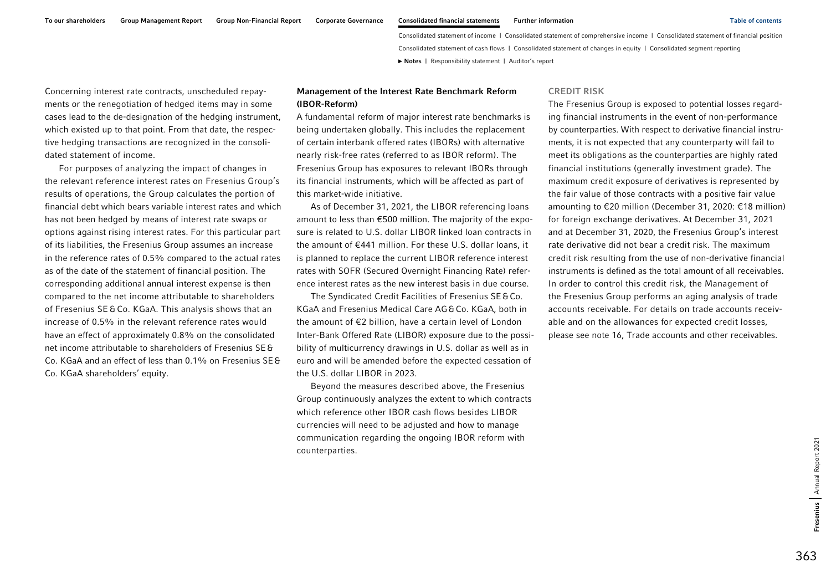To our shareholders Group Management Report Group Non-Financial Report Corporate Governance Consolidated financial statements Further information Table of contents Table of contents

Consolidated statement of income | Consolidated statement of comprehensive income | Consolidated statement of financial position Consolidated statement of cash flows | Consolidated statement of changes in equity | Consolidated segment reporting **►** [Notes](#page-0-0) | [Responsibility statement](#page-97-0) | [Auditor's report](#page-98-0) 

Concerning interest rate contracts, unscheduled repayments or the renegotiation of hedged items may in some cases lead to the de-designation of the hedging instrument, which existed up to that point. From that date, the respective hedging transactions are recognized in the consolidated statement of income.

For purposes of analyzing the impact of changes in the relevant reference interest rates on Fresenius Group's results of operations, the Group calculates the portion of financial debt which bears variable interest rates and which has not been hedged by means of interest rate swaps or options against rising interest rates. For this particular part of its liabilities, the Fresenius Group assumes an increase in the reference rates of 0.5% compared to the actual rates as of the date of the statement of financial position. The corresponding additional annual interest expense is then compared to the net income attributable to shareholders of Fresenius SE &Co. KGaA. This analysis shows that an increase of 0.5% in the relevant reference rates would have an effect of approximately 0.8% on the consolidated net income attributable to shareholders of Fresenius SE&Co. KGaA and an effect of less than 0.1% on Fresenius SE&Co. KGaA shareholders' equity.

### Management of the Interest Rate Benchmark Reform (IBOR-Reform)

A fundamental reform of major interest rate benchmarks is being undertaken globally. This includes the replacement of certain interbank offered rates (IBORs) with alternative nearly risk-free rates (referred to as IBOR reform). The Fresenius Group has exposures to relevant IBORs through its financial instruments, which will be affected as part of this market-wide initiative.

As of December 31, 2021, the LIBOR referencing loans amount to less than €500 million. The majority of the exposure is related to U.S. dollar LIBOR linked loan contracts in the amount of €441 million. For these U.S. dollar loans, it is planned to replace the current LIBOR reference interest rates with SOFR (Secured Overnight Financing Rate) reference interest rates as the new interest basis in due course.

The Syndicated Credit Facilities of Fresenius SE&Co. KGaA and Fresenius Medical Care AG&Co. KGaA, both in the amount of €2 billion, have a certain level of London Inter-Bank Offered Rate (LIBOR) exposure due to the possibility of multicurrency drawings in U.S. dollar as well as in euro and will be amended before the expected cessation of the U.S. dollar LIBOR in 2023.

Beyond the measures described above, the Fresenius Group continuously analyzes the extent to which contracts which reference other IBOR cash flows besides LIBOR currencies will need to be adjusted and how to manage communication regarding the ongoing IBOR reform with counterparties.

#### CREDIT RISK

The Fresenius Group is exposed to potential losses regarding financial instruments in the event of non-performance by counterparties. With respect to derivative financial instruments, it is not expected that any counterparty will fail to meet its obligations as the counterparties are highly rated financial institutions (generally investment grade). The maximum credit exposure of derivatives is represented by the fair value of those contracts with a positive fair value amounting to €20 million (December 31, 2020: €18 million) for foreign exchange derivatives. At December 31, 2021 and at December 31, 2020, the Fresenius Group's interest rate derivative did not bear a credit risk. The maximum credit risk resulting from the use of non-derivative financial instruments is defined as the total amount of all receivables. In order to control this credit risk, the Management of the Fresenius Group performs an aging analysis of trade accounts receivable. For details on trade accounts receivable and on the allowances for expected credit losses, please see note 16, Trade accounts and other receivables.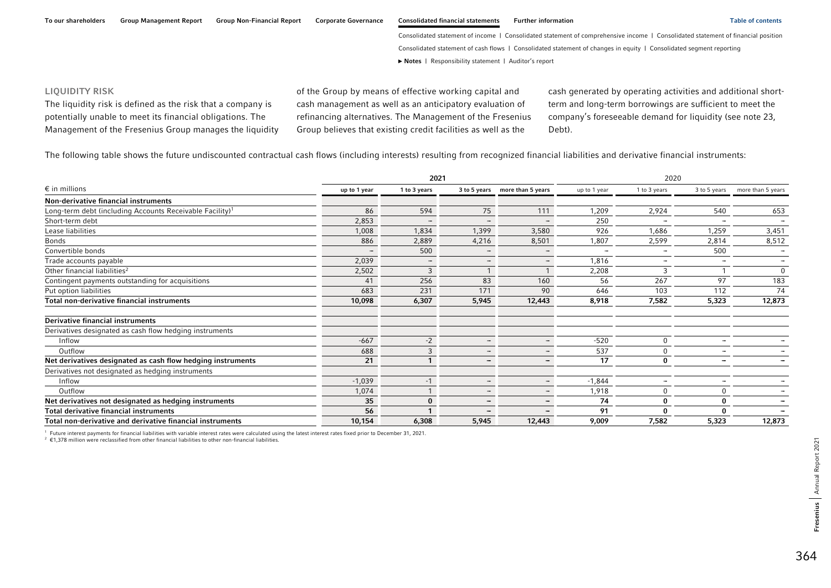#### LIQUIDITY RISK

The liquidity risk is defined as the risk that a company is potentially unable to meet its financial obligations. The Management of the Fresenius Group manages the liquidity of the Group by means of effective working capital and cash management as well as an anticipatory evaluation of refinancing alternatives. The Management of the Fresenius Group believes that existing credit facilities as well as the

cash generated by operating activities and additional shortterm and long-term borrowings are sufficient to meet the company's foreseeable demand for liquidity (see note 23, Debt).

The following table shows the future undiscounted contractual cash flows (including interests) resulting from recognized financial liabilities and derivative financial instruments:

|                                                                      |                          | 2021                     |                          |                                |              | 2020                     |                          |                                |
|----------------------------------------------------------------------|--------------------------|--------------------------|--------------------------|--------------------------------|--------------|--------------------------|--------------------------|--------------------------------|
| $\epsilon$ in millions                                               | up to 1 year             | 1 to 3 years             |                          | 3 to 5 years more than 5 years | up to 1 year | 1 to 3 years             |                          | 3 to 5 years more than 5 years |
| Non-derivative financial instruments                                 |                          |                          |                          |                                |              |                          |                          |                                |
| Long-term debt (including Accounts Receivable Facility) <sup>1</sup> | 86                       | 594                      | 75                       | 111                            | 1,209        | 2,924                    | 540                      | 653                            |
| Short-term debt                                                      | 2,853                    |                          | $\sim$                   | $\sim$                         | 250          |                          | $\overline{\phantom{a}}$ |                                |
| Lease liabilities                                                    | 1,008                    | 1,834                    | 1,399                    | 3,580                          | 926          | 1,686                    | 1,259                    | 3,451                          |
| <b>Bonds</b>                                                         | 886                      | 2,889                    | 4,216                    | 8,501                          | 1,807        | 2,599                    | 2,814                    | 8,512                          |
| Convertible bonds                                                    | $\overline{\phantom{0}}$ | 500                      | $\sim$                   | $\overline{\phantom{a}}$       | $\equiv$     | $\overline{\phantom{a}}$ | 500                      | $\equiv$                       |
| Trade accounts payable                                               | 2,039                    | $\overline{\phantom{0}}$ | $\overline{\phantom{a}}$ | $\overline{\phantom{a}}$       | 1,816        | $\overline{\phantom{a}}$ | $\equiv$                 | $\equiv$                       |
| Other financial liabilities <sup>2</sup>                             | 2,502                    | $\mathbf{R}$             |                          |                                | 2,208        | 3                        |                          | $\Omega$                       |
| Contingent payments outstanding for acquisitions                     | 41                       | 256                      | 83                       | 160                            | 56           | 267                      | 97                       | 183                            |
| Put option liabilities                                               | 683                      | 231                      | 171                      | 90                             | 646          | 103                      | 112                      | 74                             |
| Total non-derivative financial instruments                           | 10,098                   | 6,307                    | 5,945                    | 12,443                         | 8,918        | 7,582                    | 5,323                    | 12,873                         |
| <b>Derivative financial instruments</b>                              |                          |                          |                          |                                |              |                          |                          |                                |
| Derivatives designated as cash flow hedging instruments              |                          |                          |                          |                                |              |                          |                          |                                |
| Inflow                                                               | $-667$                   | $-2$                     | $\overline{\phantom{a}}$ | $\overline{\phantom{a}}$       | $-520$       | $\Omega$                 | -                        |                                |
| Outflow                                                              | 688                      | $\mathbf{3}$             | $\overline{\phantom{a}}$ | $\overline{\phantom{a}}$       | 537          | $\Omega$                 |                          |                                |
| Net derivatives designated as cash flow hedging instruments          | 21                       |                          | $\overline{\phantom{0}}$ | $\overline{\phantom{a}}$       | 17           | 0                        |                          |                                |
| Derivatives not designated as hedging instruments                    |                          |                          |                          |                                |              |                          |                          |                                |
| Inflow                                                               | $-1,039$                 | $-1$                     | $\overline{\phantom{a}}$ | $\overline{\phantom{a}}$       | $-1,844$     | $\sim$                   | -                        |                                |
| Outflow                                                              | 1,074                    |                          | $\overline{\phantom{a}}$ | $\overline{\phantom{a}}$       | 1,918        | $\Omega$                 |                          |                                |
| Net derivatives not designated as hedging instruments                | 35                       |                          | $\overline{\phantom{m}}$ | $\overline{\phantom{a}}$       | 74           | 0                        | 0                        |                                |
| Total derivative financial instruments                               | 56                       |                          |                          | $\overline{\phantom{0}}$       | 91           | $\Omega$                 | $\Omega$                 |                                |
| Total non-derivative and derivative financial instruments            | 10,154                   | 6,308                    | 5,945                    | 12,443                         | 9,009        | 7,582                    | 5,323                    | 12,873                         |

1 Future interest payments for financial liabilities with variable interest rates were calculated using the latest interest rates fixed prior to December 31, 2021.

2 €1,378 million were reclassified from other financial liabilities to other non-financial liabilities.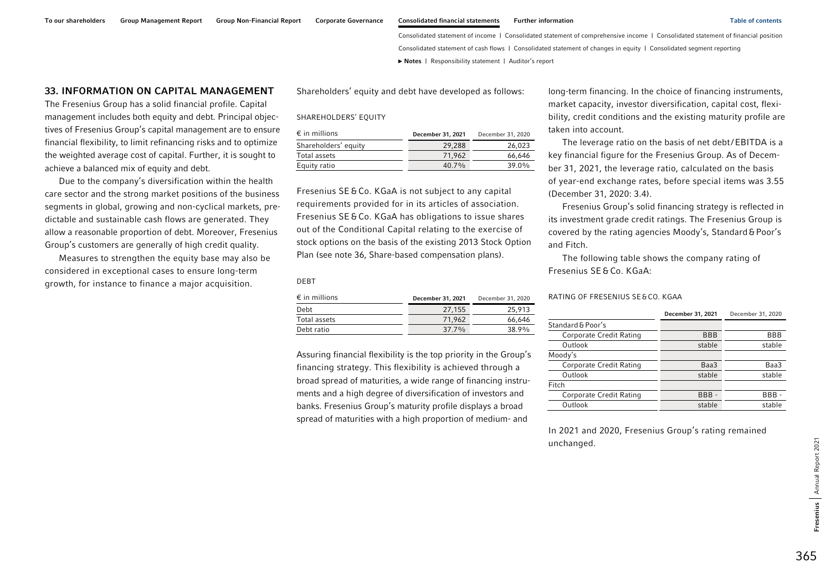#### To our shareholders Group Management Report Group Non-Financial Report Corporate Governance Consolidated financial statements Further information Table of contents Table of contents

Consolidated statement of income | Consolidated statement of comprehensive income | Consolidated statement of financial position Consolidated statement of cash flows | Consolidated statement of changes in equity | Consolidated segment reporting **►** [Notes](#page-0-0) | [Responsibility statement](#page-97-0) | [Auditor's report](#page-98-0) 

### 33. INFORMATION ON CAPITAL MANAGEMENT

The Fresenius Group has a solid financial profile. Capital management includes both equity and debt. Principal objectives of Fresenius Group's capital management are to ensure financial flexibility, to limit refinancing risks and to optimize the weighted average cost of capital. Further, it is sought to achieve a balanced mix of equity and debt.

Due to the company's diversification within the health care sector and the strong market positions of the business segments in global, growing and non-cyclical markets, predictable and sustainable cash flows are generated. They allow a reasonable proportion of debt. Moreover, Fresenius Group's customers are generally of high credit quality.

Measures to strengthen the equity base may also be considered in exceptional cases to ensure long-term growth, for instance to finance a major acquisition.

Shareholders' equity and debt have developed as follows:

#### SHAREHOLDERS' EQUITY

| $\epsilon$ in millions | December 31, 2021 | December 31, 2020 |
|------------------------|-------------------|-------------------|
| Shareholders' equity   | 29.288            | 26.023            |
| Total assets           | 71.962            | 66.646            |
| Equity ratio           | $40.7\%$          | $39.0\%$          |

Fresenius SE &Co. KGaA is not subject to any capital requirements provided for in its articles of association. Fresenius SE &Co. KGaA has obligations to issue shares out of the Conditional Capital relating to the exercise of stock options on the basis of the existing 2013 Stock Option Plan (see note 36, Share-based compensation plans).

DEBT

| $\epsilon$ in millions | December 31, 2021 | December 31, 2020 |
|------------------------|-------------------|-------------------|
| Debt                   | 27.155            | 25,913            |
| Total assets           | 71.962            | 66.646            |
| Debt ratio             | $377\%$           | 38.9%             |

Assuring financial flexibility is the top priority in the Group's financing strategy. This flexibility is achieved through a broad spread of maturities, a wide range of financing instruments and a high degree of diversification of investors and banks. Fresenius Group's maturity profile displays a broad spread of maturities with a high proportion of medium- and

long-term financing. In the choice of financing instruments, market capacity, investor diversification, capital cost, flexibility, credit conditions and the existing maturity profile are taken into account.

The leverage ratio on the basis of net debt/EBITDA is a key financial figure for the Fresenius Group. As of December 31, 2021, the leverage ratio, calculated on the basis of year-end exchange rates, before special items was 3.55 (December 31, 2020: 3.4).

Fresenius Group's solid financing strategy is reflected in its investment grade credit ratings. The Fresenius Group is covered by the rating agencies Moody's, Standard&Poor's and Fitch.

The following table shows the company rating of Fresenius SE &Co. KGaA:

#### RATING OF FRESENIUS SE&CO. KGAA

|                         | December 31, 2021 | December 31, 2020 |
|-------------------------|-------------------|-------------------|
| Standard & Poor's       |                   |                   |
| Corporate Credit Rating | <b>BBB</b>        | BBB               |
| Outlook                 | stable            | stable            |
| Moody's                 |                   |                   |
| Corporate Credit Rating | Baa3              | Baa3              |
| Outlook                 | stable            | stable            |
| Fitch                   |                   |                   |
| Corporate Credit Rating | BBB-              | BBB               |
| Outlook                 | stable            | stable            |

In 2021 and 2020, Fresenius Group's rating remained unchanged.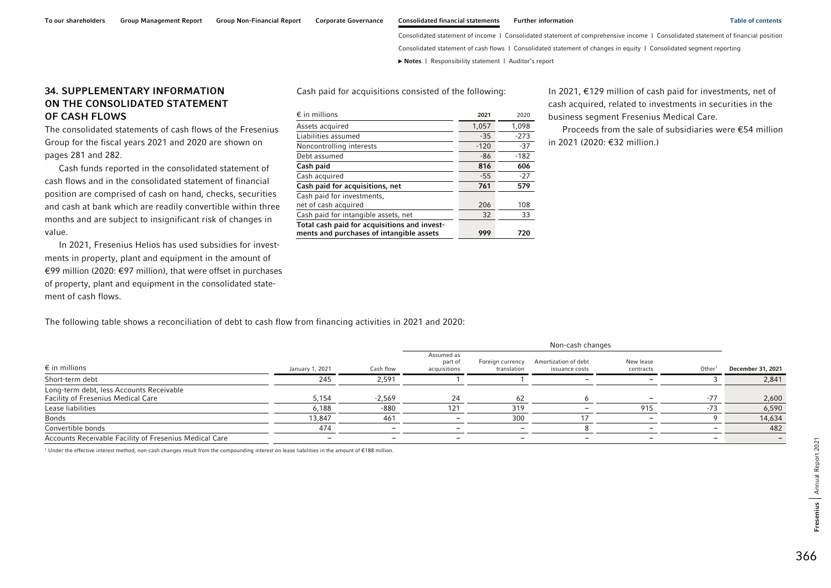Annual Report 2021

Fresenius Annual Report 2021

Fresenius

Consolidated statement of income | Consolidated statement of comprehensive income | Consolidated statement of financial position Consolidated statement of cash flows | Consolidated statement of changes in equity | Consolidated segment reporting

**►** [Notes](#page-0-0) | [Responsibility statement](#page-97-0) | [Auditor's report](#page-98-0) 

# 34. SUPPLEMENTARY INFORMATION ON THE CONSOLIDATED STATEMENT OF CASH FLOWS

The consolidated statements of cash flows of the Fresenius Group for the fiscal years 2021 and 2020 are shown on pages 281 and 282.

Cash funds reported in the consolidated statement of cash flows and in the consolidated statement of financial position are comprised of cash on hand, checks, securities and cash at bank which are readily convertible within three months and are subject to insignificant risk of changes in value.

In 2021, Fresenius Helios has used subsidies for investments in property, plant and equipment in the amount of €99 million (2020: €97 million), that were offset in purchases of property, plant and equipment in the consolidated statement of cash flows.

The following table shows a reconciliation of debt to cash flow from financing activities in 2021 and 2020:

|                                                                                |                          |           | Non-cash changes                      |                                 |                                        |                        |                          |                   |
|--------------------------------------------------------------------------------|--------------------------|-----------|---------------------------------------|---------------------------------|----------------------------------------|------------------------|--------------------------|-------------------|
| $\epsilon$ in millions                                                         | January 1, 2021          | Cash flow | Assumed as<br>part of<br>acquisitions | Foreign currency<br>translation | Amortization of debt<br>issuance costs | New lease<br>contracts | Other <sup>1</sup>       | December 31, 2021 |
| Short-term debt                                                                | 245                      | 2,591     |                                       |                                 | $\overline{\phantom{a}}$               |                        |                          | 2,841             |
| Long-term debt, less Accounts Receivable<br>Facility of Fresenius Medical Care | 5,154                    | $-2,569$  | 24                                    | 62                              |                                        |                        | $-77$                    | 2,600             |
| Lease liabilities                                                              | 6,188                    | -880      | 121                                   | 319                             |                                        | 915                    | $-73$                    | 6,590             |
| <b>Bonds</b>                                                                   | 13.847                   | 461       |                                       | 300                             |                                        |                        |                          | 14,634            |
| Convertible bonds                                                              | 474                      |           |                                       |                                 |                                        |                        |                          | 482               |
| Accounts Receivable Facility of Fresenius Medical Care                         | $\overline{\phantom{a}}$ | -         | -                                     | -                               | $\overline{\phantom{a}}$               |                        | $\overline{\phantom{a}}$ |                   |

1 Under the effective interest method, non-cash changes result from the compounding interest on lease liabilities in the amount of €188 million.

| $\epsilon$ in millions                       | 2021   | 2020   |
|----------------------------------------------|--------|--------|
| Assets acquired                              | 1,057  | 1,098  |
| Liabilities assumed                          | $-35$  | $-273$ |
| Noncontrolling interests                     | $-120$ | $-37$  |
| Debt assumed                                 | -86    | $-182$ |
| Cash paid                                    | 816    | 606    |
| Cash acquired                                | $-55$  | $-27$  |
| Cash paid for acquisitions, net              | 761    | 579    |
| Cash paid for investments,                   |        |        |
| net of cash acquired                         | 206    | 108    |
| Cash paid for intangible assets, net         | 32     | 33     |
| Total cash paid for acquisitions and invest- |        |        |
| ments and purchases of intangible assets     | 999    | 720    |

Cash paid for acquisitions consisted of the following:

In 2021, €129 million of cash paid for investments, net of cash acquired, related to investments in securities in the business segment Fresenius Medical Care.

Proceeds from the sale of subsidiaries were €54 million in 2021 (2020: €32 million.)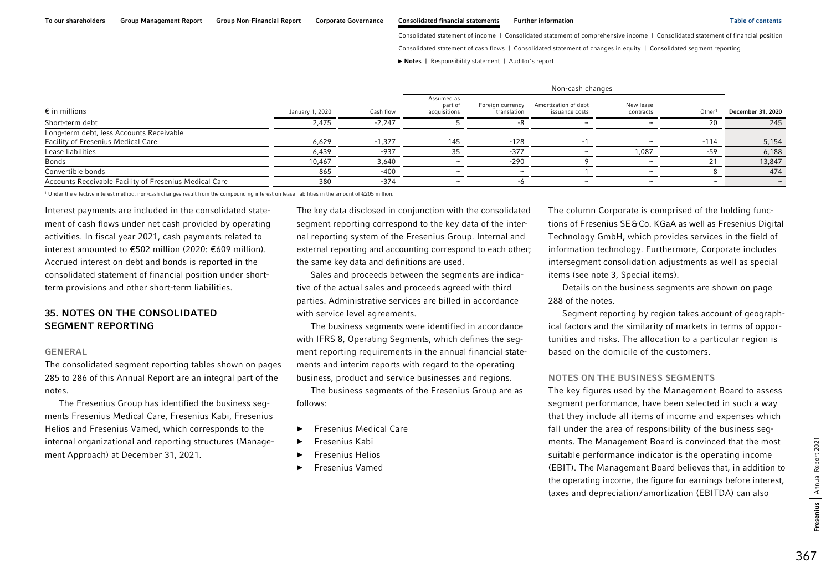Consolidated statement of income | Consolidated statement of comprehensive income | Consolidated statement of financial position

Consolidated statement of cash flows | Consolidated statement of changes in equity | Consolidated segment reporting

**►** [Notes](#page-0-0) | [Responsibility statement](#page-97-0) | [Auditor's report](#page-98-0) 

|                                                                                |                 |           | Non-cash changes                      |                                 |                                        |                        |                    |                   |
|--------------------------------------------------------------------------------|-----------------|-----------|---------------------------------------|---------------------------------|----------------------------------------|------------------------|--------------------|-------------------|
| $\epsilon$ in millions                                                         | January 1, 2020 | Cash flow | Assumed as<br>part of<br>acquisitions | Foreign currency<br>translation | Amortization of debt<br>issuance costs | New lease<br>contracts | Other <sup>1</sup> | December 31, 2020 |
| Short-term debt                                                                | 2,475           | $-2,247$  |                                       |                                 | $\overline{\phantom{a}}$               |                        | 20                 | 245               |
| Long-term debt, less Accounts Receivable<br>Facility of Fresenius Medical Care | 6,629           | $-1,377$  | 145                                   | $-128$                          |                                        |                        | $-114$             | 5,154             |
| Lease liabilities                                                              | 6,439           | -937      |                                       | $-377$                          |                                        | .087                   | -59                | 6,188             |
| <b>Bonds</b>                                                                   | 10,467          | 3,640     |                                       | $-290$                          |                                        |                        | 21                 | 13,847            |
| Convertible bonds                                                              | 865             | $-400$    |                                       |                                 |                                        |                        |                    | 474               |
| Accounts Receivable Facility of Fresenius Medical Care                         | 380             | $-374$    | $\overline{\phantom{a}}$              |                                 | -                                      |                        | -                  |                   |

1 Under the effective interest method, non-cash changes result from the compounding interest on lease liabilities in the amount of €205 million.

Interest payments are included in the consolidated statement of cash flows under net cash provided by operating activities. In fiscal year 2021, cash payments related to interest amounted to €502 million (2020: €609 million). Accrued interest on debt and bonds is reported in the consolidated statement of financial position under shortterm provisions and other short-term liabilities.

### 35. NOTES ON THE CONSOLIDATED SEGMENT REPORTING

#### GENERAL

The consolidated segment reporting tables shown on pages 285 to 286 of this Annual Report are an integral part of the notes.

The Fresenius Group has identified the business segments Fresenius Medical Care, Fresenius Kabi, Fresenius Helios and Fresenius Vamed, which corresponds to the internal organizational and reporting structures (Management Approach) at December 31, 2021.

The key data disclosed in conjunction with the consolidated segment reporting correspond to the key data of the internal reporting system of the Fresenius Group. Internal and external reporting and accounting correspond to each other; the same key data and definitions are used.

Sales and proceeds between the segments are indicative of the actual sales and proceeds agreed with third parties. Administrative services are billed in accordance with service level agreements.

The business segments were identified in accordance with IFRS 8, Operating Segments, which defines the segment reporting requirements in the annual financial statements and interim reports with regard to the operating business, product and service businesses and regions.

The business segments of the Fresenius Group are as follows:

- ►Fresenius Medical Care
- ►Fresenius Kabi
- ►Fresenius Helios
- ►Fresenius Vamed

The column Corporate is comprised of the holding functions of Fresenius SE&Co. KGaA as well as Fresenius Digital Technology GmbH, which provides services in the field of information technology. Furthermore, Corporate includes intersegment consolidation adjustments as well as special items (see note 3, Special items).

Details on the business segments are shown on page [288](#page-1-0) of the notes.

Segment reporting by region takes account of geographical factors and the similarity of markets in terms of opportunities and risks. The allocation to a particular region is based on the domicile of the customers.

#### NOTES ON THE BUSINESS SEGMENTS

The key figures used by the Management Board to assess segment performance, have been selected in such a way that they include all items of income and expenses which fall under the area of responsibility of the business segments. The Management Board is convinced that the most suitable performance indicator is the operating income (EBIT). The Management Board believes that, in addition to the operating income, the figure for earnings before interest, taxes and depreciation/ amortization (EBITDA) can also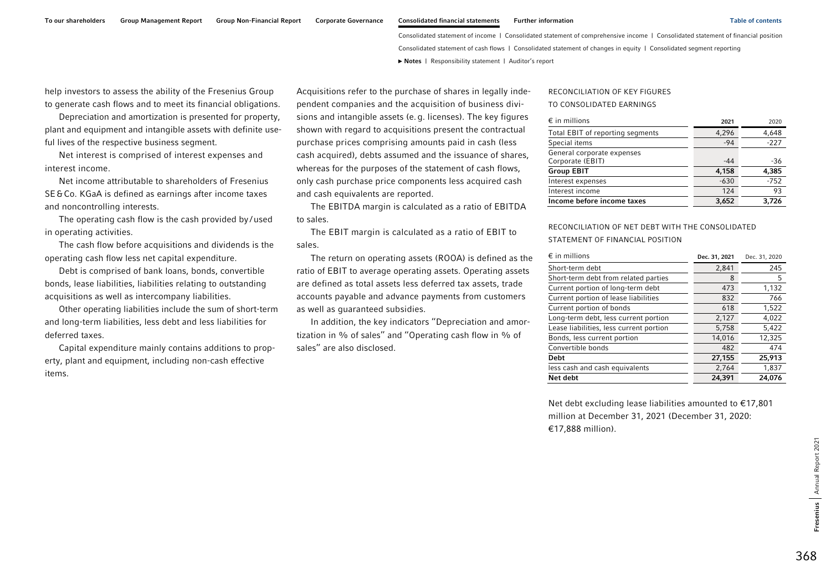**►** [Notes](#page-0-0) | [Responsibility statement](#page-97-0) | [Auditor's report](#page-98-0) 

help investors to assess the ability of the Fresenius Group to generate cash flows and to meet its financial obligations.

Depreciation and amortization is presented for property, plant and equipment and intangible assets with definite useful lives of the respective business segment.

Net interest is comprised of interest expenses and interest income.

Net income attributable to shareholders of Fresenius SE&Co. KGaA is defined as earnings after income taxes and noncontrolling interests.

The operating cash flow is the cash provided by/used in operating activities.

The cash flow before acquisitions and dividends is the operating cash flow less net capital expenditure.

Debt is comprised of bank loans, bonds, convertible bonds, lease liabilities, liabilities relating to outstanding acquisitions as well as intercompany liabilities.

Other operating liabilities include the sum of short-term and long-term liabilities, less debt and less liabilities for deferred taxes.

Capital expenditure mainly contains additions to property, plant and equipment, including non-cash effective items.

Acquisitions refer to the purchase of shares in legally independent companies and the acquisition of business divisions and intangible assets (e.g. licenses). The key figures shown with regard to acquisitions present the contractual purchase prices comprising amounts paid in cash (less cash acquired), debts assumed and the issuance of shares, whereas for the purposes of the statement of cash flows, only cash purchase price components less acquired cash and cash equivalents are reported.

The EBITDA margin is calculated as a ratio of EBITDA to sales.

The EBIT margin is calculated as a ratio of EBIT to sales.

The return on operating assets (ROOA) is defined as the ratio of EBIT to average operating assets. Operating assets are defined as total assets less deferred tax assets, trade accounts payable and advance payments from customers as well as guaranteed subsidies.

In addition, the key indicators ''Depreciation and amortization in % of sales'' and ''Operating cash flow in % of sales'' are also disclosed.

#### RECONCILIATION OF KEY FIGURES

#### TO CONSOLIDATED EARNINGS

| $\epsilon$ in millions                         | 2021   | 2020   |
|------------------------------------------------|--------|--------|
| Total EBIT of reporting segments               | 4,296  | 4,648  |
| Special items                                  | $-94$  | $-227$ |
| General corporate expenses<br>Corporate (EBIT) | $-44$  | -36    |
| <b>Group EBIT</b>                              | 4,158  | 4,385  |
| Interest expenses                              | $-630$ | $-752$ |
| Interest income                                | 124    | 93     |
| Income before income taxes                     | 3.652  | 3.726  |

#### RECONCILIATION OF NET DEBT WITH THE CONSOLIDATED STATEMENT OF FINANCIAL POSITION

| $\epsilon$ in millions                  | Dec. 31, 2021 | Dec. 31, 2020 |
|-----------------------------------------|---------------|---------------|
| Short-term debt                         | 2,841         | 245           |
| Short-term debt from related parties    | 8             | 5             |
| Current portion of long-term debt       | 473           | 1,132         |
| Current portion of lease liabilities    | 832           | 766           |
| Current portion of bonds                | 618           | 1,522         |
| Long-term debt, less current portion    | 2,127         | 4,022         |
| Lease liabilities, less current portion | 5,758         | 5,422         |
| Bonds, less current portion             | 14,016        | 12,325        |
| Convertible bonds                       | 482           | 474           |
| Debt                                    | 27,155        | 25,913        |
| less cash and cash equivalents          | 2,764         | 1,837         |
| Net debt                                | 24,391        | 24.076        |

Net debt excluding lease liabilities amounted to €17,801 million at December 31, 2021 (December 31, 2020: €17,888 million).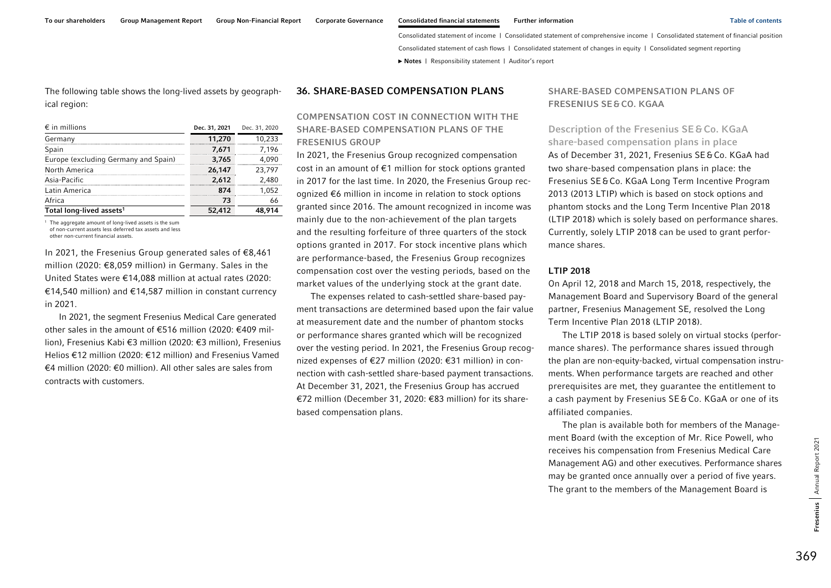To our shareholders Group Management Report Group Non-Financial Report Corporate Governance Consolidated financial statements Further information Table of contents Table of contents

Consolidated statement of income | Consolidated statement of comprehensive income | Consolidated statement of financial position Consolidated statement of cash flows | Consolidated statement of changes in equity | Consolidated segment reporting **►** [Notes](#page-0-0) | [Responsibility statement](#page-97-0) | [Auditor's report](#page-98-0) 

The following table shows the long-lived assets by geographical region:

| $\epsilon$ in millions               | Dec. 31, 2021 | Dec. 31, 2020 |
|--------------------------------------|---------------|---------------|
| Germany                              | 11,270        | 10,233        |
| Spain                                | 7.671         | 7,196         |
| Europe (excluding Germany and Spain) | 3,765         | 4,090         |
| North America                        | 26,147        | 23.797        |
| Asia-Pacific                         | 2,612         | 2,480         |
| Latin America                        | 874           | 1,052         |
| Africa                               | 73            | 66            |
| Total long-lived assets <sup>1</sup> | 52,412        | 48.914        |

<sup>1</sup> The aggregate amount of long-lived assets is the sum of non-current assets less deferred tax assets and less other non-current financial assets.

In 2021, the Fresenius Group generated sales of €8,461 million (2020: €8,059 million) in Germany. Sales in the United States were €14,088 million at actual rates (2020: €14,540 million) and €14,587 million in constant currency in 2021.

In 2021, the segment Fresenius Medical Care generated other sales in the amount of €516 million (2020: €409 million), Fresenius Kabi €3 million (2020: €3 million), Fresenius Helios €12 million (2020: €12 million) and Fresenius Vamed €4 million (2020: €0 million). All other sales are sales from contracts with customers.

#### 36. SHARE-BASED COMPENSATION PLANS

### COMPENSATION COST IN CONNECTION WITH THE SHARE-BASED COMPENSATION PLANS OF THE FRESENIUS GROUP

In 2021, the Fresenius Group recognized compensation cost in an amount of €1 million for stock options granted in 2017 for the last time. In 2020, the Fresenius Group recognized €6 million in income in relation to stock options granted since 2016. The amount recognized in income was mainly due to the non-achievement of the plan targets and the resulting forfeiture of three quarters of the stock options granted in 2017. For stock incentive plans which are performance-based, the Fresenius Group recognizes compensation cost over the vesting periods, based on the market values of the underlying stock at the grant date.

The expenses related to cash-settled share-based payment transactions are determined based upon the fair value at measurement date and the number of phantom stocks or performance shares granted which will be recognized over the vesting period. In 2021, the Fresenius Group recognized expenses of €27 million (2020: €31 million) in connection with cash-settled share-based payment transactions. At December 31, 2021, the Fresenius Group has accrued €72 million (December 31, 2020: €83 million) for its sharebased compensation plans.

### SHARE-BASED COMPENSATION PLANS OF FRESENIUS SE &CO. KGAA

Description of the Fresenius SE&Co. KGaA share-based compensation plans in place As of December 31, 2021, Fresenius SE&Co. KGaA had two share-based compensation plans in place: the Fresenius SE&Co. KGaA Long Term Incentive Program 2013 (2013 LTIP) which is based on stock options and phantom stocks and the Long Term Incentive Plan 2018 (LTIP 2018) which is solely based on performance shares. Currently, solely LTIP 2018 can be used to grant performance shares.

#### LTIP 2018

On April 12, 2018 and March 15, 2018, respectively, the Management Board and Supervisory Board of the general partner, Fresenius Management SE, resolved the Long Term Incentive Plan 2018 (LTIP 2018).

The LTIP 2018 is based solely on virtual stocks (performance shares). The performance shares issued through the plan are non-equity-backed, virtual compensation instruments. When performance targets are reached and other prerequisites are met, they guarantee the entitlement to a cash payment by Fresenius SE&Co. KGaA or one of its affiliated companies.

The plan is available both for members of the Management Board (with the exception of Mr. Rice Powell, who receives his compensation from Fresenius Medical Care Management AG) and other executives. Performance shares may be granted once annually over a period of five years. The grant to the members of the Management Board is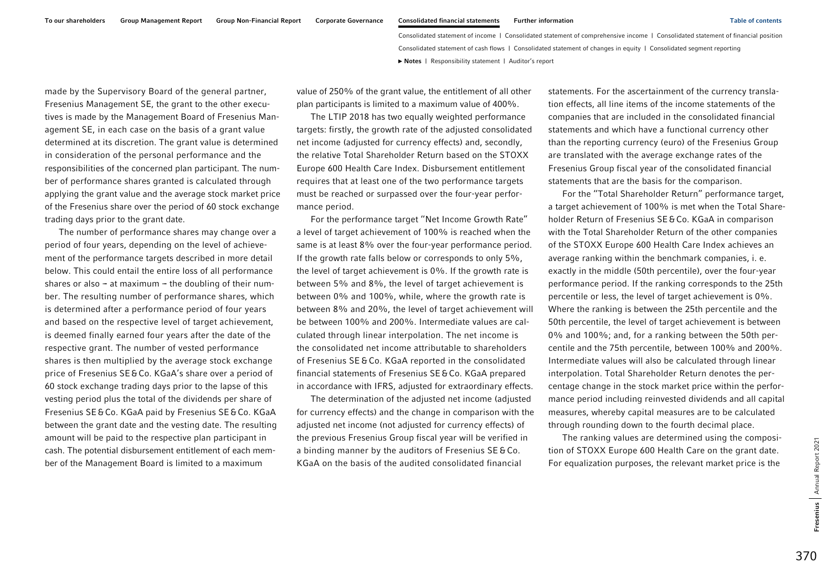made by the Supervisory Board of the general partner, Fresenius Management SE, the grant to the other executives is made by the Management Board of Fresenius Management SE, in each case on the basis of a grant value determined at its discretion. The grant value is determined in consideration of the personal performance and the responsibilities of the concerned plan participant. The number of performance shares granted is calculated through applying the grant value and the average stock market price of the Fresenius share over the period of 60 stock exchange trading days prior to the grant date.

The number of performance shares may change over a period of four years, depending on the level of achievement of the performance targets described in more detail below. This could entail the entire loss of all performance shares or also  $-$  at maximum  $-$  the doubling of their number. The resulting number of performance shares, which is determined after a performance period of four years and based on the respective level of target achievement, is deemed finally earned four years after the date of the respective grant. The number of vested performance shares is then multiplied by the average stock exchange price of Fresenius SE&Co. KGaA's share over a period of 60 stock exchange trading days prior to the lapse of this vesting period plus the total of the dividends per share of Fresenius SE&Co. KGaA paid by Fresenius SE&Co. KGaA between the grant date and the vesting date. The resulting amount will be paid to the respective plan participant in cash. The potential disbursement entitlement of each member of the Management Board is limited to a maximum

value of 250% of the grant value, the entitlement of all other plan participants is limited to a maximum value of 400%.

The LTIP 2018 has two equally weighted performance targets: firstly, the growth rate of the adjusted consolidated net income (adjusted for currency effects) and, secondly, the relative Total Shareholder Return based on the STOXX Europe 600 Health Care Index. Disbursement entitlement requires that at least one of the two performance targets must be reached or surpassed over the four-year performance period.

For the performance target ''Net Income Growth Rate'' a level of target achievement of 100% is reached when the same is at least 8% over the four-year performance period. If the growth rate falls below or corresponds to only 5%, the level of target achievement is 0%. If the growth rate is between 5% and 8%, the level of target achievement is between 0% and 100%, while, where the growth rate is between 8% and 20%, the level of target achievement will be between 100% and 200%. Intermediate values are calculated through linear interpolation. The net income is the consolidated net income attributable to shareholders of Fresenius SE &Co. KGaA reported in the consolidated financial statements of Fresenius SE&Co. KGaA prepared in accordance with IFRS, adjusted for extraordinary effects.

The determination of the adjusted net income (adjusted for currency effects) and the change in comparison with the adjusted net income (not adjusted for currency effects) of the previous Fresenius Group fiscal year will be verified in a binding manner by the auditors of Fresenius SE &Co. KGaA on the basis of the audited consolidated financial

statements. For the ascertainment of the currency translation effects, all line items of the income statements of the companies that are included in the consolidated financial statements and which have a functional currency other than the reporting currency (euro) of the Fresenius Group are translated with the average exchange rates of the Fresenius Group fiscal year of the consolidated financial statements that are the basis for the comparison.

For the ''Total Shareholder Return'' performance target, a target achievement of 100% is met when the Total Shareholder Return of Fresenius SE&Co. KGaA in comparison with the Total Shareholder Return of the other companies of the STOXX Europe 600 Health Care Index achieves an average ranking within the benchmark companies, i. e. exactly in the middle (50th percentile), over the four-year performance period. If the ranking corresponds to the 25th percentile or less, the level of target achievement is 0%. Where the ranking is between the 25th percentile and the 50th percentile, the level of target achievement is between 0% and 100%; and, for a ranking between the 50th percentile and the 75th percentile, between 100% and 200%. Intermediate values will also be calculated through linear interpolation. Total Shareholder Return denotes the percentage change in the stock market price within the performance period including reinvested dividends and all capital measures, whereby capital measures are to be calculated through rounding down to the fourth decimal place.

The ranking values are determined using the composition of STOXX Europe 600 Health Care on the grant date. For equalization purposes, the relevant market price is the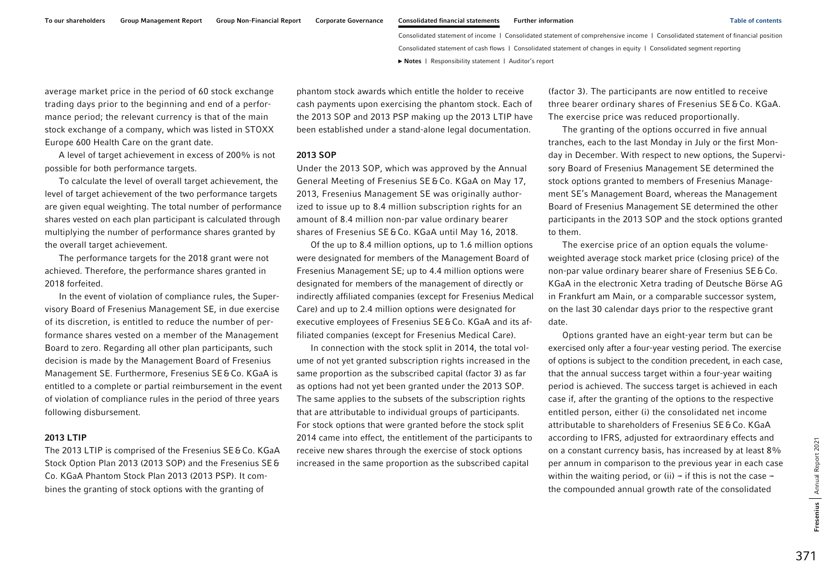average market price in the period of 60 stock exchange trading days prior to the beginning and end of a performance period; the relevant currency is that of the main stock exchange of a company, which was listed in STOXX Europe 600 Health Care on the grant date.

A level of target achievement in excess of 200% is not possible for both performance targets.

To calculate the level of overall target achievement, the level of target achievement of the two performance targets are given equal weighting. The total number of performance shares vested on each plan participant is calculated through multiplying the number of performance shares granted by the overall target achievement.

The performance targets for the 2018 grant were not achieved. Therefore, the performance shares granted in 2018 forfeited.

In the event of violation of compliance rules, the Supervisory Board of Fresenius Management SE, in due exercise of its discretion, is entitled to reduce the number of performance shares vested on a member of the Management Board to zero. Regarding all other plan participants, such decision is made by the Management Board of Fresenius Management SE. Furthermore, Fresenius SE&Co. KGaA is entitled to a complete or partial reimbursement in the event of violation of compliance rules in the period of three years following disbursement.

#### 2013 LTIP

The 2013 LTIP is comprised of the Fresenius SE&Co. KGaA Stock Option Plan 2013 (2013 SOP) and the Fresenius SE& Co. KGaA Phantom Stock Plan 2013 (2013 PSP). It combines the granting of stock options with the granting of

phantom stock awards which entitle the holder to receive cash payments upon exercising the phantom stock. Each of the 2013 SOP and 2013 PSP making up the 2013 LTIP have been established under a stand-alone legal documentation.

#### 2013 SOP

Under the 2013 SOP, which was approved by the Annual General Meeting of Fresenius SE&Co. KGaA on May 17, 2013, Fresenius Management SE was originally authorized to issue up to 8.4 million subscription rights for an amount of 8.4 million non-par value ordinary bearer shares of Fresenius SE&Co. KGaA until May 16, 2018.

Of the up to 8.4 million options, up to 1.6 million options were designated for members of the Management Board of Fresenius Management SE; up to 4.4 million options were designated for members of the management of directly or indirectly affiliated companies (except for Fresenius Medical Care) and up to 2.4 million options were designated for executive employees of Fresenius SE&Co. KGaA and its affiliated companies (except for Fresenius Medical Care).

In connection with the stock split in 2014, the total volume of not yet granted subscription rights increased in the same proportion as the subscribed capital (factor 3) as far as options had not yet been granted under the 2013 SOP. The same applies to the subsets of the subscription rights that are attributable to individual groups of participants. For stock options that were granted before the stock split 2014 came into effect, the entitlement of the participants to receive new shares through the exercise of stock options increased in the same proportion as the subscribed capital

(factor 3). The participants are now entitled to receive three bearer ordinary shares of Fresenius SE&Co. KGaA. The exercise price was reduced proportionally.

The granting of the options occurred in five annual tranches, each to the last Monday in July or the first Monday in December. With respect to new options, the Supervisory Board of Fresenius Management SE determined the stock options granted to members of Fresenius Management SE's Management Board, whereas the Management Board of Fresenius Management SE determined the other participants in the 2013 SOP and the stock options granted to them.

The exercise price of an option equals the volumeweighted average stock market price (closing price) of the non-par value ordinary bearer share of Fresenius SE&Co. KGaA in the electronic Xetra trading of Deutsche Börse AG in Frankfurt am Main, or a comparable successor system, on the last 30 calendar days prior to the respective grant date.

Options granted have an eight-year term but can be exercised only after a four-year vesting period. The exercise of options is subject to the condition precedent, in each case, that the annual success target within a four-year waiting period is achieved. The success target is achieved in each case if, after the granting of the options to the respective entitled person, either (i) the consolidated net income attributable to shareholders of Fresenius SE&Co. KGaA according to IFRS, adjusted for extraordinary effects and on a constant currency basis, has increased by at least 8% per annum in comparison to the previous year in each case within the waiting period, or (ii)  $-$  if this is not the case  $$ the compounded annual growth rate of the consolidated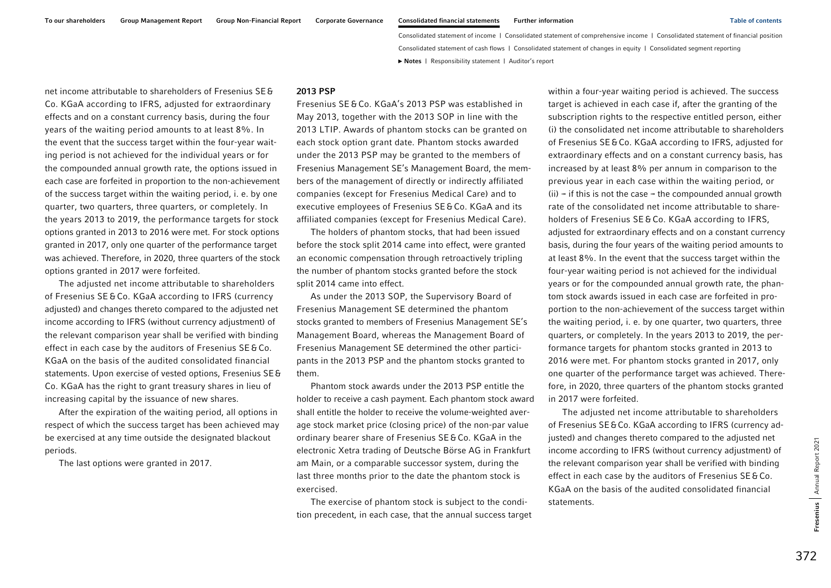net income attributable to shareholders of Fresenius SE&Co. KGaA according to IFRS, adjusted for extraordinary effects and on a constant currency basis, during the four years of the waiting period amounts to at least 8%. In the event that the success target within the four-year waiting period is not achieved for the individual years or for the compounded annual growth rate, the options issued in each case are forfeited in proportion to the non-achievement of the success target within the waiting period, i. e. by one quarter, two quarters, three quarters, or completely. In the years 2013 to 2019, the performance targets for stock options granted in 2013 to 2016 were met. For stock options granted in 2017, only one quarter of the performance target was achieved. Therefore, in 2020, three quarters of the stock options granted in 2017 were forfeited.

The adjusted net income attributable to shareholders of Fresenius SE &Co. KGaA according to IFRS (currency adjusted) and changes thereto compared to the adjusted net income according to IFRS (without currency adjustment) of the relevant comparison year shall be verified with binding effect in each case by the auditors of Fresenius SE&Co. KGaA on the basis of the audited consolidated financial statements. Upon exercise of vested options, Fresenius SE& Co. KGaA has the right to grant treasury shares in lieu of increasing capital by the issuance of new shares.

After the expiration of the waiting period, all options in respect of which the success target has been achieved may be exercised at any time outside the designated blackout periods.

The last options were granted in 2017.

### 2013 PSP

Fresenius SE &Co. KGaA's 2013 PSP was established in May 2013, together with the 2013 SOP in line with the 2013 LTIP. Awards of phantom stocks can be granted on each stock option grant date. Phantom stocks awarded under the 2013 PSP may be granted to the members of Fresenius Management SE's Management Board, the members of the management of directly or indirectly affiliated companies (except for Fresenius Medical Care) and to executive employees of Fresenius SE&Co. KGaA and its affiliated companies (except for Fresenius Medical Care).

The holders of phantom stocks, that had been issued before the stock split 2014 came into effect, were granted an economic compensation through retroactively tripling the number of phantom stocks granted before the stock split 2014 came into effect.

As under the 2013 SOP, the Supervisory Board of Fresenius Management SE determined the phantom stocks granted to members of Fresenius Management SE's Management Board, whereas the Management Board of Fresenius Management SE determined the other participants in the 2013 PSP and the phantom stocks granted to them.

Phantom stock awards under the 2013 PSP entitle the holder to receive a cash payment. Each phantom stock award shall entitle the holder to receive the volume-weighted average stock market price (closing price) of the non-par value ordinary bearer share of Fresenius SE&Co. KGaA in the electronic Xetra trading of Deutsche Börse AG in Frankfurt am Main, or a comparable successor system, during the last three months prior to the date the phantom stock is exercised.

The exercise of phantom stock is subject to the condition precedent, in each case, that the annual success target

within a four-year waiting period is achieved. The success target is achieved in each case if, after the granting of the subscription rights to the respective entitled person, either (i) the consolidated net income attributable to shareholders of Fresenius SE&Co. KGaA according to IFRS, adjusted for extraordinary effects and on a constant currency basis, has increased by at least 8% per annum in comparison to the previous year in each case within the waiting period, or  $(ii)$  – if this is not the case – the compounded annual growth rate of the consolidated net income attributable to shareholders of Fresenius SE & Co. KGaA according to IFRS, adjusted for extraordinary effects and on a constant currency basis, during the four years of the waiting period amounts to at least 8%. In the event that the success target within the four-year waiting period is not achieved for the individual years or for the compounded annual growth rate, the phantom stock awards issued in each case are forfeited in proportion to the non-achievement of the success target within the waiting period, i. e. by one quarter, two quarters, three quarters, or completely. In the years 2013 to 2019, the performance targets for phantom stocks granted in 2013 to 2016 were met. For phantom stocks granted in 2017, only one quarter of the performance target was achieved. Therefore, in 2020, three quarters of the phantom stocks granted in 2017 were forfeited.

The adjusted net income attributable to shareholders of Fresenius SE&Co. KGaA according to IFRS (currency adjusted) and changes thereto compared to the adjusted net income according to IFRS (without currency adjustment) of the relevant comparison year shall be verified with binding effect in each case by the auditors of Fresenius SE&Co. KGaA on the basis of the audited consolidated financial statements.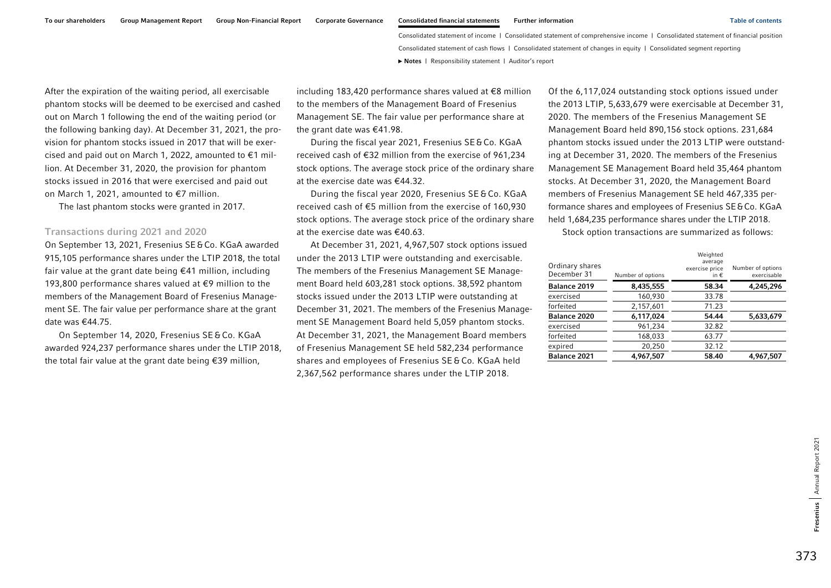After the expiration of the waiting period, all exercisable phantom stocks will be deemed to be exercised and cashed out on March 1 following the end of the waiting period (or the following banking day). At December 31, 2021, the provision for phantom stocks issued in 2017 that will be exercised and paid out on March 1, 2022, amounted to €1 million. At December 31, 2020, the provision for phantom stocks issued in 2016 that were exercised and paid out on March 1, 2021, amounted to €7 million.

The last phantom stocks were granted in 2017.

#### Transactions during 2021 and 2020

On September 13, 2021, Fresenius SE&Co. KGaA awarded 915,105 performance shares under the LTIP 2018, the total fair value at the grant date being €41 million, including 193,800 performance shares valued at €9 million to the members of the Management Board of Fresenius Management SE. The fair value per performance share at the grant date was €44.75.

On September 14, 2020, Fresenius SE&Co. KGaA awarded 924,237 performance shares under the LTIP 2018, the total fair value at the grant date being €39 million,

including 183,420 performance shares valued at €8 million to the members of the Management Board of Fresenius Management SE. The fair value per performance share at the grant date was €41.98.

During the fiscal year 2021, Fresenius SE&Co. KGaA received cash of €32 million from the exercise of 961,234 stock options. The average stock price of the ordinary share at the exercise date was €44.32.

During the fiscal year 2020, Fresenius SE &Co. KGaA received cash of €5 million from the exercise of 160,930 stock options. The average stock price of the ordinary share at the exercise date was €40.63.

At December 31, 2021, 4,967,507 stock options issued under the 2013 LTIP were outstanding and exercisable. The members of the Fresenius Management SE Management Board held 603,281 stock options. 38,592 phantom stocks issued under the 2013 LTIP were outstanding at December 31, 2021. The members of the Fresenius Management SE Management Board held 5,059 phantom stocks. At December 31, 2021, the Management Board members of Fresenius Management SE held 582,234 performance shares and employees of Fresenius SE&Co. KGaA held 2,367,562 performance shares under the LTIP 2018.

Of the 6,117,024 outstanding stock options issued under the 2013 LTIP, 5,633,679 were exercisable at December 31, 2020. The members of the Fresenius Management SE Management Board held 890,156 stock options. 231,684 phantom stocks issued under the 2013 LTIP were outstanding at December 31, 2020. The members of the Fresenius Management SE Management Board held 35,464 phantom stocks. At December 31, 2020, the Management Board members of Fresenius Management SE held 467,335 performance shares and employees of Fresenius SE&Co. KGaA held 1,684,235 performance shares under the LTIP 2018.

Stock option transactions are summarized as follows:

| Ordinary shares<br>December 31 | Number of options | Weighted<br>average<br>exercise price<br>in $\epsilon$ | Number of options<br>exercisable |
|--------------------------------|-------------------|--------------------------------------------------------|----------------------------------|
| Balance 2019                   | 8,435,555         | 58.34                                                  | 4,245,296                        |
| exercised                      | 160,930           | 33.78                                                  |                                  |
| forfeited                      | 2,157,601         | 71.23                                                  |                                  |
| Balance 2020                   | 6,117,024         | 54.44                                                  | 5,633,679                        |
| exercised                      | 961,234           | 32.82                                                  |                                  |
| forfeited                      | 168,033           | 63.77                                                  |                                  |
| expired                        | 20,250            | 32.12                                                  |                                  |
| <b>Balance 2021</b>            | 4,967,507         | 58.40                                                  | 4,967,507                        |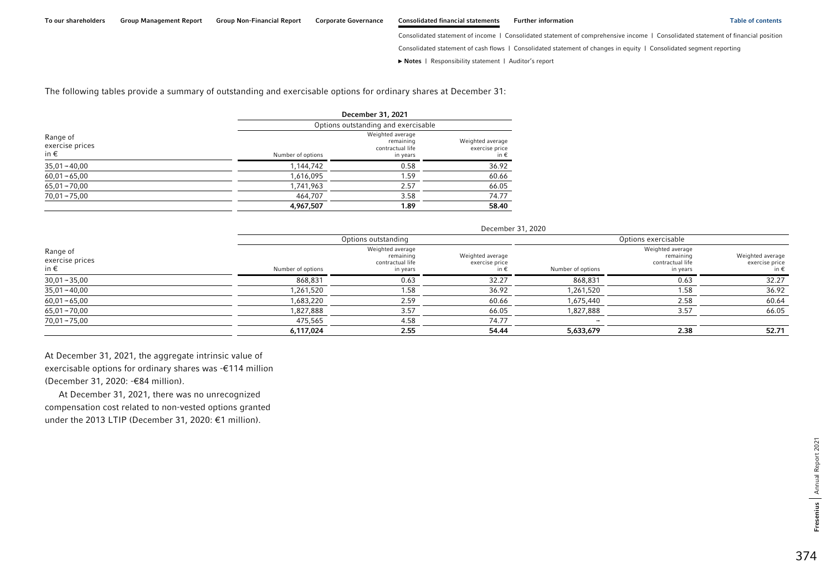Consolidated statement of income | Consolidated statement of comprehensive income | Consolidated statement of financial position

Consolidated statement of cash flows | Consolidated statement of changes in equity | Consolidated segment reporting

**►** [Notes](#page-0-0) | [Responsibility statement](#page-97-0) | [Auditor's report](#page-98-0) 

The following tables provide a summary of outstanding and exercisable options for ordinary shares at December 31:

|                                              | December 31, 2021 |                                                               |                                            |  |  |
|----------------------------------------------|-------------------|---------------------------------------------------------------|--------------------------------------------|--|--|
|                                              |                   | Options outstanding and exercisable                           |                                            |  |  |
| Range of<br>exercise prices<br>in $\epsilon$ | Number of options | Weighted average<br>remaining<br>contractual life<br>in years | Weighted average<br>exercise price<br>in € |  |  |
| $35,01 - 40,00$                              | 1,144,742         | 0.58                                                          | 36.92                                      |  |  |
| $60,01 - 65,00$                              | 1,616,095         | 1.59                                                          | 60.66                                      |  |  |
| $65,01 - 70,00$                              | 1,741,963         | 2.57                                                          | 66.05                                      |  |  |
| $70,01 - 75,00$                              | 464,707           | 3.58                                                          | 74.77                                      |  |  |
|                                              | 4,967,507         | 1.89                                                          | 58.40                                      |  |  |

December 31, 2020

|                                              |                   | Options outstanding                                           |                                            |                   | Options exercisable                                           |                                            |  |
|----------------------------------------------|-------------------|---------------------------------------------------------------|--------------------------------------------|-------------------|---------------------------------------------------------------|--------------------------------------------|--|
| Range of<br>exercise prices<br>in $\epsilon$ | Number of options | Weighted average<br>remaining<br>contractual life<br>in years | Weighted average<br>exercise price<br>in € | Number of options | Weighted average<br>remaining<br>contractual life<br>in years | Weighted average<br>exercise price<br>in € |  |
| $30,01 - 35,00$                              | 868,831           | 0.63                                                          | 32.27                                      | 868,831           | 0.63                                                          | 32.27                                      |  |
| $35,01 - 40,00$                              | 1,261,520         | 1.58                                                          | 36.92                                      | 1,261,520         | 1.58                                                          | 36.92                                      |  |
| $60,01 - 65,00$                              | 1,683,220         | 2.59                                                          | 60.66                                      | 1,675,440         | 2.58                                                          | 60.64                                      |  |
| $65,01 - 70,00$                              | 1,827,888         | 3.57                                                          | 66.05                                      | 1,827,888         | 3.57                                                          | 66.05                                      |  |
| $70,01 - 75,00$                              | 475,565           | 4.58                                                          | 74.77                                      |                   |                                                               |                                            |  |
|                                              | 6,117,024         | 2.55                                                          | 54.44                                      | 5,633,679         | 2.38                                                          | 52.71                                      |  |

At December 31, 2021, the aggregate intrinsic value of exercisable options for ordinary shares was -€114 million (December 31, 2020: -€84 million).

At December 31, 2021, there was no unrecognized compensation cost related to non-vested options granted under the 2013 LTIP (December 31, 2020: €1 million).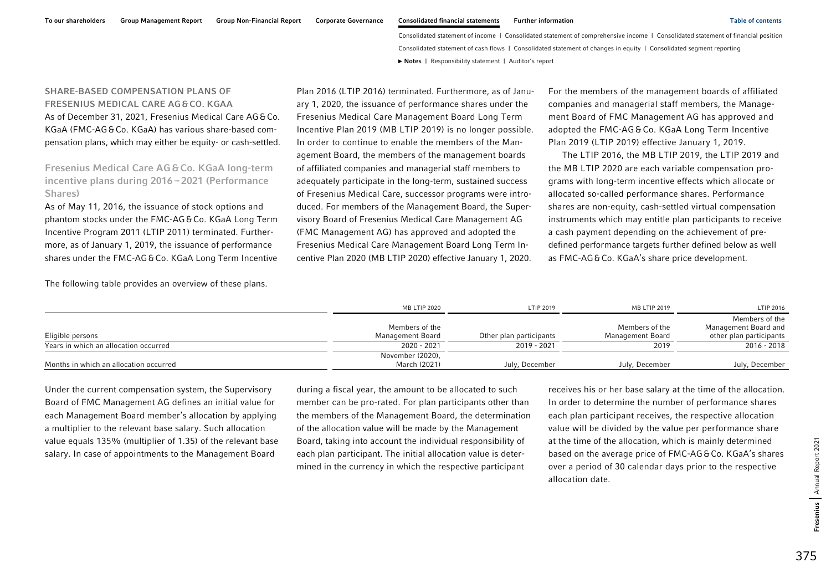# SHARE-BASED COMPENSATION PLANS OF FRESENIUS MEDICAL CARE AG&CO. KGAA As of December 31, 2021, Fresenius Medical Care AG&Co. KGaA (FMC-AG&Co. KGaA) has various share-based compensation plans, which may either be equity- or cash-settled.

Fresenius Medical Care AG&Co. KGaA long-term incentive plans during  $2016 - 2021$  (Performance Shares)

As of May 11, 2016, the issuance of stock options and phantom stocks under the FMC-AG&Co. KGaA Long Term Incentive Program 2011 (LTIP 2011) terminated. Furthermore, as of January 1, 2019, the issuance of performance shares under the FMC-AG&Co. KGaA Long Term Incentive Plan 2016 (LTIP 2016) terminated. Furthermore, as of January 1, 2020, the issuance of performance shares under the Fresenius Medical Care Management Board Long Term Incentive Plan 2019 (MB LTIP 2019) is no longer possible. In order to continue to enable the members of the Management Board, the members of the management boards of affiliated companies and managerial staff members to adequately participate in the long-term, sustained success of Fresenius Medical Care, successor programs were introduced. For members of the Management Board, the Supervisory Board of Fresenius Medical Care Management AG (FMC Management AG) has approved and adopted the Fresenius Medical Care Management Board Long Term Incentive Plan 2020 (MB LTIP 2020) effective January 1, 2020.

For the members of the management boards of affiliated companies and managerial staff members, the Management Board of FMC Management AG has approved and adopted the FMC-AG&Co. KGaA Long Term Incentive Plan 2019 (LTIP 2019) effective January 1, 2019.

The LTIP 2016, the MB LTIP 2019, the LTIP 2019 and the MB LTIP 2020 are each variable compensation programs with long-term incentive effects which allocate or allocated so-called performance shares. Performance shares are non-equity, cash-settled virtual compensation instruments which may entitle plan participants to receive a cash payment depending on the achievement of predefined performance targets further defined below as well as FMC-AG&Co. KGaA's share price development.

The following table provides an overview of these plans.

|                                        | MB LTIP 2020                       | LTIP 2019               | MB LTIP 2019                       | LTIP 2016                                                         |
|----------------------------------------|------------------------------------|-------------------------|------------------------------------|-------------------------------------------------------------------|
| Eligible persons                       | Members of the<br>Management Board | Other plan participants | Members of the<br>Management Board | Members of the<br>Management Board and<br>other plan participants |
| Years in which an allocation occurred  | 2020 - 2021                        | 2019 - 2021             | 2019                               | 2016 - 2018                                                       |
| Months in which an allocation occurred | November (2020),<br>March (2021)   | July, December          | July, December                     | July, December                                                    |

Under the current compensation system, the Supervisory Board of FMC Management AG defines an initial value for each Management Board member's allocation by applying a multiplier to the relevant base salary. Such allocation value equals 135% (multiplier of 1.35) of the relevant base salary. In case of appointments to the Management Board

during a fiscal year, the amount to be allocated to such member can be pro-rated. For plan participants other than the members of the Management Board, the determination of the allocation value will be made by the Management Board, taking into account the individual responsibility of each plan participant. The initial allocation value is determined in the currency in which the respective participant

receives his or her base salary at the time of the allocation. In order to determine the number of performance shares each plan participant receives, the respective allocation value will be divided by the value per performance share at the time of the allocation, which is mainly determined based on the average price of FMC-AG&Co. KGaA's shares over a period of 30 calendar days prior to the respective allocation date.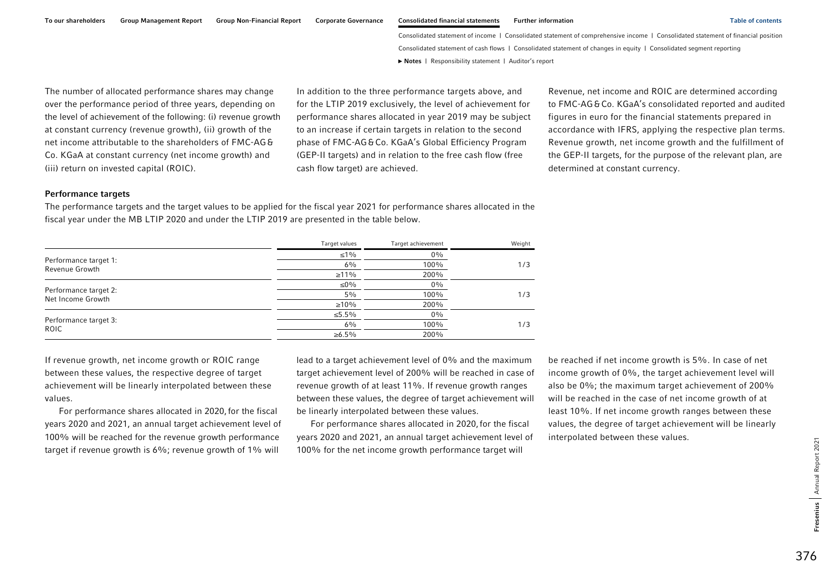To our shareholders Group Management Report Group Non-Financial Report Corporate Governance Consolidated financial statements Further information Table of contents Table of contents

Consolidated statement of income | Consolidated statement of comprehensive income | Consolidated statement of financial position Consolidated statement of cash flows | Consolidated statement of changes in equity | Consolidated segment reporting **►** [Notes](#page-0-0) | [Responsibility statement](#page-97-0) | [Auditor's report](#page-98-0) 

The number of allocated performance shares may change over the performance period of three years, depending on the level of achievement of the following: (i) revenue growth at constant currency (revenue growth), (ii) growth of the net income attributable to the shareholders of FMC-AG & Co. KGaA at constant currency (net income growth) and (iii) return on invested capital (ROIC).

In addition to the three performance targets above, and for the LTIP 2019 exclusively, the level of achievement for performance shares allocated in year 2019 may be subject to an increase if certain targets in relation to the second phase of FMC-AG&Co. KGaA's Global Efficiency Program (GEP-II targets) and in relation to the free cash flow (free cash flow target) are achieved.

Revenue, net income and ROIC are determined according to FMC-AG&Co. KGaA's consolidated reported and audited figures in euro for the financial statements prepared in accordance with IFRS, applying the respective plan terms. Revenue growth, net income growth and the fulfillment of the GEP-II targets, for the purpose of the relevant plan, are determined at constant currency.

#### Performance targets

The performance targets and the target values to be applied for the fiscal year 2021 for performance shares allocated in the fiscal year under the MB LTIP 2020 and under the LTIP 2019 are presented in the table below.

|                                            | Target values | Target achievement | Weight |
|--------------------------------------------|---------------|--------------------|--------|
| Performance target 1:<br>Revenue Growth    | $\leq 1\%$    | $0\%$              |        |
|                                            | 6%            | 100%               | 1/3    |
|                                            | $\geq 11\%$   | 200%               |        |
| Performance target 2:<br>Net Income Growth | ≤0%           | $0\%$              |        |
|                                            | 5%            | 100%               | 1/3    |
|                                            | $\geq 10\%$   | 200%               |        |
| Performance target 3:<br><b>ROIC</b>       | ≤5.5%         | $0\%$              |        |
|                                            | $6\%$         | 100%               | 1/3    |
|                                            | $\ge 6.5\%$   | 200%               |        |

If revenue growth, net income growth or ROIC range between these values, the respective degree of target achievement will be linearly interpolated between these values.

For performance shares allocated in 2020, for the fiscal years 2020 and 2021, an annual target achievement level of 100% will be reached for the revenue growth performance target if revenue growth is 6%; revenue growth of 1% will

lead to a target achievement level of 0% and the maximum target achievement level of 200% will be reached in case of revenue growth of at least 11%. If revenue growth ranges between these values, the degree of target achievement will be linearly interpolated between these values.

For performance shares allocated in 2020, for the fiscal years 2020 and 2021, an annual target achievement level of 100% for the net income growth performance target will

be reached if net income growth is 5%. In case of net income growth of 0%, the target achievement level will also be 0%; the maximum target achievement of 200% will be reached in the case of net income growth of at least 10%. If net income growth ranges between these values, the degree of target achievement will be linearly interpolated between these values.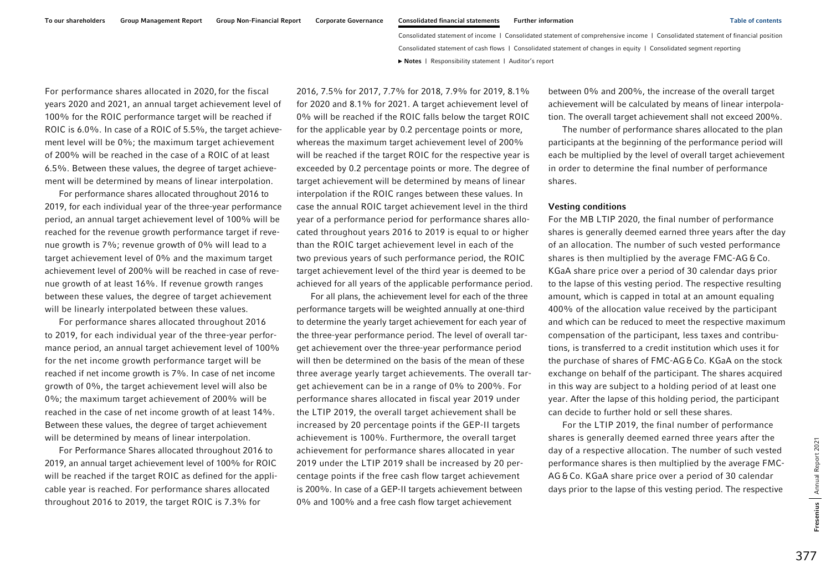For performance shares allocated in 2020,for the fiscal years 2020 and 2021, an annual target achievement level of 100% for the ROIC performance target will be reached if ROIC is 6.0%. In case of a ROIC of 5.5%, the target achievement level will be 0%; the maximum target achievement of 200% will be reached in the case of a ROIC of at least 6.5%. Between these values, the degree of target achievement will be determined by means of linear interpolation.

For performance shares allocated throughout 2016 to 2019, for each individual year of the three-year performance period, an annual target achievement level of 100% will be reached for the revenue growth performance target if revenue growth is 7%; revenue growth of 0% will lead to a target achievement level of 0% and the maximum target achievement level of 200% will be reached in case of revenue growth of at least 16%. If revenue growth ranges between these values, the degree of target achievement will be linearly interpolated between these values.

For performance shares allocated throughout 2016 to 2019, for each individual year of the three-year performance period, an annual target achievement level of 100% for the net income growth performance target will be reached if net income growth is 7%. In case of net income growth of 0%, the target achievement level will also be 0%; the maximum target achievement of 200% will be reached in the case of net income growth of at least 14%. Between these values, the degree of target achievement will be determined by means of linear interpolation.

For Performance Shares allocated throughout 2016 to 2019, an annual target achievement level of 100% for ROIC will be reached if the target ROIC as defined for the applicable year is reached. For performance shares allocated throughout 2016 to 2019, the target ROIC is 7.3% for

2016, 7.5% for 2017, 7.7% for 2018, 7.9% for 2019, 8.1% for 2020 and 8.1% for 2021. A target achievement level of 0% will be reached if the ROIC falls below the target ROIC for the applicable year by 0.2 percentage points or more, whereas the maximum target achievement level of 200% will be reached if the target ROIC for the respective year is exceeded by 0.2 percentage points or more. The degree of target achievement will be determined by means of linear interpolation if the ROIC ranges between these values. In case the annual ROIC target achievement level in the third year of a performance period for performance shares allocated throughout years 2016 to 2019 is equal to or higher than the ROIC target achievement level in each of the two previous years of such performance period, the ROIC target achievement level of the third year is deemed to be achieved for all years of the applicable performance period.

For all plans, the achievement level for each of the three performance targets will be weighted annually at one-third to determine the yearly target achievement for each year of the three-year performance period. The level of overall target achievement over the three-year performance period will then be determined on the basis of the mean of these three average yearly target achievements. The overall target achievement can be in a range of 0% to 200%. For performance shares allocated in fiscal year 2019 under the LTIP 2019, the overall target achievement shall be increased by 20 percentage points if the GEP-II targets achievement is 100%. Furthermore, the overall target achievement for performance shares allocated in year 2019 under the LTIP 2019 shall be increased by 20 percentage points if the free cash flow target achievement is 200%. In case of a GEP-II targets achievement between 0% and 100% and a free cash flow target achievement

between 0% and 200%, the increase of the overall target achievement will be calculated by means of linear interpolation. The overall target achievement shall not exceed 200%.

The number of performance shares allocated to the plan participants at the beginning of the performance period will each be multiplied by the level of overall target achievement in order to determine the final number of performance shares.

### Vesting conditions

For the MB LTIP 2020, the final number of performance shares is generally deemed earned three years after the day of an allocation. The number of such vested performance shares is then multiplied by the average FMC-AG&Co. KGaA share price over a period of 30 calendar days prior to the lapse of this vesting period. The respective resulting amount, which is capped in total at an amount equaling 400% of the allocation value received by the participant and which can be reduced to meet the respective maximum compensation of the participant, less taxes and contributions, is transferred to a credit institution which uses it for the purchase of shares of FMC-AG&Co. KGaA on the stock exchange on behalf of the participant. The shares acquired in this way are subject to a holding period of at least one year. After the lapse of this holding period, the participant can decide to further hold or sell these shares.

For the LTIP 2019, the final number of performance shares is generally deemed earned three years after the day of a respective allocation. The number of such vested performance shares is then multiplied by the average FMC-AG &Co. KGaA share price over a period of 30 calendar days prior to the lapse of this vesting period. The respective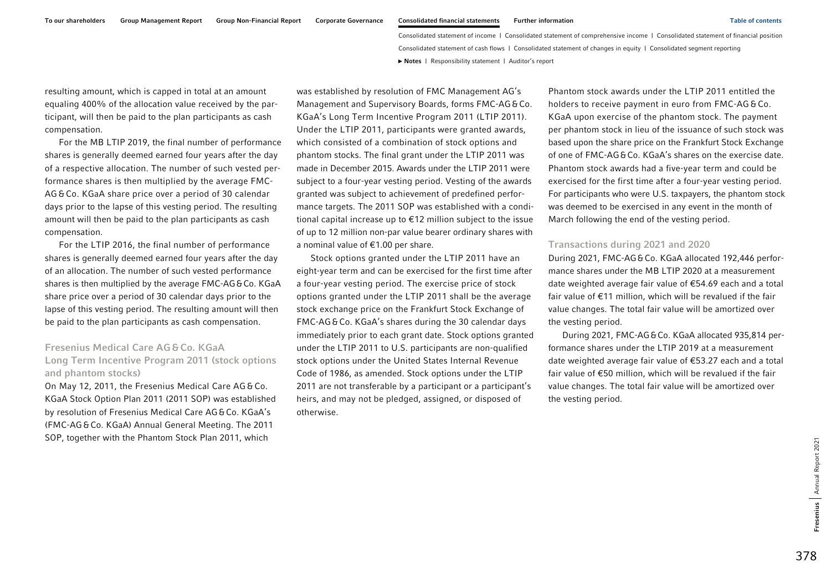resulting amount, which is capped in total at an amount equaling 400% of the allocation value received by the participant, will then be paid to the plan participants as cash compensation.

For the MB LTIP 2019, the final number of performance shares is generally deemed earned four years after the day of a respective allocation. The number of such vested performance shares is then multiplied by the average FMC-AG &Co. KGaA share price over a period of 30 calendar days prior to the lapse of this vesting period. The resulting amount will then be paid to the plan participants as cash compensation.

For the LTIP 2016, the final number of performance shares is generally deemed earned four years after the day of an allocation. The number of such vested performance shares is then multiplied by the average FMC-AG&Co. KGaA share price over a period of 30 calendar days prior to the lapse of this vesting period. The resulting amount will then be paid to the plan participants as cash compensation.

### Fresenius Medical Care AG&Co. KGaA Long Term Incentive Program 2011 (stock options and phantom stocks)

On May 12, 2011, the Fresenius Medical Care AG & Co. KGaA Stock Option Plan 2011 (2011 SOP) was established by resolution of Fresenius Medical Care AG&Co. KGaA's (FMC-AG&Co. KGaA) Annual General Meeting. The 2011 SOP, together with the Phantom Stock Plan 2011, which

was established by resolution of FMC Management AG's Management and Supervisory Boards, forms FMC-AG&Co. KGaA's Long Term Incentive Program 2011 (LTIP 2011). Under the LTIP 2011, participants were granted awards, which consisted of a combination of stock options and phantom stocks. The final grant under the LTIP 2011 was made in December 2015. Awards under the LTIP 2011 were subject to a four-year vesting period. Vesting of the awards granted was subject to achievement of predefined performance targets. The 2011 SOP was established with a conditional capital increase up to €12 million subject to the issue of up to 12 million non-par value bearer ordinary shares with a nominal value of €1.00 per share.

Stock options granted under the LTIP 2011 have an eight-year term and can be exercised for the first time after a four-year vesting period. The exercise price of stock options granted under the LTIP 2011 shall be the average stock exchange price on the Frankfurt Stock Exchange of FMC-AG&Co. KGaA's shares during the 30 calendar days immediately prior to each grant date. Stock options granted under the LTIP 2011 to U.S. participants are non-qualified stock options under the United States Internal Revenue Code of 1986, as amended. Stock options under the LTIP 2011 are not transferable by a participant or a participant's heirs, and may not be pledged, assigned, or disposed of otherwise.

Phantom stock awards under the LTIP 2011 entitled the holders to receive payment in euro from FMC-AG&Co. KGaA upon exercise of the phantom stock. The payment per phantom stock in lieu of the issuance of such stock was based upon the share price on the Frankfurt Stock Exchange of one of FMC-AG&Co. KGaA's shares on the exercise date. Phantom stock awards had a five-year term and could be exercised for the first time after a four-year vesting period. For participants who were U.S. taxpayers, the phantom stock was deemed to be exercised in any event in the month of March following the end of the vesting period.

#### Transactions during 2021 and 2020

During 2021, FMC-AG&Co. KGaA allocated 192,446 performance shares under the MB LTIP 2020 at a measurement date weighted average fair value of €54.69 each and a total fair value of €11 million, which will be revalued if the fair value changes. The total fair value will be amortized over the vesting period.

During 2021, FMC-AG&Co. KGaA allocated 935,814 performance shares under the LTIP 2019 at a measurement date weighted average fair value of €53.27 each and a total fair value of €50 million, which will be revalued if the fair value changes. The total fair value will be amortized over the vesting period.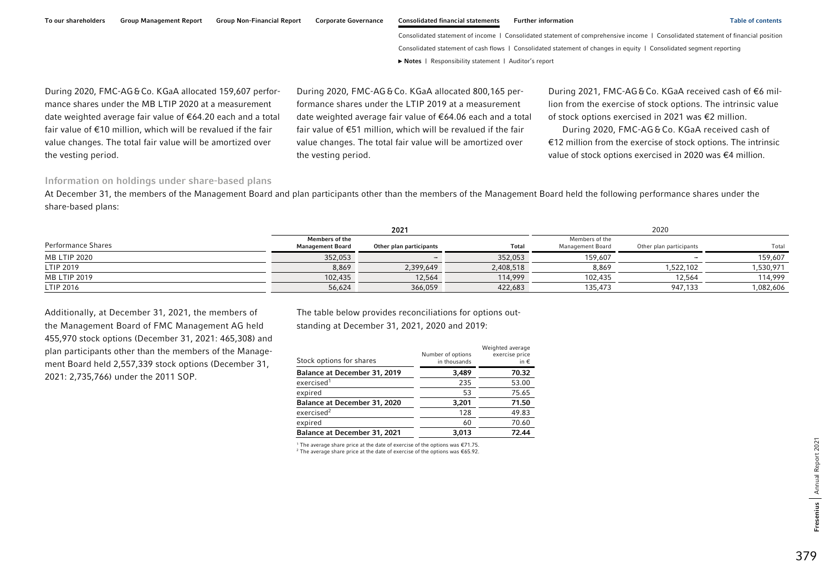To our shareholders Group Management Report Group Non-Financial Report Corporate Governance Consolidated financial statements Further information Table of contents Table of contents

Consolidated statement of income | Consolidated statement of comprehensive income | Consolidated statement of financial position Consolidated statement of cash flows | Consolidated statement of changes in equity | Consolidated segment reporting **►** [Notes](#page-0-0) | [Responsibility statement](#page-97-0) | [Auditor's report](#page-98-0) 

During 2020, FMC-AG&Co. KGaA allocated 159,607 performance shares under the MB LTIP 2020 at a measurement date weighted average fair value of €64.20 each and a total fair value of €10 million, which will be revalued if the fair value changes. The total fair value will be amortized over the vesting period.

During 2020, FMC-AG&Co. KGaA allocated 800,165 performance shares under the LTIP 2019 at a measurement date weighted average fair value of €64.06 each and a total fair value of €51 million, which will be revalued if the fair value changes. The total fair value will be amortized over the vesting period.

During 2021, FMC-AG&Co. KGaA received cash of €6 million from the exercise of stock options. The intrinsic value of stock options exercised in 2021 was €2 million.

During 2020, FMC-AG&Co. KGaA received cash of €12 million from the exercise of stock options. The intrinsic value of stock options exercised in 2020 was €4 million.

### Information on holdings under share-based plans

At December 31, the members of the Management Board and plan participants other than the members of the Management Board held the following performance shares under the share-based plans:

|                           | 2021                                             |                         | 2020         |                                    |                         |           |
|---------------------------|--------------------------------------------------|-------------------------|--------------|------------------------------------|-------------------------|-----------|
| <b>Performance Shares</b> | <b>Members of the</b><br><b>Management Board</b> | Other plan participants | <b>Total</b> | Members of the<br>Management Board | Other plan participants | Total     |
| MB LTIP 2020              | 352,053                                          |                         | 352,053      | 159,607                            |                         | 159,607   |
| LTIP 2019                 | 8,869                                            | 2,399,649               | 2,408,518    | 8,869                              | ,522,102                | 1,530,971 |
| <b>MB LTIP 2019</b>       | 102,435                                          | 12,564                  | 114,999      | 102,435                            | 12,564                  | 114,999   |
| LTIP 2016                 | 56,624                                           | 366,059                 | 422,683      | 135,473                            | 947,133                 | 1,082,606 |

Additionally, at December 31, 2021, the members of the Management Board of FMC Management AG held 455,970 stock options (December 31, 2021: 465,308) and plan participants other than the members of the Management Board held 2,557,339 stock options (December 31, 2021: 2,735,766) under the 2011 SOP.

The table below provides reconciliations for options outstanding at December 31, 2021, 2020 and 2019:

| Stock options for shares     | Number of options<br>in thousands | Weighted average<br>exercise price<br>in $\epsilon$ |
|------------------------------|-----------------------------------|-----------------------------------------------------|
| Balance at December 31, 2019 | 3,489                             | 70.32                                               |
| exercised <sup>1</sup>       | 235                               | 53.00                                               |
| expired                      | 53                                | 75.65                                               |
| Balance at December 31, 2020 | 3,201                             | 71.50                                               |
| exercised <sup>2</sup>       | 128                               | 49.83                                               |
| expired                      | 60                                | 70.60                                               |
| Balance at December 31, 2021 | 3.013                             | 72.44                                               |

<sup>1</sup> The average share price at the date of exercise of the options was  $€71.75$ . 2 The average share price at the date of exercise of the options was €65.92.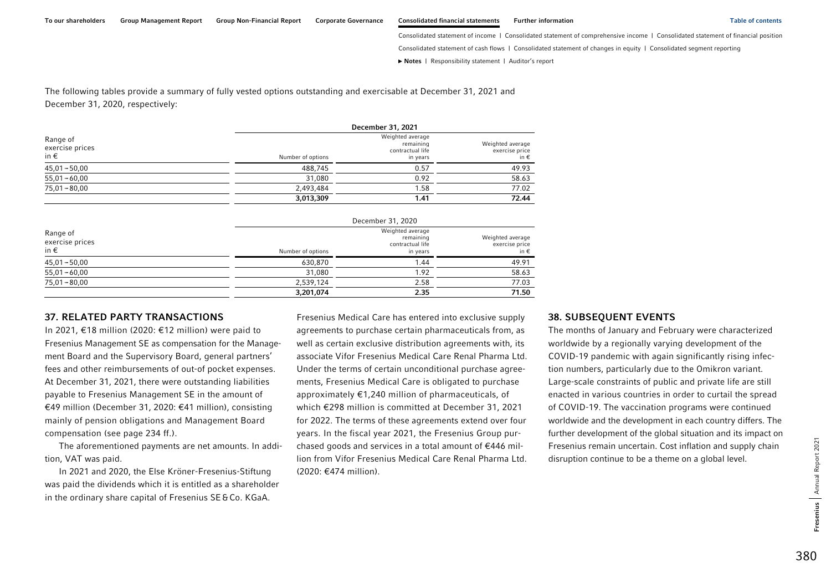Consolidated statement of income | Consolidated statement of comprehensive income | Consolidated statement of financial position

Consolidated statement of cash flows | Consolidated statement of changes in equity | Consolidated segment reporting

**►** [Notes](#page-0-0) | [Responsibility statement](#page-97-0) | [Auditor's report](#page-98-0) 

The following tables provide a summary of fully vested options outstanding and exercisable at December 31, 2021 and December 31, 2020, respectively:

| Range of<br>exercise prices<br>in $\epsilon$ |                   | December 31, 2021                                             |                                            |  |  |
|----------------------------------------------|-------------------|---------------------------------------------------------------|--------------------------------------------|--|--|
|                                              | Number of options | Weighted average<br>remaining<br>contractual life<br>in years | Weighted average<br>exercise price<br>in € |  |  |
| $45,01 - 50,00$                              | 488.745           | 0.57                                                          | 49.93                                      |  |  |
| $55,01 - 60,00$                              | 31,080            | 0.92                                                          | 58.63                                      |  |  |
| $75,01 - 80,00$                              | 2,493,484         | 1.58                                                          | 77.02                                      |  |  |
|                                              | 3,013,309         | 1.41                                                          | 72.44                                      |  |  |

| Range of<br>exercise prices<br>in € |                   | December 31, 2020                                             |                                                     |  |  |
|-------------------------------------|-------------------|---------------------------------------------------------------|-----------------------------------------------------|--|--|
|                                     | Number of options | Weighted average<br>remaining<br>contractual life<br>in years | Weighted average<br>exercise price<br>in $\epsilon$ |  |  |
| $45,01 - 50,00$                     | 630.870           | 1.44                                                          | 49.91                                               |  |  |
| $55,01 - 60,00$                     | 31,080            | 1.92                                                          | 58.63                                               |  |  |
| $75,01 - 80,00$                     | 2,539,124         | 2.58                                                          | 77.03                                               |  |  |
|                                     | 3,201,074         | 2.35                                                          | 71.50                                               |  |  |

#### 37. RELATED PARTY TRANSACTIONS

In 2021, €18 million (2020: €12 million) were paid to Fresenius Management SE as compensation for the Management Board and the Supervisory Board, general partners' fees and other reimbursements of out-of pocket expenses. At December 31, 2021, there were outstanding liabilities payable to Fresenius Management SE in the amount of €49 million (December 31, 2020: €41 million), consisting mainly of pension obligations and Management Board compensation (see page 234 ff.).

The aforementioned payments are net amounts. In addition, VAT was paid.

In 2021 and 2020, the Else Kröner-Fresenius-Stiftung was paid the dividends which it is entitled as a shareholder in the ordinary share capital of Fresenius SE&Co. KGaA.

Fresenius Medical Care has entered into exclusive supply agreements to purchase certain pharmaceuticals from, as well as certain exclusive distribution agreements with, its associate Vifor Fresenius Medical Care Renal Pharma Ltd. Under the terms of certain unconditional purchase agreements, Fresenius Medical Care is obligated to purchase approximately €1,240 million of pharmaceuticals, of which €298 million is committed at December 31, 2021 for 2022. The terms of these agreements extend over four years. In the fiscal year 2021, the Fresenius Group purchased goods and services in a total amount of €446 million from Vifor Fresenius Medical Care Renal Pharma Ltd. (2020: €474 million).

#### 38. SUBSEQUENT EVENTS

The months of January and February were characterized worldwide by a regionally varying development of the COVID-19 pandemic with again significantly rising infection numbers, particularly due to the Omikron variant. Large-scale constraints of public and private life are still enacted in various countries in order to curtail the spread of COVID-19. The vaccination programs were continued worldwide and the development in each country differs. The further development of the global situation and its impact on Fresenius remain uncertain. Cost inflation and supply chain disruption continue to be a theme on a global level.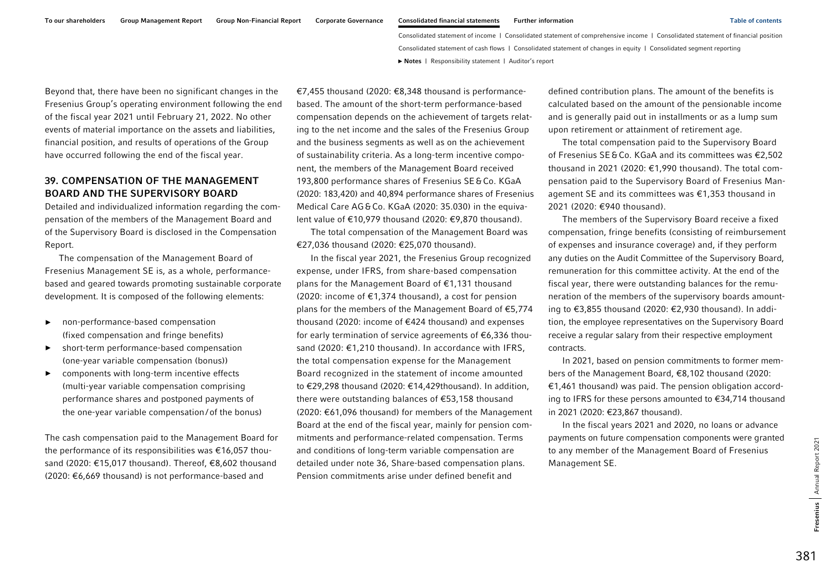Beyond that, there have been no significant changes in the Fresenius Group's operating environment following the end of the fiscal year 2021 until February 21, 2022. No other events of material importance on the assets and liabilities, financial position, and results of operations of the Group have occurred following the end of the fiscal year.

### 39. COMPENSATION OF THE MANAGEMENT BOARD AND THE SUPERVISORY BOARD

Detailed and individualized information regarding the compensation of the members of the Management Board and of the Supervisory Board is disclosed in the Compensation Report.

The compensation of the Management Board of Fresenius Management SE is, as a whole, performancebased and geared towards promoting sustainable corporate development. It is composed of the following elements:

- ► non-performance-based compensation (fixed compensation and fringe benefits)
- ► short-term performance-based compensation (one-year variable compensation (bonus))
- ► components with long-term incentive effects (multi-year variable compensation comprising performance shares and postponed payments of the one-year variable compensation/ of the bonus)

The cash compensation paid to the Management Board for the performance of its responsibilities was €16,057 thousand (2020: €15,017 thousand). Thereof, €8,602 thousand (2020: €6,669 thousand) is not performance-based and

€7,455 thousand (2020: €8,348 thousand is performancebased. The amount of the short-term performance-based compensation depends on the achievement of targets relating to the net income and the sales of the Fresenius Group and the business segments as well as on the achievement of sustainability criteria. As a long-term incentive component, the members of the Management Board received 193,800 performance shares of Fresenius SE&Co. KGaA (2020: 183,420) and 40,894 performance shares of Fresenius Medical Care AG&Co. KGaA (2020: 35.030) in the equivalent value of €10,979 thousand (2020: €9,870 thousand).

The total compensation of the Management Board was €27,036 thousand (2020: €25,070 thousand).

In the fiscal year 2021, the Fresenius Group recognized expense, under IFRS, from share-based compensation plans for the Management Board of €1,131 thousand (2020: income of €1,374 thousand), a cost for pension plans for the members of the Management Board of €5,774 thousand (2020: income of €424 thousand) and expenses for early termination of service agreements of €6,336 thousand (2020: €1,210 thousand). In accordance with IFRS, the total compensation expense for the Management Board recognized in the statement of income amounted to €29,298 thousand (2020: €14,429thousand). In addition, there were outstanding balances of €53,158 thousand (2020: €61,096 thousand) for members of the Management Board at the end of the fiscal year, mainly for pension commitments and performance-related compensation. Terms and conditions of long-term variable compensation are detailed under note 36, Share-based compensation plans. Pension commitments arise under defined benefit and

defined contribution plans. The amount of the benefits is calculated based on the amount of the pensionable income and is generally paid out in installments or as a lump sum upon retirement or attainment of retirement age.

The total compensation paid to the Supervisory Board of Fresenius SE&Co. KGaA and its committees was €2,502 thousand in 2021 (2020: €1,990 thousand). The total compensation paid to the Supervisory Board of Fresenius Management SE and its committees was €1,353 thousand in 2021 (2020: €940 thousand).

The members of the Supervisory Board receive a fixed compensation, fringe benefits (consisting of reimbursement of expenses and insurance coverage) and, if they perform any duties on the Audit Committee of the Supervisory Board, remuneration for this committee activity. At the end of the fiscal year, there were outstanding balances for the remuneration of the members of the supervisory boards amounting to €3,855 thousand (2020: €2,930 thousand). In addition, the employee representatives on the Supervisory Board receive a regular salary from their respective employment contracts.

In 2021, based on pension commitments to former members of the Management Board, €8,102 thousand (2020: €1,461 thousand) was paid. The pension obligation according to IFRS for these persons amounted to €34,714 thousand in 2021 (2020: €23,867 thousand).

In the fiscal years 2021 and 2020, no loans or advance payments on future compensation components were granted to any member of the Management Board of Fresenius Management SE.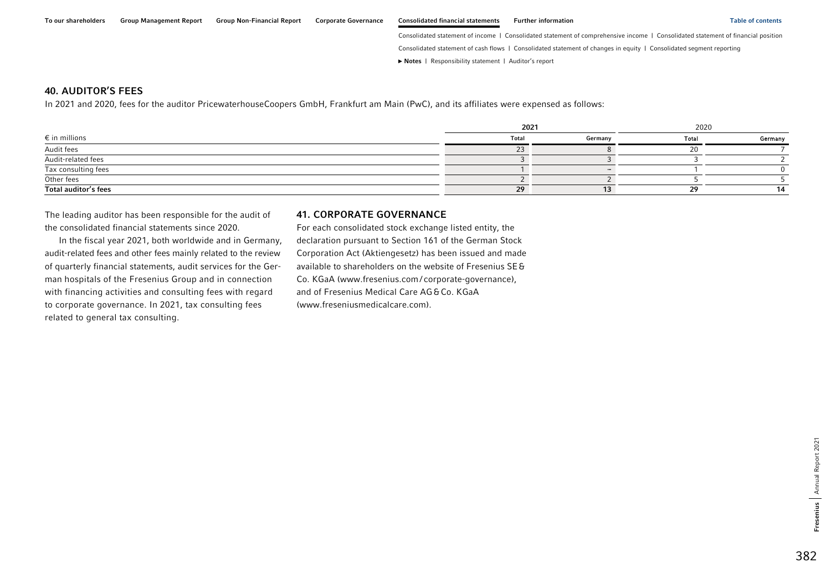#### 40. AUDITOR'S FEES

In 2021 and 2020, fees for the auditor PricewaterhouseCoopers GmbH, Frankfurt am Main (PwC), and its affiliates were expensed as follows:

|                        | 2021         |         | 2020         |         |
|------------------------|--------------|---------|--------------|---------|
| $\epsilon$ in millions | <b>Total</b> | Germany | <b>Total</b> | Germany |
| Audit fees             |              |         |              |         |
| Audit-related fees     |              |         |              |         |
| Tax consulting fees    |              |         |              |         |
| Other fees             |              |         |              |         |
| Total auditor's fees   | 29           | 13      |              |         |

The leading auditor has been responsible for the audit of the consolidated financial statements since 2020.

In the fiscal year 2021, both worldwide and in Germany, audit-related fees and other fees mainly related to the review of quarterly financial statements, audit services for the German hospitals of the Fresenius Group and in connection with financing activities and consulting fees with regard to corporate governance. In 2021, tax consulting fees related to general tax consulting.

#### 41. CORPORATE GOVERNANCE

For each consolidated stock exchange listed entity, the declaration pursuant to Section 161 of the German Stock Corporation Act (Aktiengesetz) has been issued and made available to shareholders on the website of Fresenius SE& Co. KGaA (www.fresenius.com/ [corporate-governance\),](https://www.fresenius.com/corporate-governance) and of Fresenius Medical Care AG&Co. KGaA (www.freseniusmedicalcare.com).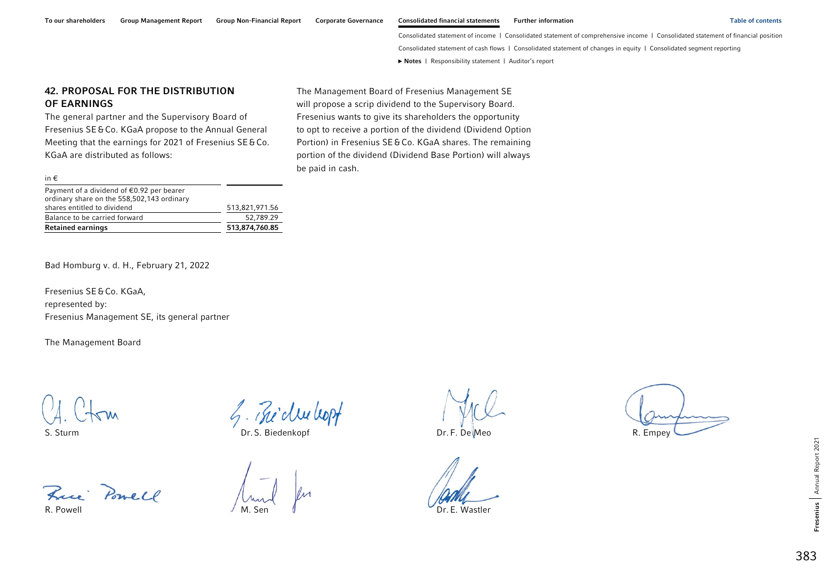# 383

#### To our shareholders Group Management Report Group Non-Financial Report Corporate Governance Consolidated financial statements Further information Table of contents Table of contents

Consolidated statement of income | Consolidated statement of comprehensive income | Consolidated statement of financial position Consolidated statement of cash flows | Consolidated statement of changes in equity | Consolidated segment reporting **►** [Notes](#page-0-0) | [Responsibility statement](#page-97-0) | [Auditor's report](#page-98-0) 

### 42. PROPOSAL FOR THE DISTRIBUTION OF EARNINGS

The general partner and the Supervisory Board of Fresenius SE&Co. KGaA propose to the Annual General Meeting that the earnings for 2021 of Fresenius SE&Co. KGaA are distributed as follows:

shares entitled to dividend 513,821,971.56 Balance to be carried forward 52,789.29 Retained earnings 613,874,760.85 The Management Board of Fresenius Management SE will propose a scrip dividend to the Supervisory Board. Fresenius wants to give its shareholders the opportunity to opt to receive a portion of the dividend (Dividend Option Portion) in Fresenius SE&Co. KGaA shares. The remaining portion of the dividend (Dividend Base Portion) will always be paid in cash.

Payment of a dividend of €0.92 per bearer ordinary share on the 558,502,143 ordinary

Bad Homburg v. d. H., February 21, 2022

Fresenius SE&Co. KGaA, represented by: Fresenius Management SE, its general partner

The Management Board

in €

Free Powell

R. Powell M. Sen Dr. E. Wastler

 $\mathcal{L}_{1}$ .  $\mathcal{L}_{\text{row}}$   $\mathcal{L}_{2}$ .  $\mathcal{L}_{2}$  of  $\mathcal{L}_{2}$  and  $\mathcal{L}_{3}$ . Sturm Dr. F. De Meo R. Empey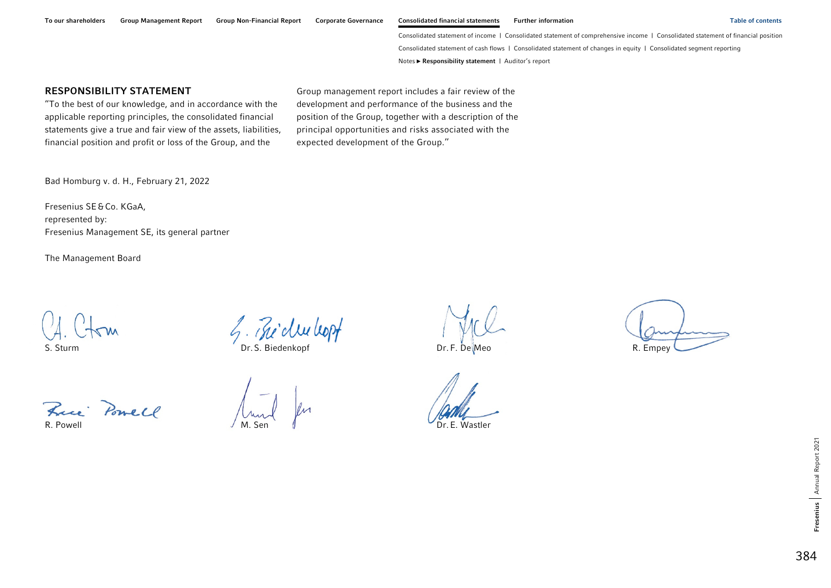### <span id="page-97-0"></span>RESPONSIBILITY STATEMENT

''To the best of our knowledge, and in accordance with the applicable reporting principles, the consolidated financial statements give a true and fair view of the assets, liabilities, financial position and profit or loss of the Group, and the

Group management report includes a fair review of the development and performance of the business and the position of the Group, together with a description of the principal opportunities and risks associated with the expected development of the Group.''

Bad Homburg v. d. H., February 21, 2022

Fresenius SE&Co. KGaA, represented by: Fresenius Management SE, its general partner

The Management Board

 $\mathcal{L}$ .  $\mathcal{L}$   $\mathcal{L}$   $\mathcal{L}$   $\mathcal{L}$   $\mathcal{L}$   $\mathcal{L}$   $\mathcal{L}$   $\mathcal{L}$   $\mathcal{L}$   $\mathcal{L}$   $\mathcal{L}$   $\mathcal{L}$   $\mathcal{L}$   $\mathcal{L}$   $\mathcal{L}$   $\mathcal{L}$   $\mathcal{L}$   $\mathcal{L}$   $\mathcal{L}$   $\mathcal{L}$   $\mathcal{L}$   $\mathcal{L}$   $\mathcal{L}$   $\mathcal$ 

Frei Powell

R. Powell Dr. E. Wastler

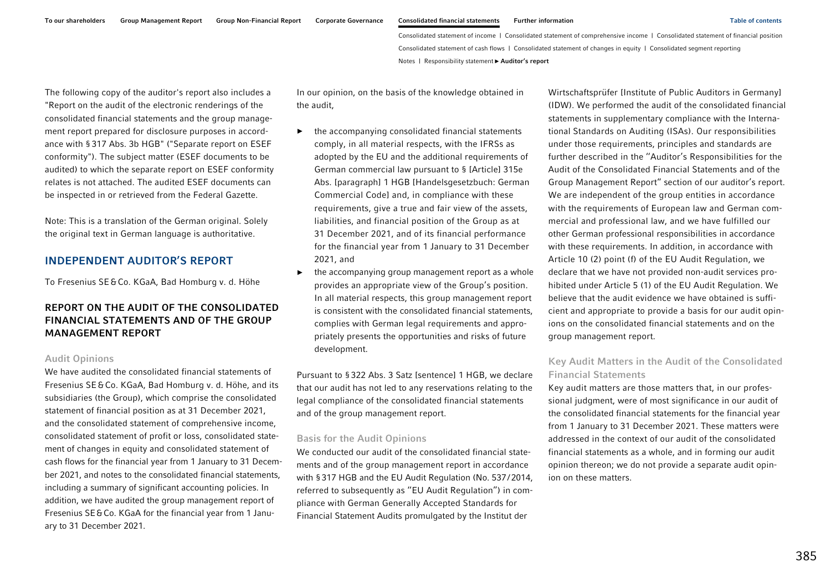<span id="page-98-0"></span>The following copy of the auditor's report also includes a "Report on the audit of the electronic renderings of the consolidated financial statements and the group management report prepared for disclosure purposes in accordance with §317 Abs. 3b HGB" ("Separate report on ESEF conformity"). The subject matter (ESEF documents to be audited) to which the separate report on ESEF conformity relates is not attached. The audited ESEF documents can be inspected in or retrieved from the Federal Gazette.

Note: This is a translation of the German original. Solely the original text in German language is authoritative.

### INDEPENDENT AUDITOR'S REPORT

To Fresenius SE&Co. KGaA, Bad Homburg v. d. Höhe

# REPORT ON THE AUDIT OF THE CONSOLIDATED FINANCIAL STATEMENTS AND OF THE GROUP MANAGEMENT REPORT

#### Audit Opinions

We have audited the consolidated financial statements of Fresenius SE&Co. KGaA, Bad Homburg v. d. Höhe, and its subsidiaries (the Group), which comprise the consolidated statement of financial position as at 31 December 2021, and the consolidated statement of comprehensive income, consolidated statement of profit or loss, consolidated statement of changes in equity and consolidated statement of cash flows for the financial year from 1 January to 31 December 2021, and notes to the consolidated financial statements, including a summary of significant accounting policies. In addition, we have audited the group management report of Fresenius SE&Co. KGaA for the financial year from 1 January to 31 December 2021.

In our opinion, on the basis of the knowledge obtained in the audit,

- ► the accompanying consolidated financial statements comply, in all material respects, with the IFRSs as adopted by the EU and the additional requirements of German commercial law pursuant to § [Article] 315e Abs. [paragraph] 1 HGB [Handelsgesetzbuch: German Commercial Code] and, in compliance with these requirements, give a true and fair view of the assets, liabilities, and financial position of the Group as at 31 December 2021, and of its financial performance for the financial year from 1 January to 31 December 2021, and
- ► the accompanying group management report as a whole provides an appropriate view of the Group's position. In all material respects, this group management report is consistent with the consolidated financial statements, complies with German legal requirements and appropriately presents the opportunities and risks of future development.

Pursuant to §322 Abs. 3 Satz [sentence] 1 HGB, we declare that our audit has not led to any reservations relating to the legal compliance of the consolidated financial statements and of the group management report.

#### Basis for the Audit Opinions

We conducted our audit of the consolidated financial statements and of the group management report in accordance with §317 HGB and the EU Audit Regulation (No. 537/2014, referred to subsequently as ''EU Audit Regulation'') in compliance with German Generally Accepted Standards for Financial Statement Audits promulgated by the Institut der

Wirtschaftsprüfer [Institute of Public Auditors in Germany] (IDW). We performed the audit of the consolidated financial statements in supplementary compliance with the International Standards on Auditing (ISAs). Our responsibilities under those requirements, principles and standards are further described in the ''Auditor's Responsibilities for the Audit of the Consolidated Financial Statements and of the Group Management Report'' section of our auditor's report. We are independent of the group entities in accordance with the requirements of European law and German commercial and professional law, and we have fulfilled our other German professional responsibilities in accordance with these requirements. In addition, in accordance with Article 10 (2) point (f) of the EU Audit Regulation, we declare that we have not provided non-audit services prohibited under Article 5 (1) of the EU Audit Regulation. We believe that the audit evidence we have obtained is sufficient and appropriate to provide a basis for our audit opinions on the consolidated financial statements and on the group management report.

### Key Audit Matters in the Audit of the Consolidated Financial Statements

Key audit matters are those matters that, in our professional judgment, were of most significance in our audit of the consolidated financial statements for the financial year from 1 January to 31 December 2021. These matters were addressed in the context of our audit of the consolidated financial statements as a whole, and in forming our audit opinion thereon; we do not provide a separate audit opinion on these matters.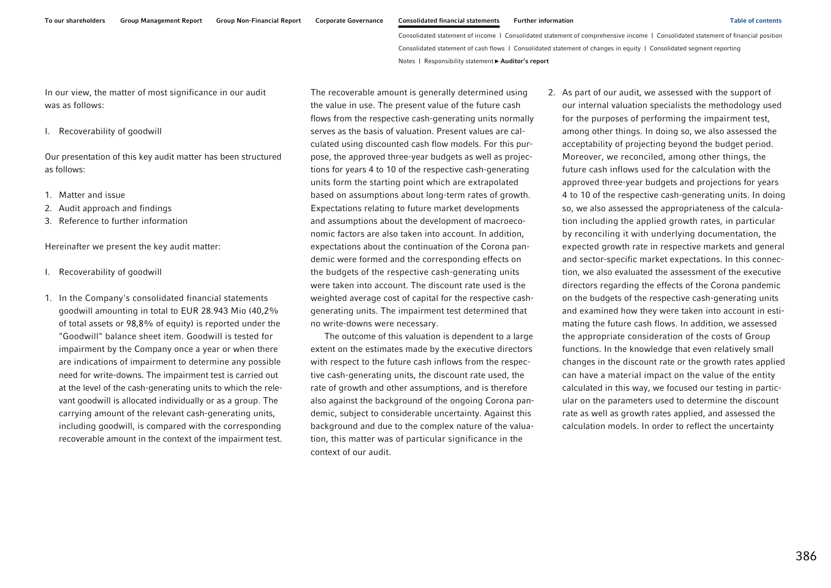In our view, the matter of most significance in our audit was as follows:

I. Recoverability of goodwill

Our presentation of this key audit matter has been structured as follows:

- 1. Matter and issue
- 2. Audit approach and findings
- 3. Reference to further information

Hereinafter we present the key audit matter:

- I. Recoverability of goodwill
- 1. In the Company's consolidated financial statements goodwill amounting in total to EUR 28.943 Mio (40,2% of total assets or 98,8% of equity) is reported under the "Goodwill" balance sheet item. Goodwill is tested for impairment by the Company once a year or when there are indications of impairment to determine any possible need for write-downs. The impairment test is carried out at the level of the cash-generating units to which the relevant goodwill is allocated individually or as a group. The carrying amount of the relevant cash-generating units, including goodwill, is compared with the corresponding recoverable amount in the context of the impairment test.

The recoverable amount is generally determined using the value in use. The present value of the future cash flows from the respective cash-generating units normally serves as the basis of valuation. Present values are calculated using discounted cash flow models. For this purpose, the approved three-year budgets as well as projections for years 4 to 10 of the respective cash-generating units form the starting point which are extrapolated based on assumptions about long-term rates of growth. Expectations relating to future market developments and assumptions about the development of macroeconomic factors are also taken into account. In addition, expectations about the continuation of the Corona pandemic were formed and the corresponding effects on the budgets of the respective cash-generating units were taken into account. The discount rate used is the weighted average cost of capital for the respective cashgenerating units. The impairment test determined that no write-downs were necessary.

The outcome of this valuation is dependent to a large extent on the estimates made by the executive directors with respect to the future cash inflows from the respective cash-generating units, the discount rate used, the rate of growth and other assumptions, and is therefore also against the background of the ongoing Corona pandemic, subject to considerable uncertainty. Against this background and due to the complex nature of the valuation, this matter was of particular significance in the context of our audit.

2. As part of our audit, we assessed with the support of our internal valuation specialists the methodology used for the purposes of performing the impairment test, among other things. In doing so, we also assessed the acceptability of projecting beyond the budget period. Moreover, we reconciled, among other things, the future cash inflows used for the calculation with the approved three-year budgets and projections for years 4 to 10 of the respective cash-generating units. In doing so, we also assessed the appropriateness of the calculation including the applied growth rates, in particular by reconciling it with underlying documentation, the expected growth rate in respective markets and general and sector-specific market expectations. In this connection, we also evaluated the assessment of the executive directors regarding the effects of the Corona pandemic on the budgets of the respective cash-generating units and examined how they were taken into account in estimating the future cash flows. In addition, we assessed the appropriate consideration of the costs of Group functions. In the knowledge that even relatively small changes in the discount rate or the growth rates applied can have a material impact on the value of the entity calculated in this way, we focused our testing in particular on the parameters used to determine the discount rate as well as growth rates applied, and assessed the calculation models. In order to reflect the uncertainty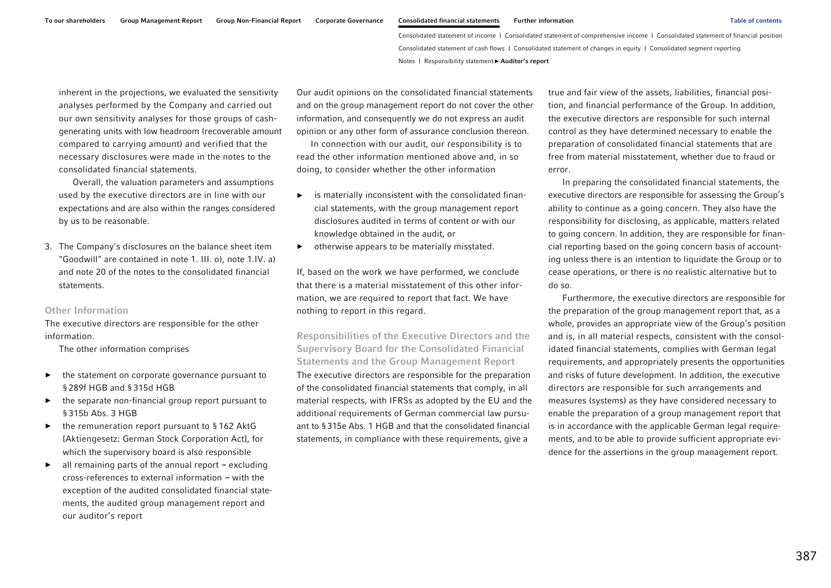inherent in the projections, we evaluated the sensitivity analyses performed by the Company and carried out our own sensitivity analyses for those groups of cashgenerating units with low headroom (recoverable amount compared to carrying amount) and verified that the necessary disclosures were made in the notes to the consolidated financial statements.

Overall, the valuation parameters and assumptions used by the executive directors are in line with our expectations and are also within the ranges considered by us to be reasonable.

3. The Company's disclosures on the balance sheet item "Goodwill" are contained in note 1. III. o), note 1.IV. a) and note 20 of the notes to the consolidated financial statements.

#### Other Information

The executive directors are responsible for the other information.

The other information comprises

- ► the statement on corporate governance pursuant to §289f HGB and §315d HGB
- ► the separate non-financial group report pursuant to §315b Abs. 3 HGB
- ► the remuneration report pursuant to § 162 AktG [Aktiengesetz: German Stock Corporation Act], for which the supervisory board is also responsible
- ►all remaining parts of the annual report  $-$  excluding cross-references to external information – with the exception of the audited consolidated financial statements, the audited group management report and our auditor's report

Our audit opinions on the consolidated financial statements and on the group management report do not cover the other information, and consequently we do not express an audit opinion or any other form of assurance conclusion thereon.

In connection with our audit, our responsibility is to read the other information mentioned above and, in so doing, to consider whether the other information

- ► is materially inconsistent with the consolidated financial statements, with the group management report disclosures audited in terms of content or with our knowledge obtained in the audit, or
- ►otherwise appears to be materially misstated.

If, based on the work we have performed, we conclude that there is a material misstatement of this other information, we are required to report that fact. We have nothing to report in this regard.

Responsibilities of the Executive Directors and the Supervisory Board for the Consolidated Financial Statements and the Group Management Report The executive directors are responsible for the preparation of the consolidated financial statements that comply, in all material respects, with IFRSs as adopted by the EU and the additional requirements of German commercial law pursuant to §315e Abs. 1 HGB and that the consolidated financial statements, in compliance with these requirements, give a

true and fair view of the assets, liabilities, financial position, and financial performance of the Group. In addition, the executive directors are responsible for such internal control as they have determined necessary to enable the preparation of consolidated financial statements that are free from material misstatement, whether due to fraud or error.

In preparing the consolidated financial statements, the executive directors are responsible for assessing the Group's ability to continue as a going concern. They also have the responsibility for disclosing, as applicable, matters related to going concern. In addition, they are responsible for financial reporting based on the going concern basis of accounting unless there is an intention to liquidate the Group or to cease operations, or there is no realistic alternative but to do so.

Furthermore, the executive directors are responsible for the preparation of the group management report that, as a whole, provides an appropriate view of the Group's position and is, in all material respects, consistent with the consolidated financial statements, complies with German legal requirements, and appropriately presents the opportunities and risks of future development. In addition, the executive directors are responsible for such arrangements and measures (systems) as they have considered necessary to enable the preparation of a group management report that is in accordance with the applicable German legal requirements, and to be able to provide sufficient appropriate evidence for the assertions in the group management report.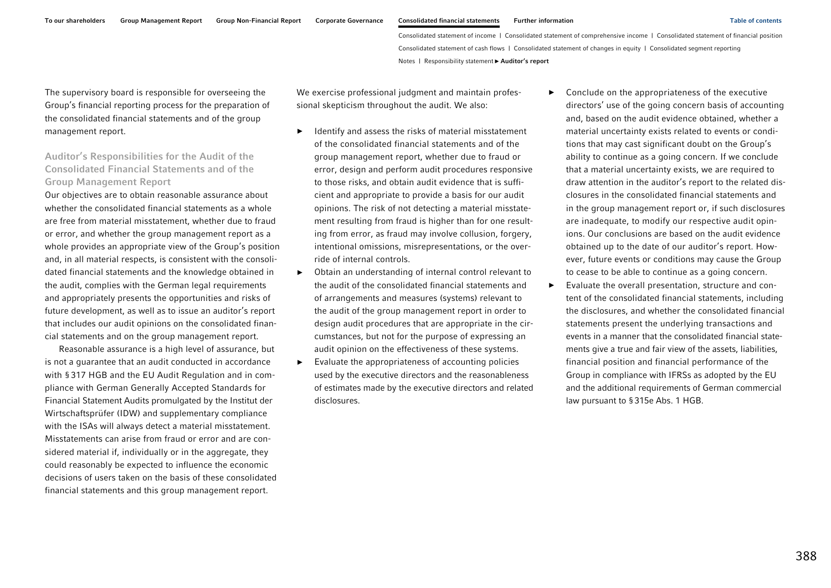►

The supervisory board is responsible for overseeing the Group's financial reporting process for the preparation of the consolidated financial statements and of the group management report.

# Auditor's Responsibilities for the Audit of the Consolidated Financial Statements and of the Group Management Report

Our objectives are to obtain reasonable assurance about whether the consolidated financial statements as a whole are free from material misstatement, whether due to fraud or error, and whether the group management report as a whole provides an appropriate view of the Group's position and, in all material respects, is consistent with the consolidated financial statements and the knowledge obtained in the audit, complies with the German legal requirements and appropriately presents the opportunities and risks of future development, as well as to issue an auditor's report that includes our audit opinions on the consolidated financial statements and on the group management report.

Reasonable assurance is a high level of assurance, but is not a guarantee that an audit conducted in accordance with § 317 HGB and the EU Audit Regulation and in compliance with German Generally Accepted Standards for Financial Statement Audits promulgated by the Institut der Wirtschaftsprüfer (IDW) and supplementary compliance with the ISAs will always detect a material misstatement. Misstatements can arise from fraud or error and are considered material if, individually or in the aggregate, they could reasonably be expected to influence the economic decisions of users taken on the basis of these consolidated financial statements and this group management report.

We exercise professional judgment and maintain professional skepticism throughout the audit. We also:

- ► Identify and assess the risks of material misstatement of the consolidated financial statements and of the group management report, whether due to fraud or error, design and perform audit procedures responsive to those risks, and obtain audit evidence that is sufficient and appropriate to provide a basis for our audit opinions. The risk of not detecting a material misstatement resulting from fraud is higher than for one resulting from error, as fraud may involve collusion, forgery, intentional omissions, misrepresentations, or the override of internal controls.
- ► Obtain an understanding of internal control relevant to the audit of the consolidated financial statements and of arrangements and measures (systems) relevant to the audit of the group management report in order to design audit procedures that are appropriate in the circumstances, but not for the purpose of expressing an audit opinion on the effectiveness of these systems.
- ► Evaluate the appropriateness of accounting policies used by the executive directors and the reasonableness of estimates made by the executive directors and related disclosures.
- Conclude on the appropriateness of the executive directors' use of the going concern basis of accounting and, based on the audit evidence obtained, whether a material uncertainty exists related to events or conditions that may cast significant doubt on the Group's ability to continue as a going concern. If we conclude that a material uncertainty exists, we are required to draw attention in the auditor's report to the related disclosures in the consolidated financial statements and in the group management report or, if such disclosures are inadequate, to modify our respective audit opinions. Our conclusions are based on the audit evidence obtained up to the date of our auditor's report. However, future events or conditions may cause the Group to cease to be able to continue as a going concern.
- ► Evaluate the overall presentation, structure and content of the consolidated financial statements, including the disclosures, and whether the consolidated financial statements present the underlying transactions and events in a manner that the consolidated financial statements give a true and fair view of the assets, liabilities, financial position and financial performance of the Group in compliance with IFRSs as adopted by the EU and the additional requirements of German commercial law pursuant to §315e Abs. 1 HGB.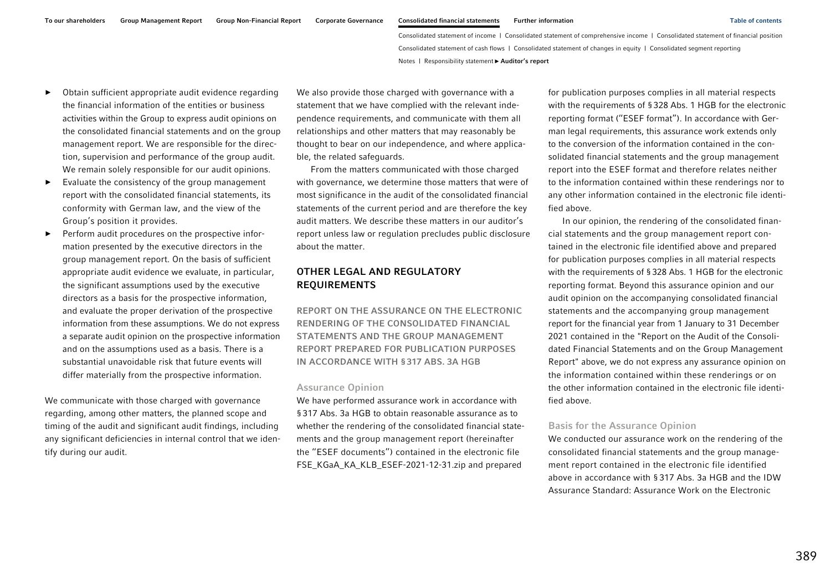- ► Obtain sufficient appropriate audit evidence regarding the financial information of the entities or business activities within the Group to express audit opinions on the consolidated financial statements and on the group management report. We are responsible for the direction, supervision and performance of the group audit. We remain solely responsible for our audit opinions.
- ► Evaluate the consistency of the group management report with the consolidated financial statements, its conformity with German law, and the view of the Group's position it provides.
- ► Perform audit procedures on the prospective information presented by the executive directors in the group management report. On the basis of sufficient appropriate audit evidence we evaluate, in particular, the significant assumptions used by the executive directors as a basis for the prospective information, and evaluate the proper derivation of the prospective information from these assumptions. We do not express a separate audit opinion on the prospective information and on the assumptions used as a basis. There is a substantial unavoidable risk that future events will differ materially from the prospective information.

We communicate with those charged with governance regarding, among other matters, the planned scope and timing of the audit and significant audit findings, including any significant deficiencies in internal control that we identify during our audit.

We also provide those charged with governance with a statement that we have complied with the relevant independence requirements, and communicate with them all relationships and other matters that may reasonably be thought to bear on our independence, and where applicable, the related safeguards.

From the matters communicated with those charged with governance, we determine those matters that were of most significance in the audit of the consolidated financial statements of the current period and are therefore the key audit matters. We describe these matters in our auditor's report unless law or regulation precludes public disclosure about the matter.

### OTHER LEGAL AND REGULATORY REQUIREMENTS

REPORT ON THE ASSURANCE ON THE ELECTRONIC RENDERING OF THE CONSOLIDATED FINANCIAL STATEMENTS AND THE GROUP MANAGEMENT REPORT PREPARED FOR PUBLICATION PURPOSES IN ACCORDANCE WITH §317 ABS. 3A HGB

#### Assurance Opinion

We have performed assurance work in accordance with §317 Abs. 3a HGB to obtain reasonable assurance as to whether the rendering of the consolidated financial statements and the group management report (hereinafter the ''ESEF documents'') contained in the electronic file FSE\_KGaA\_KA\_KLB\_ESEF-2021-12-31.zip and prepared

for publication purposes complies in all material respects with the requirements of §328 Abs. 1 HGB for the electronic reporting format (''ESEF format''). In accordance with German legal requirements, this assurance work extends only to the conversion of the information contained in the consolidated financial statements and the group management report into the ESEF format and therefore relates neither to the information contained within these renderings nor to any other information contained in the electronic file identified above.

In our opinion, the rendering of the consolidated financial statements and the group management report contained in the electronic file identified above and prepared for publication purposes complies in all material respects with the requirements of §328 Abs. 1 HGB for the electronic reporting format. Beyond this assurance opinion and our audit opinion on the accompanying consolidated financial statements and the accompanying group management report for the financial year from 1 January to 31 December 2021 contained in the "Report on the Audit of the Consolidated Financial Statements and on the Group Management Report" above, we do not express any assurance opinion on the information contained within these renderings or on the other information contained in the electronic file identified above.

#### Basis for the Assurance Opinion

We conducted our assurance work on the rendering of the consolidated financial statements and the group management report contained in the electronic file identified above in accordance with § 317 Abs. 3a HGB and the IDW Assurance Standard: Assurance Work on the Electronic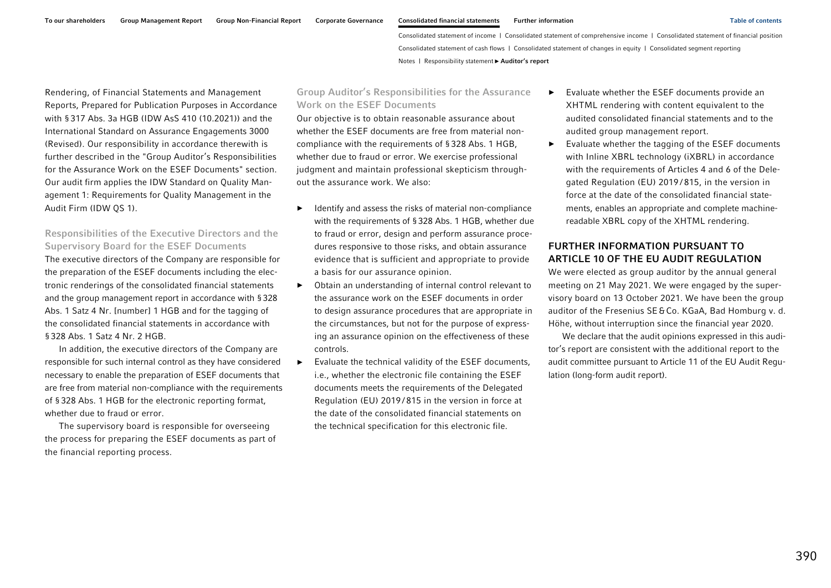Rendering, of Financial Statements and Management Reports, Prepared for Publication Purposes in Accordance with §317 Abs. 3a HGB (IDW AsS 410 (10.2021)) and the International Standard on Assurance Engagements 3000 (Revised). Our responsibility in accordance therewith is further described in the "Group Auditor's Responsibilities for the Assurance Work on the ESEF Documents" section. Our audit firm applies the IDW Standard on Quality Management 1: Requirements for Quality Management in the Audit Firm (IDW QS 1).

### Responsibilities of the Executive Directors and the Supervisory Board for the ESEF Documents

The executive directors of the Company are responsible for the preparation of the ESEF documents including the electronic renderings of the consolidated financial statements and the group management report in accordance with §328 Abs. 1 Satz 4 Nr. [number] 1 HGB and for the tagging of the consolidated financial statements in accordance with §328 Abs. 1 Satz 4 Nr. 2 HGB.

In addition, the executive directors of the Company are responsible for such internal control as they have considered necessary to enable the preparation of ESEF documents that are free from material non-compliance with the requirements of §328 Abs. 1 HGB for the electronic reporting format, whether due to fraud or error.

The supervisory board is responsible for overseeing the process for preparing the ESEF documents as part of the financial reporting process.

### Group Auditor's Responsibilities for the Assurance Work on the ESEF Documents

Our objective is to obtain reasonable assurance about whether the ESEF documents are free from material noncompliance with the requirements of §328 Abs. 1 HGB, whether due to fraud or error. We exercise professional judgment and maintain professional skepticism throughout the assurance work. We also:

- ► Identify and assess the risks of material non-compliance with the requirements of §328 Abs. 1 HGB, whether due to fraud or error, design and perform assurance procedures responsive to those risks, and obtain assurance evidence that is sufficient and appropriate to provide a basis for our assurance opinion.
- ► Obtain an understanding of internal control relevant to the assurance work on the ESEF documents in order to design assurance procedures that are appropriate in the circumstances, but not for the purpose of expressing an assurance opinion on the effectiveness of these controls.
- ► Evaluate the technical validity of the ESEF documents, i.e., whether the electronic file containing the ESEF documents meets the requirements of the Delegated Regulation (EU) 2019 / 815 in the version in force at the date of the consolidated financial statements on the technical specification for this electronic file.
- ► Evaluate whether the ESEF documents provide an XHTML rendering with content equivalent to the audited consolidated financial statements and to the audited group management report.
- ► Evaluate whether the tagging of the ESEF documents with Inline XBRL technology (iXBRL) in accordance with the requirements of Articles 4 and 6 of the Delegated Regulation (EU) 2019 / 815, in the version in force at the date of the consolidated financial statements, enables an appropriate and complete machinereadable XBRL copy of the XHTML rendering.

# FURTHER INFORMATION PURSUANT TO ARTICLE 10 OF THE EU AUDIT REGULATION

We were elected as group auditor by the annual general meeting on 21 May 2021. We were engaged by the supervisory board on 13 October 2021. We have been the group auditor of the Fresenius SE & Co. KGaA, Bad Homburg v. d. Höhe, without interruption since the financial year 2020.

We declare that the audit opinions expressed in this auditor's report are consistent with the additional report to the audit committee pursuant to Article 11 of the EU Audit Regulation (long-form audit report).